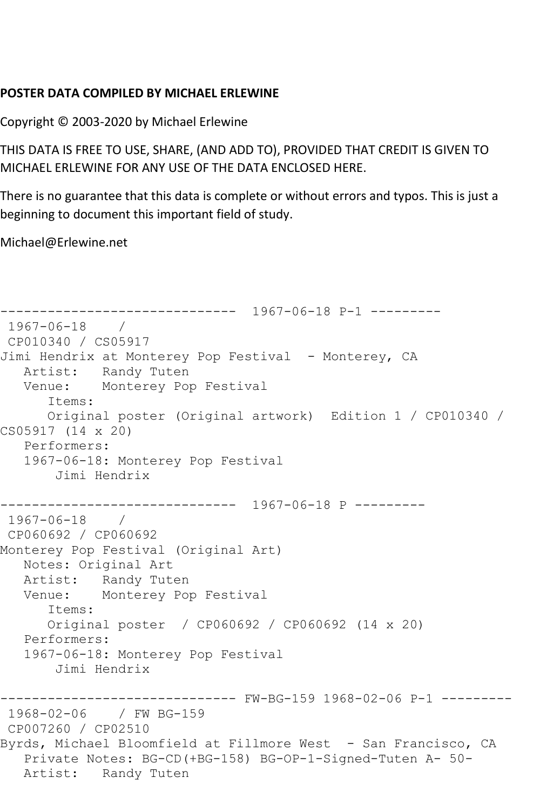## **POSTER DATA COMPILED BY MICHAEL ERLEWINE**

Copyright © 2003-2020 by Michael Erlewine

THIS DATA IS FREE TO USE, SHARE, (AND ADD TO), PROVIDED THAT CREDIT IS GIVEN TO MICHAEL ERLEWINE FOR ANY USE OF THE DATA ENCLOSED HERE.

There is no guarantee that this data is complete or without errors and typos. This is just a beginning to document this important field of study.

Michael@Erlewine.net

```
------------------------------ 1967-06-18 P-1 ---------
1967-06-18 / 
CP010340 / CS05917
Jimi Hendrix at Monterey Pop Festival - Monterey, CA
   Artist: Randy Tuten
   Venue: Monterey Pop Festival
      Items:
      Original poster (Original artwork) Edition 1 / CP010340 / 
CS05917 (14 x 20)
   Performers:
   1967-06-18: Monterey Pop Festival
       Jimi Hendrix
------------------------------ 1967-06-18 P ---------
1967-06-18 / 
CP060692 / CP060692
Monterey Pop Festival (Original Art)
   Notes: Original Art
   Artist: Randy Tuten
   Venue: Monterey Pop Festival
      Items:
      Original poster / CP060692 / CP060692 (14 x 20)
   Performers:
   1967-06-18: Monterey Pop Festival
       Jimi Hendrix
------------------------------ FW-BG-159 1968-02-06 P-1 ---------
1968-02-06 / FW BG-159
CP007260 / CP02510
Byrds, Michael Bloomfield at Fillmore West - San Francisco, CA
   Private Notes: BG-CD(+BG-158) BG-OP-1-Signed-Tuten A- 50-
   Artist: Randy Tuten
```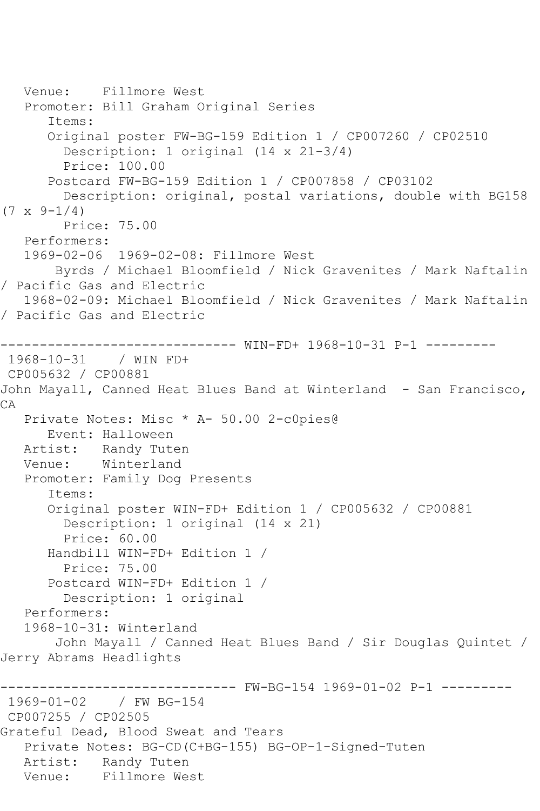Venue: Fillmore West Promoter: Bill Graham Original Series Items: Original poster FW-BG-159 Edition 1 / CP007260 / CP02510 Description: 1 original (14 x 21-3/4) Price: 100.00 Postcard FW-BG-159 Edition 1 / CP007858 / CP03102 Description: original, postal variations, double with BG158  $(7 \times 9 - 1/4)$  Price: 75.00 Performers: 1969-02-06 1969-02-08: Fillmore West Byrds / Michael Bloomfield / Nick Gravenites / Mark Naftalin / Pacific Gas and Electric 1968-02-09: Michael Bloomfield / Nick Gravenites / Mark Naftalin / Pacific Gas and Electric ------------------------------ WIN-FD+ 1968-10-31 P-1 --------- 1968-10-31 / WIN FD+ CP005632 / CP00881 John Mayall, Canned Heat Blues Band at Winterland - San Francisco, CA Private Notes: Misc \* A- 50.00 2-c0pies@ Event: Halloween Artist: Randy Tuten<br>Venue: Winterland Winterland Promoter: Family Dog Presents Items: Original poster WIN-FD+ Edition 1 / CP005632 / CP00881 Description: 1 original (14 x 21) Price: 60.00 Handbill WIN-FD+ Edition 1 / Price: 75.00 Postcard WIN-FD+ Edition 1 / Description: 1 original Performers: 1968-10-31: Winterland John Mayall / Canned Heat Blues Band / Sir Douglas Quintet / Jerry Abrams Headlights ------------------------------ FW-BG-154 1969-01-02 P-1 --------- 1969-01-02 / FW BG-154 CP007255 / CP02505 Grateful Dead, Blood Sweat and Tears Private Notes: BG-CD(C+BG-155) BG-OP-1-Signed-Tuten Artist: Randy Tuten Venue: Fillmore West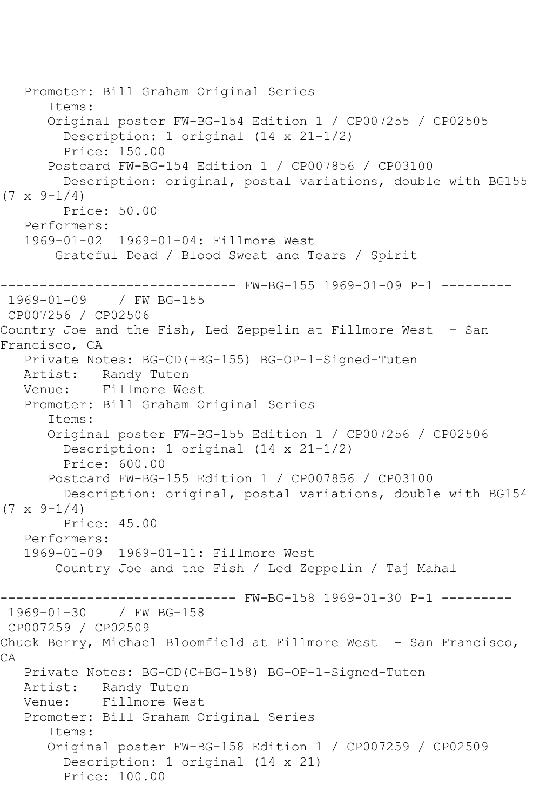```
 Promoter: Bill Graham Original Series
       Items:
       Original poster FW-BG-154 Edition 1 / CP007255 / CP02505
         Description: 1 original (14 x 21-1/2)
         Price: 150.00
       Postcard FW-BG-154 Edition 1 / CP007856 / CP03100
         Description: original, postal variations, double with BG155 
(7 \times 9 - 1/4) Price: 50.00
   Performers:
   1969-01-02 1969-01-04: Fillmore West
        Grateful Dead / Blood Sweat and Tears / Spirit
------------------------------ FW-BG-155 1969-01-09 P-1 ---------
1969-01-09 / FW BG-155
CP007256 / CP02506
Country Joe and the Fish, Led Zeppelin at Fillmore West - San 
Francisco, CA
   Private Notes: BG-CD(+BG-155) BG-OP-1-Signed-Tuten
   Artist: Randy Tuten
   Venue: Fillmore West
   Promoter: Bill Graham Original Series
       Items:
       Original poster FW-BG-155 Edition 1 / CP007256 / CP02506
         Description: 1 original (14 x 21-1/2)
         Price: 600.00
       Postcard FW-BG-155 Edition 1 / CP007856 / CP03100
         Description: original, postal variations, double with BG154 
(7 \times 9 - 1/4) Price: 45.00
   Performers:
   1969-01-09 1969-01-11: Fillmore West
        Country Joe and the Fish / Led Zeppelin / Taj Mahal
                         ------ FW-BG-158 1969-01-30 P-1 ---------
1969-01-30 / FW BG-158
CP007259 / CP02509
Chuck Berry, Michael Bloomfield at Fillmore West - San Francisco,
CA
   Private Notes: BG-CD(C+BG-158) BG-OP-1-Signed-Tuten
            Randy Tuten
   Venue: Fillmore West
   Promoter: Bill Graham Original Series
       Items:
       Original poster FW-BG-158 Edition 1 / CP007259 / CP02509
         Description: 1 original (14 x 21)
         Price: 100.00
```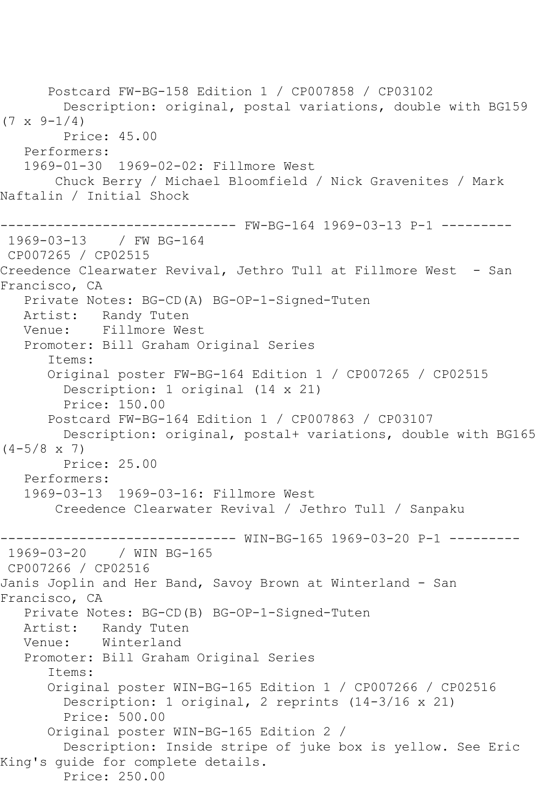Postcard FW-BG-158 Edition 1 / CP007858 / CP03102 Description: original, postal variations, double with BG159  $(7 \times 9 - 1/4)$  Price: 45.00 Performers: 1969-01-30 1969-02-02: Fillmore West Chuck Berry / Michael Bloomfield / Nick Gravenites / Mark Naftalin / Initial Shock ------------------------------ FW-BG-164 1969-03-13 P-1 --------- 1969-03-13 / FW BG-164 CP007265 / CP02515 Creedence Clearwater Revival, Jethro Tull at Fillmore West - San Francisco, CA Private Notes: BG-CD(A) BG-OP-1-Signed-Tuten Artist: Randy Tuten Venue: Fillmore West Promoter: Bill Graham Original Series Items: Original poster FW-BG-164 Edition 1 / CP007265 / CP02515 Description: 1 original (14 x 21) Price: 150.00 Postcard FW-BG-164 Edition 1 / CP007863 / CP03107 Description: original, postal+ variations, double with BG165  $(4-5/8 \times 7)$  Price: 25.00 Performers: 1969-03-13 1969-03-16: Fillmore West Creedence Clearwater Revival / Jethro Tull / Sanpaku ------------------------------ WIN-BG-165 1969-03-20 P-1 --------- 1969-03-20 / WIN BG-165 CP007266 / CP02516 Janis Joplin and Her Band, Savoy Brown at Winterland - San Francisco, CA Private Notes: BG-CD(B) BG-OP-1-Signed-Tuten Artist: Randy Tuten Venue: Winterland Promoter: Bill Graham Original Series Items: Original poster WIN-BG-165 Edition 1 / CP007266 / CP02516 Description: 1 original, 2 reprints (14-3/16 x 21) Price: 500.00 Original poster WIN-BG-165 Edition 2 / Description: Inside stripe of juke box is yellow. See Eric King's guide for complete details. Price: 250.00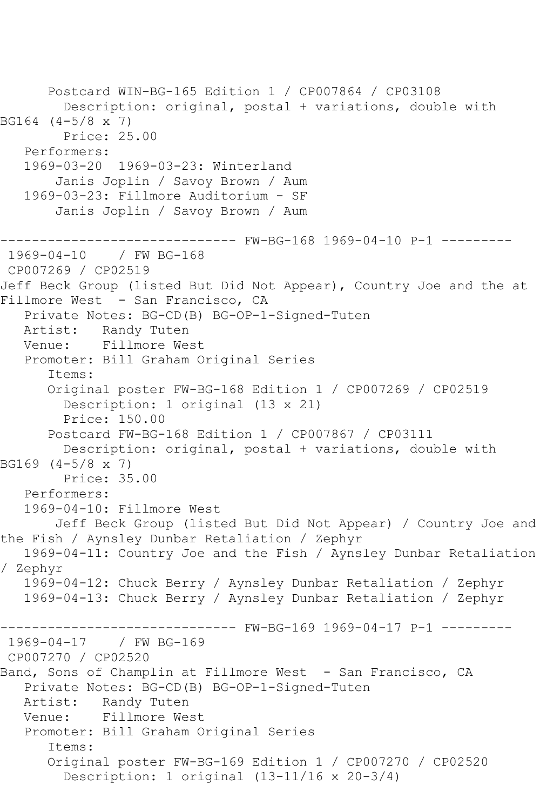Postcard WIN-BG-165 Edition 1 / CP007864 / CP03108 Description: original, postal + variations, double with BG164 (4-5/8 x 7) Price: 25.00 Performers: 1969-03-20 1969-03-23: Winterland Janis Joplin / Savoy Brown / Aum 1969-03-23: Fillmore Auditorium - SF Janis Joplin / Savoy Brown / Aum ------------------------------ FW-BG-168 1969-04-10 P-1 --------- 1969-04-10 / FW BG-168 CP007269 / CP02519 Jeff Beck Group (listed But Did Not Appear), Country Joe and the at Fillmore West - San Francisco, CA Private Notes: BG-CD(B) BG-OP-1-Signed-Tuten Artist: Randy Tuten Venue: Fillmore West Promoter: Bill Graham Original Series Items: Original poster FW-BG-168 Edition 1 / CP007269 / CP02519 Description: 1 original (13 x 21) Price: 150.00 Postcard FW-BG-168 Edition 1 / CP007867 / CP03111 Description: original, postal + variations, double with BG169 (4-5/8 x 7) Price: 35.00 Performers: 1969-04-10: Fillmore West Jeff Beck Group (listed But Did Not Appear) / Country Joe and the Fish / Aynsley Dunbar Retaliation / Zephyr 1969-04-11: Country Joe and the Fish / Aynsley Dunbar Retaliation / Zephyr 1969-04-12: Chuck Berry / Aynsley Dunbar Retaliation / Zephyr 1969-04-13: Chuck Berry / Aynsley Dunbar Retaliation / Zephyr ------------------------------ FW-BG-169 1969-04-17 P-1 --------- 1969-04-17 / FW BG-169 CP007270 / CP02520 Band, Sons of Champlin at Fillmore West - San Francisco, CA Private Notes: BG-CD(B) BG-OP-1-Signed-Tuten Artist: Randy Tuten Venue: Fillmore West Promoter: Bill Graham Original Series Items: Original poster FW-BG-169 Edition 1 / CP007270 / CP02520 Description: 1 original (13-11/16 x 20-3/4)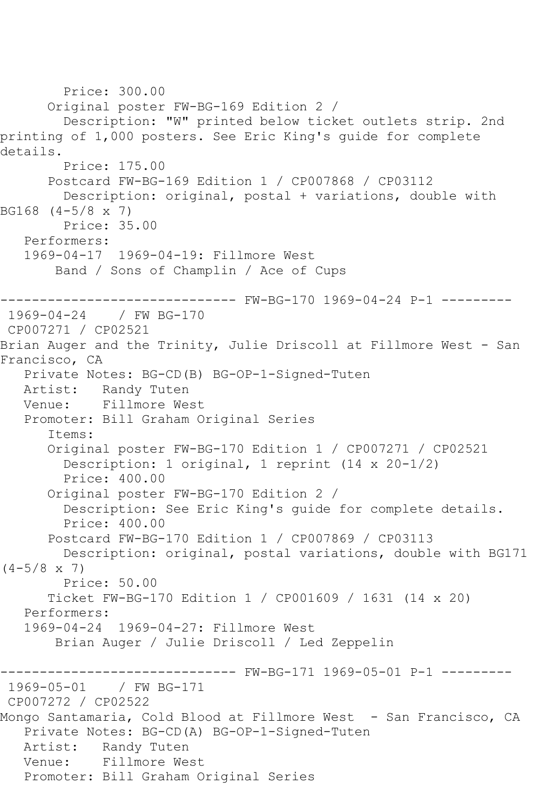```
 Price: 300.00
       Original poster FW-BG-169 Edition 2 / 
         Description: "W" printed below ticket outlets strip. 2nd 
printing of 1,000 posters. See Eric King's guide for complete 
details.
         Price: 175.00
       Postcard FW-BG-169 Edition 1 / CP007868 / CP03112
         Description: original, postal + variations, double with 
BG168 (4-5/8 x 7)
         Price: 35.00
   Performers:
   1969-04-17 1969-04-19: Fillmore West
        Band / Sons of Champlin / Ace of Cups
                  ------------------------------ FW-BG-170 1969-04-24 P-1 ---------
1969-04-24 / FW BG-170
CP007271 / CP02521
Brian Auger and the Trinity, Julie Driscoll at Fillmore West - San 
Francisco, CA
   Private Notes: BG-CD(B) BG-OP-1-Signed-Tuten
   Artist: Randy Tuten
   Venue: Fillmore West
   Promoter: Bill Graham Original Series
       Items:
       Original poster FW-BG-170 Edition 1 / CP007271 / CP02521
         Description: 1 original, 1 reprint (14 x 20-1/2)
         Price: 400.00
       Original poster FW-BG-170 Edition 2 / 
         Description: See Eric King's guide for complete details.
         Price: 400.00
       Postcard FW-BG-170 Edition 1 / CP007869 / CP03113
         Description: original, postal variations, double with BG171 
(4-5/8 \times 7) Price: 50.00
       Ticket FW-BG-170 Edition 1 / CP001609 / 1631 (14 x 20)
   Performers:
   1969-04-24 1969-04-27: Fillmore West
        Brian Auger / Julie Driscoll / Led Zeppelin
------------------------------ FW-BG-171 1969-05-01 P-1 ---------
              / FW BG-171
CP007272 / CP02522
Mongo Santamaria, Cold Blood at Fillmore West - San Francisco, CA
   Private Notes: BG-CD(A) BG-OP-1-Signed-Tuten
   Artist: Randy Tuten
   Venue: Fillmore West
   Promoter: Bill Graham Original Series
```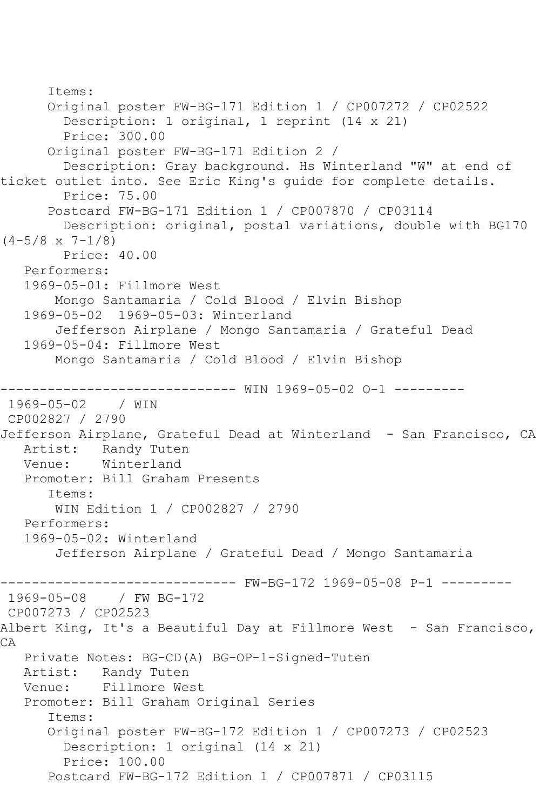```
 Items:
       Original poster FW-BG-171 Edition 1 / CP007272 / CP02522
         Description: 1 original, 1 reprint (14 x 21)
         Price: 300.00
       Original poster FW-BG-171 Edition 2 / 
         Description: Gray background. Hs Winterland "W" at end of 
ticket outlet into. See Eric King's guide for complete details.
         Price: 75.00
       Postcard FW-BG-171 Edition 1 / CP007870 / CP03114
         Description: original, postal variations, double with BG170 
(4-5/8 \times 7-1/8) Price: 40.00
   Performers:
   1969-05-01: Fillmore West
        Mongo Santamaria / Cold Blood / Elvin Bishop
   1969-05-02 1969-05-03: Winterland
        Jefferson Airplane / Mongo Santamaria / Grateful Dead
   1969-05-04: Fillmore West
        Mongo Santamaria / Cold Blood / Elvin Bishop
------------------------------ WIN 1969-05-02 O-1 ---------
1969-05-02 / WIN 
CP002827 / 2790
Jefferson Airplane, Grateful Dead at Winterland - San Francisco, CA
  Artist: Randy Tuten<br>Venue: Winterland
            Winterland
   Promoter: Bill Graham Presents
       Items:
       WIN Edition 1 / CP002827 / 2790
   Performers:
   1969-05-02: Winterland
        Jefferson Airplane / Grateful Dead / Mongo Santamaria
------------------------------ FW-BG-172 1969-05-08 P-1 ---------
1969-05-08 / FW BG-172
CP007273 / CP02523
Albert King, It's a Beautiful Day at Fillmore West - San Francisco,
CA
   Private Notes: BG-CD(A) BG-OP-1-Signed-Tuten
   Artist: Randy Tuten
   Venue: Fillmore West
   Promoter: Bill Graham Original Series
       Items:
       Original poster FW-BG-172 Edition 1 / CP007273 / CP02523
         Description: 1 original (14 x 21)
         Price: 100.00
       Postcard FW-BG-172 Edition 1 / CP007871 / CP03115
```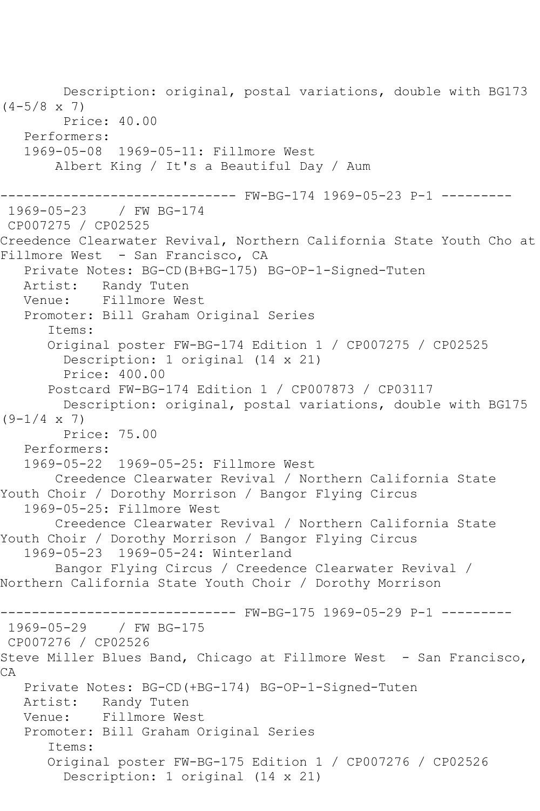Description: original, postal variations, double with BG173  $(4-5/8 \times 7)$  Price: 40.00 Performers: 1969-05-08 1969-05-11: Fillmore West Albert King / It's a Beautiful Day / Aum ------------------------------ FW-BG-174 1969-05-23 P-1 --------- 1969-05-23 / FW BG-174 CP007275 / CP02525 Creedence Clearwater Revival, Northern California State Youth Cho at Fillmore West - San Francisco, CA Private Notes: BG-CD(B+BG-175) BG-OP-1-Signed-Tuten Artist: Randy Tuten Venue: Fillmore West Promoter: Bill Graham Original Series Items: Original poster FW-BG-174 Edition 1 / CP007275 / CP02525 Description: 1 original (14 x 21) Price: 400.00 Postcard FW-BG-174 Edition 1 / CP007873 / CP03117 Description: original, postal variations, double with BG175  $(9-1/4 \times 7)$  Price: 75.00 Performers: 1969-05-22 1969-05-25: Fillmore West Creedence Clearwater Revival / Northern California State Youth Choir / Dorothy Morrison / Bangor Flying Circus 1969-05-25: Fillmore West Creedence Clearwater Revival / Northern California State Youth Choir / Dorothy Morrison / Bangor Flying Circus 1969-05-23 1969-05-24: Winterland Bangor Flying Circus / Creedence Clearwater Revival / Northern California State Youth Choir / Dorothy Morrison ------------------------------ FW-BG-175 1969-05-29 P-1 --------- 1969-05-29 / FW BG-175 CP007276 / CP02526 Steve Miller Blues Band, Chicago at Fillmore West - San Francisco, CA Private Notes: BG-CD(+BG-174) BG-OP-1-Signed-Tuten Artist: Randy Tuten Venue: Fillmore West Promoter: Bill Graham Original Series Items: Original poster FW-BG-175 Edition 1 / CP007276 / CP02526 Description: 1 original (14 x 21)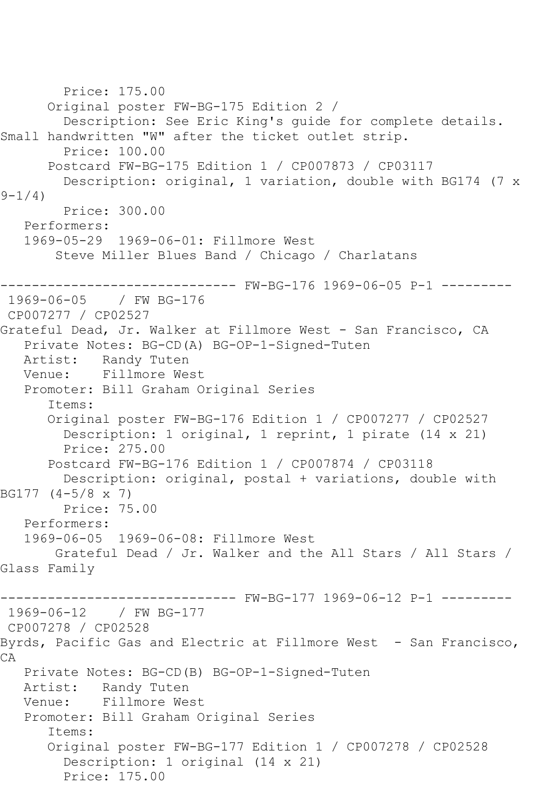```
 Price: 175.00
       Original poster FW-BG-175 Edition 2 / 
         Description: See Eric King's guide for complete details. 
Small handwritten "W" after the ticket outlet strip.
         Price: 100.00
       Postcard FW-BG-175 Edition 1 / CP007873 / CP03117
         Description: original, 1 variation, double with BG174 (7 x 
9 - 1/4 Price: 300.00
   Performers:
   1969-05-29 1969-06-01: Fillmore West
        Steve Miller Blues Band / Chicago / Charlatans
------------------------------ FW-BG-176 1969-06-05 P-1 ---------
1969-06-05
CP007277 / CP02527
Grateful Dead, Jr. Walker at Fillmore West - San Francisco, CA
   Private Notes: BG-CD(A) BG-OP-1-Signed-Tuten
           Randy Tuten
   Venue: Fillmore West
   Promoter: Bill Graham Original Series
       Items:
       Original poster FW-BG-176 Edition 1 / CP007277 / CP02527
         Description: 1 original, 1 reprint, 1 pirate (14 x 21)
         Price: 275.00
       Postcard FW-BG-176 Edition 1 / CP007874 / CP03118
         Description: original, postal + variations, double with 
BG177 (4-5/8 x 7)
        Price: 75.00
   Performers:
   1969-06-05 1969-06-08: Fillmore West
        Grateful Dead / Jr. Walker and the All Stars / All Stars / 
Glass Family
                         ------ FW-BG-177 1969-06-12 P-1 ---------
1969-06-12 / FW BG-177
CP007278 / CP02528
Byrds, Pacific Gas and Electric at Fillmore West - San Francisco,
CA
   Private Notes: BG-CD(B) BG-OP-1-Signed-Tuten
            Randy Tuten
   Venue: Fillmore West
   Promoter: Bill Graham Original Series
       Items:
       Original poster FW-BG-177 Edition 1 / CP007278 / CP02528
         Description: 1 original (14 x 21)
        Price: 175.00
```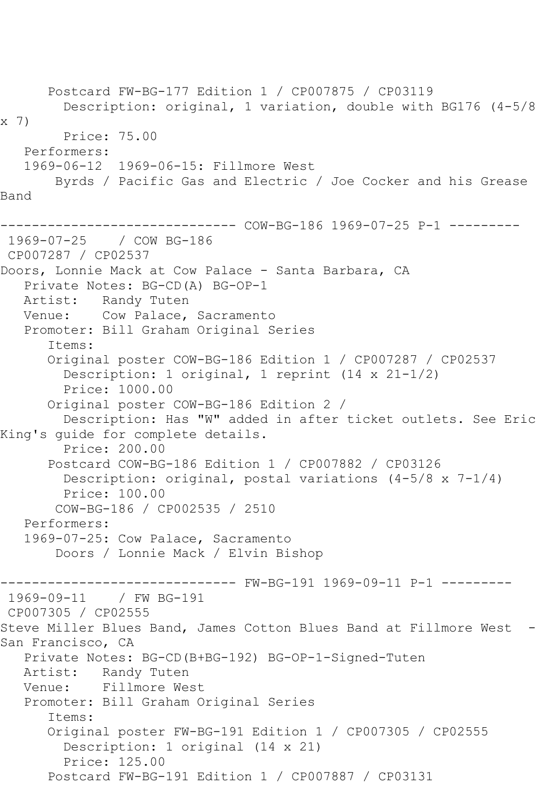Postcard FW-BG-177 Edition 1 / CP007875 / CP03119 Description: original, 1 variation, double with BG176 (4-5/8 x 7) Price: 75.00 Performers: 1969-06-12 1969-06-15: Fillmore West Byrds / Pacific Gas and Electric / Joe Cocker and his Grease Band ------------------------------ COW-BG-186 1969-07-25 P-1 --------- 1969-07-25 / COW BG-186 CP007287 / CP02537 Doors, Lonnie Mack at Cow Palace - Santa Barbara, CA Private Notes: BG-CD(A) BG-OP-1 Artist: Randy Tuten Venue: Cow Palace, Sacramento Promoter: Bill Graham Original Series Items: Original poster COW-BG-186 Edition 1 / CP007287 / CP02537 Description: 1 original, 1 reprint (14 x 21-1/2) Price: 1000.00 Original poster COW-BG-186 Edition 2 / Description: Has "W" added in after ticket outlets. See Eric King's guide for complete details. Price: 200.00 Postcard COW-BG-186 Edition 1 / CP007882 / CP03126 Description: original, postal variations (4-5/8 x 7-1/4) Price: 100.00 COW-BG-186 / CP002535 / 2510 Performers: 1969-07-25: Cow Palace, Sacramento Doors / Lonnie Mack / Elvin Bishop ------------------------------ FW-BG-191 1969-09-11 P-1 --------- 1969-09-11 / FW BG-191 CP007305 / CP02555 Steve Miller Blues Band, James Cotton Blues Band at Fillmore West -San Francisco, CA Private Notes: BG-CD(B+BG-192) BG-OP-1-Signed-Tuten Artist: Randy Tuten<br>Venue: Fillmore We Fillmore West Promoter: Bill Graham Original Series Items: Original poster FW-BG-191 Edition 1 / CP007305 / CP02555 Description: 1 original (14 x 21) Price: 125.00 Postcard FW-BG-191 Edition 1 / CP007887 / CP03131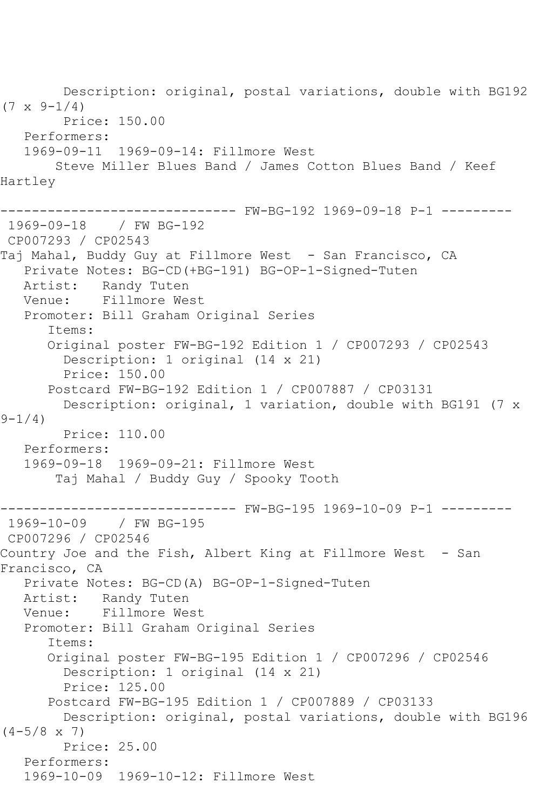Description: original, postal variations, double with BG192  $(7 \times 9 - 1/4)$  Price: 150.00 Performers: 1969-09-11 1969-09-14: Fillmore West Steve Miller Blues Band / James Cotton Blues Band / Keef Hartley ------- FW-BG-192 1969-09-18 P-1 ---------1969-09-18 / FW BG-192 CP007293 / CP02543 Taj Mahal, Buddy Guy at Fillmore West - San Francisco, CA Private Notes: BG-CD(+BG-191) BG-OP-1-Signed-Tuten Artist: Randy Tuten Venue: Fillmore West Promoter: Bill Graham Original Series Items: Original poster FW-BG-192 Edition 1 / CP007293 / CP02543 Description: 1 original (14 x 21) Price: 150.00 Postcard FW-BG-192 Edition 1 / CP007887 / CP03131 Description: original, 1 variation, double with BG191 (7 x  $9 - 1/4$ ) Price: 110.00 Performers: 1969-09-18 1969-09-21: Fillmore West Taj Mahal / Buddy Guy / Spooky Tooth ------------------------------ FW-BG-195 1969-10-09 P-1 --------- 1969-10-09 / FW BG-195 CP007296 / CP02546 Country Joe and the Fish, Albert King at Fillmore West - San Francisco, CA Private Notes: BG-CD(A) BG-OP-1-Signed-Tuten Artist: Randy Tuten Venue: Fillmore West Promoter: Bill Graham Original Series Items: Original poster FW-BG-195 Edition 1 / CP007296 / CP02546 Description: 1 original (14 x 21) Price: 125.00 Postcard FW-BG-195 Edition 1 / CP007889 / CP03133 Description: original, postal variations, double with BG196  $(4-5/8 \times 7)$  Price: 25.00 Performers: 1969-10-09 1969-10-12: Fillmore West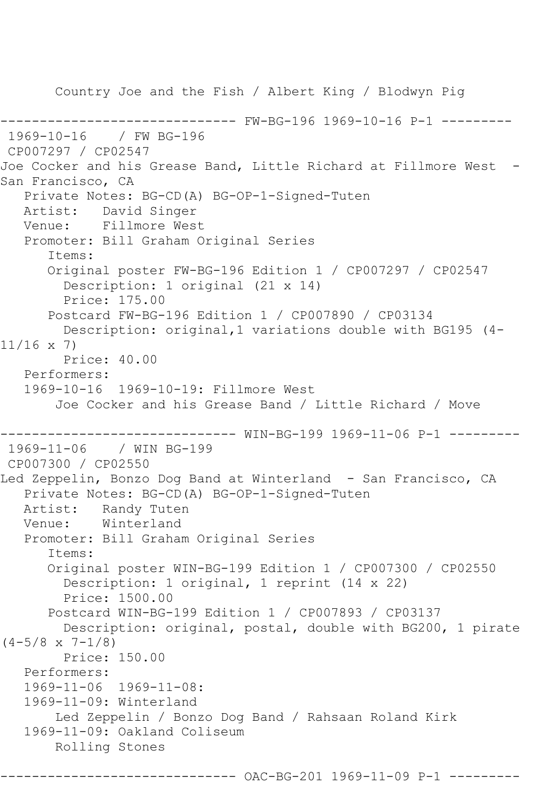Country Joe and the Fish / Albert King / Blodwyn Pig ------------------------------ FW-BG-196 1969-10-16 P-1 --------- 1969-10-16 / FW BG-196 CP007297 / CP02547 Joe Cocker and his Grease Band, Little Richard at Fillmore West -San Francisco, CA Private Notes: BG-CD(A) BG-OP-1-Signed-Tuten Artist: David Singer Venue: Fillmore West Promoter: Bill Graham Original Series Items: Original poster FW-BG-196 Edition 1 / CP007297 / CP02547 Description: 1 original (21 x 14) Price: 175.00 Postcard FW-BG-196 Edition 1 / CP007890 / CP03134 Description: original,1 variations double with BG195 (4- 11/16 x 7) Price: 40.00 Performers: 1969-10-16 1969-10-19: Fillmore West Joe Cocker and his Grease Band / Little Richard / Move ------------------------------ WIN-BG-199 1969-11-06 P-1 --------- 1969-11-06 / WIN BG-199 CP007300 / CP02550 Led Zeppelin, Bonzo Dog Band at Winterland - San Francisco, CA Private Notes: BG-CD(A) BG-OP-1-Signed-Tuten Artist: Randy Tuten Venue: Winterland Promoter: Bill Graham Original Series Items: Original poster WIN-BG-199 Edition 1 / CP007300 / CP02550 Description: 1 original, 1 reprint (14 x 22) Price: 1500.00 Postcard WIN-BG-199 Edition 1 / CP007893 / CP03137 Description: original, postal, double with BG200, 1 pirate  $(4-5/8 \times 7-1/8)$  Price: 150.00 Performers: 1969-11-06 1969-11-08: 1969-11-09: Winterland Led Zeppelin / Bonzo Dog Band / Rahsaan Roland Kirk 1969-11-09: Oakland Coliseum Rolling Stones

---------- OAC-BG-201 1969-11-09 P-1 ---------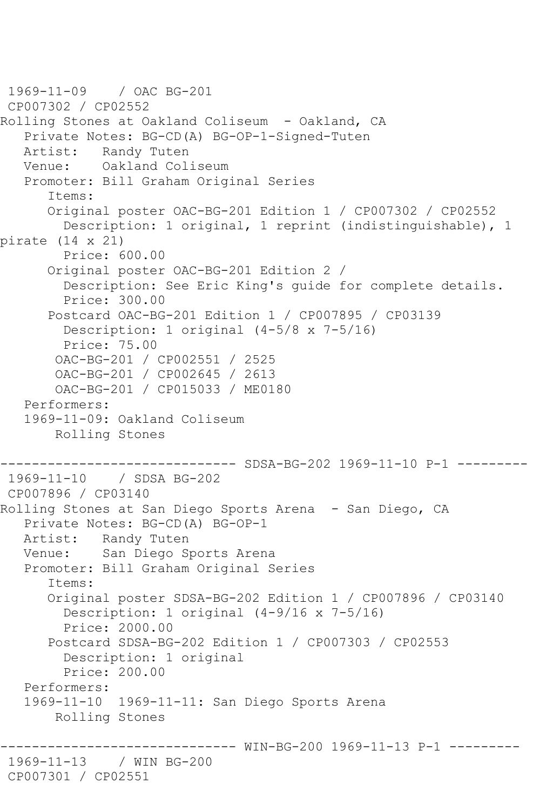```
1969-11-09 / OAC BG-201
CP007302 / CP02552
Rolling Stones at Oakland Coliseum - Oakland, CA
   Private Notes: BG-CD(A) BG-OP-1-Signed-Tuten
   Artist: Randy Tuten
   Venue: Oakland Coliseum
    Promoter: Bill Graham Original Series
       Items:
       Original poster OAC-BG-201 Edition 1 / CP007302 / CP02552
         Description: 1 original, 1 reprint (indistinguishable), 1 
pirate (14 x 21)
         Price: 600.00
       Original poster OAC-BG-201 Edition 2 / 
         Description: See Eric King's guide for complete details.
         Price: 300.00
       Postcard OAC-BG-201 Edition 1 / CP007895 / CP03139
         Description: 1 original (4-5/8 x 7-5/16)
         Price: 75.00
        OAC-BG-201 / CP002551 / 2525
        OAC-BG-201 / CP002645 / 2613
        OAC-BG-201 / CP015033 / ME0180
    Performers:
    1969-11-09: Oakland Coliseum
        Rolling Stones
                  ------------------------------ SDSA-BG-202 1969-11-10 P-1 ---------
1969-11-10 / SDSA BG-202
CP007896 / CP03140
Rolling Stones at San Diego Sports Arena - San Diego, CA
    Private Notes: BG-CD(A) BG-OP-1
   Artist: Randy Tuten
   Venue: San Diego Sports Arena
   Promoter: Bill Graham Original Series
       Items:
       Original poster SDSA-BG-202 Edition 1 / CP007896 / CP03140
         Description: 1 original (4-9/16 x 7-5/16)
         Price: 2000.00
       Postcard SDSA-BG-202 Edition 1 / CP007303 / CP02553
         Description: 1 original
         Price: 200.00
    Performers:
    1969-11-10 1969-11-11: San Diego Sports Arena
        Rolling Stones
                     ------------------------------ WIN-BG-200 1969-11-13 P-1 ---------
1969-11-13 / WIN BG-200
CP007301 / CP02551
```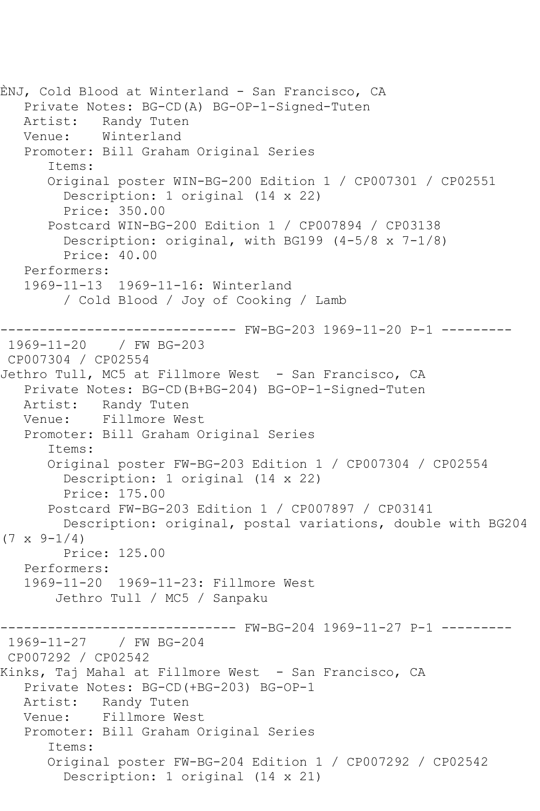ÈNJ, Cold Blood at Winterland - San Francisco, CA Private Notes: BG-CD(A) BG-OP-1-Signed-Tuten Artist: Randy Tuten Venue: Winterland Promoter: Bill Graham Original Series Items: Original poster WIN-BG-200 Edition 1 / CP007301 / CP02551 Description: 1 original (14 x 22) Price: 350.00 Postcard WIN-BG-200 Edition 1 / CP007894 / CP03138 Description: original, with BG199 (4-5/8 x 7-1/8) Price: 40.00 Performers: 1969-11-13 1969-11-16: Winterland / Cold Blood / Joy of Cooking / Lamb ------------------------------ FW-BG-203 1969-11-20 P-1 --------- 1969-11-20 / FW BG-203 CP007304 / CP02554 Jethro Tull, MC5 at Fillmore West - San Francisco, CA Private Notes: BG-CD(B+BG-204) BG-OP-1-Signed-Tuten Artist: Randy Tuten Venue: Fillmore West Promoter: Bill Graham Original Series Items: Original poster FW-BG-203 Edition 1 / CP007304 / CP02554 Description: 1 original (14 x 22) Price: 175.00 Postcard FW-BG-203 Edition 1 / CP007897 / CP03141 Description: original, postal variations, double with BG204  $(7 \times 9 - 1/4)$  Price: 125.00 Performers: 1969-11-20 1969-11-23: Fillmore West Jethro Tull / MC5 / Sanpaku ------------------------------ FW-BG-204 1969-11-27 P-1 --------- 1969-11-27 / FW BG-204 CP007292 / CP02542 Kinks, Taj Mahal at Fillmore West - San Francisco, CA Private Notes: BG-CD(+BG-203) BG-OP-1 Artist: Randy Tuten Venue: Fillmore West Promoter: Bill Graham Original Series Items: Original poster FW-BG-204 Edition 1 / CP007292 / CP02542 Description: 1 original (14 x 21)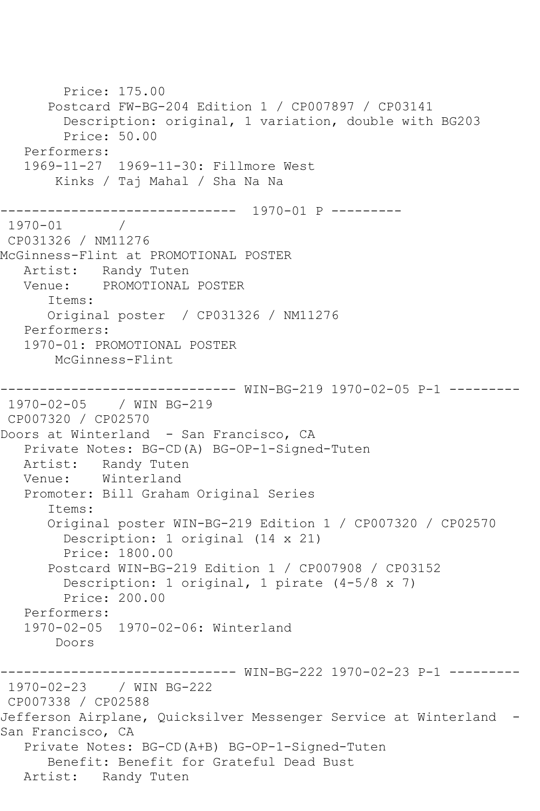Price: 175.00 Postcard FW-BG-204 Edition 1 / CP007897 / CP03141 Description: original, 1 variation, double with BG203 Price: 50.00 Performers: 1969-11-27 1969-11-30: Fillmore West Kinks / Taj Mahal / Sha Na Na ------------------------------ 1970-01 P ---------  $1970 - 01$ CP031326 / NM11276 McGinness-Flint at PROMOTIONAL POSTER Artist: Randy Tuten Venue: PROMOTIONAL POSTER Items: Original poster / CP031326 / NM11276 Performers: 1970-01: PROMOTIONAL POSTER McGinness-Flint ------------------------------ WIN-BG-219 1970-02-05 P-1 --------- 1970-02-05 / WIN BG-219 CP007320 / CP02570 Doors at Winterland - San Francisco, CA Private Notes: BG-CD(A) BG-OP-1-Signed-Tuten Artist: Randy Tuten Venue: Winterland Promoter: Bill Graham Original Series Items: Original poster WIN-BG-219 Edition 1 / CP007320 / CP02570 Description: 1 original (14 x 21) Price: 1800.00 Postcard WIN-BG-219 Edition 1 / CP007908 / CP03152 Description: 1 original, 1 pirate (4-5/8 x 7) Price: 200.00 Performers: 1970-02-05 1970-02-06: Winterland Doors ------------------------------ WIN-BG-222 1970-02-23 P-1 --------- 1970-02-23 / WIN BG-222 CP007338 / CP02588 Jefferson Airplane, Quicksilver Messenger Service at Winterland - San Francisco, CA Private Notes: BG-CD(A+B) BG-OP-1-Signed-Tuten Benefit: Benefit for Grateful Dead Bust Artist: Randy Tuten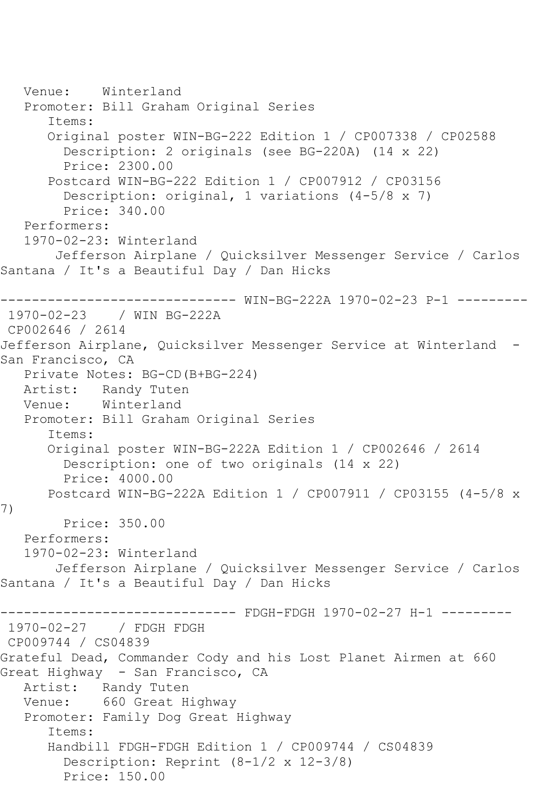Venue: Winterland Promoter: Bill Graham Original Series Items: Original poster WIN-BG-222 Edition 1 / CP007338 / CP02588 Description: 2 originals (see BG-220A) (14 x 22) Price: 2300.00 Postcard WIN-BG-222 Edition 1 / CP007912 / CP03156 Description: original, 1 variations (4-5/8 x 7) Price: 340.00 Performers: 1970-02-23: Winterland Jefferson Airplane / Quicksilver Messenger Service / Carlos Santana / It's a Beautiful Day / Dan Hicks ------------------------------ WIN-BG-222A 1970-02-23 P-1 --------- 1970-02-23 / WIN BG-222A CP002646 / 2614 Jefferson Airplane, Quicksilver Messenger Service at Winterland - San Francisco, CA Private Notes: BG-CD(B+BG-224) Artist: Randy Tuten Venue: Winterland Promoter: Bill Graham Original Series Items: Original poster WIN-BG-222A Edition 1 / CP002646 / 2614 Description: one of two originals (14 x 22) Price: 4000.00 Postcard WIN-BG-222A Edition 1 / CP007911 / CP03155 (4-5/8 x 7) Price: 350.00 Performers: 1970-02-23: Winterland Jefferson Airplane / Quicksilver Messenger Service / Carlos Santana / It's a Beautiful Day / Dan Hicks ------------------------------ FDGH-FDGH 1970-02-27 H-1 --------- 1970-02-27 / FDGH FDGH CP009744 / CS04839 Grateful Dead, Commander Cody and his Lost Planet Airmen at 660 Great Highway - San Francisco, CA Artist: Randy Tuten Venue: 660 Great Highway Promoter: Family Dog Great Highway Items: Handbill FDGH-FDGH Edition 1 / CP009744 / CS04839 Description: Reprint (8-1/2 x 12-3/8) Price: 150.00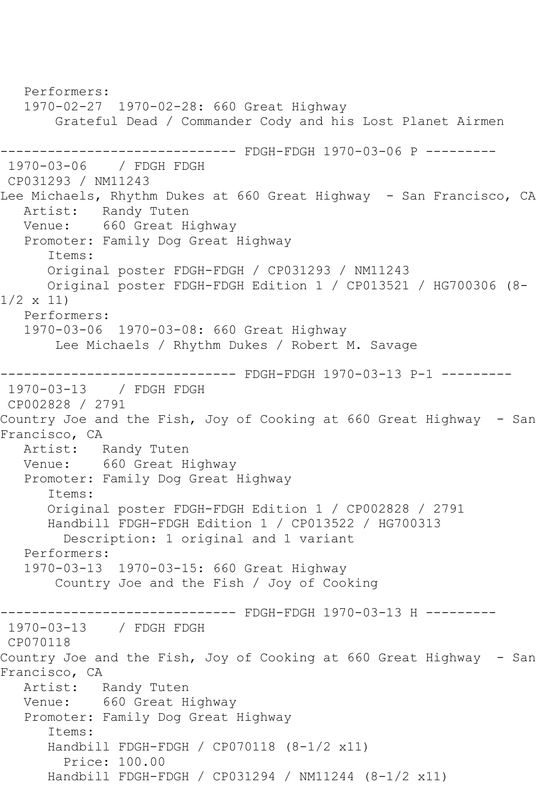Performers: 1970-02-27 1970-02-28: 660 Great Highway Grateful Dead / Commander Cody and his Lost Planet Airmen ------------------------------ FDGH-FDGH 1970-03-06 P --------- 1970-03-06 / FDGH FDGH CP031293 / NM11243 Lee Michaels, Rhythm Dukes at 660 Great Highway - San Francisco, CA Artist: Randy Tuten Venue: 660 Great Highway Promoter: Family Dog Great Highway Items: Original poster FDGH-FDGH / CP031293 / NM11243 Original poster FDGH-FDGH Edition 1 / CP013521 / HG700306 (8- 1/2 x 11) Performers: 1970-03-06 1970-03-08: 660 Great Highway Lee Michaels / Rhythm Dukes / Robert M. Savage ------------------------------ FDGH-FDGH 1970-03-13 P-1 --------- 1970-03-13 / FDGH FDGH CP002828 / 2791 Country Joe and the Fish, Joy of Cooking at 660 Great Highway - San Francisco, CA Artist: Randy Tuten<br>Venue: 660 Great H 660 Great Highway Promoter: Family Dog Great Highway Items: Original poster FDGH-FDGH Edition 1 / CP002828 / 2791 Handbill FDGH-FDGH Edition 1 / CP013522 / HG700313 Description: 1 original and 1 variant Performers: 1970-03-13 1970-03-15: 660 Great Highway Country Joe and the Fish / Joy of Cooking ------------------------------ FDGH-FDGH 1970-03-13 H --------- 1970-03-13 / FDGH FDGH CP070118 Country Joe and the Fish, Joy of Cooking at 660 Great Highway - San Francisco, CA Artist: Randy Tuten Venue: 660 Great Highway Promoter: Family Dog Great Highway Items: Handbill FDGH-FDGH / CP070118 (8-1/2 x11) Price: 100.00 Handbill FDGH-FDGH / CP031294 / NM11244 (8-1/2 x11)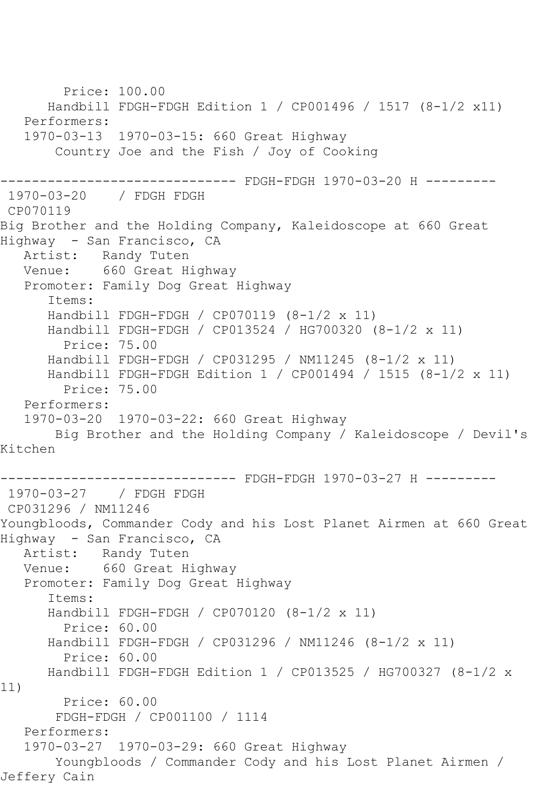Price: 100.00 Handbill FDGH-FDGH Edition 1 / CP001496 / 1517 (8-1/2 x11) Performers: 1970-03-13 1970-03-15: 660 Great Highway Country Joe and the Fish / Joy of Cooking ------------------------------ FDGH-FDGH 1970-03-20 H --------- 1970-03-20 / FDGH FDGH CP070119 Big Brother and the Holding Company, Kaleidoscope at 660 Great Highway - San Francisco, CA Artist: Randy Tuten Venue: 660 Great Highway Promoter: Family Dog Great Highway Items: Handbill FDGH-FDGH / CP070119 (8-1/2 x 11) Handbill FDGH-FDGH / CP013524 / HG700320 (8-1/2 x 11) Price: 75.00 Handbill FDGH-FDGH / CP031295 / NM11245 (8-1/2 x 11) Handbill FDGH-FDGH Edition 1 / CP001494 / 1515 (8-1/2 x 11) Price: 75.00 Performers: 1970-03-20 1970-03-22: 660 Great Highway Big Brother and the Holding Company / Kaleidoscope / Devil's Kitchen ------------------------------ FDGH-FDGH 1970-03-27 H --------- 1970-03-27 / FDGH FDGH CP031296 / NM11246 Youngbloods, Commander Cody and his Lost Planet Airmen at 660 Great Highway - San Francisco, CA Artist: Randy Tuten Venue: 660 Great Highway Promoter: Family Dog Great Highway Items: Handbill FDGH-FDGH / CP070120 (8-1/2 x 11) Price: 60.00 Handbill FDGH-FDGH / CP031296 / NM11246 (8-1/2 x 11) Price: 60.00 Handbill FDGH-FDGH Edition 1 / CP013525 / HG700327 (8-1/2 x 11) Price: 60.00 FDGH-FDGH / CP001100 / 1114 Performers: 1970-03-27 1970-03-29: 660 Great Highway Youngbloods / Commander Cody and his Lost Planet Airmen / Jeffery Cain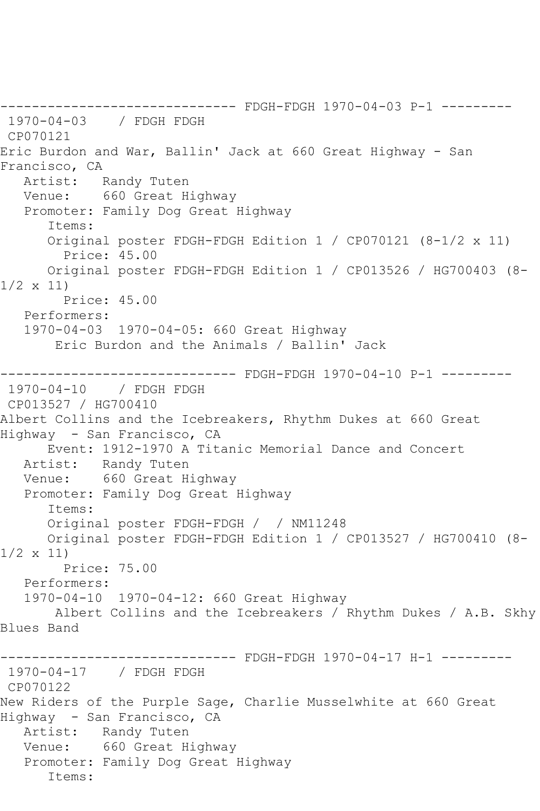------------------------------ FDGH-FDGH 1970-04-03 P-1 --------- 1970-04-03 / FDGH FDGH CP070121 Eric Burdon and War, Ballin' Jack at 660 Great Highway - San Francisco, CA Artist: Randy Tuten Venue: 660 Great Highway Promoter: Family Dog Great Highway Items: Original poster FDGH-FDGH Edition 1 / CP070121 (8-1/2 x 11) Price: 45.00 Original poster FDGH-FDGH Edition 1 / CP013526 / HG700403 (8- 1/2 x 11) Price: 45.00 Performers: 1970-04-03 1970-04-05: 660 Great Highway Eric Burdon and the Animals / Ballin' Jack ------------------------------ FDGH-FDGH 1970-04-10 P-1 --------- 1970-04-10 / FDGH FDGH CP013527 / HG700410 Albert Collins and the Icebreakers, Rhythm Dukes at 660 Great Highway - San Francisco, CA Event: 1912-1970 A Titanic Memorial Dance and Concert Artist: Randy Tuten Venue: 660 Great Highway Promoter: Family Dog Great Highway Items: Original poster FDGH-FDGH / / NM11248 Original poster FDGH-FDGH Edition 1 / CP013527 / HG700410 (8- 1/2 x 11) Price: 75.00 Performers: 1970-04-10 1970-04-12: 660 Great Highway Albert Collins and the Icebreakers / Rhythm Dukes / A.B. Skhy Blues Band ------------------------------ FDGH-FDGH 1970-04-17 H-1 --------- 1970-04-17 / FDGH FDGH CP070122 New Riders of the Purple Sage, Charlie Musselwhite at 660 Great Highway - San Francisco, CA Artist: Randy Tuten Venue: 660 Great Highway Promoter: Family Dog Great Highway Items: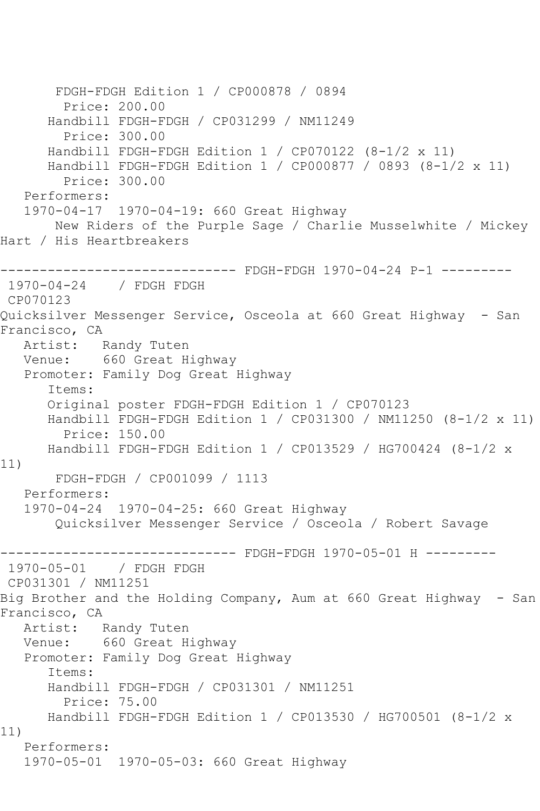FDGH-FDGH Edition 1 / CP000878 / 0894 Price: 200.00 Handbill FDGH-FDGH / CP031299 / NM11249 Price: 300.00 Handbill FDGH-FDGH Edition 1 / CP070122 (8-1/2 x 11) Handbill FDGH-FDGH Edition 1 / CP000877 / 0893 (8-1/2 x 11) Price: 300.00 Performers: 1970-04-17 1970-04-19: 660 Great Highway New Riders of the Purple Sage / Charlie Musselwhite / Mickey Hart / His Heartbreakers ------------------------------ FDGH-FDGH 1970-04-24 P-1 --------- 1970-04-24 / FDGH FDGH CP070123 Quicksilver Messenger Service, Osceola at 660 Great Highway - San Francisco, CA Artist: Randy Tuten Venue: 660 Great Highway Promoter: Family Dog Great Highway Items: Original poster FDGH-FDGH Edition 1 / CP070123 Handbill FDGH-FDGH Edition 1 / CP031300 / NM11250 (8-1/2 x 11) Price: 150.00 Handbill FDGH-FDGH Edition 1 / CP013529 / HG700424 (8-1/2 x 11) FDGH-FDGH / CP001099 / 1113 Performers: 1970-04-24 1970-04-25: 660 Great Highway Quicksilver Messenger Service / Osceola / Robert Savage ------------------------------ FDGH-FDGH 1970-05-01 H --------- 1970-05-01 / FDGH FDGH CP031301 / NM11251 Big Brother and the Holding Company, Aum at 660 Great Highway - San Francisco, CA Artist: Randy Tuten Venue: 660 Great Highway Promoter: Family Dog Great Highway Items: Handbill FDGH-FDGH / CP031301 / NM11251 Price: 75.00 Handbill FDGH-FDGH Edition 1 / CP013530 / HG700501 (8-1/2 x 11) Performers: 1970-05-01 1970-05-03: 660 Great Highway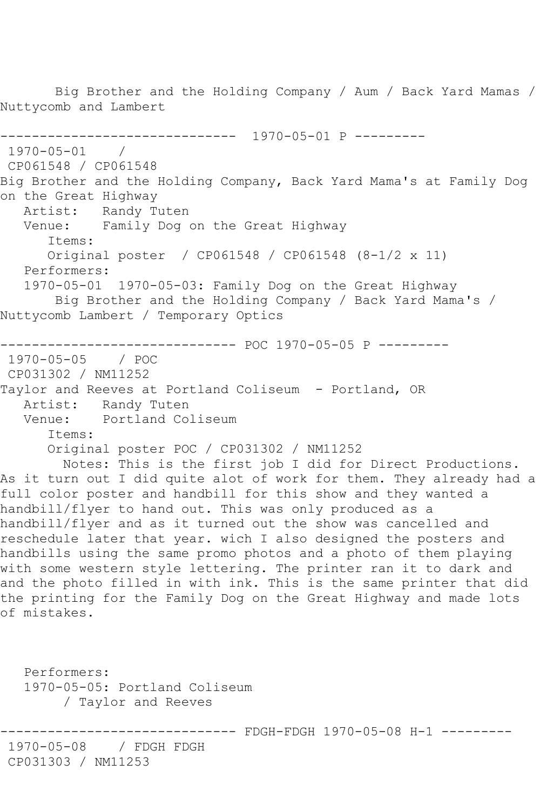Nuttycomb and Lambert ------------------------------ 1970-05-01 P --------- 1970-05-01 / CP061548 / CP061548 Big Brother and the Holding Company, Back Yard Mama's at Family Dog on the Great Highway Artist: Randy Tuten<br>Venue: Family Dog Family Dog on the Great Highway Items: Original poster / CP061548 / CP061548 (8-1/2 x 11) Performers: 1970-05-01 1970-05-03: Family Dog on the Great Highway Big Brother and the Holding Company / Back Yard Mama's / Nuttycomb Lambert / Temporary Optics ------------------------------ POC 1970-05-05 P --------- 1970-05-05 / POC CP031302 / NM11252 Taylor and Reeves at Portland Coliseum - Portland, OR Artist: Randy Tuten Venue: Portland Coliseum Items: Original poster POC / CP031302 / NM11252 Notes: This is the first job I did for Direct Productions. As it turn out I did quite alot of work for them. They already had a full color poster and handbill for this show and they wanted a handbill/flyer to hand out. This was only produced as a handbill/flyer and as it turned out the show was cancelled and reschedule later that year. wich I also designed the posters and handbills using the same promo photos and a photo of them playing with some western style lettering. The printer ran it to dark and and the photo filled in with ink. This is the same printer that did the printing for the Family Dog on the Great Highway and made lots of mistakes. Performers: 1970-05-05: Portland Coliseum / Taylor and Reeves ---------- FDGH-FDGH 1970-05-08 H-1 ---------

Big Brother and the Holding Company / Aum / Back Yard Mamas /

1970-05-08 / FDGH FDGH CP031303 / NM11253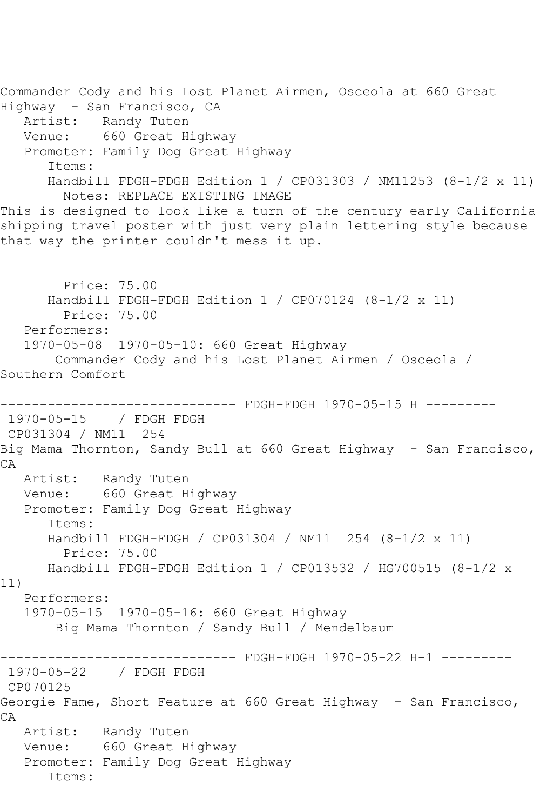Commander Cody and his Lost Planet Airmen, Osceola at 660 Great Highway - San Francisco, CA Artist: Randy Tuten Venue: 660 Great Highway Promoter: Family Dog Great Highway Items: Handbill FDGH-FDGH Edition 1 / CP031303 / NM11253 (8-1/2 x 11) Notes: REPLACE EXISTING IMAGE This is designed to look like a turn of the century early California shipping travel poster with just very plain lettering style because that way the printer couldn't mess it up. Price: 75.00 Handbill FDGH-FDGH Edition 1 / CP070124 (8-1/2 x 11) Price: 75.00 Performers: 1970-05-08 1970-05-10: 660 Great Highway Commander Cody and his Lost Planet Airmen / Osceola / Southern Comfort ------ FDGH-FDGH 1970-05-15 H ---------1970-05-15 / FDGH FDGH CP031304 / NM11 254 Big Mama Thornton, Sandy Bull at 660 Great Highway - San Francisco, CA Artist: Randy Tuten Venue: 660 Great Highway Promoter: Family Dog Great Highway Items: Handbill FDGH-FDGH / CP031304 / NM11 254 (8-1/2 x 11) Price: 75.00 Handbill FDGH-FDGH Edition 1 / CP013532 / HG700515 (8-1/2 x 11) Performers: 1970-05-15 1970-05-16: 660 Great Highway Big Mama Thornton / Sandy Bull / Mendelbaum ------------------------------ FDGH-FDGH 1970-05-22 H-1 --------- / FDGH FDGH CP070125 Georgie Fame, Short Feature at 660 Great Highway - San Francisco, CA Artist: Randy Tuten Venue: 660 Great Highway Promoter: Family Dog Great Highway Items: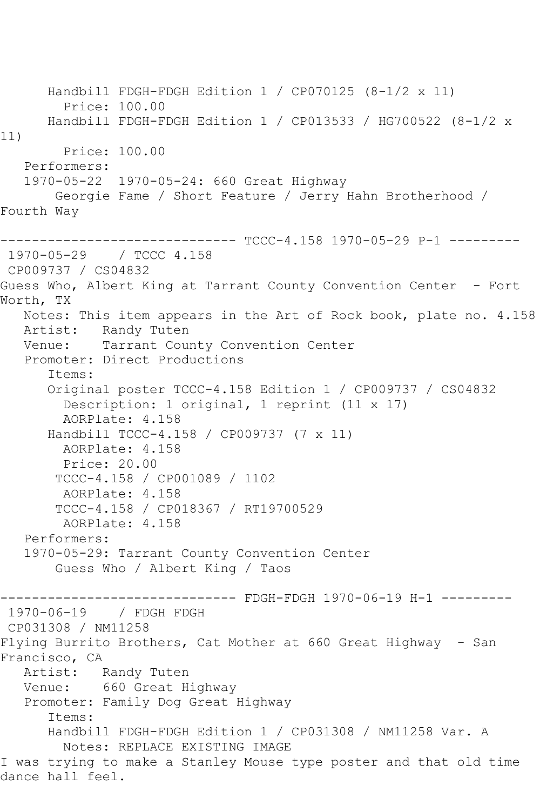Handbill FDGH-FDGH Edition 1 / CP070125 (8-1/2 x 11) Price: 100.00 Handbill FDGH-FDGH Edition 1 / CP013533 / HG700522 (8-1/2 x 11) Price: 100.00 Performers: 1970-05-22 1970-05-24: 660 Great Highway Georgie Fame / Short Feature / Jerry Hahn Brotherhood / Fourth Way ------------------------------ TCCC-4.158 1970-05-29 P-1 --------- 1970-05-29 / TCCC 4.158 CP009737 / CS04832 Guess Who, Albert King at Tarrant County Convention Center - Fort Worth, TX Notes: This item appears in the Art of Rock book, plate no. 4.158 Artist: Randy Tuten<br>Venue: Tarrant Cou Tarrant County Convention Center Promoter: Direct Productions Items: Original poster TCCC-4.158 Edition 1 / CP009737 / CS04832 Description: 1 original, 1 reprint (11 x 17) AORPlate: 4.158 Handbill TCCC-4.158 / CP009737 (7 x 11) AORPlate: 4.158 Price: 20.00 TCCC-4.158 / CP001089 / 1102 AORPlate: 4.158 TCCC-4.158 / CP018367 / RT19700529 AORPlate: 4.158 Performers: 1970-05-29: Tarrant County Convention Center Guess Who / Albert King / Taos --------- FDGH-FDGH 1970-06-19 H-1 ---------1970-06-19 / FDGH FDGH CP031308 / NM11258 Flying Burrito Brothers, Cat Mother at 660 Great Highway - San Francisco, CA<br>Artist: Randy Tuten Venue: 660 Great Highway Promoter: Family Dog Great Highway Items: Handbill FDGH-FDGH Edition 1 / CP031308 / NM11258 Var. A Notes: REPLACE EXISTING IMAGE I was trying to make a Stanley Mouse type poster and that old time dance hall feel.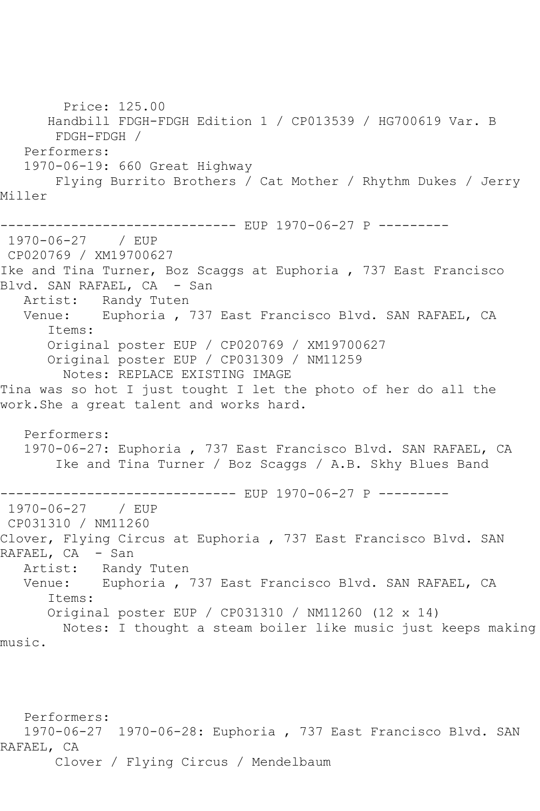Price: 125.00 Handbill FDGH-FDGH Edition 1 / CP013539 / HG700619 Var. B FDGH-FDGH / Performers: 1970-06-19: 660 Great Highway Flying Burrito Brothers / Cat Mother / Rhythm Dukes / Jerry Miller ------------------------------ EUP 1970-06-27 P --------- 1970-06-27 / EUP CP020769 / XM19700627 Ike and Tina Turner, Boz Scaggs at Euphoria , 737 East Francisco Blvd. SAN RAFAEL, CA - San Artist: Randy Tuten Venue: Euphoria , 737 East Francisco Blvd. SAN RAFAEL, CA Items: Original poster EUP / CP020769 / XM19700627 Original poster EUP / CP031309 / NM11259 Notes: REPLACE EXISTING IMAGE Tina was so hot I just tought I let the photo of her do all the work.She a great talent and works hard. Performers: 1970-06-27: Euphoria , 737 East Francisco Blvd. SAN RAFAEL, CA Ike and Tina Turner / Boz Scaggs / A.B. Skhy Blues Band ------------------------------ EUP 1970-06-27 P --------- 1970-06-27 CP031310 / NM11260 Clover, Flying Circus at Euphoria , 737 East Francisco Blvd. SAN RAFAEL, CA - San<br>Artist: Rand Artist: Randy Tuten<br>Venue: Euphoria Euphoria , 737 East Francisco Blvd. SAN RAFAEL, CA Items: Original poster EUP / CP031310 / NM11260 (12 x 14) Notes: I thought a steam boiler like music just keeps making music.

 Performers: 1970-06-27 1970-06-28: Euphoria , 737 East Francisco Blvd. SAN RAFAEL, CA Clover / Flying Circus / Mendelbaum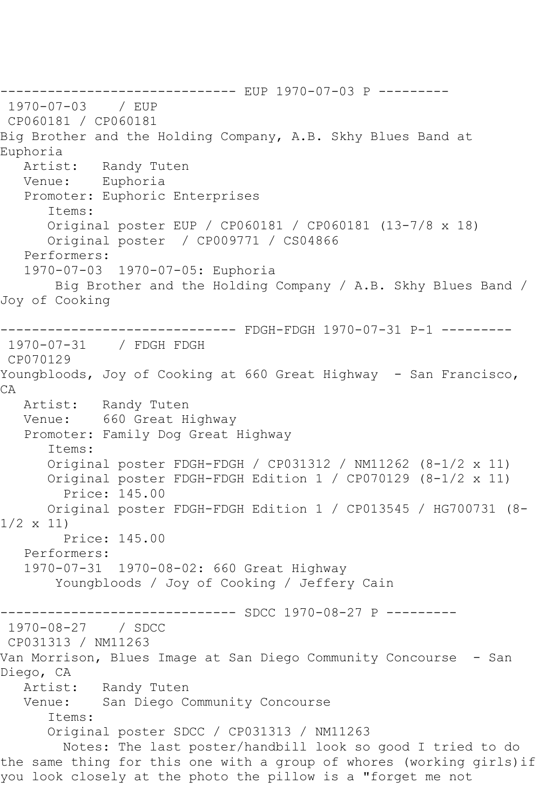------------------------------ EUP 1970-07-03 P --------- 1970-07-03 / EUP CP060181 / CP060181 Big Brother and the Holding Company, A.B. Skhy Blues Band at Euphoria<br>Artist: Randy Tuten Venue: Euphoria Promoter: Euphoric Enterprises Items: Original poster EUP / CP060181 / CP060181 (13-7/8 x 18) Original poster / CP009771 / CS04866 Performers: 1970-07-03 1970-07-05: Euphoria Big Brother and the Holding Company / A.B. Skhy Blues Band / Joy of Cooking ------------------------------ FDGH-FDGH 1970-07-31 P-1 --------- 1970-07-31 / FDGH FDGH CP070129 Youngbloods, Joy of Cooking at 660 Great Highway - San Francisco, CA Artist: Randy Tuten Venue: 660 Great Highway Promoter: Family Dog Great Highway Items: Original poster FDGH-FDGH / CP031312 / NM11262 (8-1/2 x 11) Original poster FDGH-FDGH Edition 1 / CP070129 (8-1/2 x 11) Price: 145.00 Original poster FDGH-FDGH Edition 1 / CP013545 / HG700731 (8- 1/2 x 11) Price: 145.00 Performers: 1970-07-31 1970-08-02: 660 Great Highway Youngbloods / Joy of Cooking / Jeffery Cain ------------------------------ SDCC 1970-08-27 P --------- 1970-08-27 / SDCC CP031313 / NM11263 Van Morrison, Blues Image at San Diego Community Concourse - San Diego, CA<br>Artist: Randy Tuten Venue: San Diego Community Concourse Items: Original poster SDCC / CP031313 / NM11263 Notes: The last poster/handbill look so good I tried to do the same thing for this one with a group of whores (working girls)if you look closely at the photo the pillow is a "forget me not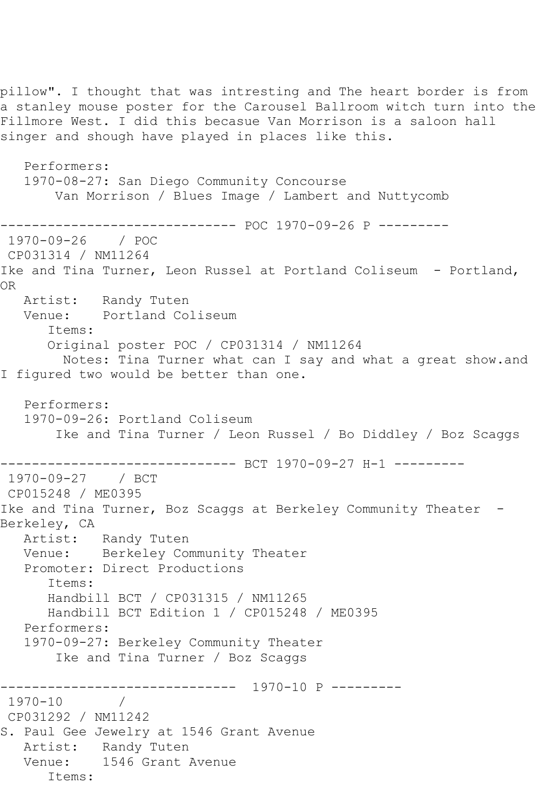pillow". I thought that was intresting and The heart border is from a stanley mouse poster for the Carousel Ballroom witch turn into the Fillmore West. I did this becasue Van Morrison is a saloon hall singer and shough have played in places like this. Performers: 1970-08-27: San Diego Community Concourse Van Morrison / Blues Image / Lambert and Nuttycomb ------------------------------ POC 1970-09-26 P --------- 1970-09-26 / POC CP031314 / NM11264 Ike and Tina Turner, Leon Russel at Portland Coliseum - Portland, OR Artist: Randy Tuten Venue: Portland Coliseum Items: Original poster POC / CP031314 / NM11264 Notes: Tina Turner what can I say and what a great show.and I figured two would be better than one. Performers: 1970-09-26: Portland Coliseum Ike and Tina Turner / Leon Russel / Bo Diddley / Boz Scaggs ------------------------------ BCT 1970-09-27 H-1 --------- 1970-09-27 / BCT CP015248 / ME0395 Ike and Tina Turner, Boz Scaggs at Berkeley Community Theater -Berkeley, CA Artist: Randy Tuten Venue: Berkeley Community Theater Promoter: Direct Productions Items: Handbill BCT / CP031315 / NM11265 Handbill BCT Edition 1 / CP015248 / ME0395 Performers: 1970-09-27: Berkeley Community Theater Ike and Tina Turner / Boz Scaggs ------------------------------ 1970-10 P --------- 1970-10 / CP031292 / NM11242 S. Paul Gee Jewelry at 1546 Grant Avenue Artist: Randy Tuten Venue: 1546 Grant Avenue Items: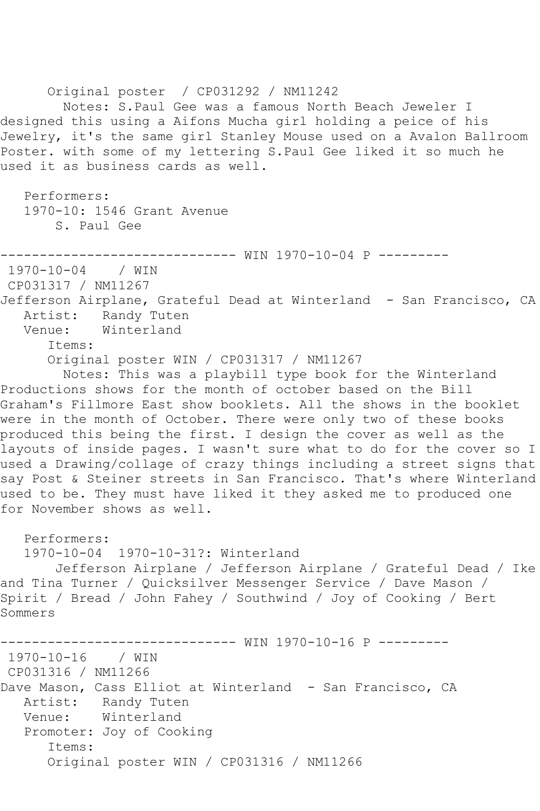Original poster / CP031292 / NM11242 Notes: S.Paul Gee was a famous North Beach Jeweler I designed this using a Aifons Mucha girl holding a peice of his Jewelry, it's the same girl Stanley Mouse used on a Avalon Ballroom Poster. with some of my lettering S.Paul Gee liked it so much he used it as business cards as well. Performers: 1970-10: 1546 Grant Avenue S. Paul Gee -------------------- WIN 1970-10-04 P ----------<br>4 / WIN  $1970 - 10 - 04$ CP031317 / NM11267 Jefferson Airplane, Grateful Dead at Winterland - San Francisco, CA Artist: Randy Tuten Venue: Winterland Items: Original poster WIN / CP031317 / NM11267 Notes: This was a playbill type book for the Winterland Productions shows for the month of october based on the Bill Graham's Fillmore East show booklets. All the shows in the booklet were in the month of October. There were only two of these books produced this being the first. I design the cover as well as the layouts of inside pages. I wasn't sure what to do for the cover so I used a Drawing/collage of crazy things including a street signs that say Post & Steiner streets in San Francisco. That's where Winterland used to be. They must have liked it they asked me to produced one for November shows as well. Performers: 1970-10-04 1970-10-31?: Winterland Jefferson Airplane / Jefferson Airplane / Grateful Dead / Ike and Tina Turner / Quicksilver Messenger Service / Dave Mason / Spirit / Bread / John Fahey / Southwind / Joy of Cooking / Bert Sommers ----------- WIN 1970-10-16 P ---------1970-10-16 / WIN CP031316 / NM11266 Dave Mason, Cass Elliot at Winterland - San Francisco, CA Artist: Randy Tuten Venue: Winterland Promoter: Joy of Cooking Items: Original poster WIN / CP031316 / NM11266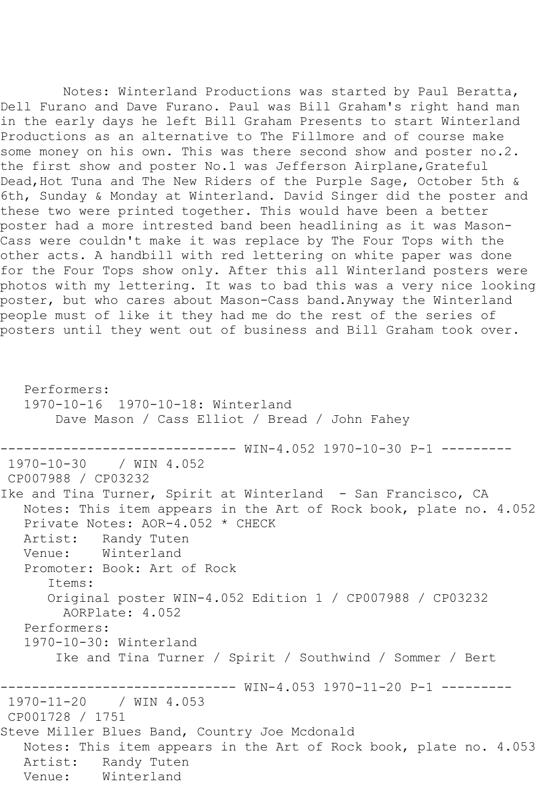Notes: Winterland Productions was started by Paul Beratta, Dell Furano and Dave Furano. Paul was Bill Graham's right hand man in the early days he left Bill Graham Presents to start Winterland Productions as an alternative to The Fillmore and of course make some money on his own. This was there second show and poster no.2. the first show and poster No.1 was Jefferson Airplane, Grateful Dead, Hot Tuna and The New Riders of the Purple Sage, October 5th & 6th, Sunday & Monday at Winterland. David Singer did the poster and these two were printed together. This would have been a better poster had a more intrested band been headlining as it was Mason-Cass were couldn't make it was replace by The Four Tops with the other acts. A handbill with red lettering on white paper was done for the Four Tops show only. After this all Winterland posters were photos with my lettering. It was to bad this was a very nice looking poster, but who cares about Mason-Cass band.Anyway the Winterland people must of like it they had me do the rest of the series of posters until they went out of business and Bill Graham took over.

 Performers: 1970-10-16 1970-10-18: Winterland Dave Mason / Cass Elliot / Bread / John Fahey ------------------------------ WIN-4.052 1970-10-30 P-1 --------- 1970-10-30 / WIN 4.052 CP007988 / CP03232 Ike and Tina Turner, Spirit at Winterland - San Francisco, CA Notes: This item appears in the Art of Rock book, plate no. 4.052 Private Notes: AOR-4.052 \* CHECK Artist: Randy Tuten<br>Venue: Winterland Winterland Promoter: Book: Art of Rock Items: Original poster WIN-4.052 Edition 1 / CP007988 / CP03232 AORPlate: 4.052 Performers: 1970-10-30: Winterland Ike and Tina Turner / Spirit / Southwind / Sommer / Bert ------------------------------ WIN-4.053 1970-11-20 P-1 --------- 1970-11-20 / WIN 4.053 CP001728 / 1751 Steve Miller Blues Band, Country Joe Mcdonald Notes: This item appears in the Art of Rock book, plate no. 4.053 Artist: Randy Tuten<br>Venue: Winterland Winterland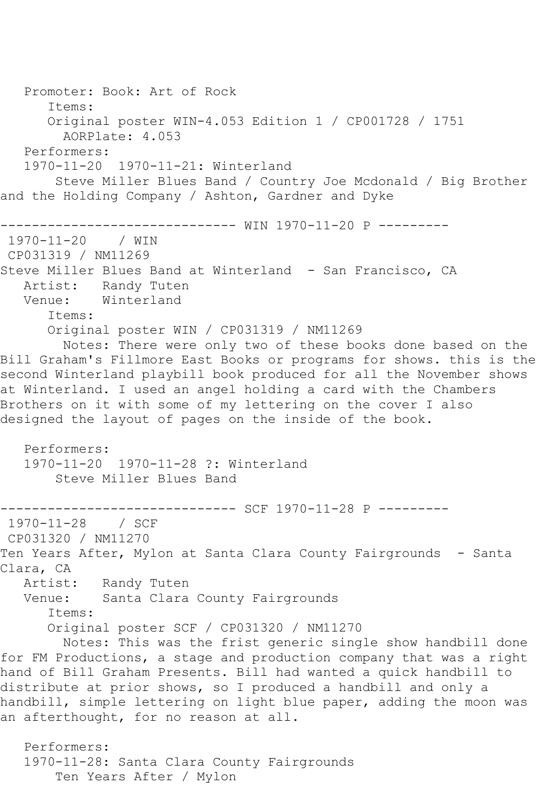Promoter: Book: Art of Rock Items: Original poster WIN-4.053 Edition 1 / CP001728 / 1751 AORPlate: 4.053 Performers: 1970-11-20 1970-11-21: Winterland Steve Miller Blues Band / Country Joe Mcdonald / Big Brother and the Holding Company / Ashton, Gardner and Dyke ------------------------------ WIN 1970-11-20 P --------- 1970-11-20 / WIN CP031319 / NM11269 Steve Miller Blues Band at Winterland - San Francisco, CA Artist: Randy Tuten Venue: Winterland Items: Original poster WIN / CP031319 / NM11269 Notes: There were only two of these books done based on the Bill Graham's Fillmore East Books or programs for shows. this is the second Winterland playbill book produced for all the November shows at Winterland. I used an angel holding a card with the Chambers Brothers on it with some of my lettering on the cover I also designed the layout of pages on the inside of the book. Performers: 1970-11-20 1970-11-28 ?: Winterland Steve Miller Blues Band ------------- SCF 1970-11-28 P ---------1970-11-28 / SCF CP031320 / NM11270 Ten Years After, Mylon at Santa Clara County Fairgrounds - Santa Clara, CA<br>Artist: Artist: Randy Tuten<br>Venue: Santa Clara Santa Clara County Fairgrounds Items: Original poster SCF / CP031320 / NM11270 Notes: This was the frist generic single show handbill done for FM Productions, a stage and production company that was a right hand of Bill Graham Presents. Bill had wanted a quick handbill to distribute at prior shows, so I produced a handbill and only a handbill, simple lettering on light blue paper, adding the moon was an afterthought, for no reason at all. Performers: 1970-11-28: Santa Clara County Fairgrounds Ten Years After / Mylon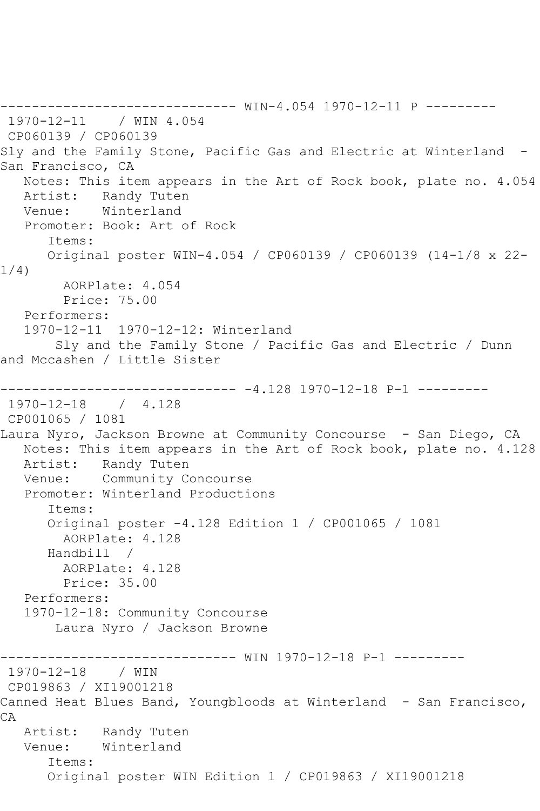------------------------------ WIN-4.054 1970-12-11 P --------- 1970-12-11 / WIN 4.054 CP060139 / CP060139 Sly and the Family Stone, Pacific Gas and Electric at Winterland - San Francisco, CA Notes: This item appears in the Art of Rock book, plate no. 4.054 Artist: Randy Tuten Venue: Winterland Promoter: Book: Art of Rock Items: Original poster WIN-4.054 / CP060139 / CP060139 (14-1/8 x 22- 1/4) AORPlate: 4.054 Price: 75.00 Performers: 1970-12-11 1970-12-12: Winterland Sly and the Family Stone / Pacific Gas and Electric / Dunn and Mccashen / Little Sister ------------------------------ -4.128 1970-12-18 P-1 --------- 1970-12-18 / 4.128 CP001065 / 1081 Laura Nyro, Jackson Browne at Community Concourse - San Diego, CA Notes: This item appears in the Art of Rock book, plate no. 4.128 Artist: Randy Tuten Venue: Community Concourse Promoter: Winterland Productions Items: Original poster -4.128 Edition 1 / CP001065 / 1081 AORPlate: 4.128 Handbill / AORPlate: 4.128 Price: 35.00 Performers: 1970-12-18: Community Concourse Laura Nyro / Jackson Browne ------------------------------ WIN 1970-12-18 P-1 --------- 1970-12-18 / WIN CP019863 / XI19001218 Canned Heat Blues Band, Youngbloods at Winterland - San Francisco, CA Artist: Randy Tuten Venue: Winterland Items: Original poster WIN Edition 1 / CP019863 / XI19001218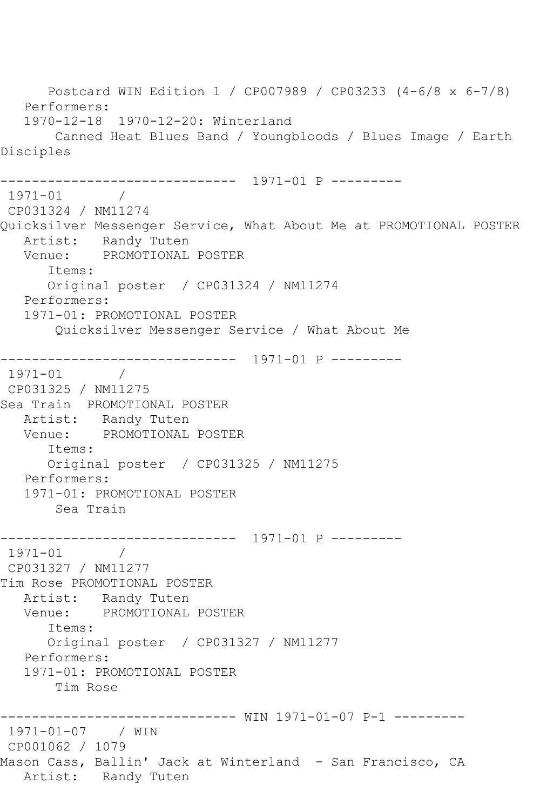Postcard WIN Edition 1 / CP007989 / CP03233 (4-6/8 x 6-7/8) Performers: 1970-12-18 1970-12-20: Winterland Canned Heat Blues Band / Youngbloods / Blues Image / Earth Disciples ------------------------------ 1971-01 P --------- 1971-01 / CP031324 / NM11274 Quicksilver Messenger Service, What About Me at PROMOTIONAL POSTER Artist: Randy Tuten Venue: PROMOTIONAL POSTER Items: Original poster / CP031324 / NM11274 Performers: 1971-01: PROMOTIONAL POSTER Quicksilver Messenger Service / What About Me ------------------------------ 1971-01 P --------- 1971-01 / CP031325 / NM11275 Sea Train PROMOTIONAL POSTER Artist: Randy Tuten Venue: PROMOTIONAL POSTER Items: Original poster / CP031325 / NM11275 Performers: 1971-01: PROMOTIONAL POSTER Sea Train ------------------------------ 1971-01 P --------- 1971-01 / CP031327 / NM11277 Tim Rose PROMOTIONAL POSTER Artist: Randy Tuten Venue: PROMOTIONAL POSTER Items: Original poster / CP031327 / NM11277 Performers: 1971-01: PROMOTIONAL POSTER Tim Rose ------------------------------ WIN 1971-01-07 P-1 --------- 1971-01-07 / WIN CP001062 / 1079 Mason Cass, Ballin' Jack at Winterland - San Francisco, CA Artist: Randy Tuten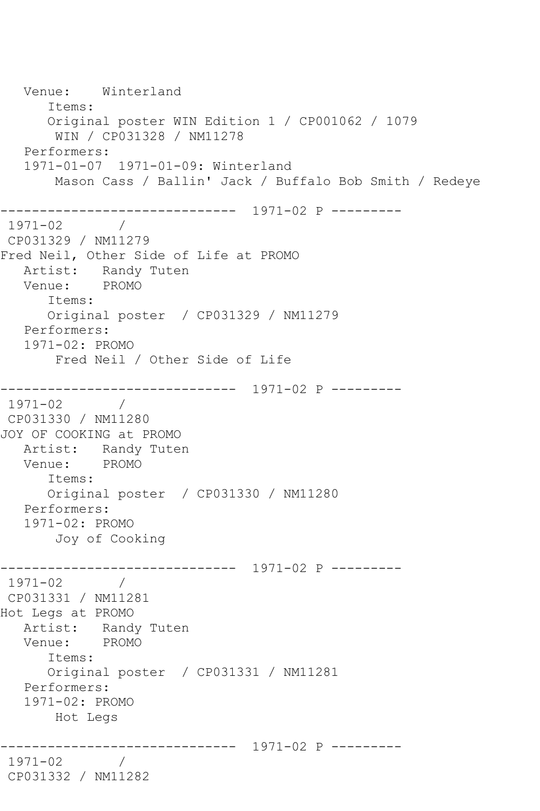Venue: Winterland Items: Original poster WIN Edition 1 / CP001062 / 1079 WIN / CP031328 / NM11278 Performers: 1971-01-07 1971-01-09: Winterland Mason Cass / Ballin' Jack / Buffalo Bob Smith / Redeye ------------------------------ 1971-02 P ---------  $1971 - 02$ CP031329 / NM11279 Fred Neil, Other Side of Life at PROMO Artist: Randy Tuten Venue: PROMO Items: Original poster / CP031329 / NM11279 Performers: 1971-02: PROMO Fred Neil / Other Side of Life ------------------------------ 1971-02 P --------- 1971-02 / CP031330 / NM11280 JOY OF COOKING at PROMO Artist: Randy Tuten<br>Venue: PROMO Venue: Items: Original poster / CP031330 / NM11280 Performers: 1971-02: PROMO Joy of Cooking ------------------------------ 1971-02 P --------- 1971-02 / CP031331 / NM11281 Hot Legs at PROMO Artist: Randy Tuten Venue: PROMO Items: Original poster / CP031331 / NM11281 Performers: 1971-02: PROMO Hot Legs ------------------------------ 1971-02 P --------- 1971-02 / CP031332 / NM11282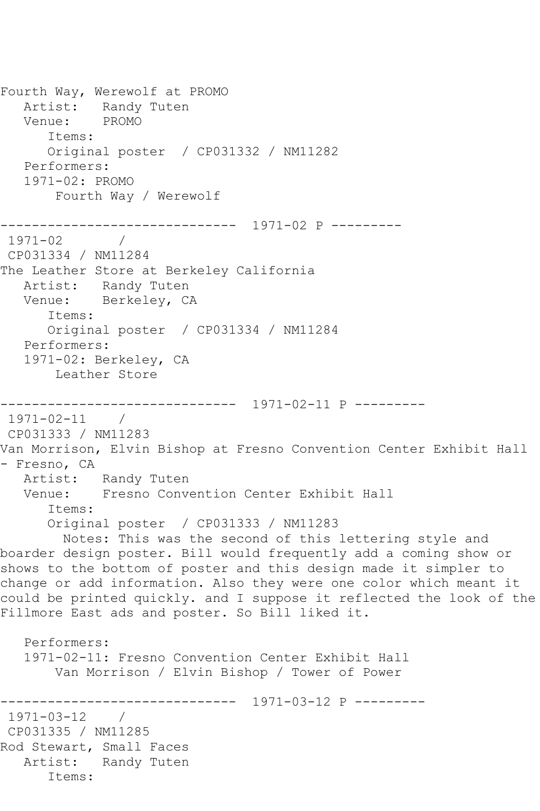Fourth Way, Werewolf at PROMO Artist: Randy Tuten Venue: PROMO Items: Original poster / CP031332 / NM11282 Performers: 1971-02: PROMO Fourth Way / Werewolf ------------------------------ 1971-02 P ---------  $1971 - 02$ CP031334 / NM11284 The Leather Store at Berkeley California Artist: Randy Tuten Venue: Berkeley, CA Items: Original poster / CP031334 / NM11284 Performers: 1971-02: Berkeley, CA Leather Store ------------------------------ 1971-02-11 P --------- 1971-02-11 / CP031333 / NM11283 Van Morrison, Elvin Bishop at Fresno Convention Center Exhibit Hall - Fresno, CA Artist: Randy Tuten Venue: Fresno Convention Center Exhibit Hall Items: Original poster / CP031333 / NM11283 Notes: This was the second of this lettering style and boarder design poster. Bill would frequently add a coming show or shows to the bottom of poster and this design made it simpler to change or add information. Also they were one color which meant it could be printed quickly. and I suppose it reflected the look of the Fillmore East ads and poster. So Bill liked it. Performers: 1971-02-11: Fresno Convention Center Exhibit Hall Van Morrison / Elvin Bishop / Tower of Power ------------------------------ 1971-03-12 P --------- 1971-03-12 / CP031335 / NM11285 Rod Stewart, Small Faces Artist: Randy Tuten Items: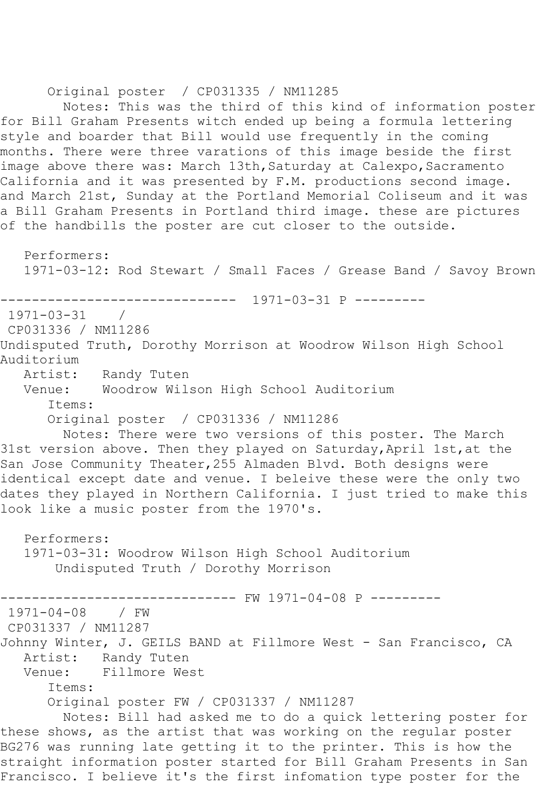Original poster / CP031335 / NM11285

 Notes: This was the third of this kind of information poster for Bill Graham Presents witch ended up being a formula lettering style and boarder that Bill would use frequently in the coming months. There were three varations of this image beside the first image above there was: March 13th, Saturday at Calexpo, Sacramento California and it was presented by F.M. productions second image. and March 21st, Sunday at the Portland Memorial Coliseum and it was a Bill Graham Presents in Portland third image. these are pictures of the handbills the poster are cut closer to the outside.

 Performers: 1971-03-12: Rod Stewart / Small Faces / Grease Band / Savoy Brown ------------------------------ 1971-03-31 P --------- 1971-03-31 / CP031336 / NM11286 Undisputed Truth, Dorothy Morrison at Woodrow Wilson High School Auditorium Artist: Randy Tuten Venue: Woodrow Wilson High School Auditorium Items: Original poster / CP031336 / NM11286 Notes: There were two versions of this poster. The March 31st version above. Then they played on Saturday, April 1st, at the San Jose Community Theater,255 Almaden Blvd. Both designs were identical except date and venue. I beleive these were the only two dates they played in Northern California. I just tried to make this look like a music poster from the 1970's. Performers: 1971-03-31: Woodrow Wilson High School Auditorium Undisputed Truth / Dorothy Morrison ----------- FW 1971-04-08 P ---------1971-04-08 / FW CP031337 / NM11287 Johnny Winter, J. GEILS BAND at Fillmore West - San Francisco, CA Artist: Randy Tuten<br>Venue: Fillmore We Fillmore West Items: Original poster FW / CP031337 / NM11287 Notes: Bill had asked me to do a quick lettering poster for these shows, as the artist that was working on the regular poster BG276 was running late getting it to the printer. This is how the straight information poster started for Bill Graham Presents in San Francisco. I believe it's the first infomation type poster for the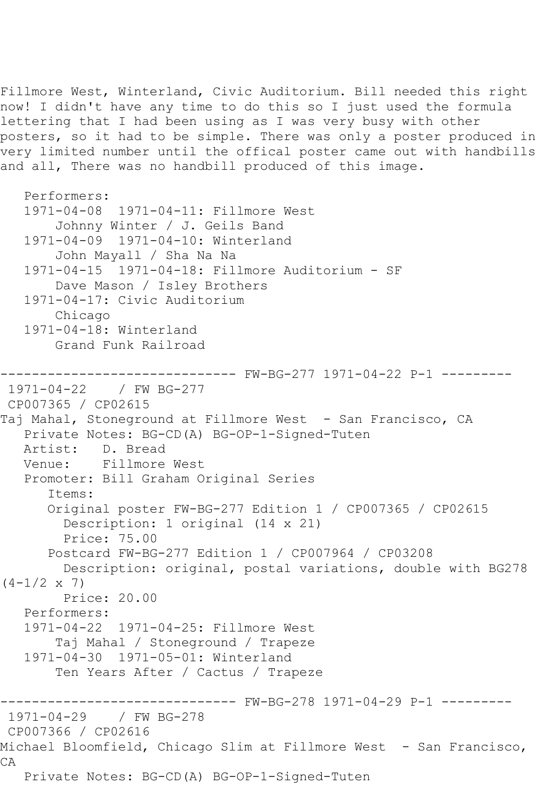Fillmore West, Winterland, Civic Auditorium. Bill needed this right now! I didn't have any time to do this so I just used the formula lettering that I had been using as I was very busy with other posters, so it had to be simple. There was only a poster produced in very limited number until the offical poster came out with handbills and all, There was no handbill produced of this image.

```
 Performers:
    1971-04-08 1971-04-11: Fillmore West
        Johnny Winter / J. Geils Band
    1971-04-09 1971-04-10: Winterland
        John Mayall / Sha Na Na
    1971-04-15 1971-04-18: Fillmore Auditorium - SF
        Dave Mason / Isley Brothers
    1971-04-17: Civic Auditorium
        Chicago
    1971-04-18: Winterland
        Grand Funk Railroad
------------------------------ FW-BG-277 1971-04-22 P-1 ---------
1971-04-22 / FW BG-277
CP007365 / CP02615
Taj Mahal, Stoneground at Fillmore West - San Francisco, CA
   Private Notes: BG-CD(A) BG-OP-1-Signed-Tuten
  Artist: D. Bread<br>Venue: Fillmore
            Fillmore West
    Promoter: Bill Graham Original Series
       Items:
       Original poster FW-BG-277 Edition 1 / CP007365 / CP02615
         Description: 1 original (14 x 21)
         Price: 75.00
       Postcard FW-BG-277 Edition 1 / CP007964 / CP03208
         Description: original, postal variations, double with BG278 
(4-1/2 \times 7) Price: 20.00
    Performers:
    1971-04-22 1971-04-25: Fillmore West
        Taj Mahal / Stoneground / Trapeze
    1971-04-30 1971-05-01: Winterland
        Ten Years After / Cactus / Trapeze
                 ------------------------------ FW-BG-278 1971-04-29 P-1 ---------
1971-04-29 / FW BG-278
CP007366 / CP02616
Michael Bloomfield, Chicago Slim at Fillmore West - San Francisco, 
CA
   Private Notes: BG-CD(A) BG-OP-1-Signed-Tuten
```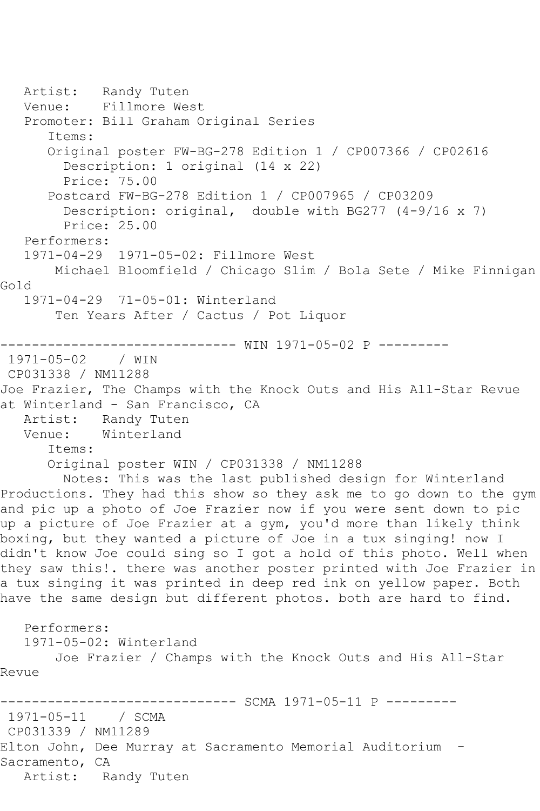Artist: Randy Tuten Venue: Fillmore West Promoter: Bill Graham Original Series Items: Original poster FW-BG-278 Edition 1 / CP007366 / CP02616 Description: 1 original (14 x 22) Price: 75.00 Postcard FW-BG-278 Edition 1 / CP007965 / CP03209 Description: original, double with BG277 (4-9/16 x 7) Price: 25.00 Performers: 1971-04-29 1971-05-02: Fillmore West Michael Bloomfield / Chicago Slim / Bola Sete / Mike Finnigan Gold 1971-04-29 71-05-01: Winterland Ten Years After / Cactus / Pot Liquor ------------------------------ WIN 1971-05-02 P --------- 1971-05-02 / WIN CP031338 / NM11288 Joe Frazier, The Champs with the Knock Outs and His All-Star Revue at Winterland - San Francisco, CA Artist: Randy Tuten<br>Venue: Winterland Winterland Items: Original poster WIN / CP031338 / NM11288 Notes: This was the last published design for Winterland Productions. They had this show so they ask me to go down to the gym and pic up a photo of Joe Frazier now if you were sent down to pic up a picture of Joe Frazier at a gym, you'd more than likely think boxing, but they wanted a picture of Joe in a tux singing! now I didn't know Joe could sing so I got a hold of this photo. Well when they saw this!. there was another poster printed with Joe Frazier in a tux singing it was printed in deep red ink on yellow paper. Both have the same design but different photos. both are hard to find. Performers: 1971-05-02: Winterland Joe Frazier / Champs with the Knock Outs and His All-Star Revue ------------------------------ SCMA 1971-05-11 P --------- 1971-05-11 / SCMA CP031339 / NM11289 Elton John, Dee Murray at Sacramento Memorial Auditorium - Sacramento, CA Artist: Randy Tuten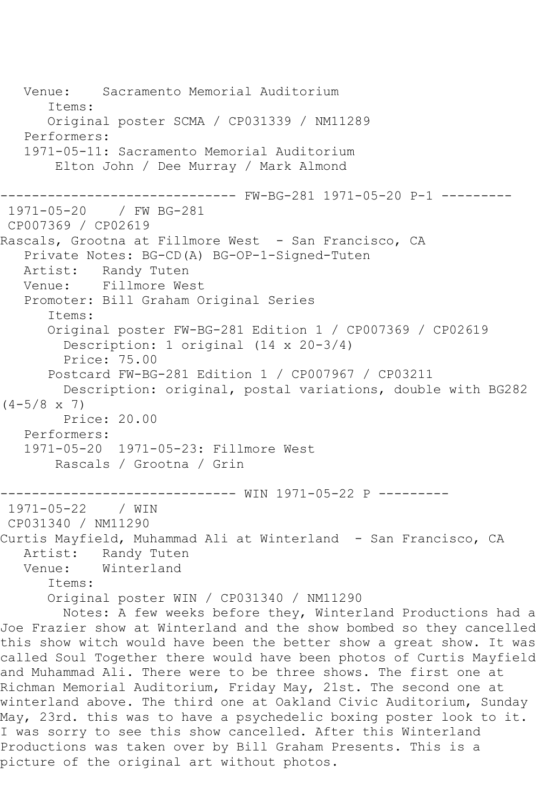Venue: Sacramento Memorial Auditorium Items: Original poster SCMA / CP031339 / NM11289 Performers: 1971-05-11: Sacramento Memorial Auditorium Elton John / Dee Murray / Mark Almond ------------------------------ FW-BG-281 1971-05-20 P-1 --------- 1971-05-20 / FW BG-281 CP007369 / CP02619 Rascals, Grootna at Fillmore West - San Francisco, CA Private Notes: BG-CD(A) BG-OP-1-Signed-Tuten Artist: Randy Tuten Venue: Fillmore West Promoter: Bill Graham Original Series Items: Original poster FW-BG-281 Edition 1 / CP007369 / CP02619 Description: 1 original (14 x 20-3/4) Price: 75.00 Postcard FW-BG-281 Edition 1 / CP007967 / CP03211 Description: original, postal variations, double with BG282  $(4-5/8 \times 7)$  Price: 20.00 Performers: 1971-05-20 1971-05-23: Fillmore West Rascals / Grootna / Grin ------------------------------ WIN 1971-05-22 P ---------  $1971 - 05 - 22$ CP031340 / NM11290 Curtis Mayfield, Muhammad Ali at Winterland - San Francisco, CA Artist: Randy Tuten<br>Venue: Winterland Winterland Items: Original poster WIN / CP031340 / NM11290 Notes: A few weeks before they, Winterland Productions had a Joe Frazier show at Winterland and the show bombed so they cancelled this show witch would have been the better show a great show. It was called Soul Together there would have been photos of Curtis Mayfield and Muhammad Ali. There were to be three shows. The first one at Richman Memorial Auditorium, Friday May, 21st. The second one at winterland above. The third one at Oakland Civic Auditorium, Sunday May, 23rd. this was to have a psychedelic boxing poster look to it. I was sorry to see this show cancelled. After this Winterland Productions was taken over by Bill Graham Presents. This is a

picture of the original art without photos.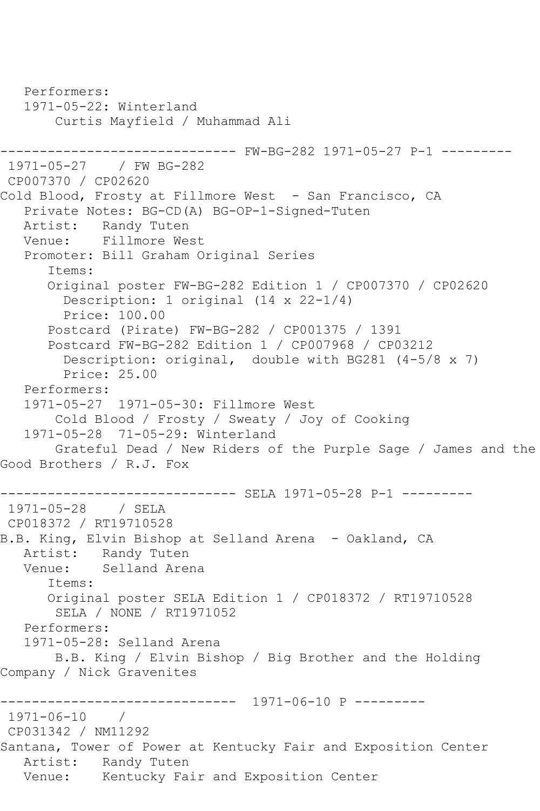Performers: 1971-05-22: Winterland Curtis Mayfield / Muhammad Ali ------------------------------ FW-BG-282 1971-05-27 P-1 --------- 1971-05-27 / FW BG-282 CP007370 / CP02620 Cold Blood, Frosty at Fillmore West - San Francisco, CA Private Notes: BG-CD(A) BG-OP-1-Signed-Tuten Artist: Randy Tuten Venue: Fillmore West Promoter: Bill Graham Original Series Items: Original poster FW-BG-282 Edition 1 / CP007370 / CP02620 Description: 1 original (14 x 22-1/4) Price: 100.00 Postcard (Pirate) FW-BG-282 / CP001375 / 1391 Postcard FW-BG-282 Edition 1 / CP007968 / CP03212 Description: original, double with BG281 (4-5/8 x 7) Price: 25.00 Performers: 1971-05-27 1971-05-30: Fillmore West Cold Blood / Frosty / Sweaty / Joy of Cooking 1971-05-28 71-05-29: Winterland Grateful Dead / New Riders of the Purple Sage / James and the Good Brothers / R.J. Fox -------------------- SELA 1971-05-28 P-1 ---------1971-05-28 / SELA CP018372 / RT19710528 B.B. King, Elvin Bishop at Selland Arena - Oakland, CA Artist: Randy Tuten<br>Venue: Selland Arer Selland Arena Items: Original poster SELA Edition 1 / CP018372 / RT19710528 SELA / NONE / RT1971052 Performers: 1971-05-28: Selland Arena B.B. King / Elvin Bishop / Big Brother and the Holding Company / Nick Gravenites ------------------------------ 1971-06-10 P --------- 1971-06-10 / CP031342 / NM11292 Santana, Tower of Power at Kentucky Fair and Exposition Center Artist: Randy Tuten Venue: Kentucky Fair and Exposition Center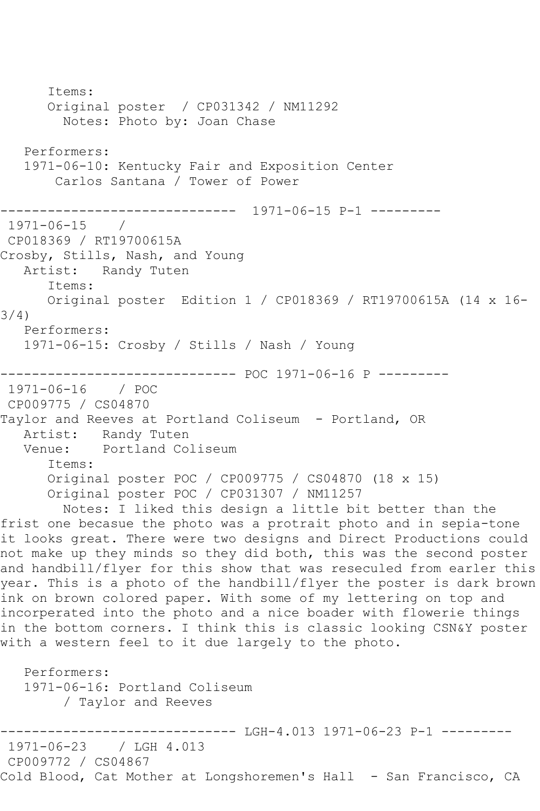Items: Original poster / CP031342 / NM11292 Notes: Photo by: Joan Chase Performers: 1971-06-10: Kentucky Fair and Exposition Center Carlos Santana / Tower of Power ------------------------------ 1971-06-15 P-1 --------- 1971-06-15 / CP018369 / RT19700615A Crosby, Stills, Nash, and Young Artist: Randy Tuten Items: Original poster Edition 1 / CP018369 / RT19700615A (14 x 16- 3/4) Performers: 1971-06-15: Crosby / Stills / Nash / Young ------------------------------ POC 1971-06-16 P --------- 1971-06-16 / POC CP009775 / CS04870 Taylor and Reeves at Portland Coliseum - Portland, OR Artist: Randy Tuten<br>Venue: Portland Co. Portland Coliseum Items: Original poster POC / CP009775 / CS04870 (18 x 15) Original poster POC / CP031307 / NM11257 Notes: I liked this design a little bit better than the frist one becasue the photo was a protrait photo and in sepia-tone it looks great. There were two designs and Direct Productions could not make up they minds so they did both, this was the second poster and handbill/flyer for this show that was reseculed from earler this year. This is a photo of the handbill/flyer the poster is dark brown ink on brown colored paper. With some of my lettering on top and incorperated into the photo and a nice boader with flowerie things in the bottom corners. I think this is classic looking CSN&Y poster with a western feel to it due largely to the photo. Performers: 1971-06-16: Portland Coliseum / Taylor and Reeves ----------- LGH-4.013 1971-06-23 P-1 ---------1971-06-23 / LGH 4.013 CP009772 / CS04867 Cold Blood, Cat Mother at Longshoremen's Hall - San Francisco, CA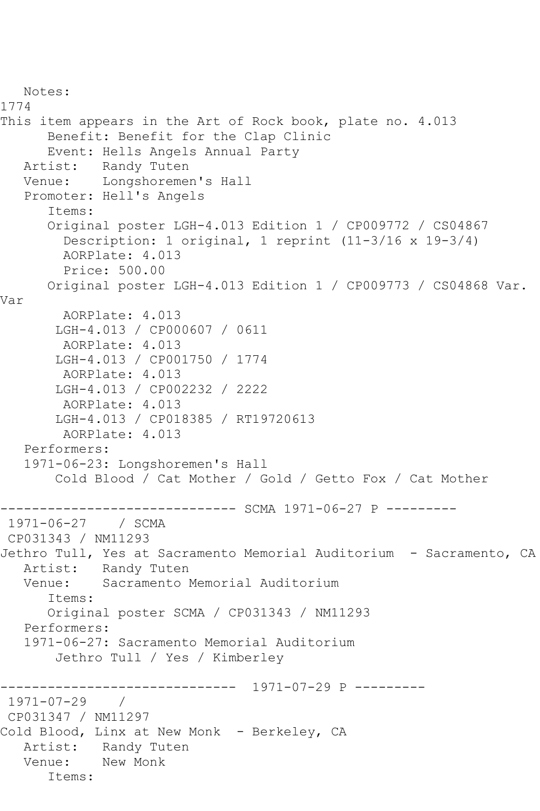```
 Notes: 
1774
This item appears in the Art of Rock book, plate no. 4.013
       Benefit: Benefit for the Clap Clinic
  Event: Hells Angels Annual Party<br>Artist: Randy Tuten
            Randy Tuten
   Venue: Longshoremen's Hall
    Promoter: Hell's Angels
       Items:
       Original poster LGH-4.013 Edition 1 / CP009772 / CS04867
         Description: 1 original, 1 reprint (11-3/16 x 19-3/4)
         AORPlate: 4.013 
         Price: 500.00
       Original poster LGH-4.013 Edition 1 / CP009773 / CS04868 Var. 
Var
         AORPlate: 4.013 
        LGH-4.013 / CP000607 / 0611
         AORPlate: 4.013 
        LGH-4.013 / CP001750 / 1774
         AORPlate: 4.013 
        LGH-4.013 / CP002232 / 2222
         AORPlate: 4.013 
        LGH-4.013 / CP018385 / RT19720613
         AORPlate: 4.013 
    Performers:
    1971-06-23: Longshoremen's Hall
        Cold Blood / Cat Mother / Gold / Getto Fox / Cat Mother
                  -------------- SCMA 1971-06-27 P ---------
1971-06-27 / SCMA 
CP031343 / NM11293
Jethro Tull, Yes at Sacramento Memorial Auditorium - Sacramento, CA
  Artist: Randy Tuten<br>Venue: Sacramento I
            Sacramento Memorial Auditorium
       Items:
       Original poster SCMA / CP031343 / NM11293
   Performers:
    1971-06-27: Sacramento Memorial Auditorium
        Jethro Tull / Yes / Kimberley
               ------------------------------ 1971-07-29 P ---------
1971-07-29 / 
CP031347 / NM11297
Cold Blood, Linx at New Monk - Berkeley, CA
   Artist: Randy Tuten
   Venue: New Monk
       Items:
```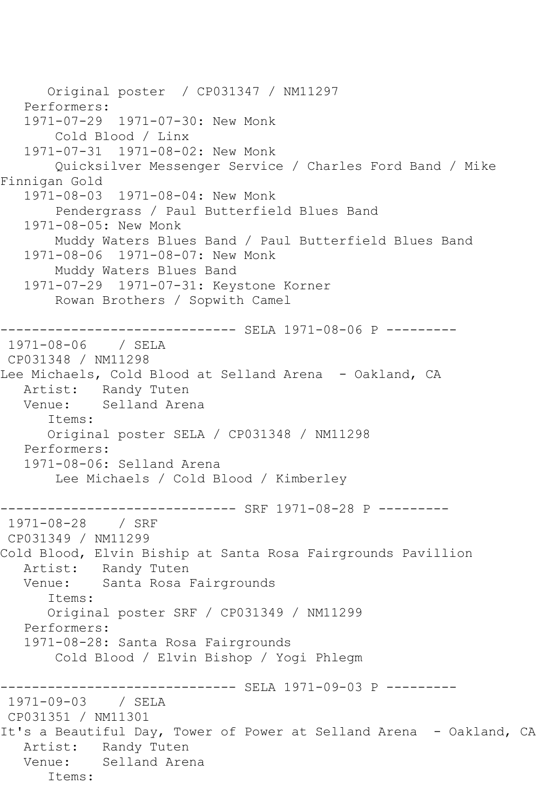```
 Original poster / CP031347 / NM11297
    Performers:
    1971-07-29 1971-07-30: New Monk
        Cold Blood / Linx
    1971-07-31 1971-08-02: New Monk
        Quicksilver Messenger Service / Charles Ford Band / Mike 
Finnigan Gold
    1971-08-03 1971-08-04: New Monk
        Pendergrass / Paul Butterfield Blues Band
    1971-08-05: New Monk
        Muddy Waters Blues Band / Paul Butterfield Blues Band
    1971-08-06 1971-08-07: New Monk
        Muddy Waters Blues Band
    1971-07-29 1971-07-31: Keystone Korner
        Rowan Brothers / Sopwith Camel
------------------------------ SELA 1971-08-06 P ---------
1971-08-06 / SELA 
CP031348 / NM11298
Lee Michaels, Cold Blood at Selland Arena - Oakland, CA
   Artist: Randy Tuten
   Venue: Selland Arena
       Items:
       Original poster SELA / CP031348 / NM11298
   Performers:
    1971-08-06: Selland Arena
        Lee Michaels / Cold Blood / Kimberley
                ------------------------------ SRF 1971-08-28 P ---------
1971-08-28 / SRF 
CP031349 / NM11299
Cold Blood, Elvin Biship at Santa Rosa Fairgrounds Pavillion
  Artist: Randy Tuten<br>Venue: Santa Rosa
            Santa Rosa Fairgrounds
       Items:
       Original poster SRF / CP031349 / NM11299
   Performers:
    1971-08-28: Santa Rosa Fairgrounds
        Cold Blood / Elvin Bishop / Yogi Phlegm
          ------------------------------ SELA 1971-09-03 P ---------
1971-09-03 / SELA 
CP031351 / NM11301
It's a Beautiful Day, Tower of Power at Selland Arena - Oakland, CA
   Artist: Randy Tuten
   Venue: Selland Arena
       Items:
```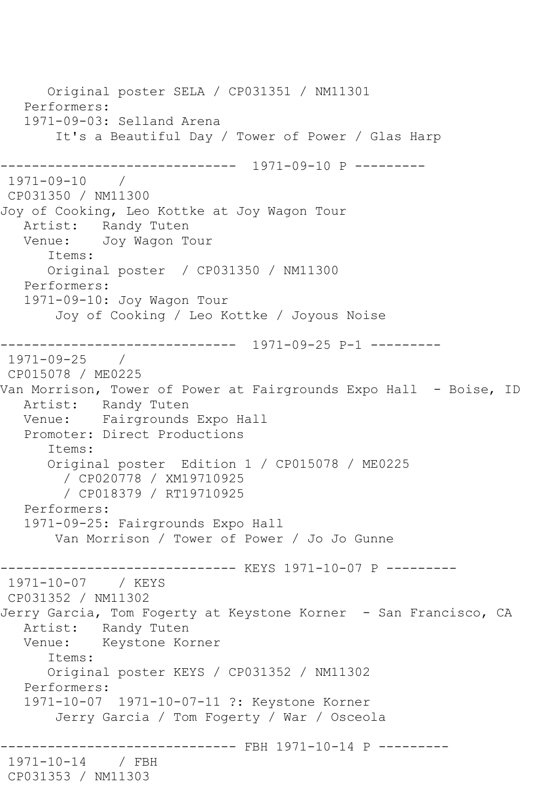Original poster SELA / CP031351 / NM11301 Performers: 1971-09-03: Selland Arena It's a Beautiful Day / Tower of Power / Glas Harp ------------------------------ 1971-09-10 P ---------  $1971 - 09 - 10$ CP031350 / NM11300 Joy of Cooking, Leo Kottke at Joy Wagon Tour Artist: Randy Tuten Venue: Joy Wagon Tour Items: Original poster / CP031350 / NM11300 Performers: 1971-09-10: Joy Wagon Tour Joy of Cooking / Leo Kottke / Joyous Noise ------------------------------ 1971-09-25 P-1 --------- 1971-09-25 / CP015078 / ME0225 Van Morrison, Tower of Power at Fairgrounds Expo Hall - Boise, ID Artist: Randy Tuten Venue: Fairgrounds Expo Hall Promoter: Direct Productions Items: Original poster Edition 1 / CP015078 / ME0225 / CP020778 / XM19710925 / CP018379 / RT19710925 Performers: 1971-09-25: Fairgrounds Expo Hall Van Morrison / Tower of Power / Jo Jo Gunne ------------------------------ KEYS 1971-10-07 P --------- 1971-10-07 / KEYS CP031352 / NM11302 Jerry Garcia, Tom Fogerty at Keystone Korner - San Francisco, CA Artist: Randy Tuten Venue: Keystone Korner Items: Original poster KEYS / CP031352 / NM11302 Performers: 1971-10-07 1971-10-07-11 ?: Keystone Korner Jerry Garcia / Tom Fogerty / War / Osceola ----------- FBH 1971-10-14 P ---------1971-10-14 / FBH CP031353 / NM11303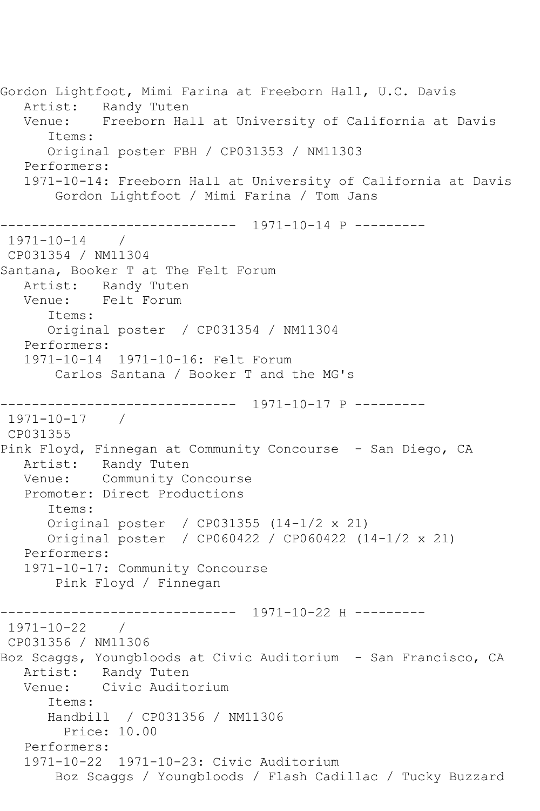Gordon Lightfoot, Mimi Farina at Freeborn Hall, U.C. Davis Artist: Randy Tuten Venue: Freeborn Hall at University of California at Davis Items: Original poster FBH / CP031353 / NM11303 Performers: 1971-10-14: Freeborn Hall at University of California at Davis Gordon Lightfoot / Mimi Farina / Tom Jans ------------------------------ 1971-10-14 P ---------  $1971 - 10 - 14$ CP031354 / NM11304 Santana, Booker T at The Felt Forum Artist: Randy Tuten Venue: Felt Forum Items: Original poster / CP031354 / NM11304 Performers: 1971-10-14 1971-10-16: Felt Forum Carlos Santana / Booker T and the MG's ------------------------------ 1971-10-17 P --------- 1971-10-17 / CP031355 Pink Floyd, Finnegan at Community Concourse - San Diego, CA Artist: Randy Tuten Venue: Community Concourse Promoter: Direct Productions Items: Original poster / CP031355 (14-1/2 x 21) Original poster / CP060422 / CP060422 (14-1/2 x 21) Performers: 1971-10-17: Community Concourse Pink Floyd / Finnegan ------------------------------ 1971-10-22 H ---------  $1971 - 10 - 22$ CP031356 / NM11306 Boz Scaggs, Youngbloods at Civic Auditorium - San Francisco, CA Artist: Randy Tuten Venue: Civic Auditorium Items: Handbill / CP031356 / NM11306 Price: 10.00 Performers: 1971-10-22 1971-10-23: Civic Auditorium Boz Scaggs / Youngbloods / Flash Cadillac / Tucky Buzzard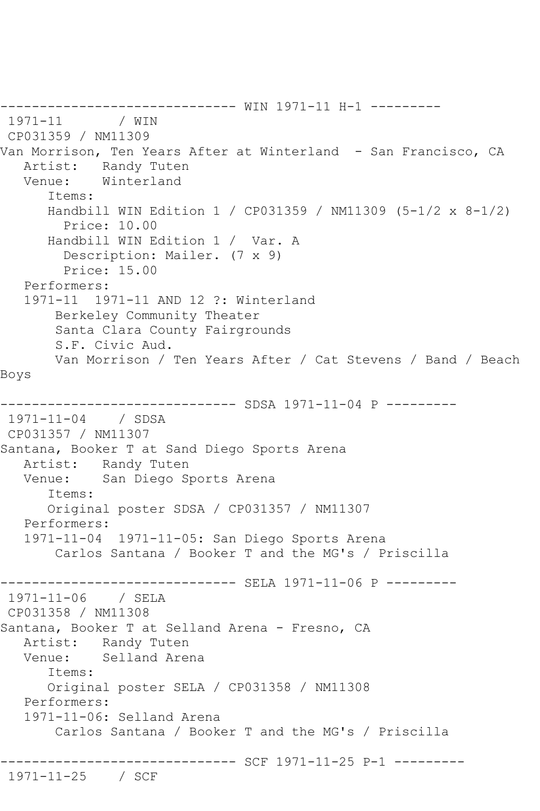------------------------------ WIN 1971-11 H-1 --------- 1971-11 CP031359 / NM11309 Van Morrison, Ten Years After at Winterland - San Francisco, CA Artist: Randy Tuten Venue: Winterland Items: Handbill WIN Edition 1 / CP031359 / NM11309 (5-1/2 x 8-1/2) Price: 10.00 Handbill WIN Edition 1 / Var. A Description: Mailer. (7 x 9) Price: 15.00 Performers: 1971-11 1971-11 AND 12 ?: Winterland Berkeley Community Theater Santa Clara County Fairgrounds S.F. Civic Aud. Van Morrison / Ten Years After / Cat Stevens / Band / Beach Boys ---------- SDSA 1971-11-04 P ---------1971-11-04 / SDSA CP031357 / NM11307 Santana, Booker T at Sand Diego Sports Arena Artist: Randy Tuten Venue: San Diego Sports Arena Items: Original poster SDSA / CP031357 / NM11307 Performers: 1971-11-04 1971-11-05: San Diego Sports Arena Carlos Santana / Booker T and the MG's / Priscilla ------------------------------ SELA 1971-11-06 P --------- 1971-11-06 / SELA CP031358 / NM11308 Santana, Booker T at Selland Arena - Fresno, CA Artist: Randy Tuten Venue: Selland Arena Items: Original poster SELA / CP031358 / NM11308 Performers: 1971-11-06: Selland Arena Carlos Santana / Booker T and the MG's / Priscilla ------------------------------ SCF 1971-11-25 P-1 --------- 1971-11-25 / SCF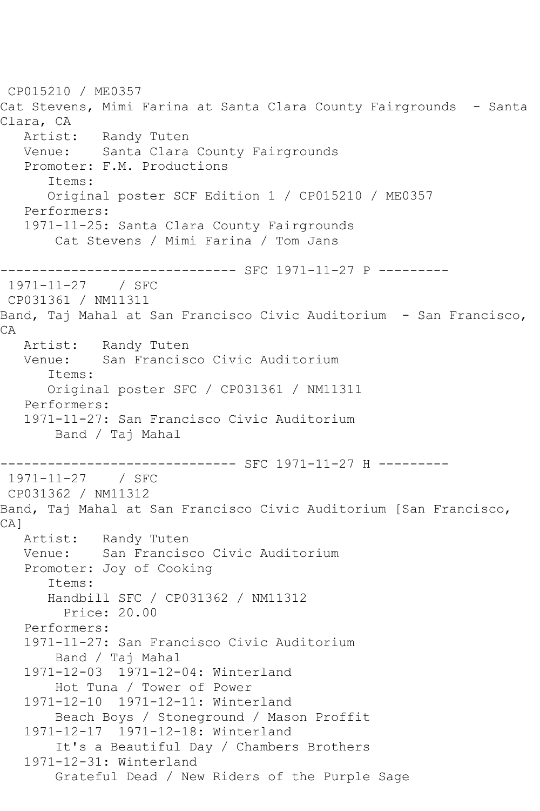```
CP015210 / ME0357
Cat Stevens, Mimi Farina at Santa Clara County Fairgrounds - Santa 
Clara, CA
  Artist: Randy Tuten<br>Venue: Santa Clara
            Santa Clara County Fairgrounds
   Promoter: F.M. Productions
       Items:
       Original poster SCF Edition 1 / CP015210 / ME0357
   Performers:
    1971-11-25: Santa Clara County Fairgrounds
        Cat Stevens / Mimi Farina / Tom Jans
------------------------------ SFC 1971-11-27 P ---------
1971-11-27 / SFC 
CP031361 / NM11311
Band, Taj Mahal at San Francisco Civic Auditorium - San Francisco, 
CA
  Artist: Randy Tuten<br>Venue: San Francise
            San Francisco Civic Auditorium
       Items:
       Original poster SFC / CP031361 / NM11311
   Performers:
    1971-11-27: San Francisco Civic Auditorium
        Band / Taj Mahal
------------------------------ SFC 1971-11-27 H ---------
1971-11-27 / SFC 
CP031362 / NM11312
Band, Taj Mahal at San Francisco Civic Auditorium [San Francisco, 
CA]
   Artist: Randy Tuten
   Venue: San Francisco Civic Auditorium
    Promoter: Joy of Cooking
       Items:
       Handbill SFC / CP031362 / NM11312
         Price: 20.00
    Performers:
    1971-11-27: San Francisco Civic Auditorium
        Band / Taj Mahal
    1971-12-03 1971-12-04: Winterland
        Hot Tuna / Tower of Power
    1971-12-10 1971-12-11: Winterland
        Beach Boys / Stoneground / Mason Proffit
    1971-12-17 1971-12-18: Winterland
        It's a Beautiful Day / Chambers Brothers
    1971-12-31: Winterland
        Grateful Dead / New Riders of the Purple Sage
```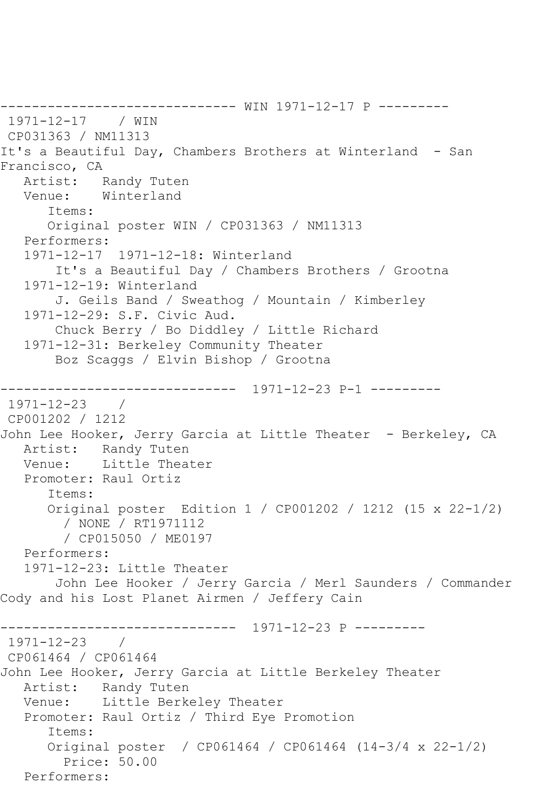------------------------------ WIN 1971-12-17 P --------- 1971-12-17 / WIN CP031363 / NM11313 It's a Beautiful Day, Chambers Brothers at Winterland - San Francisco, CA Artist: Randy Tuten Venue: Winterland Items: Original poster WIN / CP031363 / NM11313 Performers: 1971-12-17 1971-12-18: Winterland It's a Beautiful Day / Chambers Brothers / Grootna 1971-12-19: Winterland J. Geils Band / Sweathog / Mountain / Kimberley 1971-12-29: S.F. Civic Aud. Chuck Berry / Bo Diddley / Little Richard 1971-12-31: Berkeley Community Theater Boz Scaggs / Elvin Bishop / Grootna ------------------------------ 1971-12-23 P-1 --------- 1971-12-23 / CP001202 / 1212 John Lee Hooker, Jerry Garcia at Little Theater - Berkeley, CA<br>Artist: Randy Tuten Artist: Randy Tuten<br>Venue: Little Thea Little Theater Promoter: Raul Ortiz Items: Original poster Edition 1 / CP001202 / 1212 (15 x 22-1/2) / NONE / RT1971112 / CP015050 / ME0197 Performers: 1971-12-23: Little Theater John Lee Hooker / Jerry Garcia / Merl Saunders / Commander Cody and his Lost Planet Airmen / Jeffery Cain ------------------------------ 1971-12-23 P --------- 1971-12-23 / CP061464 / CP061464 John Lee Hooker, Jerry Garcia at Little Berkeley Theater Randy Tuten Venue: Little Berkeley Theater Promoter: Raul Ortiz / Third Eye Promotion Items: Original poster / CP061464 / CP061464 (14-3/4 x 22-1/2) Price: 50.00 Performers: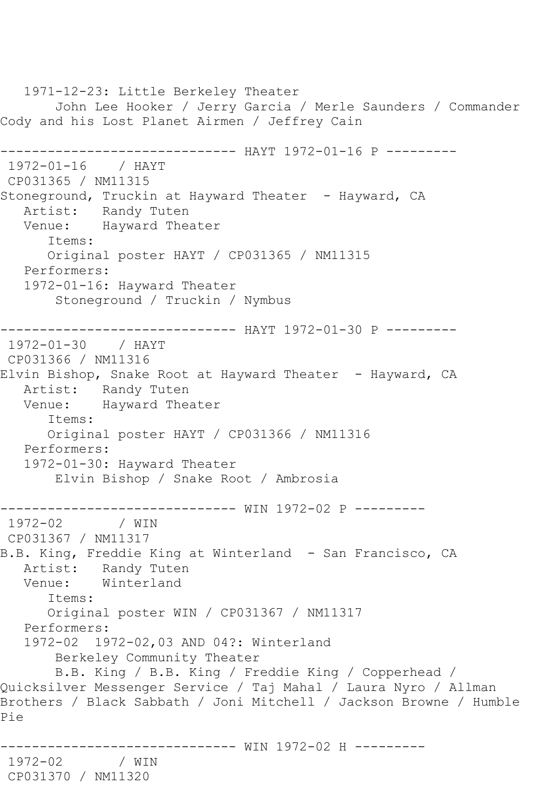1971-12-23: Little Berkeley Theater John Lee Hooker / Jerry Garcia / Merle Saunders / Commander Cody and his Lost Planet Airmen / Jeffrey Cain ------------------------------ HAYT 1972-01-16 P --------- 1972-01-16 / HAYT CP031365 / NM11315 Stoneground, Truckin at Hayward Theater - Hayward, CA Artist: Randy Tuten Venue: Hayward Theater Items: Original poster HAYT / CP031365 / NM11315 Performers: 1972-01-16: Hayward Theater Stoneground / Truckin / Nymbus ------------------------------ HAYT 1972-01-30 P --------- 1972-01-30 / HAYT CP031366 / NM11316 Elvin Bishop, Snake Root at Hayward Theater - Hayward, CA Artist: Randy Tuten Venue: Hayward Theater Items: Original poster HAYT / CP031366 / NM11316 Performers: 1972-01-30: Hayward Theater Elvin Bishop / Snake Root / Ambrosia ------------------------------ WIN 1972-02 P --------- 1972-02 / WIN CP031367 / NM11317 B.B. King, Freddie King at Winterland - San Francisco, CA Artist: Randy Tuten<br>Venue: Winterland Winterland Items: Original poster WIN / CP031367 / NM11317 Performers: 1972-02 1972-02,03 AND 04?: Winterland Berkeley Community Theater B.B. King / B.B. King / Freddie King / Copperhead / Quicksilver Messenger Service / Taj Mahal / Laura Nyro / Allman Brothers / Black Sabbath / Joni Mitchell / Jackson Browne / Humble Pie ------------------------------ WIN 1972-02 H --------- 1972-02 / WIN CP031370 / NM11320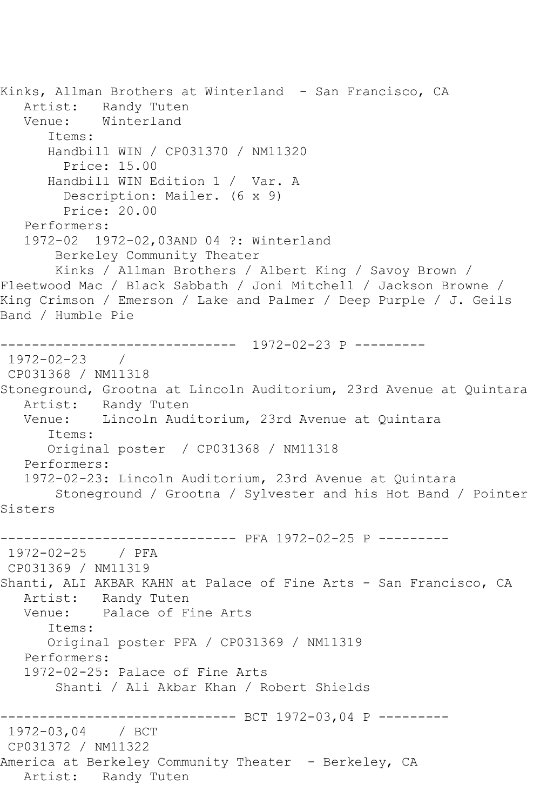Kinks, Allman Brothers at Winterland - San Francisco, CA Artist: Randy Tuten Venue: Winterland Items: Handbill WIN / CP031370 / NM11320 Price: 15.00 Handbill WIN Edition 1 / Var. A Description: Mailer. (6 x 9) Price: 20.00 Performers: 1972-02 1972-02,03AND 04 ?: Winterland Berkeley Community Theater Kinks / Allman Brothers / Albert King / Savoy Brown / Fleetwood Mac / Black Sabbath / Joni Mitchell / Jackson Browne / King Crimson / Emerson / Lake and Palmer / Deep Purple / J. Geils Band / Humble Pie ------------------------------ 1972-02-23 P --------- 1972-02-23 / CP031368 / NM11318 Stoneground, Grootna at Lincoln Auditorium, 23rd Avenue at Quintara Artist: Randy Tuten Venue: Lincoln Auditorium, 23rd Avenue at Quintara Items: Original poster / CP031368 / NM11318 Performers: 1972-02-23: Lincoln Auditorium, 23rd Avenue at Quintara Stoneground / Grootna / Sylvester and his Hot Band / Pointer Sisters ------------------------------ PFA 1972-02-25 P --------- 1972-02-25 / PFA CP031369 / NM11319 Shanti, ALI AKBAR KAHN at Palace of Fine Arts - San Francisco, CA Artist: Randy Tuten<br>Venue: Palace of F: Palace of Fine Arts Items: Original poster PFA / CP031369 / NM11319 Performers: 1972-02-25: Palace of Fine Arts Shanti / Ali Akbar Khan / Robert Shields --------------------------- BCT 1972-03,04 P ---------1972-03,04 / BCT CP031372 / NM11322 America at Berkeley Community Theater - Berkeley, CA Artist: Randy Tuten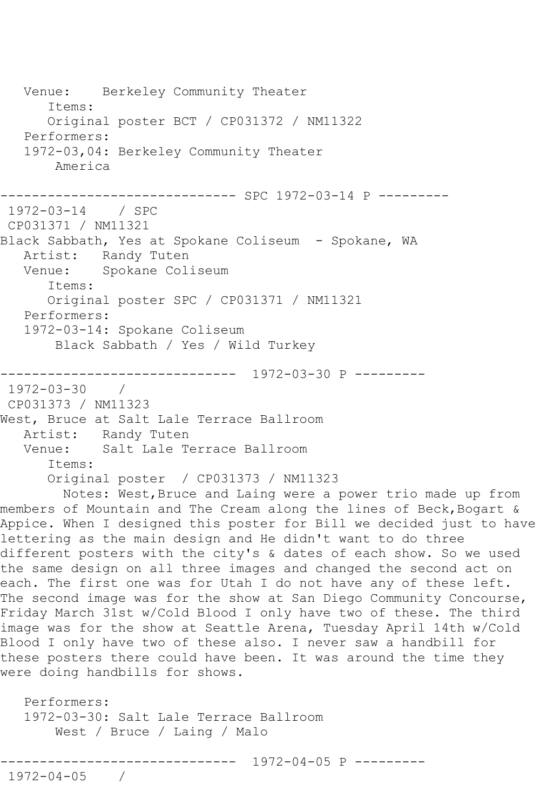Venue: Berkeley Community Theater Items: Original poster BCT / CP031372 / NM11322 Performers: 1972-03,04: Berkeley Community Theater America ------------------------------ SPC 1972-03-14 P --------- 1972-03-14 / SPC CP031371 / NM11321 Black Sabbath, Yes at Spokane Coliseum - Spokane, WA Artist: Randy Tuten<br>Venue: Spokane Col Spokane Coliseum Items: Original poster SPC / CP031371 / NM11321 Performers: 1972-03-14: Spokane Coliseum Black Sabbath / Yes / Wild Turkey ------------------------------ 1972-03-30 P --------- 1972-03-30 / CP031373 / NM11323 West, Bruce at Salt Lale Terrace Ballroom Artist: Randy Tuten Venue: Salt Lale Terrace Ballroom Items: Original poster / CP031373 / NM11323 Notes: West,Bruce and Laing were a power trio made up from members of Mountain and The Cream along the lines of Beck, Bogart & Appice. When I designed this poster for Bill we decided just to have lettering as the main design and He didn't want to do three different posters with the city's & dates of each show. So we used the same design on all three images and changed the second act on each. The first one was for Utah I do not have any of these left. The second image was for the show at San Diego Community Concourse, Friday March 31st w/Cold Blood I only have two of these. The third image was for the show at Seattle Arena, Tuesday April 14th w/Cold Blood I only have two of these also. I never saw a handbill for these posters there could have been. It was around the time they were doing handbills for shows. Performers: 1972-03-30: Salt Lale Terrace Ballroom West / Bruce / Laing / Malo ------------------------------ 1972-04-05 P ---------

1972-04-05 /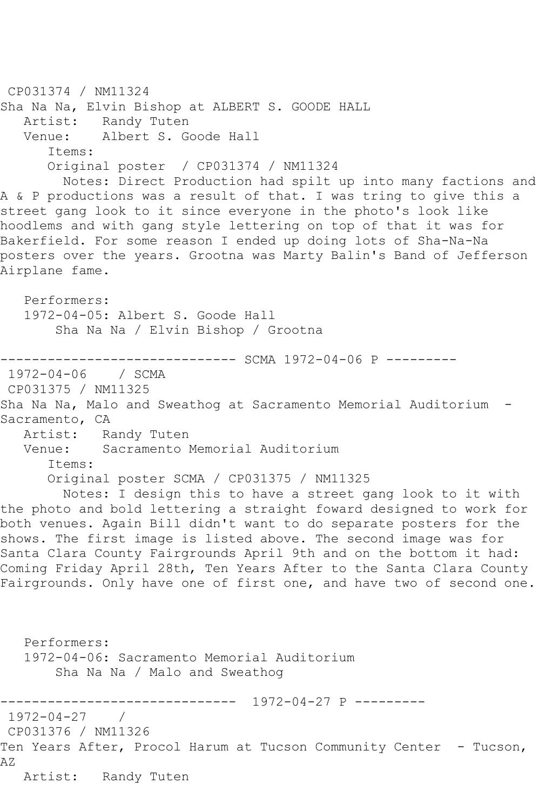CP031374 / NM11324 Sha Na Na, Elvin Bishop at ALBERT S. GOODE HALL<br>Artist: Randy Tuten Randy Tuten Venue: Albert S. Goode Hall Items: Original poster / CP031374 / NM11324 Notes: Direct Production had spilt up into many factions and A & P productions was a result of that. I was tring to give this a street gang look to it since everyone in the photo's look like hoodlems and with gang style lettering on top of that it was for Bakerfield. For some reason I ended up doing lots of Sha-Na-Na posters over the years. Grootna was Marty Balin's Band of Jefferson Airplane fame. Performers: 1972-04-05: Albert S. Goode Hall Sha Na Na / Elvin Bishop / Grootna ------------------------------ SCMA 1972-04-06 P --------- 1972-04-06 / SCMA CP031375 / NM11325 Sha Na Na, Malo and Sweathog at Sacramento Memorial Auditorium - Sacramento, CA<br>Artist: Ra Randy Tuten Venue: Sacramento Memorial Auditorium Items: Original poster SCMA / CP031375 / NM11325 Notes: I design this to have a street gang look to it with the photo and bold lettering a straight foward designed to work for both venues. Again Bill didn't want to do separate posters for the shows. The first image is listed above. The second image was for Santa Clara County Fairgrounds April 9th and on the bottom it had: Coming Friday April 28th, Ten Years After to the Santa Clara County Fairgrounds. Only have one of first one, and have two of second one. Performers: 1972-04-06: Sacramento Memorial Auditorium Sha Na Na / Malo and Sweathog ------------------------------ 1972-04-27 P --------- 1972-04-27 / CP031376 / NM11326 Ten Years After, Procol Harum at Tucson Community Center - Tucson, AZ Artist: Randy Tuten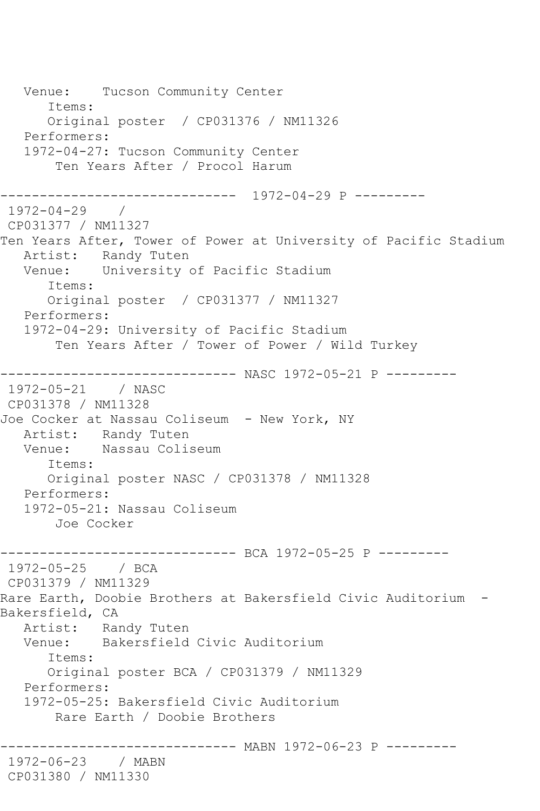Venue: Tucson Community Center Items: Original poster / CP031376 / NM11326 Performers: 1972-04-27: Tucson Community Center Ten Years After / Procol Harum ------------------------------ 1972-04-29 P --------- 1972-04-29 / CP031377 / NM11327 Ten Years After, Tower of Power at University of Pacific Stadium Artist: Randy Tuten Venue: University of Pacific Stadium Items: Original poster / CP031377 / NM11327 Performers: 1972-04-29: University of Pacific Stadium Ten Years After / Tower of Power / Wild Turkey ------------------------------ NASC 1972-05-21 P --------- 1972-05-21 / NASC CP031378 / NM11328 Joe Cocker at Nassau Coliseum - New York, NY Artist: Randy Tuten Venue: Nassau Coliseum Items: Original poster NASC / CP031378 / NM11328 Performers: 1972-05-21: Nassau Coliseum Joe Cocker ------------------------------ BCA 1972-05-25 P --------- 1972-05-25 / BCA CP031379 / NM11329 Rare Earth, Doobie Brothers at Bakersfield Civic Auditorium - Bakersfield, CA Artist: Randy Tuten Venue: Bakersfield Civic Auditorium Items: Original poster BCA / CP031379 / NM11329 Performers: 1972-05-25: Bakersfield Civic Auditorium Rare Earth / Doobie Brothers ------------------------------ MABN 1972-06-23 P --------- 1972-06-23 / MABN CP031380 / NM11330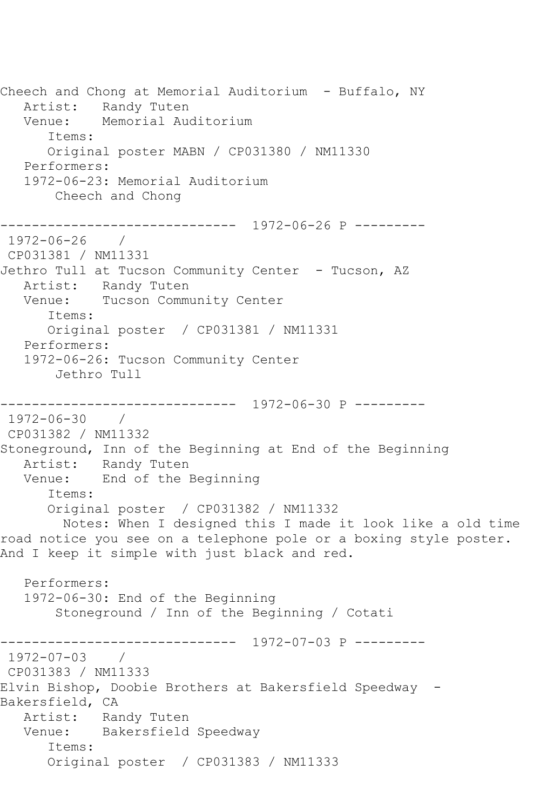Cheech and Chong at Memorial Auditorium - Buffalo, NY Artist: Randy Tuten Venue: Memorial Auditorium Items: Original poster MABN / CP031380 / NM11330 Performers: 1972-06-23: Memorial Auditorium Cheech and Chong ------------------------------ 1972-06-26 P --------- 1972-06-26 / CP031381 / NM11331 Jethro Tull at Tucson Community Center - Tucson, AZ Artist: Randy Tuten Venue: Tucson Community Center Items: Original poster / CP031381 / NM11331 Performers: 1972-06-26: Tucson Community Center Jethro Tull ------------------------------ 1972-06-30 P --------- 1972-06-30 / CP031382 / NM11332 Stoneground, Inn of the Beginning at End of the Beginning Artist: Randy Tuten Venue: End of the Beginning Items: Original poster / CP031382 / NM11332 Notes: When I designed this I made it look like a old time road notice you see on a telephone pole or a boxing style poster. And I keep it simple with just black and red. Performers: 1972-06-30: End of the Beginning Stoneground / Inn of the Beginning / Cotati ------------------------------ 1972-07-03 P --------- 1972-07-03 / CP031383 / NM11333 Elvin Bishop, Doobie Brothers at Bakersfield Speedway - Bakersfield, CA Artist: Randy Tuten Venue: Bakersfield Speedway Items: Original poster / CP031383 / NM11333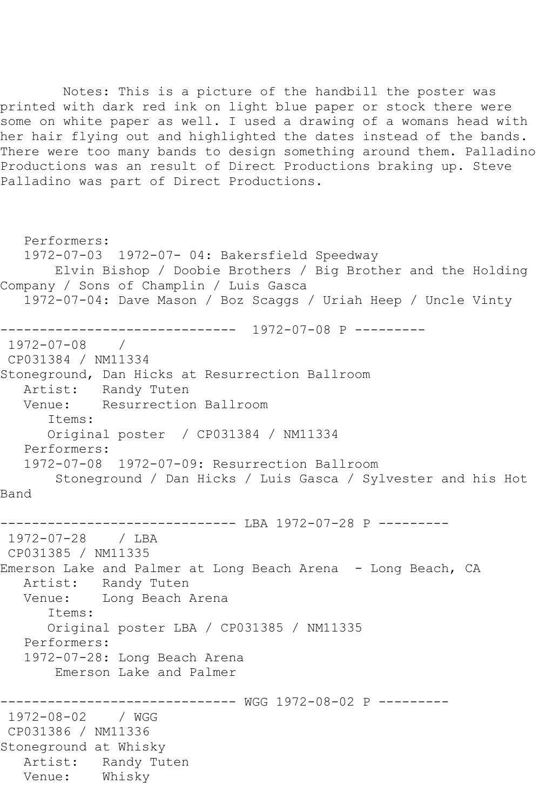Notes: This is a picture of the handbill the poster was printed with dark red ink on light blue paper or stock there were some on white paper as well. I used a drawing of a womans head with her hair flying out and highlighted the dates instead of the bands. There were too many bands to design something around them. Palladino Productions was an result of Direct Productions braking up. Steve Palladino was part of Direct Productions.

 Performers: 1972-07-03 1972-07- 04: Bakersfield Speedway Elvin Bishop / Doobie Brothers / Big Brother and the Holding Company / Sons of Champlin / Luis Gasca 1972-07-04: Dave Mason / Boz Scaggs / Uriah Heep / Uncle Vinty ------------------------------ 1972-07-08 P --------- 1972-07-08 / CP031384 / NM11334 Stoneground, Dan Hicks at Resurrection Ballroom Artist: Randy Tuten Venue: Resurrection Ballroom Items: Original poster / CP031384 / NM11334 Performers: 1972-07-08 1972-07-09: Resurrection Ballroom Stoneground / Dan Hicks / Luis Gasca / Sylvester and his Hot Band ------------------------------ LBA 1972-07-28 P --------- 1972-07-28 / LBA CP031385 / NM11335 Emerson Lake and Palmer at Long Beach Arena - Long Beach, CA Artist: Randy Tuten Venue: Long Beach Arena Items: Original poster LBA / CP031385 / NM11335 Performers: 1972-07-28: Long Beach Arena Emerson Lake and Palmer ------------------------------ WGG 1972-08-02 P --------- 1972-08-02 / WGG CP031386 / NM11336 Stoneground at Whisky Artist: Randy Tuten Venue: Whisky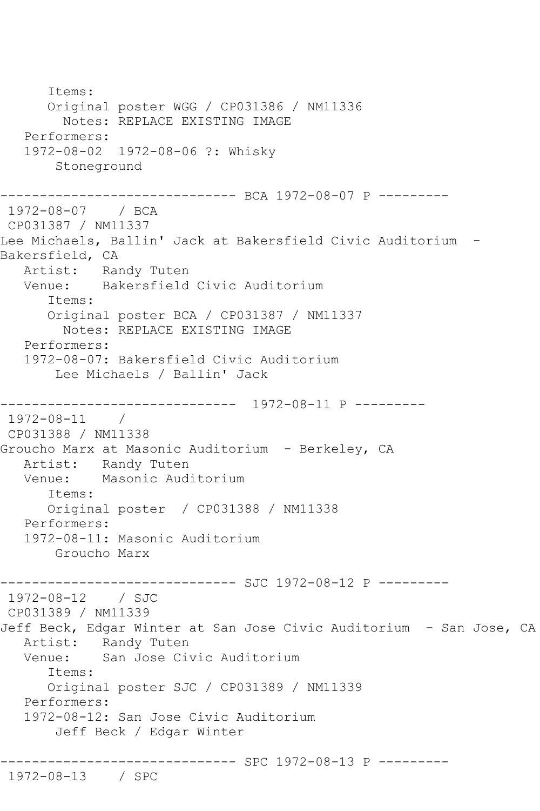Items: Original poster WGG / CP031386 / NM11336 Notes: REPLACE EXISTING IMAGE Performers: 1972-08-02 1972-08-06 ?: Whisky Stoneground ------------------------------ BCA 1972-08-07 P --------- 1972-08-07 / BCA CP031387 / NM11337 Lee Michaels, Ballin' Jack at Bakersfield Civic Auditorium - Bakersfield, CA Artist: Randy Tuten Venue: Bakersfield Civic Auditorium Items: Original poster BCA / CP031387 / NM11337 Notes: REPLACE EXISTING IMAGE Performers: 1972-08-07: Bakersfield Civic Auditorium Lee Michaels / Ballin' Jack ------------------------------ 1972-08-11 P --------- 1972-08-11 / CP031388 / NM11338 Groucho Marx at Masonic Auditorium - Berkeley, CA Artist: Randy Tuten<br>Venue: Masonic Aud: Masonic Auditorium Items: Original poster / CP031388 / NM11338 Performers: 1972-08-11: Masonic Auditorium Groucho Marx ------------------------------ SJC 1972-08-12 P --------- 1972-08-12 / SJC CP031389 / NM11339 Jeff Beck, Edgar Winter at San Jose Civic Auditorium - San Jose, CA Artist: Randy Tuten Venue: San Jose Civic Auditorium Items: Original poster SJC / CP031389 / NM11339 Performers: 1972-08-12: San Jose Civic Auditorium Jeff Beck / Edgar Winter ------------------------------ SPC 1972-08-13 P --------- 1972-08-13 / SPC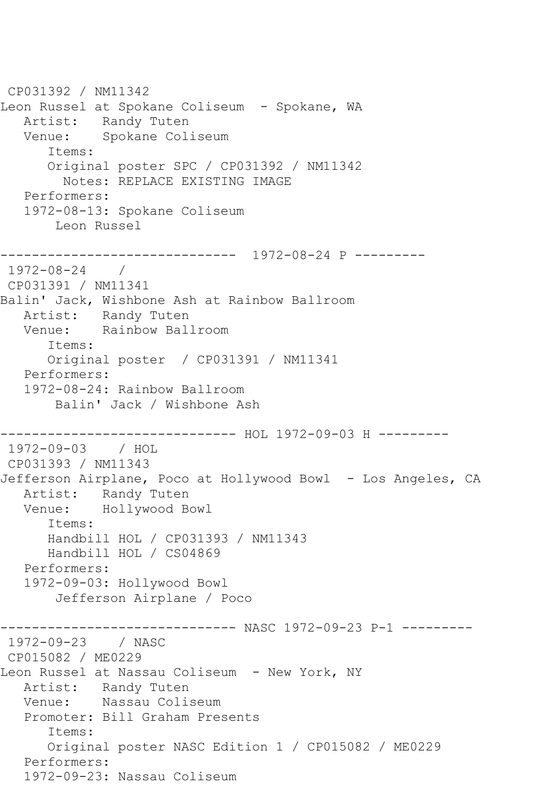CP031392 / NM11342 Leon Russel at Spokane Coliseum - Spokane, WA Artist: Randy Tuten Venue: Spokane Coliseum Items: Original poster SPC / CP031392 / NM11342 Notes: REPLACE EXISTING IMAGE Performers: 1972-08-13: Spokane Coliseum Leon Russel ------------------------------ 1972-08-24 P --------- 1972-08-24 / CP031391 / NM11341 Balin' Jack, Wishbone Ash at Rainbow Ballroom Artist: Randy Tuten Venue: Rainbow Ballroom Items: Original poster / CP031391 / NM11341 Performers: 1972-08-24: Rainbow Ballroom Balin' Jack / Wishbone Ash ----------------------------- HOL 1972-09-03 H ---------1972-09-03 / HOL CP031393 / NM11343 Jefferson Airplane, Poco at Hollywood Bowl - Los Angeles, CA Artist: Randy Tuten Venue: Hollywood Bowl Items: Handbill HOL / CP031393 / NM11343 Handbill HOL / CS04869 Performers: 1972-09-03: Hollywood Bowl Jefferson Airplane / Poco ------------------------------ NASC 1972-09-23 P-1 --------- 1972-09-23 / NASC CP015082 / ME0229 Leon Russel at Nassau Coliseum - New York, NY Artist: Randy Tuten Venue: Nassau Coliseum Promoter: Bill Graham Presents Items: Original poster NASC Edition 1 / CP015082 / ME0229 Performers: 1972-09-23: Nassau Coliseum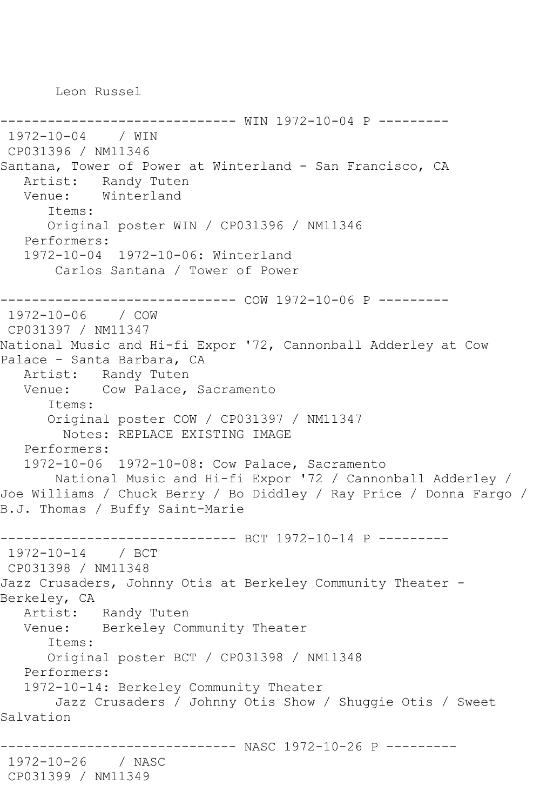Leon Russel

```
------------- WIN 1972-10-04 P ---------
1972-10-04 / WIN 
CP031396 / NM11346
Santana, Tower of Power at Winterland - San Francisco, CA
   Artist: Randy Tuten
   Venue: Winterland
       Items:
      Original poster WIN / CP031396 / NM11346
   Performers:
   1972-10-04 1972-10-06: Winterland
       Carlos Santana / Tower of Power
------------------------------ COW 1972-10-06 P ---------
1972-10-06 / COW 
CP031397 / NM11347
National Music and Hi-fi Expor '72, Cannonball Adderley at Cow 
Palace - Santa Barbara, CA
   Artist: Randy Tuten
   Venue: Cow Palace, Sacramento
       Items:
      Original poster COW / CP031397 / NM11347
        Notes: REPLACE EXISTING IMAGE
   Performers:
   1972-10-06 1972-10-08: Cow Palace, Sacramento
       National Music and Hi-fi Expor '72 / Cannonball Adderley / 
Joe Williams / Chuck Berry / Bo Diddley / Ray Price / Donna Fargo / 
B.J. Thomas / Buffy Saint-Marie
------------------------------ BCT 1972-10-14 P ---------
1972-10-14 / BCT 
CP031398 / NM11348
Jazz Crusaders, Johnny Otis at Berkeley Community Theater -
Berkeley, CA
   Artist: Randy Tuten
   Venue: Berkeley Community Theater
       Items:
      Original poster BCT / CP031398 / NM11348
   Performers:
   1972-10-14: Berkeley Community Theater
       Jazz Crusaders / Johnny Otis Show / Shuggie Otis / Sweet 
Salvation
                   ------------------------------ NASC 1972-10-26 P ---------
1972-10-26 / NASC 
CP031399 / NM11349
```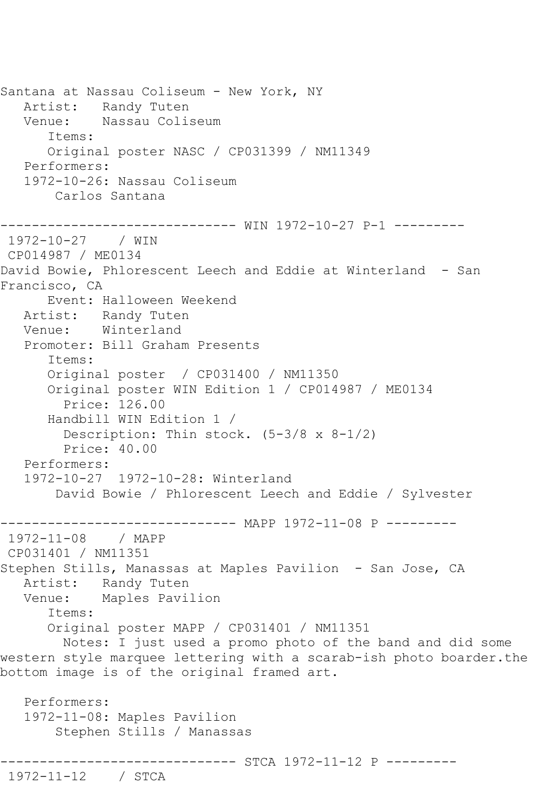Santana at Nassau Coliseum - New York, NY Artist: Randy Tuten Venue: Nassau Coliseum Items: Original poster NASC / CP031399 / NM11349 Performers: 1972-10-26: Nassau Coliseum Carlos Santana ------------------------------ WIN 1972-10-27 P-1 --------- 1972-10-27 / WIN CP014987 / ME0134 David Bowie, Phlorescent Leech and Eddie at Winterland - San Francisco, CA Event: Halloween Weekend Artist: Randy Tuten Venue: Winterland Promoter: Bill Graham Presents Items: Original poster / CP031400 / NM11350 Original poster WIN Edition 1 / CP014987 / ME0134 Price: 126.00 Handbill WIN Edition 1 / Description: Thin stock. (5-3/8 x 8-1/2) Price: 40.00 Performers: 1972-10-27 1972-10-28: Winterland David Bowie / Phlorescent Leech and Eddie / Sylvester ------------------------------ MAPP 1972-11-08 P --------- 1972-11-08 / MAPP CP031401 / NM11351 Stephen Stills, Manassas at Maples Pavilion - San Jose, CA Artist: Randy Tuten Venue: Maples Pavilion Items: Original poster MAPP / CP031401 / NM11351 Notes: I just used a promo photo of the band and did some western style marquee lettering with a scarab-ish photo boarder.the bottom image is of the original framed art. Performers: 1972-11-08: Maples Pavilion Stephen Stills / Manassas ------------------------------ STCA 1972-11-12 P --------- 1972-11-12 / STCA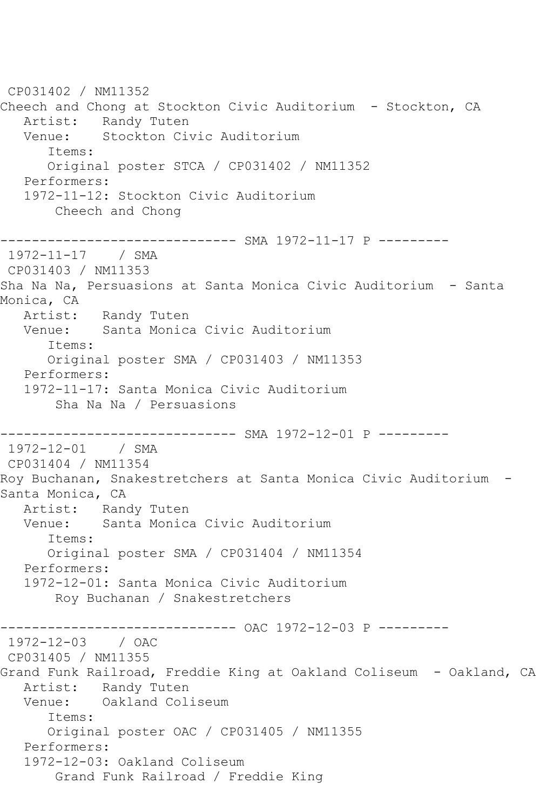CP031402 / NM11352 Cheech and Chong at Stockton Civic Auditorium - Stockton, CA Artist: Randy Tuten Venue: Stockton Civic Auditorium Items: Original poster STCA / CP031402 / NM11352 Performers: 1972-11-12: Stockton Civic Auditorium Cheech and Chong ------------------------------ SMA 1972-11-17 P --------- 1972-11-17 / SMA CP031403 / NM11353 Sha Na Na, Persuasions at Santa Monica Civic Auditorium - Santa Monica, CA Artist: Randy Tuten Venue: Santa Monica Civic Auditorium Items: Original poster SMA / CP031403 / NM11353 Performers: 1972-11-17: Santa Monica Civic Auditorium Sha Na Na / Persuasions ------------------------------ SMA 1972-12-01 P --------- 1972-12-01 / SMA CP031404 / NM11354 Roy Buchanan, Snakestretchers at Santa Monica Civic Auditorium - Santa Monica, CA Artist: Randy Tuten<br>Venue: Santa Monica Santa Monica Civic Auditorium Items: Original poster SMA / CP031404 / NM11354 Performers: 1972-12-01: Santa Monica Civic Auditorium Roy Buchanan / Snakestretchers ------------------------------ OAC 1972-12-03 P --------- 1972-12-03 / OAC CP031405 / NM11355 Grand Funk Railroad, Freddie King at Oakland Coliseum - Oakland, CA Artist: Randy Tuten Venue: Oakland Coliseum Items: Original poster OAC / CP031405 / NM11355 Performers: 1972-12-03: Oakland Coliseum Grand Funk Railroad / Freddie King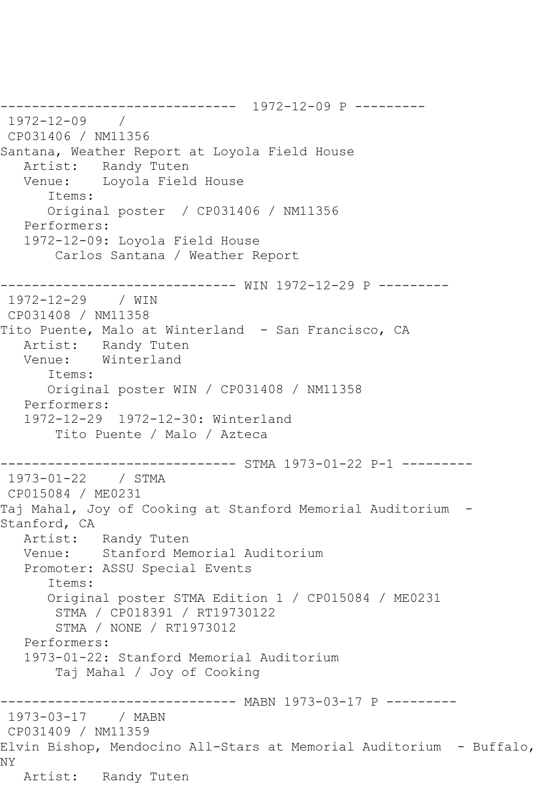------------------------------ 1972-12-09 P --------- 1972-12-09 / CP031406 / NM11356 Santana, Weather Report at Loyola Field House Artist: Randy Tuten<br>Venue: Loyola Field Loyola Field House Items: Original poster / CP031406 / NM11356 Performers: 1972-12-09: Loyola Field House Carlos Santana / Weather Report ------------------------------ WIN 1972-12-29 P --------- 1972-12-29 / WIN CP031408 / NM11358 Tito Puente, Malo at Winterland - San Francisco, CA Artist: Randy Tuten Venue: Winterland Items: Original poster WIN / CP031408 / NM11358 Performers: 1972-12-29 1972-12-30: Winterland Tito Puente / Malo / Azteca ------------------------------ STMA 1973-01-22 P-1 --------- 1973-01-22 / STMA CP015084 / ME0231 Taj Mahal, Joy of Cooking at Stanford Memorial Auditorium - Stanford, CA Artist: Randy Tuten Venue: Stanford Memorial Auditorium Promoter: ASSU Special Events Items: Original poster STMA Edition 1 / CP015084 / ME0231 STMA / CP018391 / RT19730122 STMA / NONE / RT1973012 Performers: 1973-01-22: Stanford Memorial Auditorium Taj Mahal / Joy of Cooking ------------------------------ MABN 1973-03-17 P --------- 1973-03-17 / MABN CP031409 / NM11359 Elvin Bishop, Mendocino All-Stars at Memorial Auditorium - Buffalo, NY Artist: Randy Tuten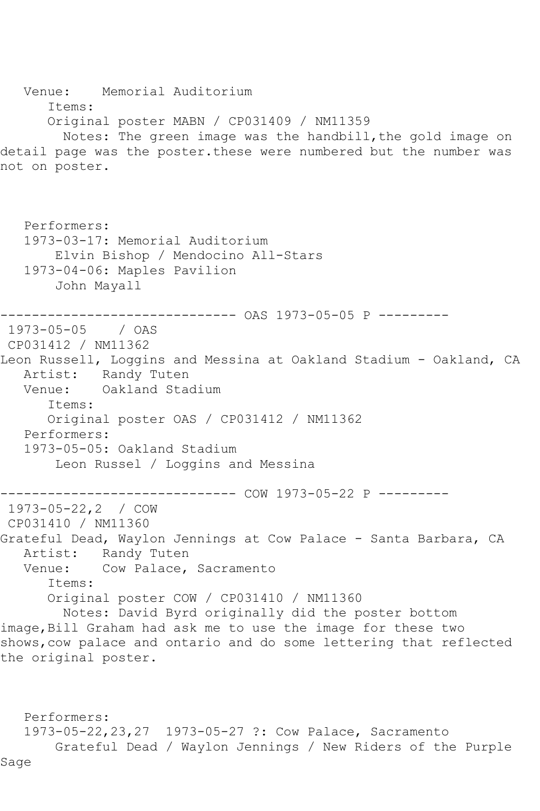Venue: Memorial Auditorium Items: Original poster MABN / CP031409 / NM11359 Notes: The green image was the handbill, the gold image on detail page was the poster.these were numbered but the number was not on poster. Performers: 1973-03-17: Memorial Auditorium Elvin Bishop / Mendocino All-Stars 1973-04-06: Maples Pavilion John Mayall ------------------------------ OAS 1973-05-05 P --------- 1973-05-05 / OAS CP031412 / NM11362 Leon Russell, Loggins and Messina at Oakland Stadium - Oakland, CA Artist: Randy Tuten<br>Venue: Oakland Sta Oakland Stadium Items: Original poster OAS / CP031412 / NM11362 Performers: 1973-05-05: Oakland Stadium Leon Russel / Loggins and Messina ------------ COW 1973-05-22 P ---------1973-05-22,2 / COW CP031410 / NM11360 Grateful Dead, Waylon Jennings at Cow Palace - Santa Barbara, CA Artist: Randy Tuten<br>Venue: Cow Palace, Cow Palace, Sacramento Items: Original poster COW / CP031410 / NM11360 Notes: David Byrd originally did the poster bottom image, Bill Graham had ask me to use the image for these two shows,cow palace and ontario and do some lettering that reflected the original poster.

 Performers: 1973-05-22,23,27 1973-05-27 ?: Cow Palace, Sacramento Grateful Dead / Waylon Jennings / New Riders of the Purple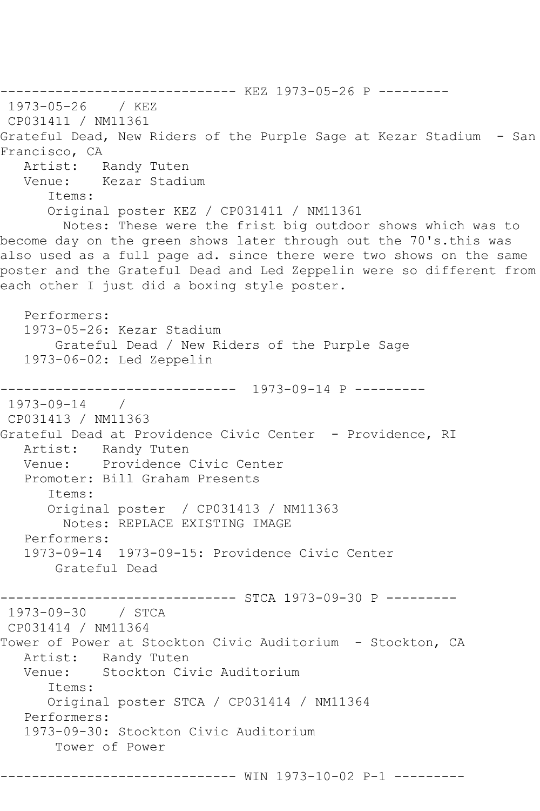------------------------------ KEZ 1973-05-26 P --------- 1973-05-26 / KEZ CP031411 / NM11361 Grateful Dead, New Riders of the Purple Sage at Kezar Stadium - San Francisco, CA<br>Artist: F Randy Tuten Venue: Kezar Stadium Items: Original poster KEZ / CP031411 / NM11361 Notes: These were the frist big outdoor shows which was to become day on the green shows later through out the 70's.this was also used as a full page ad. since there were two shows on the same poster and the Grateful Dead and Led Zeppelin were so different from each other I just did a boxing style poster. Performers: 1973-05-26: Kezar Stadium Grateful Dead / New Riders of the Purple Sage 1973-06-02: Led Zeppelin ------------------------------ 1973-09-14 P --------- 1973-09-14 / CP031413 / NM11363 Grateful Dead at Providence Civic Center - Providence, RI Artist: Randy Tuten<br>Venue: Providence ( Providence Civic Center Promoter: Bill Graham Presents Items: Original poster / CP031413 / NM11363 Notes: REPLACE EXISTING IMAGE Performers: 1973-09-14 1973-09-15: Providence Civic Center Grateful Dead ------------------------------ STCA 1973-09-30 P --------- 1973-09-30 / STCA CP031414 / NM11364 Tower of Power at Stockton Civic Auditorium - Stockton, CA Artist: Randy Tuten<br>Venue: Stockton Ci Stockton Civic Auditorium Items: Original poster STCA / CP031414 / NM11364 Performers: 1973-09-30: Stockton Civic Auditorium Tower of Power ------------------------------ WIN 1973-10-02 P-1 ---------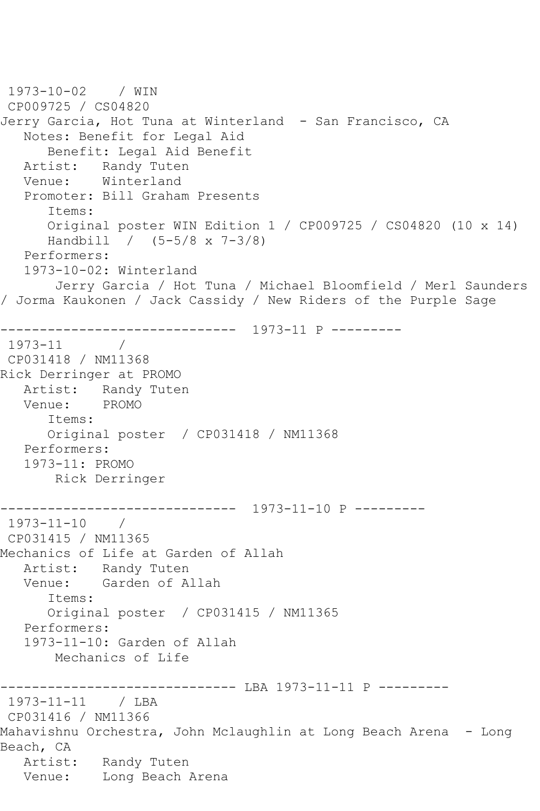1973-10-02 / WIN CP009725 / CS04820 Jerry Garcia, Hot Tuna at Winterland - San Francisco, CA Notes: Benefit for Legal Aid Benefit: Legal Aid Benefit Artist: Randy Tuten Venue: Winterland Promoter: Bill Graham Presents Items: Original poster WIN Edition 1 / CP009725 / CS04820 (10 x 14) Handbill / (5-5/8 x 7-3/8) Performers: 1973-10-02: Winterland Jerry Garcia / Hot Tuna / Michael Bloomfield / Merl Saunders / Jorma Kaukonen / Jack Cassidy / New Riders of the Purple Sage ------------------------------ 1973-11 P --------- 1973-11 / CP031418 / NM11368 Rick Derringer at PROMO Artist: Randy Tuten Venue: PROMO Items: Original poster / CP031418 / NM11368 Performers: 1973-11: PROMO Rick Derringer ------------------------------ 1973-11-10 P --------- 1973-11-10 / CP031415 / NM11365 Mechanics of Life at Garden of Allah Artist: Randy Tuten<br>Venue: Garden of A Garden of Allah Items: Original poster / CP031415 / NM11365 Performers: 1973-11-10: Garden of Allah Mechanics of Life ------------------------------ LBA 1973-11-11 P --------- 1973-11-11 / LBA CP031416 / NM11366 Mahavishnu Orchestra, John Mclaughlin at Long Beach Arena - Long Beach, CA Artist: Randy Tuten Venue: Long Beach Arena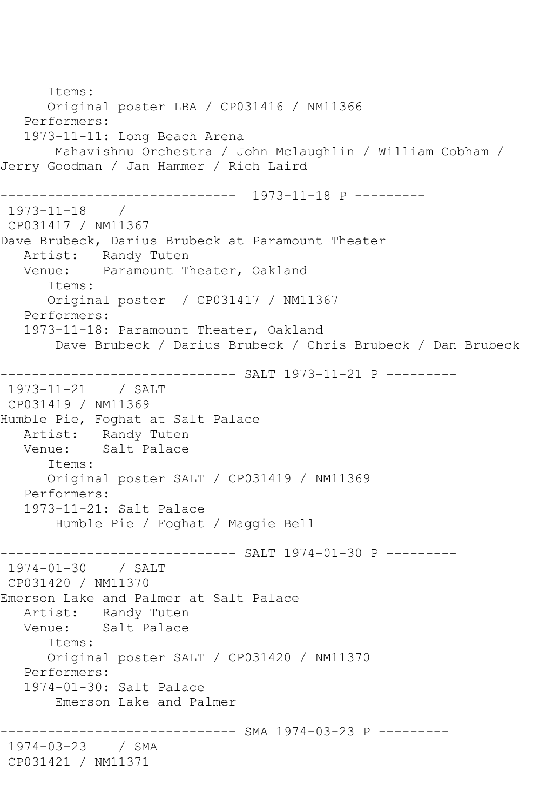Items: Original poster LBA / CP031416 / NM11366 Performers: 1973-11-11: Long Beach Arena Mahavishnu Orchestra / John Mclaughlin / William Cobham / Jerry Goodman / Jan Hammer / Rich Laird ------------------------------ 1973-11-18 P --------- 1973-11-18 / CP031417 / NM11367 Dave Brubeck, Darius Brubeck at Paramount Theater Artist: Randy Tuten<br>Venue: Paramount Tl Paramount Theater, Oakland Items: Original poster / CP031417 / NM11367 Performers: 1973-11-18: Paramount Theater, Oakland Dave Brubeck / Darius Brubeck / Chris Brubeck / Dan Brubeck ------------------------------ SALT 1973-11-21 P ---------  $1973 - 11 - 21$ CP031419 / NM11369 Humble Pie, Foghat at Salt Palace Artist: Randy Tuten Venue: Salt Palace Items: Original poster SALT / CP031419 / NM11369 Performers: 1973-11-21: Salt Palace Humble Pie / Foghat / Maggie Bell ------------------------------ SALT 1974-01-30 P --------- 1974-01-30 / SALT CP031420 / NM11370 Emerson Lake and Palmer at Salt Palace Artist: Randy Tuten<br>Venue: Salt Palace Salt Palace Items: Original poster SALT / CP031420 / NM11370 Performers: 1974-01-30: Salt Palace Emerson Lake and Palmer ------------------------------ SMA 1974-03-23 P --------- 1974-03-23 / SMA CP031421 / NM11371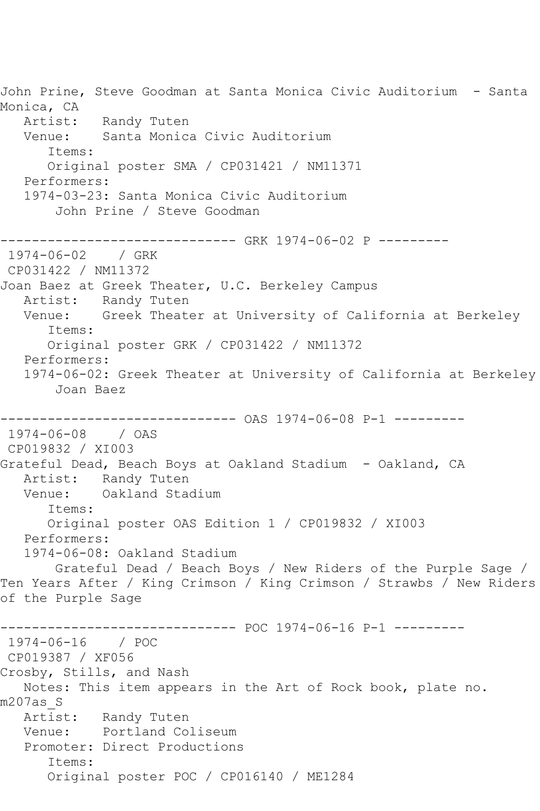John Prine, Steve Goodman at Santa Monica Civic Auditorium - Santa Monica, CA Artist: Randy Tuten Venue: Santa Monica Civic Auditorium Items: Original poster SMA / CP031421 / NM11371 Performers: 1974-03-23: Santa Monica Civic Auditorium John Prine / Steve Goodman ------------------------------ GRK 1974-06-02 P --------- 1974-06-02 / GRK CP031422 / NM11372 Joan Baez at Greek Theater, U.C. Berkeley Campus Artist: Randy Tuten Venue: Greek Theater at University of California at Berkeley Items: Original poster GRK / CP031422 / NM11372 Performers: 1974-06-02: Greek Theater at University of California at Berkeley Joan Baez ------------------------------ OAS 1974-06-08 P-1 --------- 1974-06-08 / OAS CP019832 / XI003 Grateful Dead, Beach Boys at Oakland Stadium - Oakland, CA Artist: Randy Tuten Venue: Oakland Stadium Items: Original poster OAS Edition 1 / CP019832 / XI003 Performers: 1974-06-08: Oakland Stadium Grateful Dead / Beach Boys / New Riders of the Purple Sage / Ten Years After / King Crimson / King Crimson / Strawbs / New Riders of the Purple Sage ------------------------------ POC 1974-06-16 P-1 --------- 1974-06-16 / POC CP019387 / XF056 Crosby, Stills, and Nash Notes: This item appears in the Art of Rock book, plate no. m207as\_S<br>Artist: Randy Tuten Venue: Portland Coliseum Promoter: Direct Productions Items: Original poster POC / CP016140 / ME1284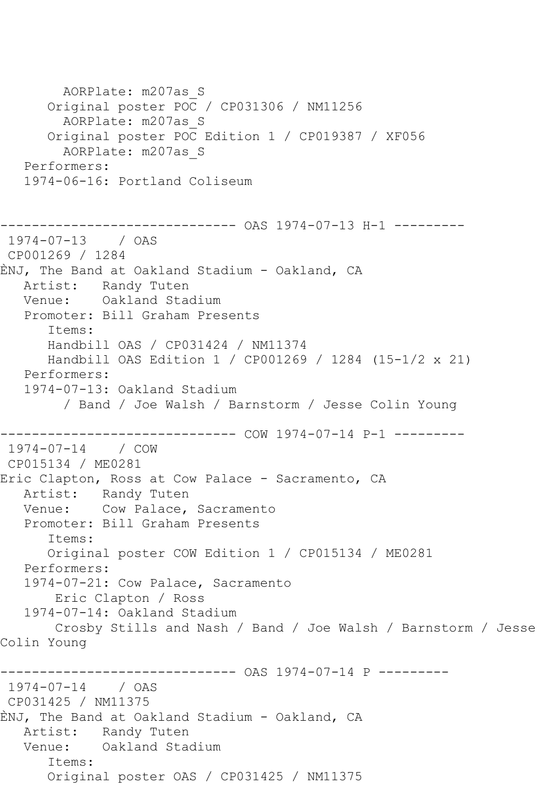AORPlate: m207as\_S Original poster POC / CP031306 / NM11256 AORPlate: m207as\_S Original poster POC Edition 1 / CP019387 / XF056 AORPlate: m207as\_S Performers: 1974-06-16: Portland Coliseum ------------------------------ OAS 1974-07-13 H-1 --------- 1974-07-13 / OAS CP001269 / 1284 ÈNJ, The Band at Oakland Stadium - Oakland, CA Artist: Randy Tuten Venue: Oakland Stadium Promoter: Bill Graham Presents Items: Handbill OAS / CP031424 / NM11374 Handbill OAS Edition 1 / CP001269 / 1284 (15-1/2 x 21) Performers: 1974-07-13: Oakland Stadium / Band / Joe Walsh / Barnstorm / Jesse Colin Young ------------------------------ COW 1974-07-14 P-1 --------- 1974-07-14 / COW CP015134 / ME0281 Eric Clapton, Ross at Cow Palace - Sacramento, CA Artist: Randy Tuten<br>Venue: Cow Palace, Cow Palace, Sacramento Promoter: Bill Graham Presents Items: Original poster COW Edition 1 / CP015134 / ME0281 Performers: 1974-07-21: Cow Palace, Sacramento Eric Clapton / Ross 1974-07-14: Oakland Stadium Crosby Stills and Nash / Band / Joe Walsh / Barnstorm / Jesse Colin Young ------------------------------ OAS 1974-07-14 P --------- 1974-07-14 / OAS CP031425 / NM11375 ÈNJ, The Band at Oakland Stadium - Oakland, CA Artist: Randy Tuten Venue: Oakland Stadium Items: Original poster OAS / CP031425 / NM11375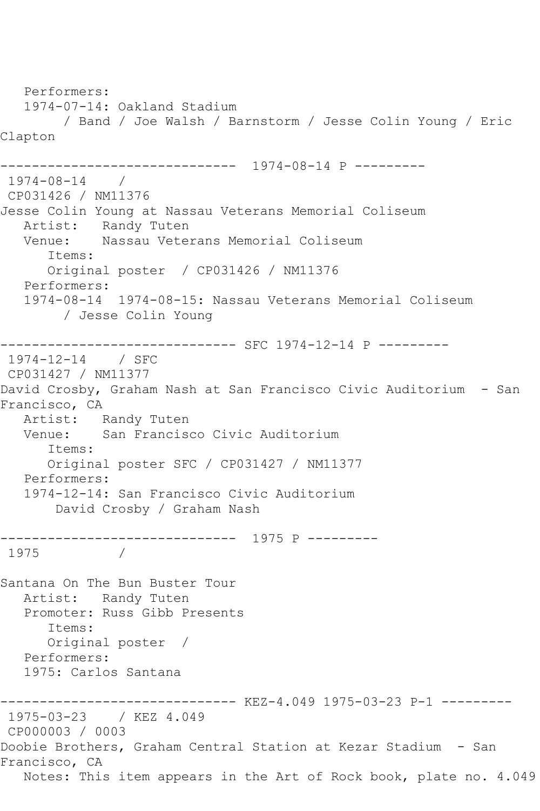Performers: 1974-07-14: Oakland Stadium / Band / Joe Walsh / Barnstorm / Jesse Colin Young / Eric Clapton ------------------------------ 1974-08-14 P --------- 1974-08-14 / CP031426 / NM11376 Jesse Colin Young at Nassau Veterans Memorial Coliseum Artist: Randy Tuten<br>Venue: Nassau Vete Nassau Veterans Memorial Coliseum Items: Original poster / CP031426 / NM11376 Performers: 1974-08-14 1974-08-15: Nassau Veterans Memorial Coliseum / Jesse Colin Young ------------------------------ SFC 1974-12-14 P --------- 1974-12-14 / SFC CP031427 / NM11377 David Crosby, Graham Nash at San Francisco Civic Auditorium - San Francisco, CA Artist: Randy Tuten Venue: San Francisco Civic Auditorium Items: Original poster SFC / CP031427 / NM11377 Performers: 1974-12-14: San Francisco Civic Auditorium David Crosby / Graham Nash ------------------------------ 1975 P --------- 1975 / Santana On The Bun Buster Tour Artist: Randy Tuten Promoter: Russ Gibb Presents Items: Original poster / Performers: 1975: Carlos Santana ------------------------------ KEZ-4.049 1975-03-23 P-1 --------- 1975-03-23 / KEZ 4.049 CP000003 / 0003 Doobie Brothers, Graham Central Station at Kezar Stadium - San Francisco, CA Notes: This item appears in the Art of Rock book, plate no. 4.049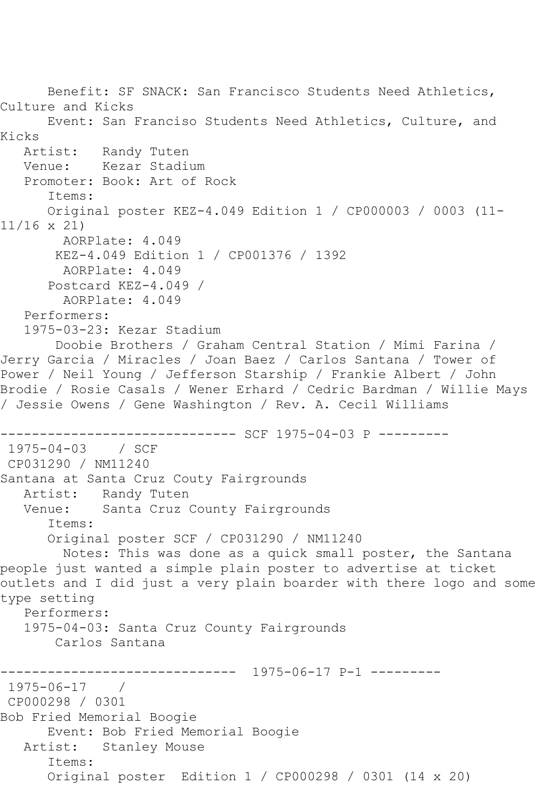Benefit: SF SNACK: San Francisco Students Need Athletics, Culture and Kicks Event: San Franciso Students Need Athletics, Culture, and Kicks<br>Artist: Randy Tuten Venue: Kezar Stadium Promoter: Book: Art of Rock Items: Original poster KEZ-4.049 Edition 1 / CP000003 / 0003 (11- 11/16 x 21) AORPlate: 4.049 KEZ-4.049 Edition 1 / CP001376 / 1392 AORPlate: 4.049 Postcard KEZ-4.049 / AORPlate: 4.049 Performers: 1975-03-23: Kezar Stadium Doobie Brothers / Graham Central Station / Mimi Farina / Jerry Garcia / Miracles / Joan Baez / Carlos Santana / Tower of Power / Neil Young / Jefferson Starship / Frankie Albert / John Brodie / Rosie Casals / Wener Erhard / Cedric Bardman / Willie Mays / Jessie Owens / Gene Washington / Rev. A. Cecil Williams ------------------------------ SCF 1975-04-03 P --------- 1975-04-03 / SCF CP031290 / NM11240 Santana at Santa Cruz Couty Fairgrounds Artist: Randy Tuten Venue: Santa Cruz County Fairgrounds Items: Original poster SCF / CP031290 / NM11240 Notes: This was done as a quick small poster, the Santana people just wanted a simple plain poster to advertise at ticket outlets and I did just a very plain boarder with there logo and some type setting Performers: 1975-04-03: Santa Cruz County Fairgrounds Carlos Santana  $--------- 1975-06-17 P-1 ---$ 1975-06-17 / CP000298 / 0301 Bob Fried Memorial Boogie Event: Bob Fried Memorial Boogie Artist: Stanley Mouse Items: Original poster Edition 1 / CP000298 / 0301 (14 x 20)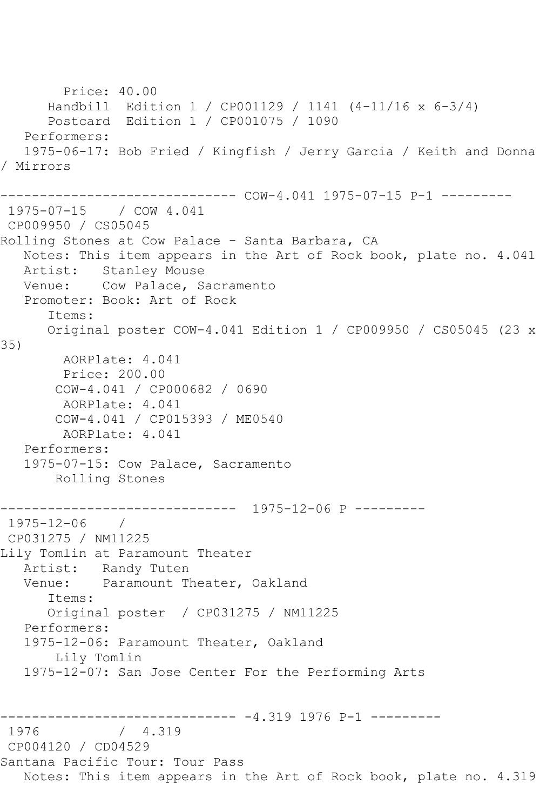Price: 40.00 Handbill Edition 1 / CP001129 / 1141 (4-11/16 x 6-3/4) Postcard Edition 1 / CP001075 / 1090 Performers: 1975-06-17: Bob Fried / Kingfish / Jerry Garcia / Keith and Donna / Mirrors ------------------------------ COW-4.041 1975-07-15 P-1 --------- 1975-07-15 / COW 4.041 CP009950 / CS05045 Rolling Stones at Cow Palace - Santa Barbara, CA Notes: This item appears in the Art of Rock book, plate no. 4.041 Artist: Stanley Mouse Venue: Cow Palace, Sacramento Promoter: Book: Art of Rock Items: Original poster COW-4.041 Edition 1 / CP009950 / CS05045 (23 x 35) AORPlate: 4.041 Price: 200.00 COW-4.041 / CP000682 / 0690 AORPlate: 4.041 COW-4.041 / CP015393 / ME0540 AORPlate: 4.041 Performers: 1975-07-15: Cow Palace, Sacramento Rolling Stones ------------------------------ 1975-12-06 P --------- 1975-12-06 / CP031275 / NM11225 Lily Tomlin at Paramount Theater Artist: Randy Tuten Venue: Paramount Theater, Oakland Items: Original poster / CP031275 / NM11225 Performers: 1975-12-06: Paramount Theater, Oakland Lily Tomlin 1975-12-07: San Jose Center For the Performing Arts ------------------------------ -4.319 1976 P-1 ---------  $/ 4.319$ CP004120 / CD04529 Santana Pacific Tour: Tour Pass Notes: This item appears in the Art of Rock book, plate no. 4.319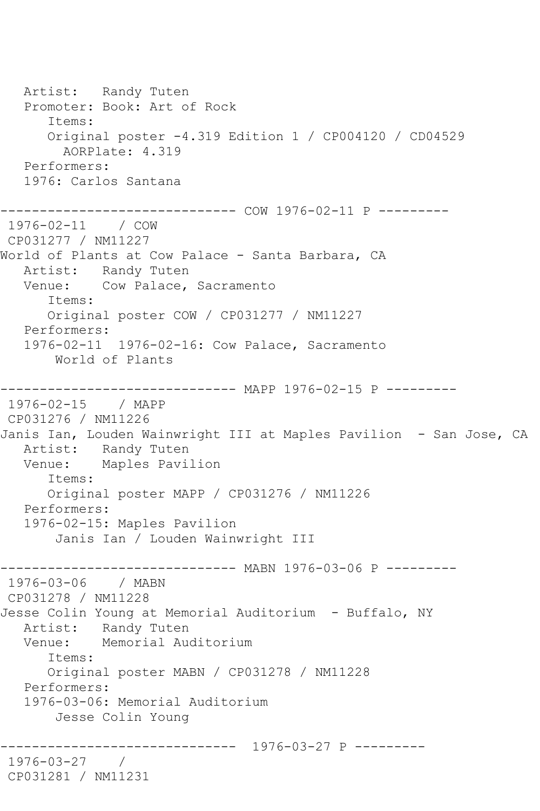Artist: Randy Tuten Promoter: Book: Art of Rock Items: Original poster -4.319 Edition 1 / CP004120 / CD04529 AORPlate: 4.319 Performers: 1976: Carlos Santana ------------------------------ COW 1976-02-11 P --------- 1976-02-11 / COW CP031277 / NM11227 World of Plants at Cow Palace - Santa Barbara, CA Artist: Randy Tuten Venue: Cow Palace, Sacramento Items: Original poster COW / CP031277 / NM11227 Performers: 1976-02-11 1976-02-16: Cow Palace, Sacramento World of Plants ------------------------------ MAPP 1976-02-15 P --------- 1976-02-15 / MAPP CP031276 / NM11226 Janis Ian, Louden Wainwright III at Maples Pavilion - San Jose, CA Artist: Randy Tuten<br>Venue: Maples Pavi Maples Pavilion Items: Original poster MAPP / CP031276 / NM11226 Performers: 1976-02-15: Maples Pavilion Janis Ian / Louden Wainwright III ------------------------------ MABN 1976-03-06 P --------- 1976-03-06 / MABN CP031278 / NM11228 Jesse Colin Young at Memorial Auditorium - Buffalo, NY Artist: Randy Tuten Venue: Memorial Auditorium Items: Original poster MABN / CP031278 / NM11228 Performers: 1976-03-06: Memorial Auditorium Jesse Colin Young ------------------------------ 1976-03-27 P --------- 1976-03-27 / CP031281 / NM11231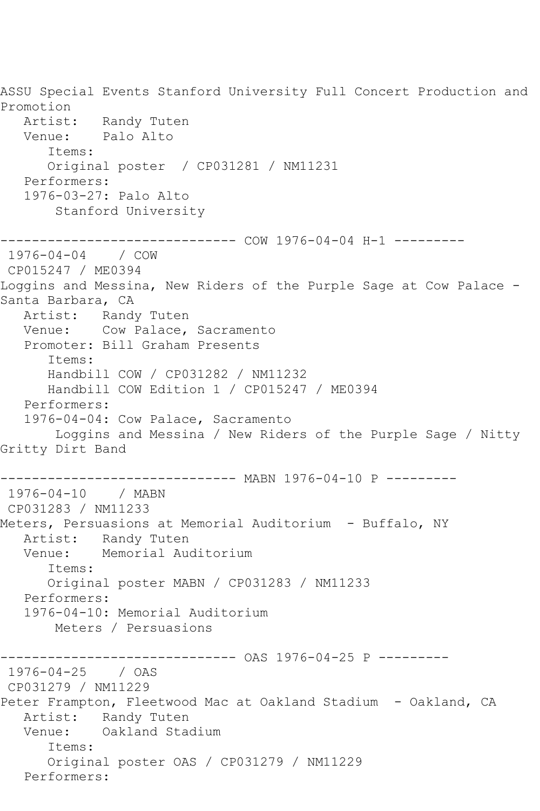ASSU Special Events Stanford University Full Concert Production and Promotion Artist: Randy Tuten Venue: Palo Alto Items: Original poster / CP031281 / NM11231 Performers: 1976-03-27: Palo Alto Stanford University ------------------------------ COW 1976-04-04 H-1 --------- 1976-04-04 / COW CP015247 / ME0394 Loggins and Messina, New Riders of the Purple Sage at Cow Palace - Santa Barbara, CA Artist: Randy Tuten Venue: Cow Palace, Sacramento Promoter: Bill Graham Presents Items: Handbill COW / CP031282 / NM11232 Handbill COW Edition 1 / CP015247 / ME0394 Performers: 1976-04-04: Cow Palace, Sacramento Loggins and Messina / New Riders of the Purple Sage / Nitty Gritty Dirt Band ------------------------------ MABN 1976-04-10 P --------- 1976-04-10 / MABN CP031283 / NM11233 Meters, Persuasions at Memorial Auditorium - Buffalo, NY Artist: Randy Tuten Venue: Memorial Auditorium Items: Original poster MABN / CP031283 / NM11233 Performers: 1976-04-10: Memorial Auditorium Meters / Persuasions ------------------------------ OAS 1976-04-25 P --------- 1976-04-25 / OAS CP031279 / NM11229 Peter Frampton, Fleetwood Mac at Oakland Stadium - Oakland, CA Artist: Randy Tuten Venue: Oakland Stadium Items: Original poster OAS / CP031279 / NM11229 Performers: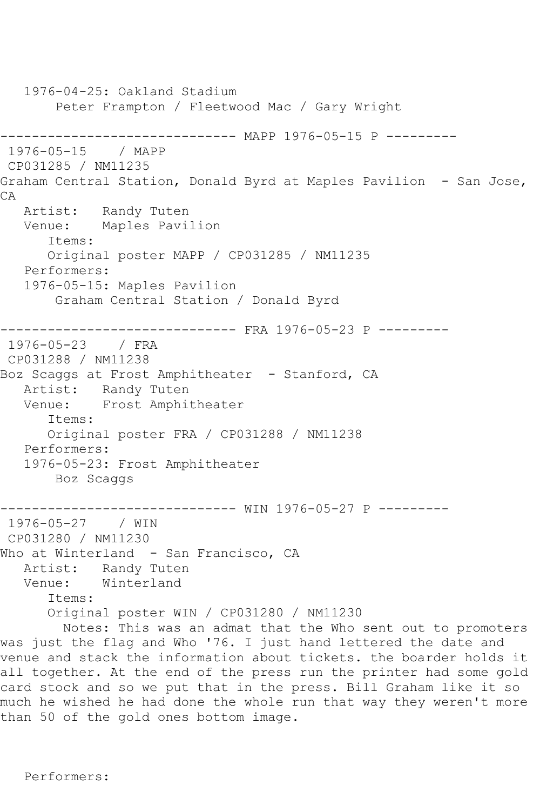1976-04-25: Oakland Stadium Peter Frampton / Fleetwood Mac / Gary Wright ------------------------------- MAPP 1976-05-15 P ---------<br>1976-05-15 / MAPP  $1976 - 05 - 15$ CP031285 / NM11235 Graham Central Station, Donald Byrd at Maples Pavilion - San Jose, CA Artist: Randy Tuten Venue: Maples Pavilion Items: Original poster MAPP / CP031285 / NM11235 Performers: 1976-05-15: Maples Pavilion Graham Central Station / Donald Byrd ------------------------------ FRA 1976-05-23 P --------- 1976-05-23 / FRA CP031288 / NM11238 Boz Scaggs at Frost Amphitheater - Stanford, CA Artist: Randy Tuten Venue: Frost Amphitheater Items: Original poster FRA / CP031288 / NM11238 Performers: 1976-05-23: Frost Amphitheater Boz Scaggs ------------------------------ WIN 1976-05-27 P --------- 1976-05-27 / WIN CP031280 / NM11230 Who at Winterland - San Francisco, CA Artist: Randy Tuten<br>Venue: Winterland Winterland Items: Original poster WIN / CP031280 / NM11230 Notes: This was an admat that the Who sent out to promoters was just the flag and Who '76. I just hand lettered the date and venue and stack the information about tickets. the boarder holds it all together. At the end of the press run the printer had some gold card stock and so we put that in the press. Bill Graham like it so much he wished he had done the whole run that way they weren't more than 50 of the gold ones bottom image.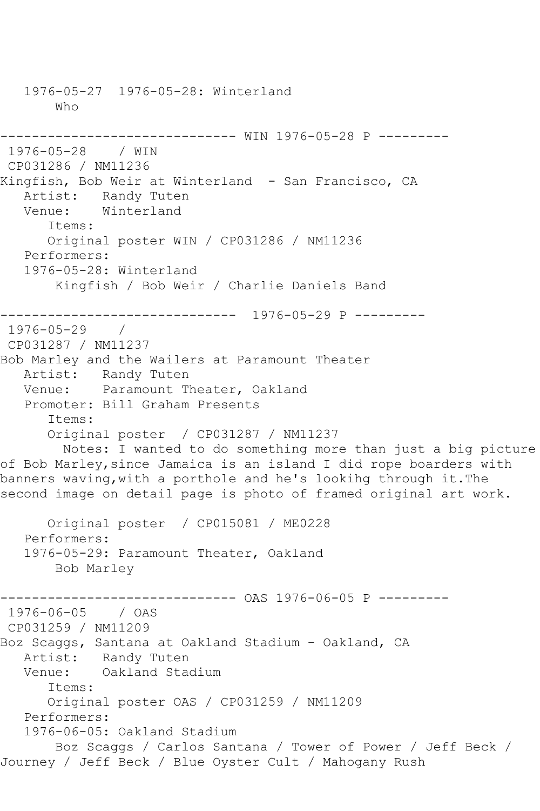1976-05-27 1976-05-28: Winterland Who ------------------------------ WIN 1976-05-28 P --------- 1976-05-28 / WIN CP031286 / NM11236 Kingfish, Bob Weir at Winterland - San Francisco, CA Artist: Randy Tuten Venue: Winterland Items: Original poster WIN / CP031286 / NM11236 Performers: 1976-05-28: Winterland Kingfish / Bob Weir / Charlie Daniels Band ------------------------------ 1976-05-29 P --------- 1976-05-29 / CP031287 / NM11237 Bob Marley and the Wailers at Paramount Theater Artist: Randy Tuten Venue: Paramount Theater, Oakland Promoter: Bill Graham Presents Items: Original poster / CP031287 / NM11237 Notes: I wanted to do something more than just a big picture of Bob Marley,since Jamaica is an island I did rope boarders with banners waving,with a porthole and he's lookihg through it.The second image on detail page is photo of framed original art work. Original poster / CP015081 / ME0228 Performers: 1976-05-29: Paramount Theater, Oakland Bob Marley ------------------------------ OAS 1976-06-05 P --------- 1976-06-05 / OAS CP031259 / NM11209 Boz Scaggs, Santana at Oakland Stadium - Oakland, CA Artist: Randy Tuten<br>Venue: Oakland Stad Oakland Stadium Items: Original poster OAS / CP031259 / NM11209 Performers: 1976-06-05: Oakland Stadium Boz Scaggs / Carlos Santana / Tower of Power / Jeff Beck / Journey / Jeff Beck / Blue Oyster Cult / Mahogany Rush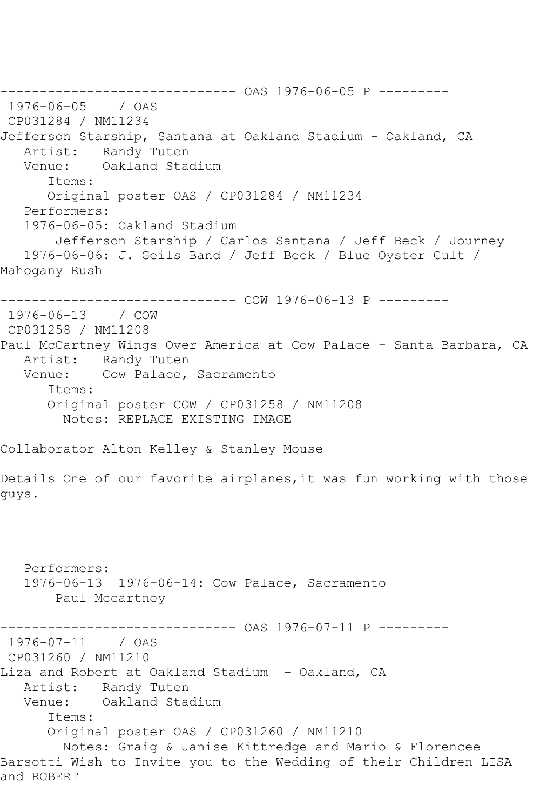------------------------------ OAS 1976-06-05 P --------- 1976-06-05 / OAS CP031284 / NM11234 Jefferson Starship, Santana at Oakland Stadium - Oakland, CA Artist: Randy Tuten Venue: Oakland Stadium Items: Original poster OAS / CP031284 / NM11234 Performers: 1976-06-05: Oakland Stadium Jefferson Starship / Carlos Santana / Jeff Beck / Journey 1976-06-06: J. Geils Band / Jeff Beck / Blue Oyster Cult / Mahogany Rush ------------------------------ COW 1976-06-13 P --------- 1976-06-13 / COW CP031258 / NM11208 Paul McCartney Wings Over America at Cow Palace - Santa Barbara, CA Artist: Randy Tuten Venue: Cow Palace, Sacramento Items: Original poster COW / CP031258 / NM11208 Notes: REPLACE EXISTING IMAGE Collaborator Alton Kelley & Stanley Mouse Details One of our favorite airplanes,it was fun working with those guys. Performers: 1976-06-13 1976-06-14: Cow Palace, Sacramento Paul Mccartney ------------------------------ OAS 1976-07-11 P --------- 1976-07-11 / OAS CP031260 / NM11210 Liza and Robert at Oakland Stadium - Oakland, CA Artist: Randy Tuten Venue: Oakland Stadium Items: Original poster OAS / CP031260 / NM11210 Notes: Graig & Janise Kittredge and Mario & Florencee Barsotti Wish to Invite you to the Wedding of their Children LISA and ROBERT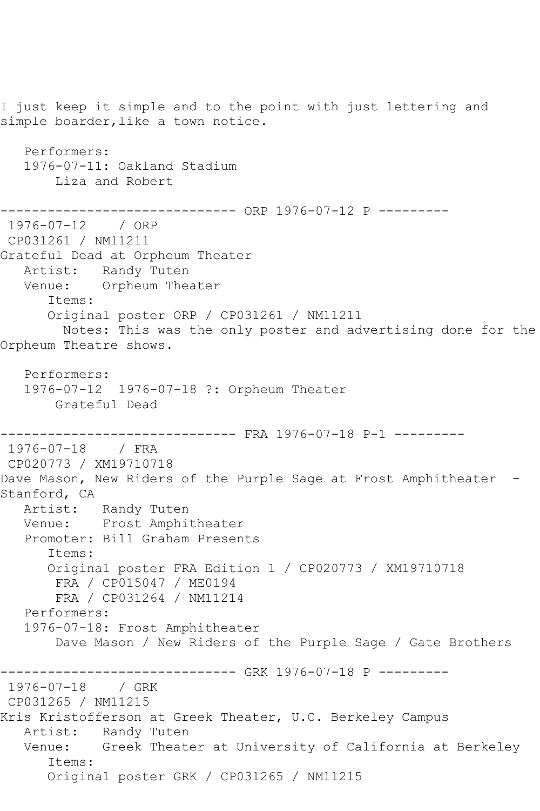I just keep it simple and to the point with just lettering and simple boarder, like a town notice. Performers: 1976-07-11: Oakland Stadium Liza and Robert ------------ ORP 1976-07-12 P ---------1976-07-12 / ORP CP031261 / NM11211 Grateful Dead at Orpheum Theater Artist: Randy Tuten Venue: Orpheum Theater Items: Original poster ORP / CP031261 / NM11211 Notes: This was the only poster and advertising done for the Orpheum Theatre shows. Performers: 1976-07-12 1976-07-18 ?: Orpheum Theater Grateful Dead ------------------------------ FRA 1976-07-18 P-1 --------- 1976-07-18 / FRA CP020773 / XM19710718 Dave Mason, New Riders of the Purple Sage at Frost Amphitheater -Stanford, CA Artist: Randy Tuten Venue: Frost Amphitheater Promoter: Bill Graham Presents Items: Original poster FRA Edition 1 / CP020773 / XM19710718 FRA / CP015047 / ME0194 FRA / CP031264 / NM11214 Performers: 1976-07-18: Frost Amphitheater Dave Mason / New Riders of the Purple Sage / Gate Brothers ------------------------------ GRK 1976-07-18 P --------- 1976-07-18 / GRK CP031265 / NM11215 Kris Kristofferson at Greek Theater, U.C. Berkeley Campus Artist: Randy Tuten Venue: Greek Theater at University of California at Berkeley Items: Original poster GRK / CP031265 / NM11215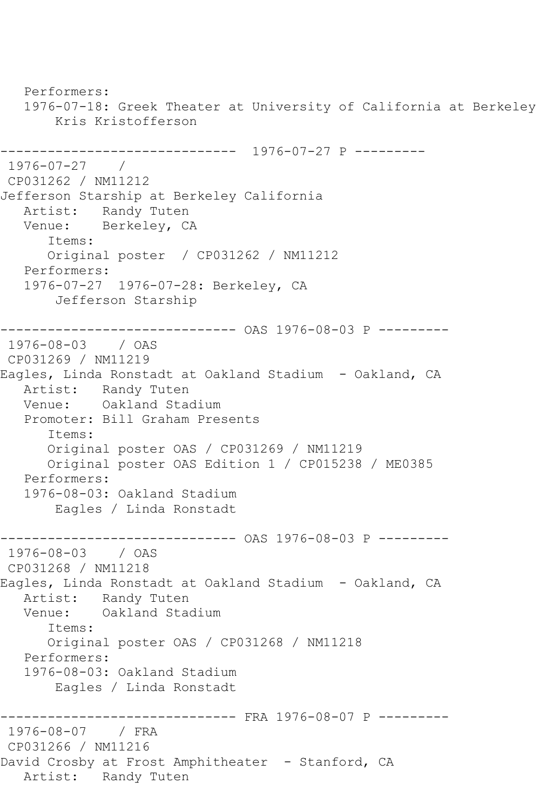Performers: 1976-07-18: Greek Theater at University of California at Berkeley Kris Kristofferson ------------------------------ 1976-07-27 P --------- 1976-07-27 / CP031262 / NM11212 Jefferson Starship at Berkeley California Artist: Randy Tuten Venue: Berkeley, CA Items: Original poster / CP031262 / NM11212 Performers: 1976-07-27 1976-07-28: Berkeley, CA Jefferson Starship ------------------------------ OAS 1976-08-03 P --------- 1976-08-03 / OAS CP031269 / NM11219 Eagles, Linda Ronstadt at Oakland Stadium - Oakland, CA Artist: Randy Tuten Venue: Oakland Stadium Promoter: Bill Graham Presents Items: Original poster OAS / CP031269 / NM11219 Original poster OAS Edition 1 / CP015238 / ME0385 Performers: 1976-08-03: Oakland Stadium Eagles / Linda Ronstadt ------------------------------ OAS 1976-08-03 P --------- 1976-08-03 / OAS CP031268 / NM11218 Eagles, Linda Ronstadt at Oakland Stadium - Oakland, CA Artist: Randy Tuten Venue: Oakland Stadium Items: Original poster OAS / CP031268 / NM11218 Performers: 1976-08-03: Oakland Stadium Eagles / Linda Ronstadt ------------------------------ FRA 1976-08-07 P --------- 1976-08-07 / FRA CP031266 / NM11216 David Crosby at Frost Amphitheater - Stanford, CA Artist: Randy Tuten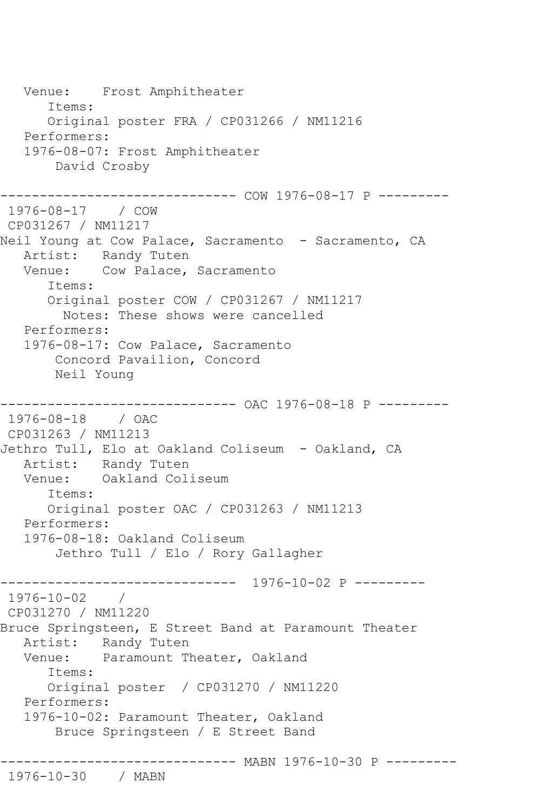Venue: Frost Amphitheater Items: Original poster FRA / CP031266 / NM11216 Performers: 1976-08-07: Frost Amphitheater David Crosby ------------------------------ COW 1976-08-17 P --------- 1976-08-17 / COW CP031267 / NM11217 Neil Young at Cow Palace, Sacramento - Sacramento, CA Artist: Randy Tuten Venue: Cow Palace, Sacramento Items: Original poster COW / CP031267 / NM11217 Notes: These shows were cancelled Performers: 1976-08-17: Cow Palace, Sacramento Concord Pavailion, Concord Neil Young ------------------------------ OAC 1976-08-18 P --------- 1976-08-18 / OAC CP031263 / NM11213 Jethro Tull, Elo at Oakland Coliseum - Oakland, CA Artist: Randy Tuten Venue: Oakland Coliseum Items: Original poster OAC / CP031263 / NM11213 Performers: 1976-08-18: Oakland Coliseum Jethro Tull / Elo / Rory Gallagher ------------------------------ 1976-10-02 P --------- 1976-10-02 / CP031270 / NM11220 Bruce Springsteen, E Street Band at Paramount Theater Artist: Randy Tuten Venue: Paramount Theater, Oakland Items: Original poster / CP031270 / NM11220 Performers: 1976-10-02: Paramount Theater, Oakland Bruce Springsteen / E Street Band ------------------------------ MABN 1976-10-30 P --------- 1976-10-30 / MABN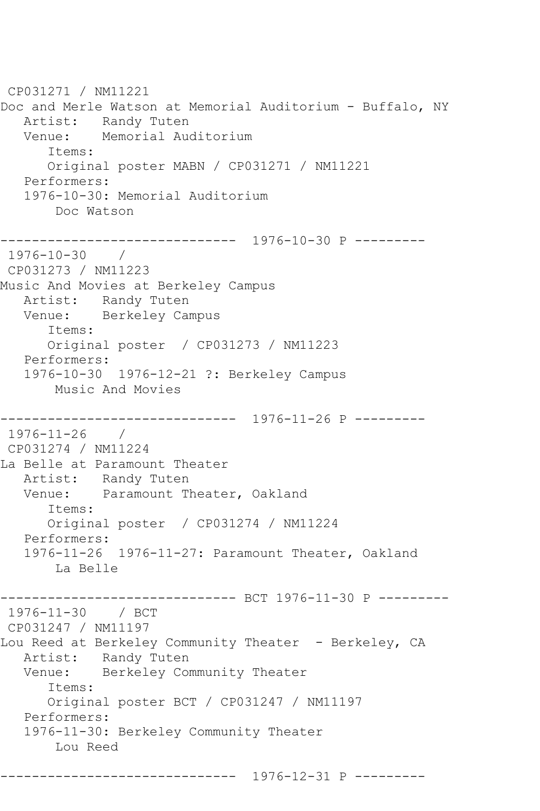CP031271 / NM11221 Doc and Merle Watson at Memorial Auditorium - Buffalo, NY Artist: Randy Tuten Venue: Memorial Auditorium Items: Original poster MABN / CP031271 / NM11221 Performers: 1976-10-30: Memorial Auditorium Doc Watson ------------------------------ 1976-10-30 P --------- 1976-10-30 / CP031273 / NM11223 Music And Movies at Berkeley Campus Artist: Randy Tuten Venue: Berkeley Campus Items: Original poster / CP031273 / NM11223 Performers: 1976-10-30 1976-12-21 ?: Berkeley Campus Music And Movies ------------------------------ 1976-11-26 P --------- 1976-11-26 / CP031274 / NM11224 La Belle at Paramount Theater Artist: Randy Tuten Venue: Paramount Theater, Oakland Items: Original poster / CP031274 / NM11224 Performers: 1976-11-26 1976-11-27: Paramount Theater, Oakland La Belle --------- BCT 1976-11-30 P ---------1976-11-30 / BCT CP031247 / NM11197 Lou Reed at Berkeley Community Theater - Berkeley, CA Artist: Randy Tuten<br>Venue: Berkelev Com Berkeley Community Theater Items: Original poster BCT / CP031247 / NM11197 Performers: 1976-11-30: Berkeley Community Theater Lou Reed ------------------------------ 1976-12-31 P ---------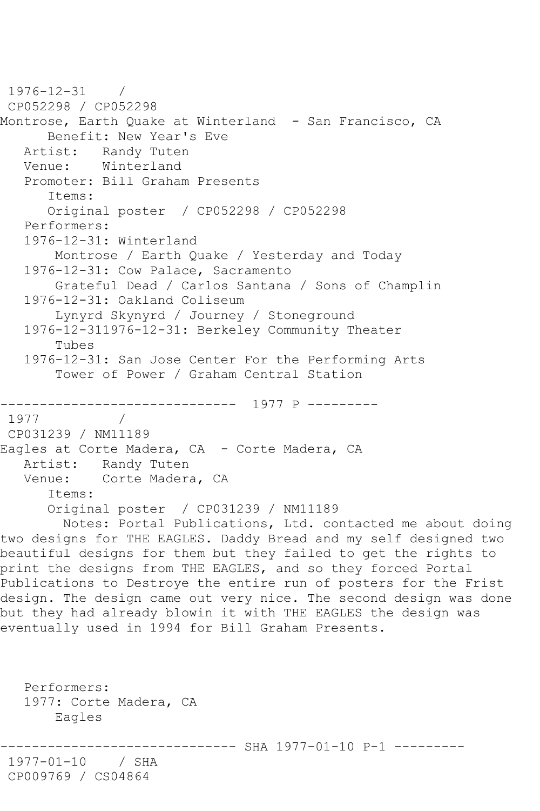```
1976-12-31 / 
CP052298 / CP052298
Montrose, Earth Quake at Winterland - San Francisco, CA
      Benefit: New Year's Eve
   Artist: Randy Tuten
   Venue: Winterland
   Promoter: Bill Graham Presents
       Items:
      Original poster / CP052298 / CP052298
   Performers:
   1976-12-31: Winterland
       Montrose / Earth Quake / Yesterday and Today
   1976-12-31: Cow Palace, Sacramento
       Grateful Dead / Carlos Santana / Sons of Champlin
   1976-12-31: Oakland Coliseum
        Lynyrd Skynyrd / Journey / Stoneground
   1976-12-311976-12-31: Berkeley Community Theater
        Tubes
   1976-12-31: San Jose Center For the Performing Arts
       Tower of Power / Graham Central Station
      ------------------------------ 1977 P ---------
1977 / 
CP031239 / NM11189
Eagles at Corte Madera, CA - Corte Madera, CA
   Artist: Randy Tuten
   Venue: Corte Madera, CA
      Items:
      Original poster / CP031239 / NM11189
        Notes: Portal Publications, Ltd. contacted me about doing 
two designs for THE EAGLES. Daddy Bread and my self designed two 
beautiful designs for them but they failed to get the rights to 
print the designs from THE EAGLES, and so they forced Portal 
Publications to Destroye the entire run of posters for the Frist 
design. The design came out very nice. The second design was done 
but they had already blowin it with THE EAGLES the design was 
eventually used in 1994 for Bill Graham Presents.
   Performers:
   1977: Corte Madera, CA
       Eagles
                     ---------- SHA 1977-01-10 P-1 ---------
1977-01-10 / SHA 
CP009769 / CS04864
```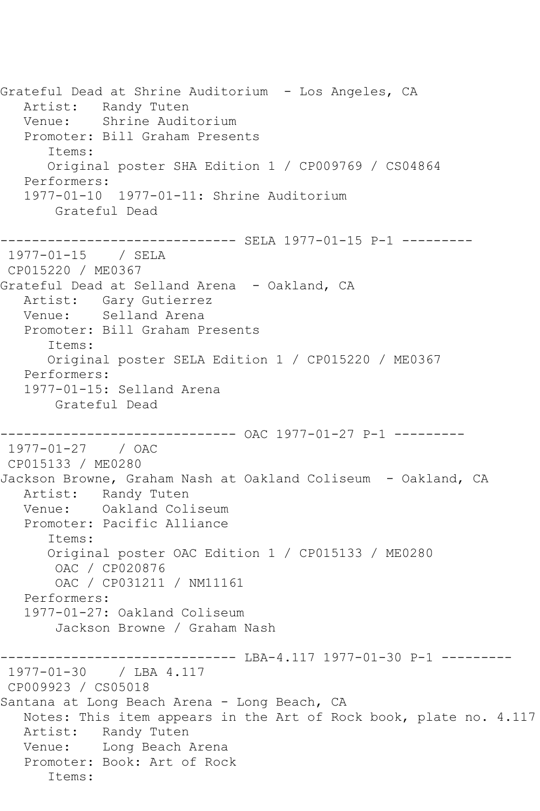Grateful Dead at Shrine Auditorium - Los Angeles, CA Artist: Randy Tuten Venue: Shrine Auditorium Promoter: Bill Graham Presents Items: Original poster SHA Edition 1 / CP009769 / CS04864 Performers: 1977-01-10 1977-01-11: Shrine Auditorium Grateful Dead ------------------------------ SELA 1977-01-15 P-1 --------- 1977-01-15 / SELA CP015220 / ME0367 Grateful Dead at Selland Arena - Oakland, CA Artist: Gary Gutierrez Venue: Selland Arena Promoter: Bill Graham Presents Items: Original poster SELA Edition 1 / CP015220 / ME0367 Performers: 1977-01-15: Selland Arena Grateful Dead ------------------------------ OAC 1977-01-27 P-1 --------- 1977-01-27 / OAC CP015133 / ME0280 Jackson Browne, Graham Nash at Oakland Coliseum - Oakland, CA Artist: Randy Tuten Venue: Oakland Coliseum Promoter: Pacific Alliance Items: Original poster OAC Edition 1 / CP015133 / ME0280 OAC / CP020876 OAC / CP031211 / NM11161 Performers: 1977-01-27: Oakland Coliseum Jackson Browne / Graham Nash ------------------------------ LBA-4.117 1977-01-30 P-1 --------- 1977-01-30 / LBA 4.117 CP009923 / CS05018 Santana at Long Beach Arena - Long Beach, CA Notes: This item appears in the Art of Rock book, plate no. 4.117 Artist: Randy Tuten Venue: Long Beach Arena Promoter: Book: Art of Rock Items: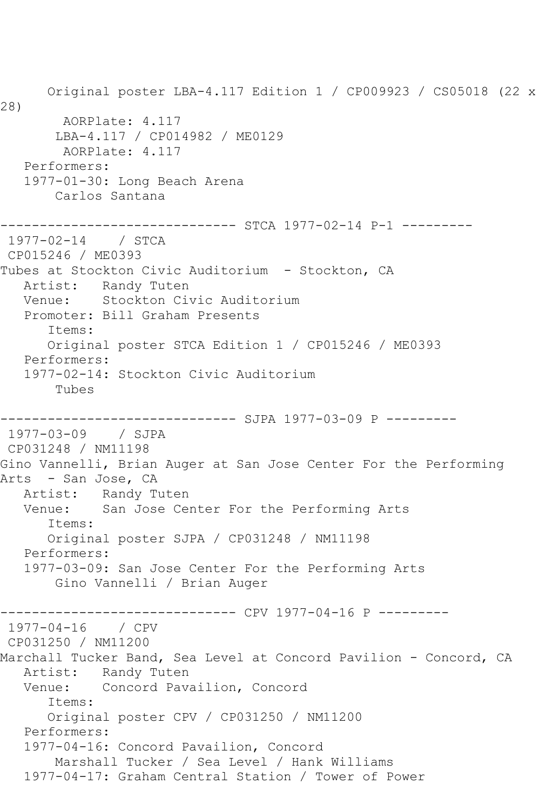Original poster LBA-4.117 Edition 1 / CP009923 / CS05018 (22 x 28) AORPlate: 4.117 LBA-4.117 / CP014982 / ME0129 AORPlate: 4.117 Performers: 1977-01-30: Long Beach Arena Carlos Santana ------------------------------ STCA 1977-02-14 P-1 --------- 1977-02-14 / STCA CP015246 / ME0393 Tubes at Stockton Civic Auditorium - Stockton, CA Artist: Randy Tuten Venue: Stockton Civic Auditorium Promoter: Bill Graham Presents Items: Original poster STCA Edition 1 / CP015246 / ME0393 Performers: 1977-02-14: Stockton Civic Auditorium Tubes ------------------------------ SJPA 1977-03-09 P --------- 1977-03-09 / SJPA CP031248 / NM11198 Gino Vannelli, Brian Auger at San Jose Center For the Performing Arts - San Jose, CA Artist: Randy Tuten Venue: San Jose Center For the Performing Arts Items: Original poster SJPA / CP031248 / NM11198 Performers: 1977-03-09: San Jose Center For the Performing Arts Gino Vannelli / Brian Auger ------------------------------ CPV 1977-04-16 P --------- 1977-04-16 / CPV CP031250 / NM11200 Marchall Tucker Band, Sea Level at Concord Pavilion - Concord, CA Artist: Randy Tuten Venue: Concord Pavailion, Concord Items: Original poster CPV / CP031250 / NM11200 Performers: 1977-04-16: Concord Pavailion, Concord Marshall Tucker / Sea Level / Hank Williams 1977-04-17: Graham Central Station / Tower of Power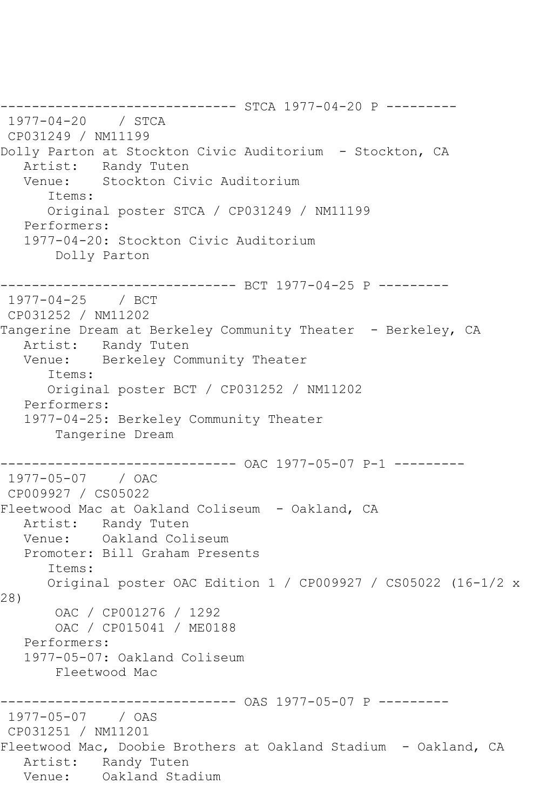------------------------------ STCA 1977-04-20 P --------- 1977-04-20 / STCA CP031249 / NM11199 Dolly Parton at Stockton Civic Auditorium - Stockton, CA Artist: Randy Tuten Venue: Stockton Civic Auditorium Items: Original poster STCA / CP031249 / NM11199 Performers: 1977-04-20: Stockton Civic Auditorium Dolly Parton ------------------------------ BCT 1977-04-25 P --------- 1977-04-25 / BCT CP031252 / NM11202 Tangerine Dream at Berkeley Community Theater - Berkeley, CA Artist: Randy Tuten Venue: Berkeley Community Theater Items: Original poster BCT / CP031252 / NM11202 Performers: 1977-04-25: Berkeley Community Theater Tangerine Dream ------------------------------ OAC 1977-05-07 P-1 --------- 1977-05-07 / OAC CP009927 / CS05022 Fleetwood Mac at Oakland Coliseum - Oakland, CA Artist: Randy Tuten Venue: Oakland Coliseum Promoter: Bill Graham Presents Items: Original poster OAC Edition 1 / CP009927 / CS05022 (16-1/2 x 28) OAC / CP001276 / 1292 OAC / CP015041 / ME0188 Performers: 1977-05-07: Oakland Coliseum Fleetwood Mac ------------------------------ OAS 1977-05-07 P --------- 1977-05-07 / OAS CP031251 / NM11201 Fleetwood Mac, Doobie Brothers at Oakland Stadium - Oakland, CA Artist: Randy Tuten Venue: Oakland Stadium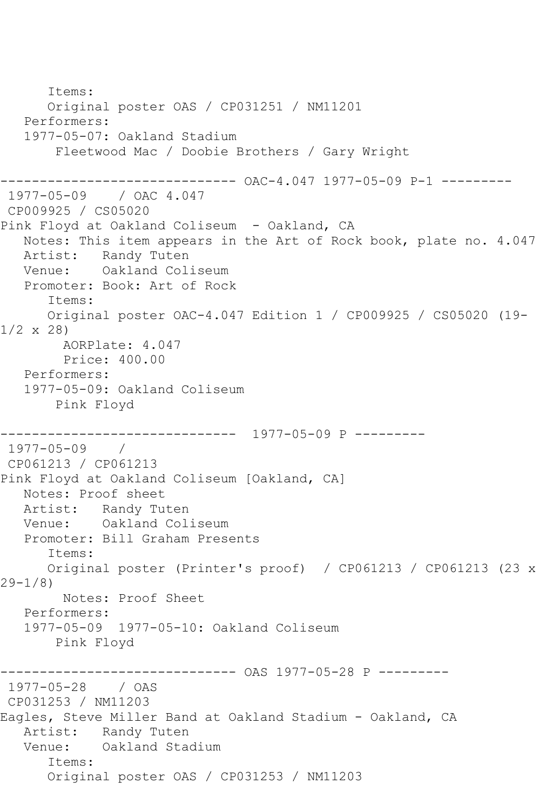```
 Items:
      Original poster OAS / CP031251 / NM11201
   Performers:
   1977-05-07: Oakland Stadium
        Fleetwood Mac / Doobie Brothers / Gary Wright
------------------------------ OAC-4.047 1977-05-09 P-1 ---------
1977-05-09 / OAC 4.047
CP009925 / CS05020
Pink Floyd at Oakland Coliseum - Oakland, CA
   Notes: This item appears in the Art of Rock book, plate no. 4.047
   Artist: Randy Tuten
   Venue: Oakland Coliseum
   Promoter: Book: Art of Rock
      Items:
      Original poster OAC-4.047 Edition 1 / CP009925 / CS05020 (19-
1/2 x 28)
        AORPlate: 4.047 
        Price: 400.00
   Performers:
   1977-05-09: Oakland Coliseum
       Pink Floyd
------------------------------ 1977-05-09 P ---------
1977-05-09 / 
CP061213 / CP061213
Pink Floyd at Oakland Coliseum [Oakland, CA]
   Notes: Proof sheet
   Artist: Randy Tuten
   Venue: Oakland Coliseum
   Promoter: Bill Graham Presents
      Items:
      Original poster (Printer's proof) / CP061213 / CP061213 (23 x 
29-1/8)
        Notes: Proof Sheet
   Performers:
   1977-05-09 1977-05-10: Oakland Coliseum
        Pink Floyd
------------------------------ OAS 1977-05-28 P ---------
1977-05-28 / OAS 
CP031253 / NM11203
Eagles, Steve Miller Band at Oakland Stadium - Oakland, CA
   Artist: Randy Tuten
   Venue: Oakland Stadium
      Items:
      Original poster OAS / CP031253 / NM11203
```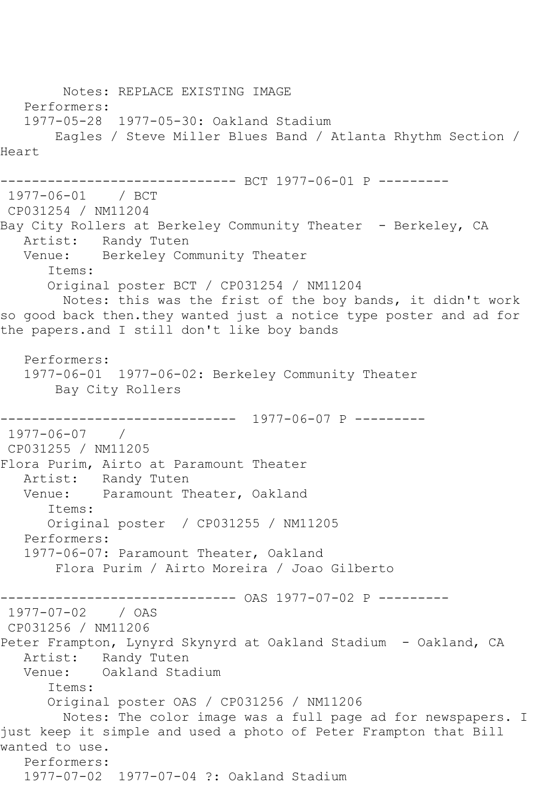Notes: REPLACE EXISTING IMAGE Performers: 1977-05-28 1977-05-30: Oakland Stadium Eagles / Steve Miller Blues Band / Atlanta Rhythm Section / Heart ------------------------------ BCT 1977-06-01 P --------- 1977-06-01 / BCT CP031254 / NM11204 Bay City Rollers at Berkeley Community Theater - Berkeley, CA Artist: Randy Tuten Venue: Berkeley Community Theater Items: Original poster BCT / CP031254 / NM11204 Notes: this was the frist of the boy bands, it didn't work so good back then.they wanted just a notice type poster and ad for the papers.and I still don't like boy bands Performers: 1977-06-01 1977-06-02: Berkeley Community Theater Bay City Rollers ------------------------------ 1977-06-07 P --------- 1977-06-07 / CP031255 / NM11205 Flora Purim, Airto at Paramount Theater Artist: Randy Tuten Venue: Paramount Theater, Oakland Items: Original poster / CP031255 / NM11205 Performers: 1977-06-07: Paramount Theater, Oakland Flora Purim / Airto Moreira / Joao Gilberto ------------------------------ OAS 1977-07-02 P --------- 1977-07-02 / OAS CP031256 / NM11206 Peter Frampton, Lynyrd Skynyrd at Oakland Stadium - Oakland, CA Artist: Randy Tuten<br>Venue: Oakland Stad Oakland Stadium Items: Original poster OAS / CP031256 / NM11206 Notes: The color image was a full page ad for newspapers. I just keep it simple and used a photo of Peter Frampton that Bill wanted to use. Performers: 1977-07-02 1977-07-04 ?: Oakland Stadium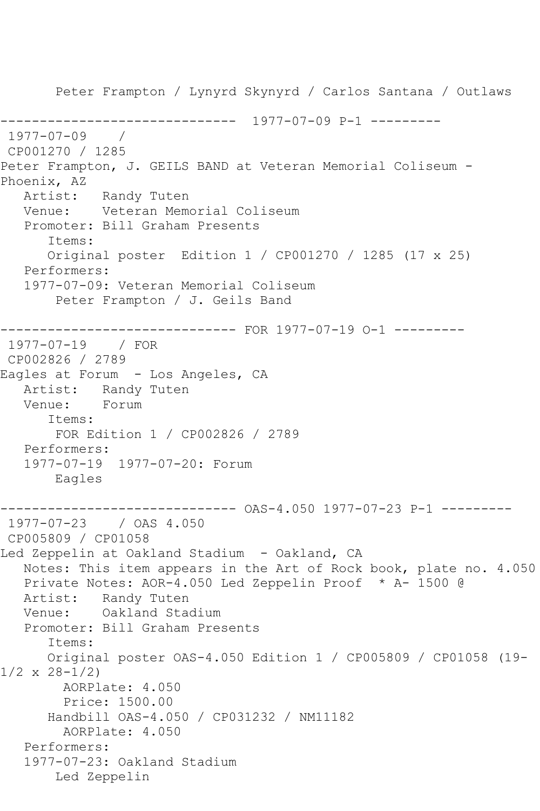Peter Frampton / Lynyrd Skynyrd / Carlos Santana / Outlaws ------------------------------ 1977-07-09 P-1 --------- 1977-07-09 / CP001270 / 1285 Peter Frampton, J. GEILS BAND at Veteran Memorial Coliseum - Phoenix, AZ<br>Artist: Randy Tuten Venue: Veteran Memorial Coliseum Promoter: Bill Graham Presents Items: Original poster Edition 1 / CP001270 / 1285 (17 x 25) Performers: 1977-07-09: Veteran Memorial Coliseum Peter Frampton / J. Geils Band ------------------------------ FOR 1977-07-19 O-1 --------- 1977-07-19 / FOR CP002826 / 2789 Eagles at Forum - Los Angeles, CA Artist: Randy Tuten Venue: Forum Items: FOR Edition 1 / CP002826 / 2789 Performers: 1977-07-19 1977-07-20: Forum Eagles ------------------------------ OAS-4.050 1977-07-23 P-1 --------- 1977-07-23 / OAS 4.050 CP005809 / CP01058 Led Zeppelin at Oakland Stadium - Oakland, CA Notes: This item appears in the Art of Rock book, plate no. 4.050 Private Notes: AOR-4.050 Led Zeppelin Proof \* A- 1500 @ Artist: Randy Tuten Venue: Oakland Stadium Promoter: Bill Graham Presents Items: Original poster OAS-4.050 Edition 1 / CP005809 / CP01058 (19-  $1/2 \times 28 - 1/2$  AORPlate: 4.050 Price: 1500.00 Handbill OAS-4.050 / CP031232 / NM11182 AORPlate: 4.050 Performers: 1977-07-23: Oakland Stadium Led Zeppelin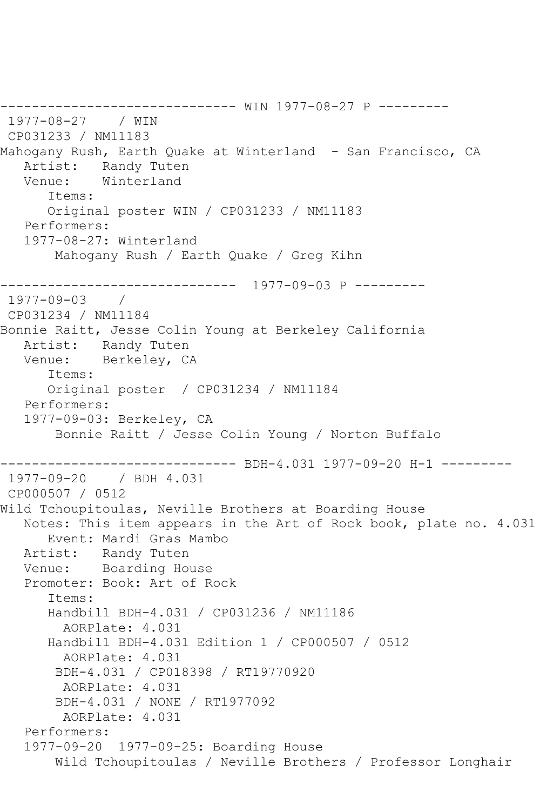```
------------------------------ WIN 1977-08-27 P ---------
1977-08-27 / WIN 
CP031233 / NM11183
Mahogany Rush, Earth Quake at Winterland - San Francisco, CA
  Artist: Randy Tuten<br>Venue: Winterland
            Winterland
       Items:
      Original poster WIN / CP031233 / NM11183
   Performers:
   1977-08-27: Winterland
        Mahogany Rush / Earth Quake / Greg Kihn
------------------------------ 1977-09-03 P ---------
1977-09-03 / 
CP031234 / NM11184
Bonnie Raitt, Jesse Colin Young at Berkeley California
   Artist: Randy Tuten
   Venue: Berkeley, CA
       Items:
      Original poster / CP031234 / NM11184
   Performers:
   1977-09-03: Berkeley, CA
        Bonnie Raitt / Jesse Colin Young / Norton Buffalo
------------------------------ BDH-4.031 1977-09-20 H-1 ---------
1977-09-20 / BDH 4.031
CP000507 / 0512
Wild Tchoupitoulas, Neville Brothers at Boarding House
   Notes: This item appears in the Art of Rock book, plate no. 4.031
      Event: Mardi Gras Mambo
   Artist: Randy Tuten
   Venue: Boarding House
   Promoter: Book: Art of Rock
       Items:
      Handbill BDH-4.031 / CP031236 / NM11186
         AORPlate: 4.031 
       Handbill BDH-4.031 Edition 1 / CP000507 / 0512
        AORPlate: 4.031 
        BDH-4.031 / CP018398 / RT19770920
         AORPlate: 4.031 
        BDH-4.031 / NONE / RT1977092
         AORPlate: 4.031 
   Performers:
   1977-09-20 1977-09-25: Boarding House
        Wild Tchoupitoulas / Neville Brothers / Professor Longhair
```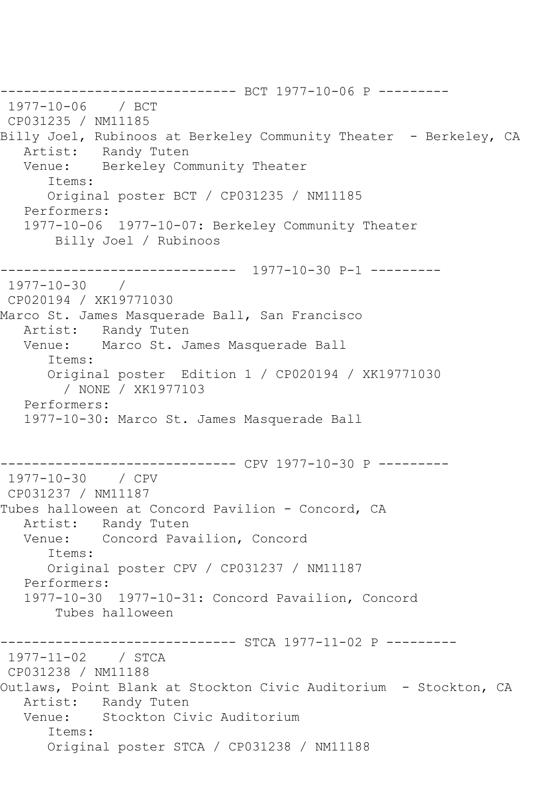------------------------------ BCT 1977-10-06 P --------- 1977-10-06 / BCT CP031235 / NM11185 Billy Joel, Rubinoos at Berkeley Community Theater - Berkeley, CA Artist: Randy Tuten Venue: Berkeley Community Theater Items: Original poster BCT / CP031235 / NM11185 Performers: 1977-10-06 1977-10-07: Berkeley Community Theater Billy Joel / Rubinoos ------------------------------ 1977-10-30 P-1 --------- 1977-10-30 / CP020194 / XK19771030 Marco St. James Masquerade Ball, San Francisco Artist: Randy Tuten Venue: Marco St. James Masquerade Ball Items: Original poster Edition 1 / CP020194 / XK19771030 / NONE / XK1977103 Performers: 1977-10-30: Marco St. James Masquerade Ball ------------------------------ CPV 1977-10-30 P --------- 1977-10-30 / CPV CP031237 / NM11187 Tubes halloween at Concord Pavilion - Concord, CA Artist: Randy Tuten Venue: Concord Pavailion, Concord Items: Original poster CPV / CP031237 / NM11187 Performers: 1977-10-30 1977-10-31: Concord Pavailion, Concord Tubes halloween -------------------- STCA 1977-11-02 P ---------1977-11-02 / STCA CP031238 / NM11188 Outlaws, Point Blank at Stockton Civic Auditorium - Stockton, CA Artist: Randy Tuten Venue: Stockton Civic Auditorium Items: Original poster STCA / CP031238 / NM11188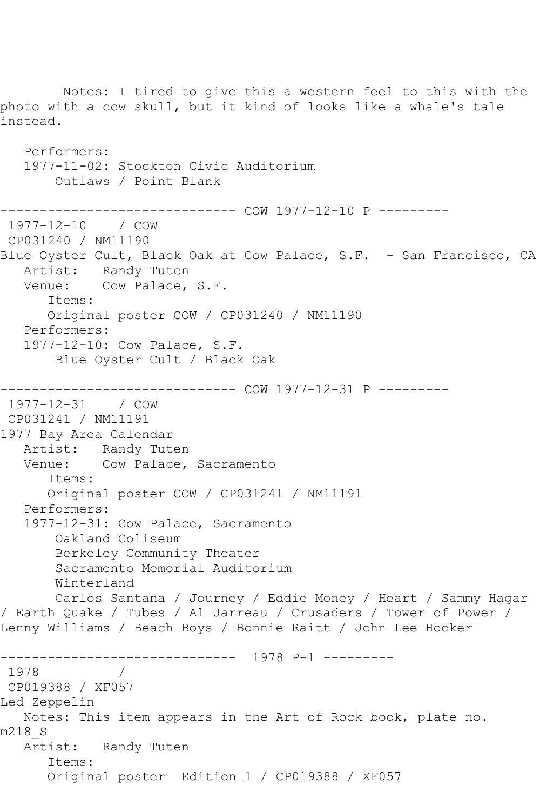Notes: I tired to give this a western feel to this with the photo with a cow skull, but it kind of looks like a whale's tale instead. Performers: 1977-11-02: Stockton Civic Auditorium Outlaws / Point Blank ------------------------------ COW 1977-12-10 P --------- 1977-12-10 / COW CP031240 / NM11190 Blue Oyster Cult, Black Oak at Cow Palace, S.F. - San Francisco, CA Artist: Randy Tuten Venue: Cow Palace, S.F. Items: Original poster COW / CP031240 / NM11190 Performers: 1977-12-10: Cow Palace, S.F. Blue Oyster Cult / Black Oak ------------------------------ COW 1977-12-31 P --------- 1977-12-31 / COW CP031241 / NM11191 1977 Bay Area Calendar Artist: Randy Tuten<br>Venue: Cow Palace, Cow Palace, Sacramento Items: Original poster COW / CP031241 / NM11191 Performers: 1977-12-31: Cow Palace, Sacramento Oakland Coliseum Berkeley Community Theater Sacramento Memorial Auditorium Winterland Carlos Santana / Journey / Eddie Money / Heart / Sammy Hagar / Earth Quake / Tubes / Al Jarreau / Crusaders / Tower of Power / Lenny Williams / Beach Boys / Bonnie Raitt / John Lee Hooker ------------------------------ 1978 P-1 --------- 1978 / CP019388 / XF057 Led Zeppelin Notes: This item appears in the Art of Rock book, plate no. m218\_S Artist: Randy Tuten Items: Original poster Edition 1 / CP019388 / XF057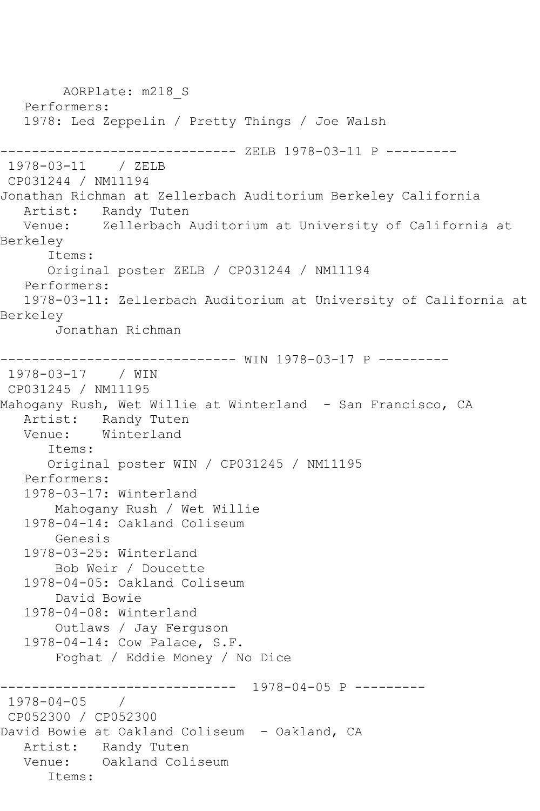AORPlate: m218\_S Performers: 1978: Led Zeppelin / Pretty Things / Joe Walsh ------------------------------ ZELB 1978-03-11 P --------- 1978-03-11 / ZELB CP031244 / NM11194 Jonathan Richman at Zellerbach Auditorium Berkeley California Artist: Randy Tuten<br>Venue: Zellerbach R Zellerbach Auditorium at University of California at Berkeley Items: Original poster ZELB / CP031244 / NM11194 Performers: 1978-03-11: Zellerbach Auditorium at University of California at Berkeley Jonathan Richman ------------------------------ WIN 1978-03-17 P --------- 1978-03-17 / WIN CP031245 / NM11195 Mahogany Rush, Wet Willie at Winterland - San Francisco, CA Artist: Randy Tuten<br>Venue: Winterland Winterland Items: Original poster WIN / CP031245 / NM11195 Performers: 1978-03-17: Winterland Mahogany Rush / Wet Willie 1978-04-14: Oakland Coliseum Genesis 1978-03-25: Winterland Bob Weir / Doucette 1978-04-05: Oakland Coliseum David Bowie 1978-04-08: Winterland Outlaws / Jay Ferguson 1978-04-14: Cow Palace, S.F. Foghat / Eddie Money / No Dice ------------------------------ 1978-04-05 P --------- 1978-04-05 / CP052300 / CP052300 David Bowie at Oakland Coliseum - Oakland, CA Artist: Randy Tuten Venue: Oakland Coliseum Items: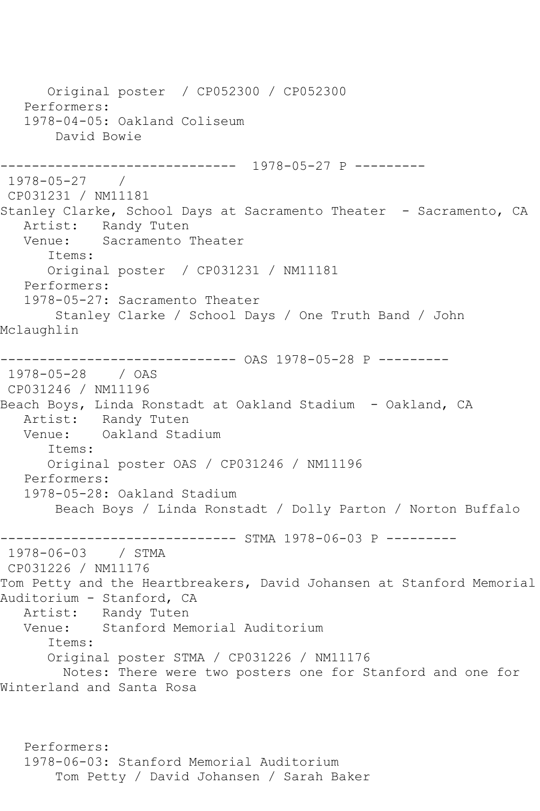Original poster / CP052300 / CP052300 Performers: 1978-04-05: Oakland Coliseum David Bowie ------------------------------ 1978-05-27 P --------- 1978-05-27 / CP031231 / NM11181 Stanley Clarke, School Days at Sacramento Theater - Sacramento, CA Artist: Randy Tuten<br>Venue: Sacramento ' Sacramento Theater Items: Original poster / CP031231 / NM11181 Performers: 1978-05-27: Sacramento Theater Stanley Clarke / School Days / One Truth Band / John Mclaughlin ------------------------------ OAS 1978-05-28 P --------- 1978-05-28 / OAS CP031246 / NM11196 Beach Boys, Linda Ronstadt at Oakland Stadium - Oakland, CA Artist: Randy Tuten<br>Venue: Oakland Stad Oakland Stadium Items: Original poster OAS / CP031246 / NM11196 Performers: 1978-05-28: Oakland Stadium Beach Boys / Linda Ronstadt / Dolly Parton / Norton Buffalo ------------------------------ STMA 1978-06-03 P --------- 1978-06-03 / STMA CP031226 / NM11176 Tom Petty and the Heartbreakers, David Johansen at Stanford Memorial Auditorium - Stanford, CA Artist: Randy Tuten<br>Venue: Stanford Mer Stanford Memorial Auditorium Items: Original poster STMA / CP031226 / NM11176 Notes: There were two posters one for Stanford and one for Winterland and Santa Rosa

 Performers: 1978-06-03: Stanford Memorial Auditorium Tom Petty / David Johansen / Sarah Baker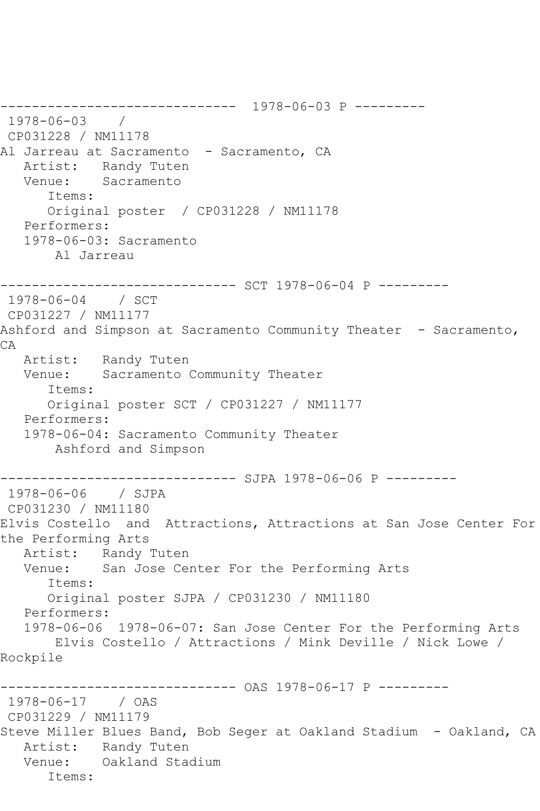------------------------------ 1978-06-03 P --------- 1978-06-03 / CP031228 / NM11178 Al Jarreau at Sacramento - Sacramento, CA Artist: Randy Tuten Venue: Sacramento Items: Original poster / CP031228 / NM11178 Performers: 1978-06-03: Sacramento Al Jarreau ------------------------------ SCT 1978-06-04 P --------- 1978-06-04 / SCT CP031227 / NM11177 Ashford and Simpson at Sacramento Community Theater - Sacramento, CA Artist: Randy Tuten Venue: Sacramento Community Theater Items: Original poster SCT / CP031227 / NM11177 Performers: 1978-06-04: Sacramento Community Theater Ashford and Simpson ------------------------------ SJPA 1978-06-06 P --------- 1978-06-06 / SJPA CP031230 / NM11180 Elvis Costello and Attractions, Attractions at San Jose Center For the Performing Arts Artist: Randy Tuten Venue: San Jose Center For the Performing Arts Items: Original poster SJPA / CP031230 / NM11180 Performers: 1978-06-06 1978-06-07: San Jose Center For the Performing Arts Elvis Costello / Attractions / Mink Deville / Nick Lowe / Rockpile ------------------------------ OAS 1978-06-17 P --------- 1978-06-17 / OAS CP031229 / NM11179 Steve Miller Blues Band, Bob Seger at Oakland Stadium - Oakland, CA Artist: Randy Tuten Venue: Oakland Stadium Items: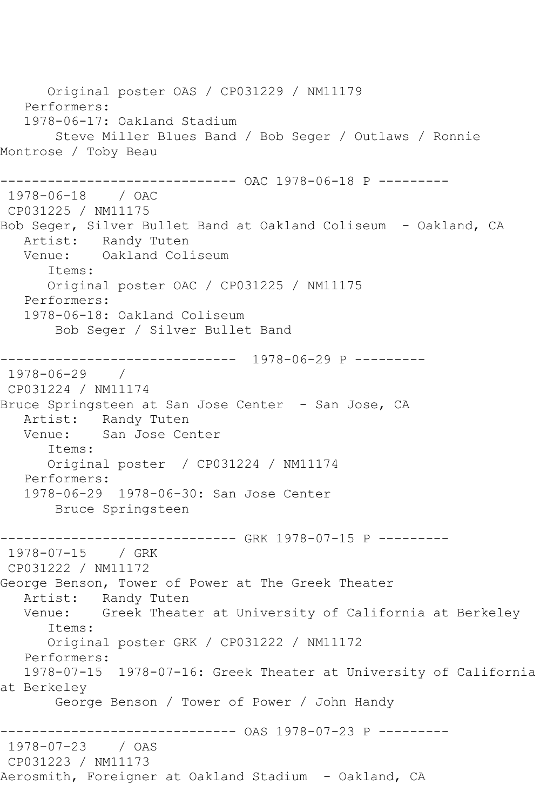Original poster OAS / CP031229 / NM11179 Performers: 1978-06-17: Oakland Stadium Steve Miller Blues Band / Bob Seger / Outlaws / Ronnie Montrose / Toby Beau ------------------------------ OAC 1978-06-18 P --------- 1978-06-18 / OAC CP031225 / NM11175 Bob Seger, Silver Bullet Band at Oakland Coliseum - Oakland, CA Artist: Randy Tuten Venue: Oakland Coliseum Items: Original poster OAC / CP031225 / NM11175 Performers: 1978-06-18: Oakland Coliseum Bob Seger / Silver Bullet Band ------------------------------ 1978-06-29 P --------- 1978-06-29 / CP031224 / NM11174 Bruce Springsteen at San Jose Center - San Jose, CA Artist: Randy Tuten<br>Venue: San Jose Cer San Jose Center Items: Original poster / CP031224 / NM11174 Performers: 1978-06-29 1978-06-30: San Jose Center Bruce Springsteen ------------------------------ GRK 1978-07-15 P --------- 1978-07-15 / GRK CP031222 / NM11172 George Benson, Tower of Power at The Greek Theater Artist: Randy Tuten Venue: Greek Theater at University of California at Berkeley Items: Original poster GRK / CP031222 / NM11172 Performers: 1978-07-15 1978-07-16: Greek Theater at University of California at Berkeley George Benson / Tower of Power / John Handy ------------------------------ OAS 1978-07-23 P --------- 1978-07-23 / OAS CP031223 / NM11173 Aerosmith, Foreigner at Oakland Stadium - Oakland, CA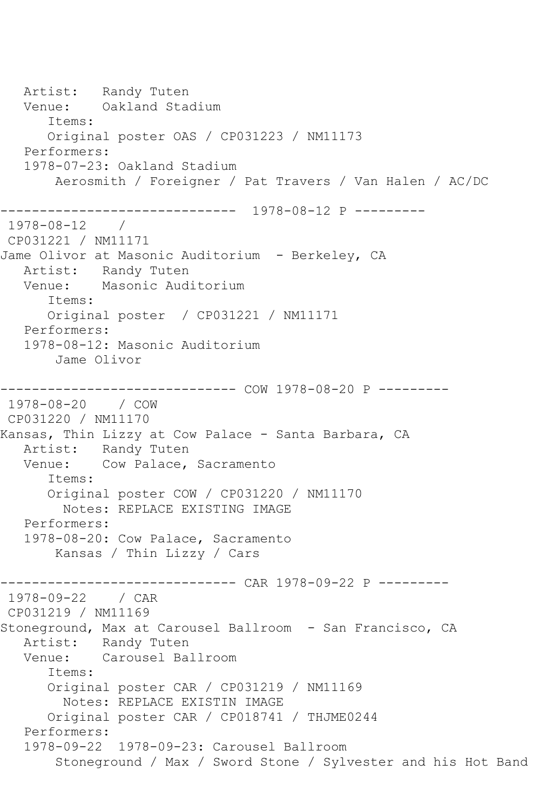Artist: Randy Tuten<br>Venue: Oakland Stad Oakland Stadium Items: Original poster OAS / CP031223 / NM11173 Performers: 1978-07-23: Oakland Stadium Aerosmith / Foreigner / Pat Travers / Van Halen / AC/DC ------------------------------ 1978-08-12 P --------- 1978-08-12 / CP031221 / NM11171 Jame Olivor at Masonic Auditorium - Berkeley, CA Artist: Randy Tuten Venue: Masonic Auditorium Items: Original poster / CP031221 / NM11171 Performers: 1978-08-12: Masonic Auditorium Jame Olivor ------------------------------ COW 1978-08-20 P --------- 1978-08-20 / COW CP031220 / NM11170 Kansas, Thin Lizzy at Cow Palace - Santa Barbara, CA Artist: Randy Tuten<br>Venue: Cow Palace. Cow Palace, Sacramento Items: Original poster COW / CP031220 / NM11170 Notes: REPLACE EXISTING IMAGE Performers: 1978-08-20: Cow Palace, Sacramento Kansas / Thin Lizzy / Cars ------------------------------ CAR 1978-09-22 P --------- 1978-09-22 / CAR CP031219 / NM11169 Stoneground, Max at Carousel Ballroom - San Francisco, CA Artist: Randy Tuten Venue: Carousel Ballroom Items: Original poster CAR / CP031219 / NM11169 Notes: REPLACE EXISTIN IMAGE Original poster CAR / CP018741 / THJME0244 Performers: 1978-09-22 1978-09-23: Carousel Ballroom Stoneground / Max / Sword Stone / Sylvester and his Hot Band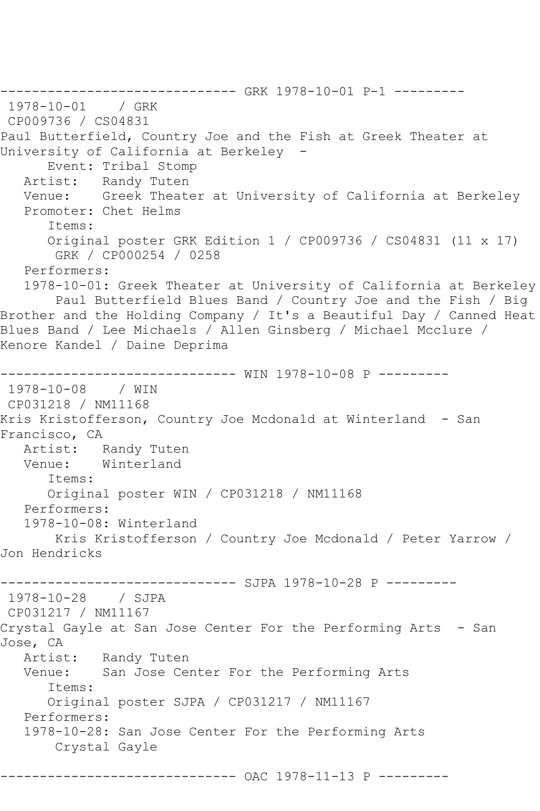--------------------------------- GRK 1978-10-01 P-1 ----------<br>1978-10-01 / GRK 1978-10-01 CP009736 / CS04831 Paul Butterfield, Country Joe and the Fish at Greek Theater at University of California at Berkeley - Event: Tribal Stomp Artist: Randy Tuten Venue: Greek Theater at University of California at Berkeley Promoter: Chet Helms Items: Original poster GRK Edition 1 / CP009736 / CS04831 (11 x 17) GRK / CP000254 / 0258 Performers: 1978-10-01: Greek Theater at University of California at Berkeley Paul Butterfield Blues Band / Country Joe and the Fish / Big Brother and the Holding Company / It's a Beautiful Day / Canned Heat Blues Band / Lee Michaels / Allen Ginsberg / Michael Mcclure / Kenore Kandel / Daine Deprima ------------------------------ WIN 1978-10-08 P ---------  $1978 - 10 - 08$ CP031218 / NM11168 Kris Kristofferson, Country Joe Mcdonald at Winterland - San Francisco, CA Artist: Randy Tuten<br>Venue: Winterland Winterland Items: Original poster WIN / CP031218 / NM11168 Performers: 1978-10-08: Winterland Kris Kristofferson / Country Joe Mcdonald / Peter Yarrow / Jon Hendricks ------------------------------ SJPA 1978-10-28 P --------- 1978-10-28 / SJPA CP031217 / NM11167 Crystal Gayle at San Jose Center For the Performing Arts - San Jose, CA Artist: Randy Tuten Venue: San Jose Center For the Performing Arts Items: Original poster SJPA / CP031217 / NM11167 Performers: 1978-10-28: San Jose Center For the Performing Arts Crystal Gayle ------------------------------ OAC 1978-11-13 P ---------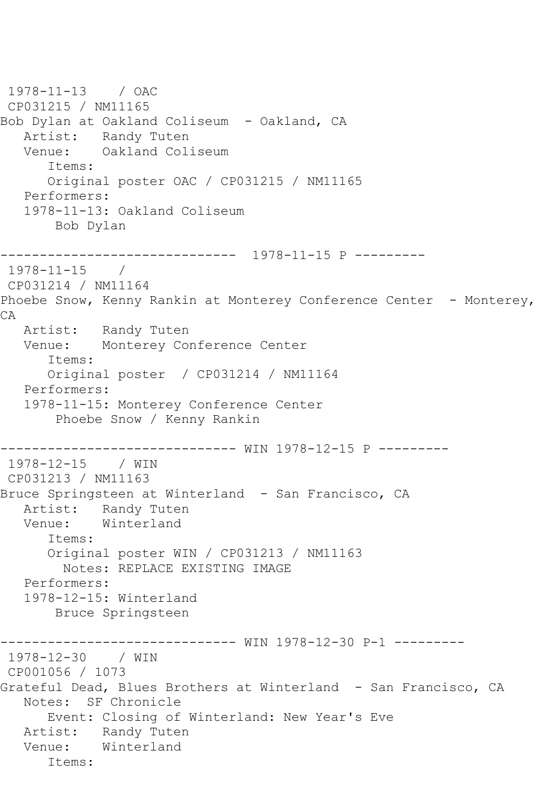```
1978-11-13 / OAC 
CP031215 / NM11165
Bob Dylan at Oakland Coliseum - Oakland, CA
  Artist: Randy Tuten<br>Venue: Oakland Col
            Oakland Coliseum
       Items:
       Original poster OAC / CP031215 / NM11165
   Performers:
    1978-11-13: Oakland Coliseum
        Bob Dylan
------------------------------ 1978-11-15 P ---------
1978-11-15 / 
CP031214 / NM11164
Phoebe Snow, Kenny Rankin at Monterey Conference Center - Monterey,
CA
   Artist: Randy Tuten
   Venue: Monterey Conference Center
       Items:
       Original poster / CP031214 / NM11164
   Performers:
    1978-11-15: Monterey Conference Center
        Phoebe Snow / Kenny Rankin
                   ------------------------------ WIN 1978-12-15 P ---------
1978-12-15 / WIN 
CP031213 / NM11163
Bruce Springsteen at Winterland - San Francisco, CA
   Artist: Randy Tuten
   Venue: Winterland
       Items:
       Original poster WIN / CP031213 / NM11163
         Notes: REPLACE EXISTING IMAGE
   Performers:
    1978-12-15: Winterland
        Bruce Springsteen
                    ------------------------------ WIN 1978-12-30 P-1 ---------
1978-12-30 / WIN 
CP001056 / 1073
Grateful Dead, Blues Brothers at Winterland - San Francisco, CA
   Notes: SF Chronicle
       Event: Closing of Winterland: New Year's Eve
   Artist: Randy Tuten
   Venue: Winterland
       Items:
```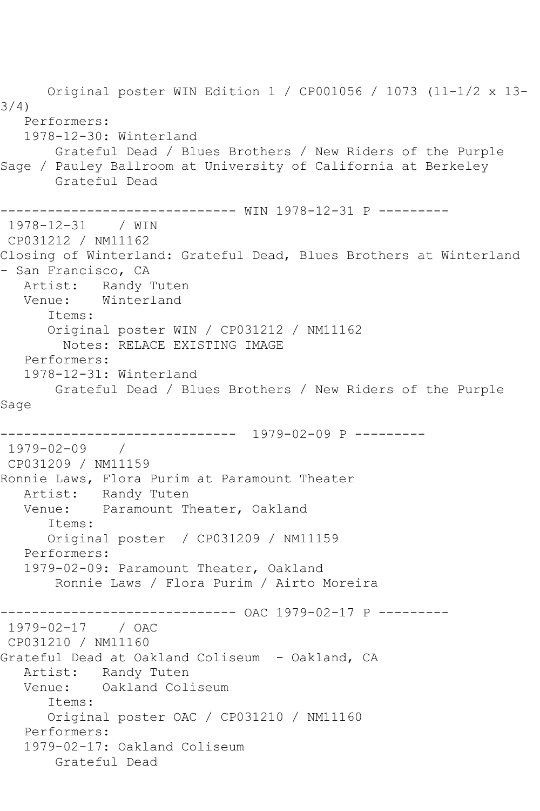Original poster WIN Edition 1 / CP001056 / 1073 (11-1/2 x 13- 3/4) Performers: 1978-12-30: Winterland Grateful Dead / Blues Brothers / New Riders of the Purple Sage / Pauley Ballroom at University of California at Berkeley Grateful Dead ------------------------------ WIN 1978-12-31 P --------- 1978-12-31 / WIN CP031212 / NM11162 Closing of Winterland: Grateful Dead, Blues Brothers at Winterland - San Francisco, CA Artist: Randy Tuten Venue: Winterland Items: Original poster WIN / CP031212 / NM11162 Notes: RELACE EXISTING IMAGE Performers: 1978-12-31: Winterland Grateful Dead / Blues Brothers / New Riders of the Purple Sage ------------------------------ 1979-02-09 P --------- 1979-02-09 / CP031209 / NM11159 Ronnie Laws, Flora Purim at Paramount Theater Artist: Randy Tuten Venue: Paramount Theater, Oakland Items: Original poster / CP031209 / NM11159 Performers: 1979-02-09: Paramount Theater, Oakland Ronnie Laws / Flora Purim / Airto Moreira ------------------------------ OAC 1979-02-17 P --------- 1979-02-17 / OAC CP031210 / NM11160 Grateful Dead at Oakland Coliseum - Oakland, CA Artist: Randy Tuten Venue: Oakland Coliseum Items: Original poster OAC / CP031210 / NM11160 Performers: 1979-02-17: Oakland Coliseum Grateful Dead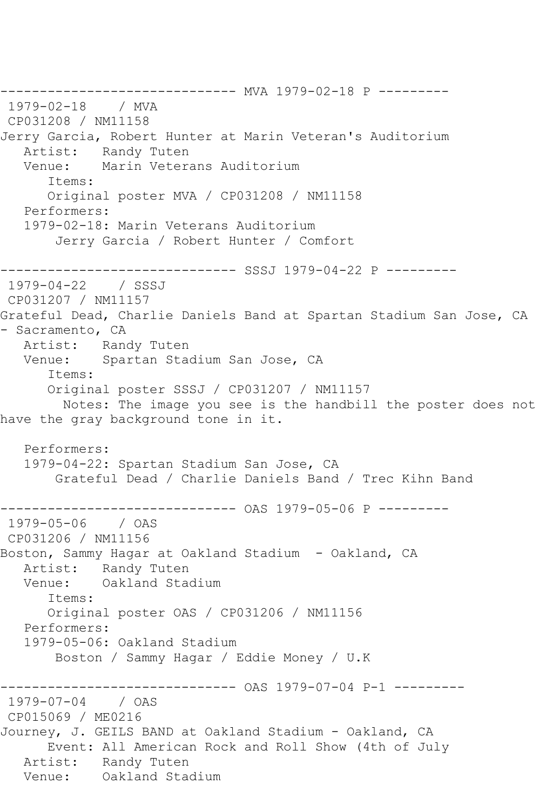------------------------------ MVA 1979-02-18 P --------- 1979-02-18 / MVA CP031208 / NM11158 Jerry Garcia, Robert Hunter at Marin Veteran's Auditorium Artist: Randy Tuten Venue: Marin Veterans Auditorium Items: Original poster MVA / CP031208 / NM11158 Performers: 1979-02-18: Marin Veterans Auditorium Jerry Garcia / Robert Hunter / Comfort ------------------------------ SSSJ 1979-04-22 P --------- 1979-04-22 / SSSJ CP031207 / NM11157 Grateful Dead, Charlie Daniels Band at Spartan Stadium San Jose, CA - Sacramento, CA Artist: Randy Tuten Venue: Spartan Stadium San Jose, CA Items: Original poster SSSJ / CP031207 / NM11157 Notes: The image you see is the handbill the poster does not have the gray background tone in it. Performers: 1979-04-22: Spartan Stadium San Jose, CA Grateful Dead / Charlie Daniels Band / Trec Kihn Band ------------------------------ OAS 1979-05-06 P --------- 1979-05-06 / OAS CP031206 / NM11156 Boston, Sammy Hagar at Oakland Stadium - Oakland, CA Artist: Randy Tuten<br>Venue: Oakland Stad Oakland Stadium Items: Original poster OAS / CP031206 / NM11156 Performers: 1979-05-06: Oakland Stadium Boston / Sammy Hagar / Eddie Money / U.K ------------------------------ OAS 1979-07-04 P-1 --------- 1979-07-04 / OAS CP015069 / ME0216 Journey, J. GEILS BAND at Oakland Stadium - Oakland, CA Event: All American Rock and Roll Show (4th of July Artist: Randy Tuten Venue: Oakland Stadium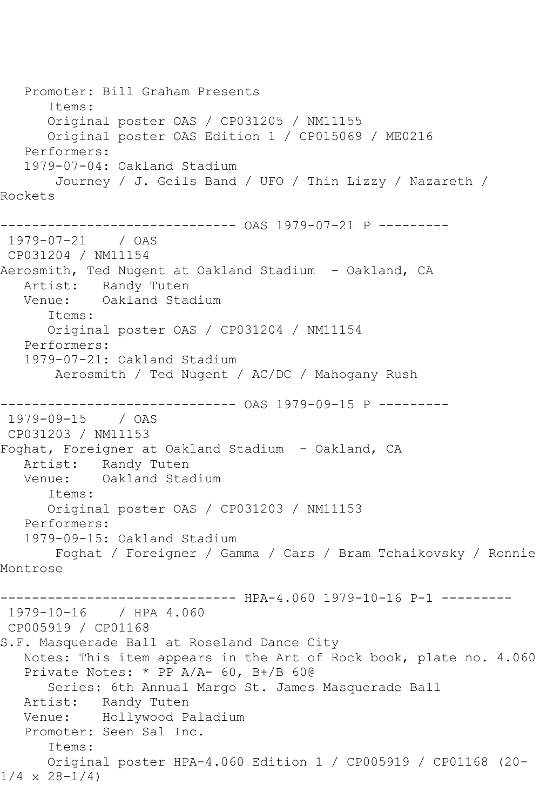Promoter: Bill Graham Presents Items: Original poster OAS / CP031205 / NM11155 Original poster OAS Edition 1 / CP015069 / ME0216 Performers: 1979-07-04: Oakland Stadium Journey / J. Geils Band / UFO / Thin Lizzy / Nazareth / Rockets ------------------------------ OAS 1979-07-21 P --------- 1979-07-21 / OAS CP031204 / NM11154 Aerosmith, Ted Nugent at Oakland Stadium - Oakland, CA Artist: Randy Tuten Venue: Oakland Stadium Items: Original poster OAS / CP031204 / NM11154 Performers: 1979-07-21: Oakland Stadium Aerosmith / Ted Nugent / AC/DC / Mahogany Rush ------------------------------ OAS 1979-09-15 P --------- 1979-09-15 / OAS CP031203 / NM11153 Foghat, Foreigner at Oakland Stadium - Oakland, CA Artist: Randy Tuten<br>Venue: Oakland Stad Oakland Stadium Items: Original poster OAS / CP031203 / NM11153 Performers: 1979-09-15: Oakland Stadium Foghat / Foreigner / Gamma / Cars / Bram Tchaikovsky / Ronnie Montrose ------ HPA-4.060 1979-10-16 P-1 ---------1979-10-16 / HPA 4.060 CP005919 / CP01168 S.F. Masquerade Ball at Roseland Dance City Notes: This item appears in the Art of Rock book, plate no. 4.060 Private Notes: \* PP A/A- 60, B+/B 60@ Series: 6th Annual Margo St. James Masquerade Ball Artist: Randy Tuten Venue: Hollywood Paladium Promoter: Seen Sal Inc. Items: Original poster HPA-4.060 Edition 1 / CP005919 / CP01168 (20-  $1/4 \times 28 - 1/4$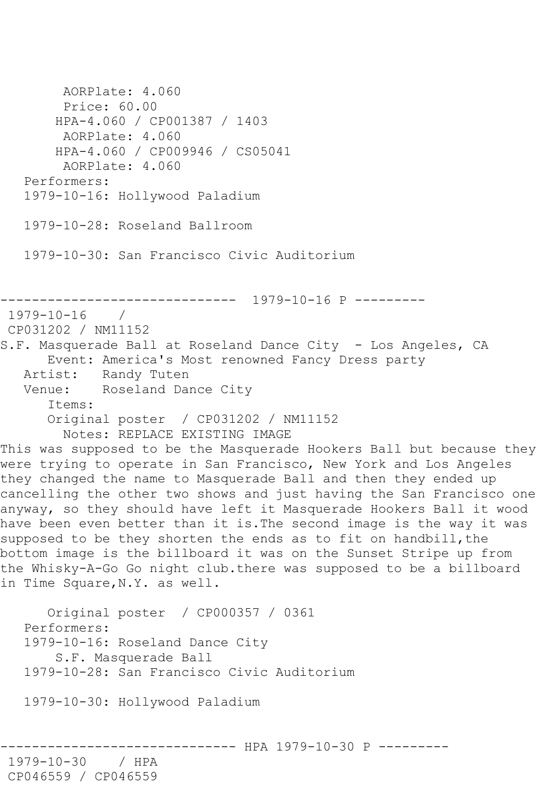AORPlate: 4.060 Price: 60.00 HPA-4.060 / CP001387 / 1403 AORPlate: 4.060 HPA-4.060 / CP009946 / CS05041 AORPlate: 4.060 Performers: 1979-10-16: Hollywood Paladium 1979-10-28: Roseland Ballroom 1979-10-30: San Francisco Civic Auditorium ------------------------------ 1979-10-16 P --------- 1979-10-16 / CP031202 / NM11152 S.F. Masquerade Ball at Roseland Dance City - Los Angeles, CA Event: America's Most renowned Fancy Dress party Artist: Randy Tuten<br>Venue: Roseland Day Roseland Dance City Items: Original poster / CP031202 / NM11152 Notes: REPLACE EXISTING IMAGE This was supposed to be the Masquerade Hookers Ball but because they were trying to operate in San Francisco, New York and Los Angeles they changed the name to Masquerade Ball and then they ended up cancelling the other two shows and just having the San Francisco one anyway, so they should have left it Masquerade Hookers Ball it wood have been even better than it is.The second image is the way it was supposed to be they shorten the ends as to fit on handbill, the bottom image is the billboard it was on the Sunset Stripe up from the Whisky-A-Go Go night club.there was supposed to be a billboard in Time Square, N.Y. as well. Original poster / CP000357 / 0361 Performers: 1979-10-16: Roseland Dance City S.F. Masquerade Ball 1979-10-28: San Francisco Civic Auditorium 1979-10-30: Hollywood Paladium ------ HPA 1979-10-30 P ---------1979-10-30 / HPA CP046559 / CP046559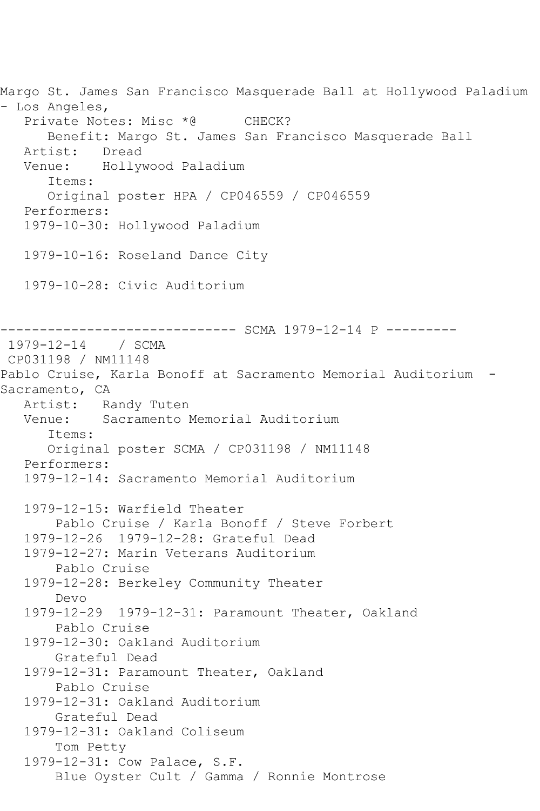Margo St. James San Francisco Masquerade Ball at Hollywood Paladium - Los Angeles, Private Notes: Misc \*@ CHECK? Benefit: Margo St. James San Francisco Masquerade Ball Artist: Dread Venue: Hollywood Paladium Items: Original poster HPA / CP046559 / CP046559 Performers: 1979-10-30: Hollywood Paladium 1979-10-16: Roseland Dance City 1979-10-28: Civic Auditorium ------------------------------ SCMA 1979-12-14 P --------- 1979-12-14 / SCMA CP031198 / NM11148 Pablo Cruise, Karla Bonoff at Sacramento Memorial Auditorium - Sacramento, CA Artist: Randy Tuten Venue: Sacramento Memorial Auditorium Items: Original poster SCMA / CP031198 / NM11148 Performers: 1979-12-14: Sacramento Memorial Auditorium 1979-12-15: Warfield Theater Pablo Cruise / Karla Bonoff / Steve Forbert 1979-12-26 1979-12-28: Grateful Dead 1979-12-27: Marin Veterans Auditorium Pablo Cruise 1979-12-28: Berkeley Community Theater Devo 1979-12-29 1979-12-31: Paramount Theater, Oakland Pablo Cruise 1979-12-30: Oakland Auditorium Grateful Dead 1979-12-31: Paramount Theater, Oakland Pablo Cruise 1979-12-31: Oakland Auditorium Grateful Dead 1979-12-31: Oakland Coliseum Tom Petty 1979-12-31: Cow Palace, S.F. Blue Oyster Cult / Gamma / Ronnie Montrose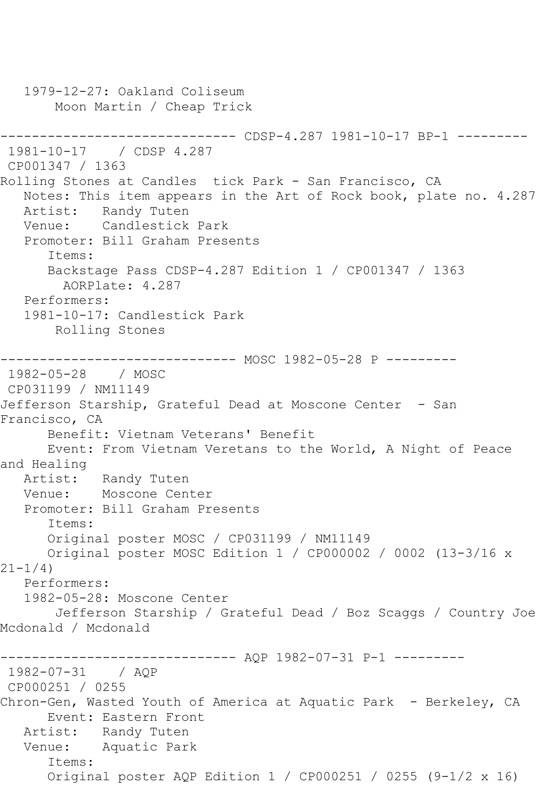1979-12-27: Oakland Coliseum Moon Martin / Cheap Trick ------------------------------ CDSP-4.287 1981-10-17 BP-1 --------- 1981-10-17 / CDSP 4.287 CP001347 / 1363 Rolling Stones at Candles tick Park - San Francisco, CA Notes: This item appears in the Art of Rock book, plate no. 4.287 Artist: Randy Tuten Venue: Candlestick Park Promoter: Bill Graham Presents Items: Backstage Pass CDSP-4.287 Edition 1 / CP001347 / 1363 AORPlate: 4.287 Performers: 1981-10-17: Candlestick Park Rolling Stones ------------------------------ MOSC 1982-05-28 P --------- 1982-05-28 / MOSC CP031199 / NM11149 Jefferson Starship, Grateful Dead at Moscone Center - San Francisco, CA Benefit: Vietnam Veterans' Benefit Event: From Vietnam Veretans to the World, A Night of Peace and Healing Artist: Randy Tuten Venue: Moscone Center Promoter: Bill Graham Presents Items: Original poster MOSC / CP031199 / NM11149 Original poster MOSC Edition 1 / CP000002 / 0002 (13-3/16 x  $21 - 1/4$  Performers: 1982-05-28: Moscone Center Jefferson Starship / Grateful Dead / Boz Scaggs / Country Joe Mcdonald / Mcdonald ------------------------------ AQP 1982-07-31 P-1 --------- 1982-07-31 / AQP CP000251 / 0255 Chron-Gen, Wasted Youth of America at Aquatic Park - Berkeley, CA Event: Eastern Front Artist: Randy Tuten Venue: Aquatic Park Items: Original poster AQP Edition 1 / CP000251 / 0255 (9-1/2 x 16)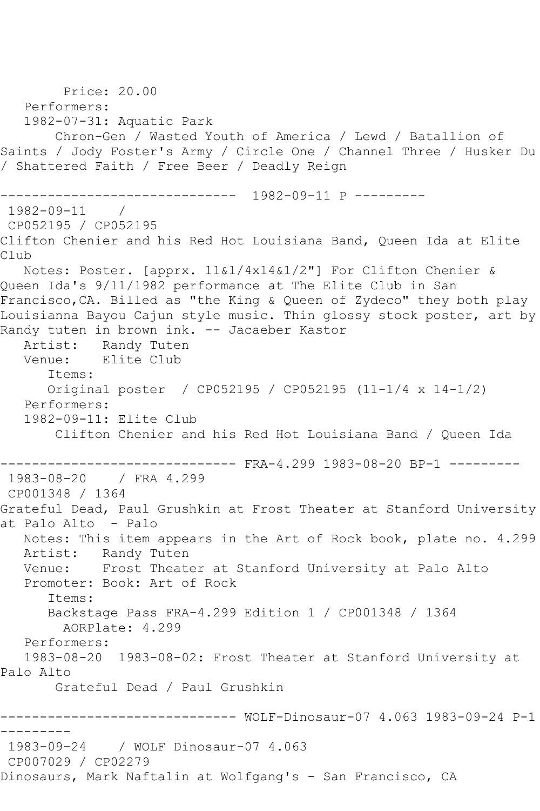Price: 20.00 Performers: 1982-07-31: Aquatic Park Chron-Gen / Wasted Youth of America / Lewd / Batallion of Saints / Jody Foster's Army / Circle One / Channel Three / Husker Du / Shattered Faith / Free Beer / Deadly Reign ------------------------------ 1982-09-11 P --------- 1982-09-11 / CP052195 / CP052195 Clifton Chenier and his Red Hot Louisiana Band, Queen Ida at Elite Club Notes: Poster. [apprx. 11&1/4x14&1/2"] For Clifton Chenier & Queen Ida's 9/11/1982 performance at The Elite Club in San Francisco,CA. Billed as "the King & Queen of Zydeco" they both play Louisianna Bayou Cajun style music. Thin glossy stock poster, art by Randy tuten in brown ink. -- Jacaeber Kastor Artist: Randy Tuten Venue: Elite Club Items: Original poster / CP052195 / CP052195 (11-1/4 x 14-1/2) Performers: 1982-09-11: Elite Club Clifton Chenier and his Red Hot Louisiana Band / Queen Ida ------------------------------ FRA-4.299 1983-08-20 BP-1 --------- 1983-08-20 / FRA 4.299 CP001348 / 1364 Grateful Dead, Paul Grushkin at Frost Theater at Stanford University at Palo Alto - Palo Notes: This item appears in the Art of Rock book, plate no. 4.299 Artist: Randy Tuten Venue: Frost Theater at Stanford University at Palo Alto Promoter: Book: Art of Rock Items: Backstage Pass FRA-4.299 Edition 1 / CP001348 / 1364 AORPlate: 4.299 Performers: 1983-08-20 1983-08-02: Frost Theater at Stanford University at Palo Alto Grateful Dead / Paul Grushkin ------------------------------ WOLF-Dinosaur-07 4.063 1983-09-24 P-1 --------- 1983-09-24 / WOLF Dinosaur-07 4.063 CP007029 / CP02279 Dinosaurs, Mark Naftalin at Wolfgang's - San Francisco, CA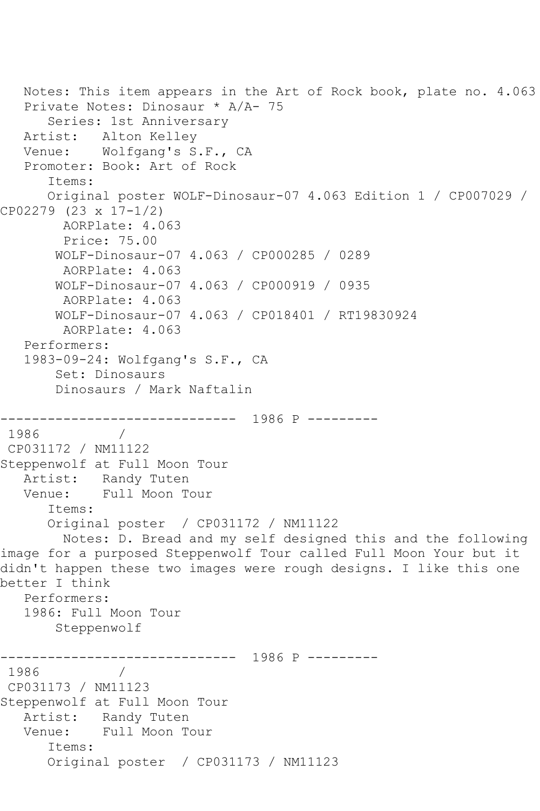```
 Notes: This item appears in the Art of Rock book, plate no. 4.063
   Private Notes: Dinosaur * A/A- 75
       Series: 1st Anniversary
   Artist: Alton Kelley
   Venue: Wolfgang's S.F., CA
   Promoter: Book: Art of Rock
       Items:
       Original poster WOLF-Dinosaur-07 4.063 Edition 1 / CP007029 / 
CP02279 (23 x 17-1/2)
        AORPlate: 4.063 
         Price: 75.00
        WOLF-Dinosaur-07 4.063 / CP000285 / 0289
         AORPlate: 4.063 
        WOLF-Dinosaur-07 4.063 / CP000919 / 0935
         AORPlate: 4.063 
        WOLF-Dinosaur-07 4.063 / CP018401 / RT19830924
         AORPlate: 4.063 
   Performers:
   1983-09-24: Wolfgang's S.F., CA
        Set: Dinosaurs
        Dinosaurs / Mark Naftalin
              ------------------------------ 1986 P ---------
1986
CP031172 / NM11122
Steppenwolf at Full Moon Tour
   Artist: Randy Tuten
   Venue: Full Moon Tour
       Items:
       Original poster / CP031172 / NM11122
        Notes: D. Bread and my self designed this and the following 
image for a purposed Steppenwolf Tour called Full Moon Your but it 
didn't happen these two images were rough designs. I like this one 
better I think
   Performers:
    1986: Full Moon Tour
        Steppenwolf
         ------------------------------ 1986 P ---------
1986 / 
CP031173 / NM11123
Steppenwolf at Full Moon Tour
   Artist: Randy Tuten
   Venue: Full Moon Tour
       Items:
       Original poster / CP031173 / NM11123
```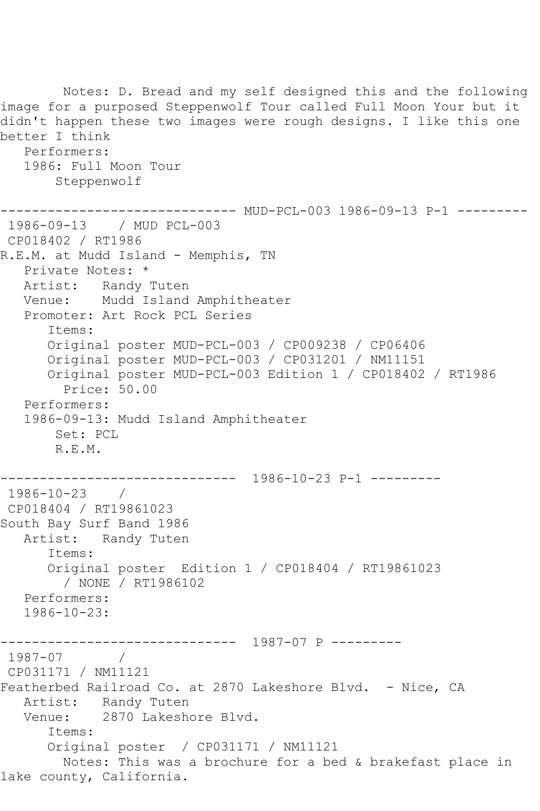Notes: D. Bread and my self designed this and the following image for a purposed Steppenwolf Tour called Full Moon Your but it didn't happen these two images were rough designs. I like this one better I think Performers: 1986: Full Moon Tour Steppenwolf ------------------------------ MUD-PCL-003 1986-09-13 P-1 --------- 1986-09-13 / MUD PCL-003 CP018402 / RT1986 R.E.M. at Mudd Island - Memphis, TN Private Notes: \* Artist: Randy Tuten Venue: Mudd Island Amphitheater Promoter: Art Rock PCL Series Items: Original poster MUD-PCL-003 / CP009238 / CP06406 Original poster MUD-PCL-003 / CP031201 / NM11151 Original poster MUD-PCL-003 Edition 1 / CP018402 / RT1986 Price: 50.00 Performers: 1986-09-13: Mudd Island Amphitheater Set: PCL R.E.M. ------------------------------ 1986-10-23 P-1 --------- 1986-10-23 / CP018404 / RT19861023 South Bay Surf Band 1986 Artist: Randy Tuten Items: Original poster Edition 1 / CP018404 / RT19861023 / NONE / RT1986102 Performers: 1986-10-23: ------------------------------ 1987-07 P --------- 1987-07 / CP031171 / NM11121 Featherbed Railroad Co. at 2870 Lakeshore Blvd. - Nice, CA Artist: Randy Tuten Venue: 2870 Lakeshore Blvd. Items: Original poster / CP031171 / NM11121 Notes: This was a brochure for a bed & brakefast place in lake county, California.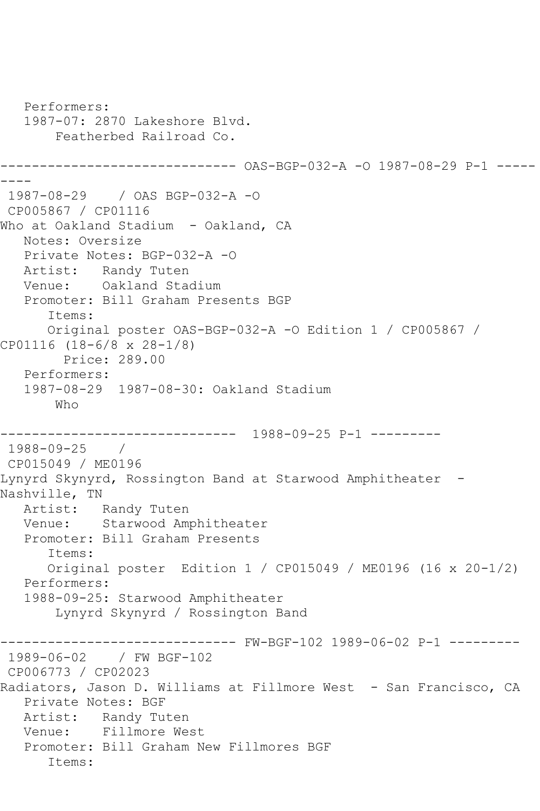```
 Performers:
   1987-07: 2870 Lakeshore Blvd.
        Featherbed Railroad Co.
------------------------------ OAS-BGP-032-A -O 1987-08-29 P-1 -----
----
1987-08-29 / OAS BGP-032-A -O
CP005867 / CP01116
Who at Oakland Stadium - Oakland, CA
   Notes: Oversize
   Private Notes: BGP-032-A -O
   Artist: Randy Tuten
   Venue: Oakland Stadium
   Promoter: Bill Graham Presents BGP
       Items:
      Original poster OAS-BGP-032-A -O Edition 1 / CP005867 / 
CP01116 (18-6/8 x 28-1/8)
        Price: 289.00
   Performers:
   1987-08-29 1987-08-30: Oakland Stadium
       Who
------------------------------ 1988-09-25 P-1 ---------
1988-09-25 / 
CP015049 / ME0196
Lynyrd Skynyrd, Rossington Band at Starwood Amphitheater -
Nashville, TN
   Artist: Randy Tuten
   Venue: Starwood Amphitheater
   Promoter: Bill Graham Presents
       Items:
       Original poster Edition 1 / CP015049 / ME0196 (16 x 20-1/2)
   Performers:
   1988-09-25: Starwood Amphitheater
        Lynyrd Skynyrd / Rossington Band
                 ------------------------------ FW-BGF-102 1989-06-02 P-1 ---------
1989-06-02 / FW BGF-102
CP006773 / CP02023
Radiators, Jason D. Williams at Fillmore West - San Francisco, CA
   Private Notes: BGF
   Artist: Randy Tuten
   Venue: Fillmore West
   Promoter: Bill Graham New Fillmores BGF
       Items:
```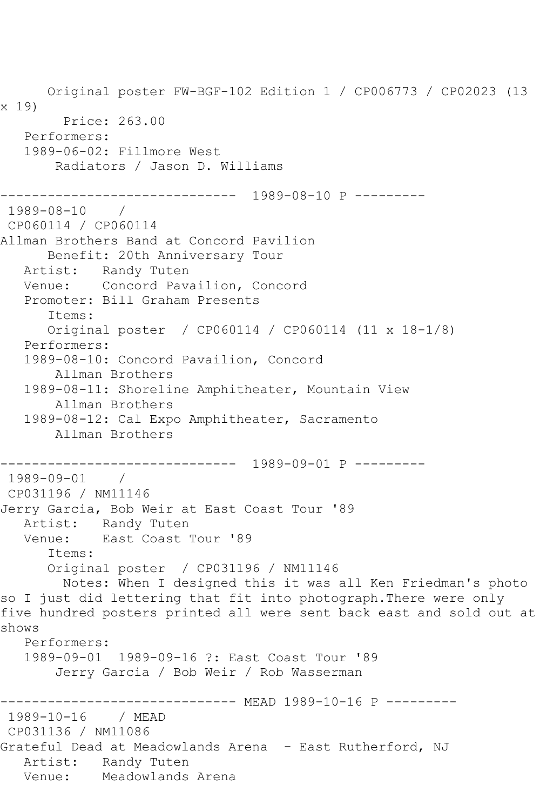Original poster FW-BGF-102 Edition 1 / CP006773 / CP02023 (13 x 19) Price: 263.00 Performers: 1989-06-02: Fillmore West Radiators / Jason D. Williams ------------------------------ 1989-08-10 P --------- 1989-08-10 / CP060114 / CP060114 Allman Brothers Band at Concord Pavilion Benefit: 20th Anniversary Tour Artist: Randy Tuten Venue: Concord Pavailion, Concord Promoter: Bill Graham Presents Items: Original poster / CP060114 / CP060114 (11 x 18-1/8) Performers: 1989-08-10: Concord Pavailion, Concord Allman Brothers 1989-08-11: Shoreline Amphitheater, Mountain View Allman Brothers 1989-08-12: Cal Expo Amphitheater, Sacramento Allman Brothers ------------------------------ 1989-09-01 P --------- 1989-09-01 / CP031196 / NM11146 Jerry Garcia, Bob Weir at East Coast Tour '89 Artist: Randy Tuten<br>Venue: East Coast East Coast Tour '89 Items: Original poster / CP031196 / NM11146 Notes: When I designed this it was all Ken Friedman's photo so I just did lettering that fit into photograph.There were only five hundred posters printed all were sent back east and sold out at shows Performers: 1989-09-01 1989-09-16 ?: East Coast Tour '89 Jerry Garcia / Bob Weir / Rob Wasserman -------------- MEAD 1989-10-16 P ---------1989-10-16 / MEAD CP031136 / NM11086 Grateful Dead at Meadowlands Arena - East Rutherford, NJ Artist: Randy Tuten Venue: Meadowlands Arena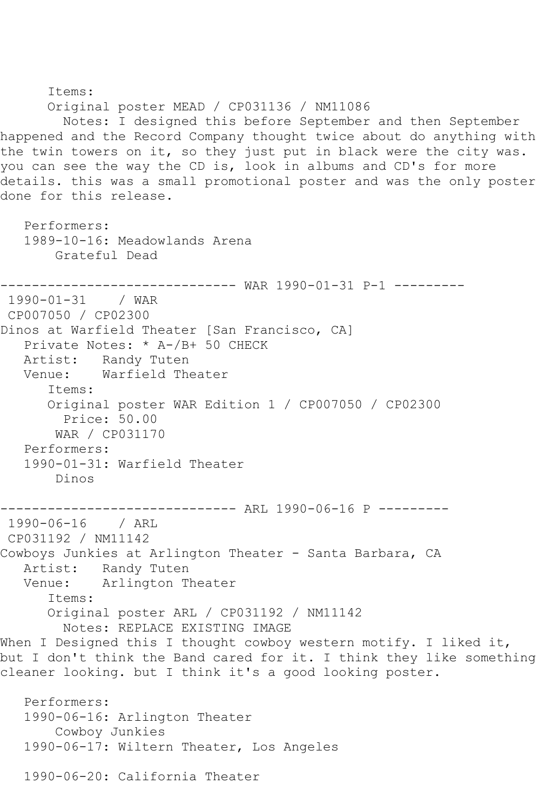Items: Original poster MEAD / CP031136 / NM11086 Notes: I designed this before September and then September happened and the Record Company thought twice about do anything with the twin towers on it, so they just put in black were the city was. you can see the way the CD is, look in albums and CD's for more details. this was a small promotional poster and was the only poster done for this release. Performers: 1989-10-16: Meadowlands Arena Grateful Dead ------------------------------ WAR 1990-01-31 P-1 ---------  $1990 - 01 - 31$ CP007050 / CP02300 Dinos at Warfield Theater [San Francisco, CA] Private Notes: \* A-/B+ 50 CHECK Artist: Randy Tuten<br>Venue: Warfield The Warfield Theater Items: Original poster WAR Edition 1 / CP007050 / CP02300 Price: 50.00 WAR / CP031170 Performers: 1990-01-31: Warfield Theater Dinos ---------- ARL 1990-06-16 P ---------1990-06-16 / ARL CP031192 / NM11142 Cowboys Junkies at Arlington Theater - Santa Barbara, CA Artist: Randy Tuten<br>Venue: Arlington T Arlington Theater Items: Original poster ARL / CP031192 / NM11142 Notes: REPLACE EXISTING IMAGE When I Designed this I thought cowboy western motify. I liked it, but I don't think the Band cared for it. I think they like something cleaner looking. but I think it's a good looking poster. Performers: 1990-06-16: Arlington Theater Cowboy Junkies 1990-06-17: Wiltern Theater, Los Angeles

1990-06-20: California Theater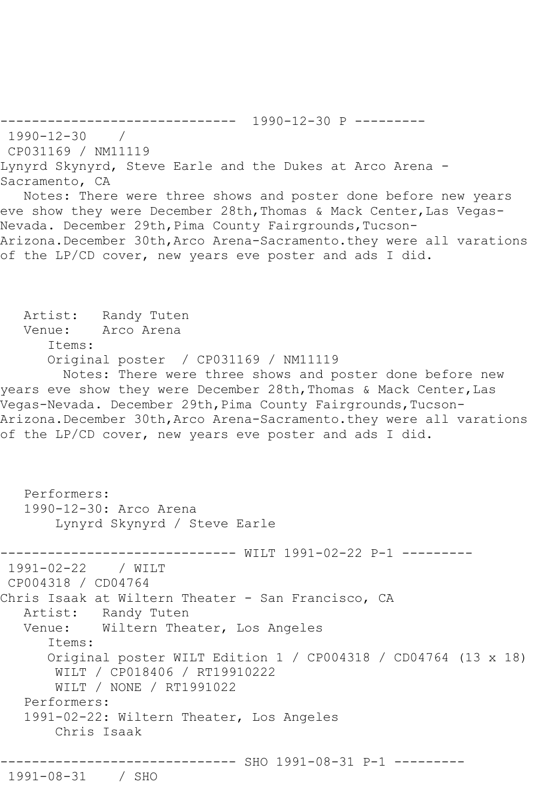------------------------------ 1990-12-30 P --------- 1990-12-30 / CP031169 / NM11119 Lynyrd Skynyrd, Steve Earle and the Dukes at Arco Arena - Sacramento, CA Notes: There were three shows and poster done before new years eve show they were December 28th, Thomas & Mack Center, Las Vegas-Nevada. December 29th, Pima County Fairgrounds, Tucson-Arizona.December 30th,Arco Arena-Sacramento.they were all varations of the LP/CD cover, new years eve poster and ads I did. Artist: Randy Tuten Venue: Arco Arena Items: Original poster / CP031169 / NM11119 Notes: There were three shows and poster done before new years eve show they were December 28th, Thomas & Mack Center, Las Vegas-Nevada. December 29th, Pima County Fairgrounds, Tucson-Arizona.December 30th,Arco Arena-Sacramento.they were all varations of the LP/CD cover, new years eve poster and ads I did. Performers: 1990-12-30: Arco Arena Lynyrd Skynyrd / Steve Earle ---------- WILT 1991-02-22 P-1 ---------1991-02-22 / WILT CP004318 / CD04764 Chris Isaak at Wiltern Theater - San Francisco, CA Artist: Randy Tuten Venue: Wiltern Theater, Los Angeles Items: Original poster WILT Edition 1 / CP004318 / CD04764 (13 x 18) WILT / CP018406 / RT19910222 WILT / NONE / RT1991022 Performers: 1991-02-22: Wiltern Theater, Los Angeles Chris Isaak ------------------------------ SHO 1991-08-31 P-1 --------- 1991-08-31 / SHO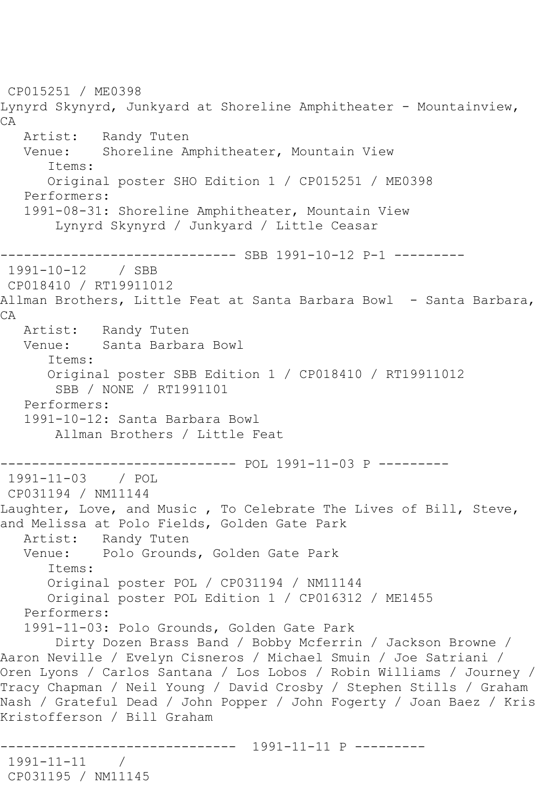CP015251 / ME0398 Lynyrd Skynyrd, Junkyard at Shoreline Amphitheater - Mountainview, CA Artist: Randy Tuten<br>Venue: Shoreline Am Shoreline Amphitheater, Mountain View Items: Original poster SHO Edition 1 / CP015251 / ME0398 Performers: 1991-08-31: Shoreline Amphitheater, Mountain View Lynyrd Skynyrd / Junkyard / Little Ceasar ---------------------- SBB 1991-10-12 P-1 ---------<br>12 / SBB  $1991 - 10 - 12$ CP018410 / RT19911012 Allman Brothers, Little Feat at Santa Barbara Bowl - Santa Barbara, CA Artist: Randy Tuten Venue: Santa Barbara Bowl Items: Original poster SBB Edition 1 / CP018410 / RT19911012 SBB / NONE / RT1991101 Performers: 1991-10-12: Santa Barbara Bowl Allman Brothers / Little Feat ------------------------------ POL 1991-11-03 P --------- 1991-11-03 / POL CP031194 / NM11144 Laughter, Love, and Music , To Celebrate The Lives of Bill, Steve, and Melissa at Polo Fields, Golden Gate Park Artist: Randy Tuten Venue: Polo Grounds, Golden Gate Park Items: Original poster POL / CP031194 / NM11144 Original poster POL Edition 1 / CP016312 / ME1455 Performers: 1991-11-03: Polo Grounds, Golden Gate Park Dirty Dozen Brass Band / Bobby Mcferrin / Jackson Browne / Aaron Neville / Evelyn Cisneros / Michael Smuin / Joe Satriani / Oren Lyons / Carlos Santana / Los Lobos / Robin Williams / Journey / Tracy Chapman / Neil Young / David Crosby / Stephen Stills / Graham Nash / Grateful Dead / John Popper / John Fogerty / Joan Baez / Kris Kristofferson / Bill Graham ------------------------------ 1991-11-11 P --------- 1991-11-11 / CP031195 / NM11145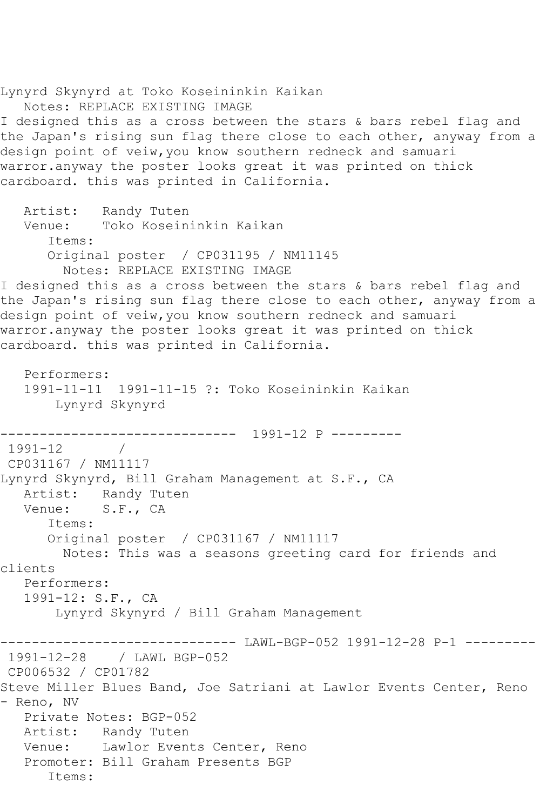Lynyrd Skynyrd at Toko Koseininkin Kaikan Notes: REPLACE EXISTING IMAGE I designed this as a cross between the stars & bars rebel flag and the Japan's rising sun flag there close to each other, anyway from a design point of veiw,you know southern redneck and samuari warror.anyway the poster looks great it was printed on thick cardboard. this was printed in California. Artist: Randy Tuten Venue: Toko Koseininkin Kaikan Items: Original poster / CP031195 / NM11145 Notes: REPLACE EXISTING IMAGE I designed this as a cross between the stars & bars rebel flag and the Japan's rising sun flag there close to each other, anyway from a design point of veiw,you know southern redneck and samuari warror.anyway the poster looks great it was printed on thick cardboard. this was printed in California. Performers: 1991-11-11 1991-11-15 ?: Toko Koseininkin Kaikan Lynyrd Skynyrd ------------------------------ 1991-12 P --------- 1991-12 / CP031167 / NM11117 Lynyrd Skynyrd, Bill Graham Management at S.F., CA Artist: Randy Tuten Venue: S.F., CA Items: Original poster / CP031167 / NM11117 Notes: This was a seasons greeting card for friends and clients Performers: 1991-12: S.F., CA Lynyrd Skynyrd / Bill Graham Management -------------------- LAWL-BGP-052 1991-12-28 P-1 ---------1991-12-28 / LAWL BGP-052 CP006532 / CP01782 Steve Miller Blues Band, Joe Satriani at Lawlor Events Center, Reno - Reno, NV Private Notes: BGP-052 Artist: Randy Tuten Venue: Lawlor Events Center, Reno Promoter: Bill Graham Presents BGP Items: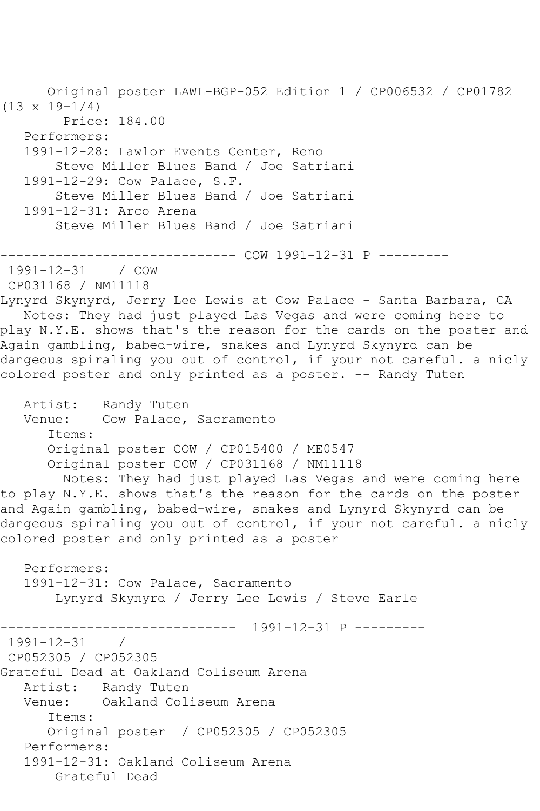Original poster LAWL-BGP-052 Edition 1 / CP006532 / CP01782 (13 x 19-1/4) Price: 184.00 Performers: 1991-12-28: Lawlor Events Center, Reno Steve Miller Blues Band / Joe Satriani 1991-12-29: Cow Palace, S.F. Steve Miller Blues Band / Joe Satriani 1991-12-31: Arco Arena Steve Miller Blues Band / Joe Satriani ------------------------------ COW 1991-12-31 P --------- 1991-12-31 / COW CP031168 / NM11118 Lynyrd Skynyrd, Jerry Lee Lewis at Cow Palace - Santa Barbara, CA Notes: They had just played Las Vegas and were coming here to play N.Y.E. shows that's the reason for the cards on the poster and Again gambling, babed-wire, snakes and Lynyrd Skynyrd can be dangeous spiraling you out of control, if your not careful. a nicly colored poster and only printed as a poster. -- Randy Tuten Artist: Randy Tuten Venue: Cow Palace, Sacramento Items: Original poster COW / CP015400 / ME0547 Original poster COW / CP031168 / NM11118 Notes: They had just played Las Vegas and were coming here to play N.Y.E. shows that's the reason for the cards on the poster and Again gambling, babed-wire, snakes and Lynyrd Skynyrd can be dangeous spiraling you out of control, if your not careful. a nicly colored poster and only printed as a poster Performers: 1991-12-31: Cow Palace, Sacramento Lynyrd Skynyrd / Jerry Lee Lewis / Steve Earle ------------------------------ 1991-12-31 P --------- 1991-12-31 / CP052305 / CP052305 Grateful Dead at Oakland Coliseum Arena Artist: Randy Tuten Venue: Oakland Coliseum Arena Items: Original poster / CP052305 / CP052305 Performers: 1991-12-31: Oakland Coliseum Arena Grateful Dead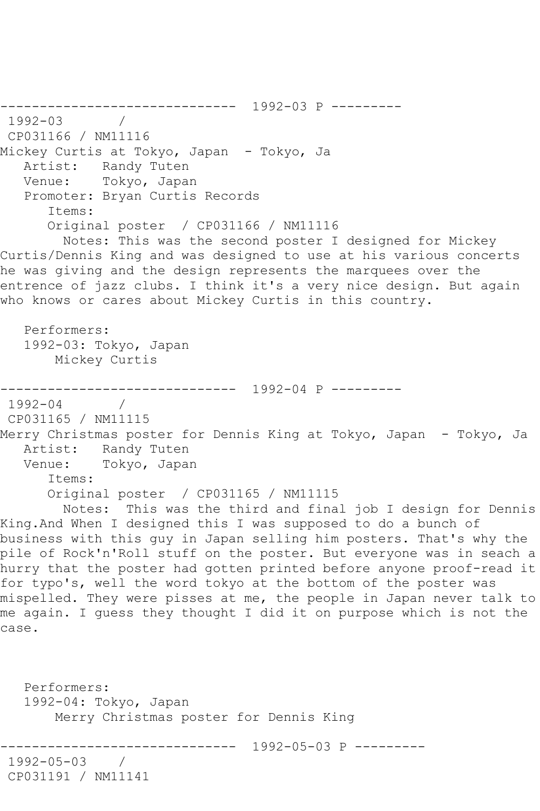------------------------------ 1992-03 P --------- 1992-03 / CP031166 / NM11116 Mickey Curtis at Tokyo, Japan - Tokyo, Ja Artist: Randy Tuten Venue: Tokyo, Japan Promoter: Bryan Curtis Records Items: Original poster / CP031166 / NM11116 Notes: This was the second poster I designed for Mickey Curtis/Dennis King and was designed to use at his various concerts he was giving and the design represents the marquees over the entrence of jazz clubs. I think it's a very nice design. But again who knows or cares about Mickey Curtis in this country. Performers: 1992-03: Tokyo, Japan Mickey Curtis ------------------------------ 1992-04 P --------- 1992-04 / CP031165 / NM11115 Merry Christmas poster for Dennis King at Tokyo, Japan - Tokyo, Ja Artist: Randy Tuten<br>Venue: Tokvo, Japan Tokyo, Japan Items: Original poster / CP031165 / NM11115 Notes: This was the third and final job I design for Dennis King.And When I designed this I was supposed to do a bunch of business with this guy in Japan selling him posters. That's why the pile of Rock'n'Roll stuff on the poster. But everyone was in seach a hurry that the poster had gotten printed before anyone proof-read it for typo's, well the word tokyo at the bottom of the poster was mispelled. They were pisses at me, the people in Japan never talk to me again. I guess they thought I did it on purpose which is not the case. Performers: 1992-04: Tokyo, Japan Merry Christmas poster for Dennis King ------------------------------ 1992-05-03 P --------- 1992-05-03 / CP031191 / NM11141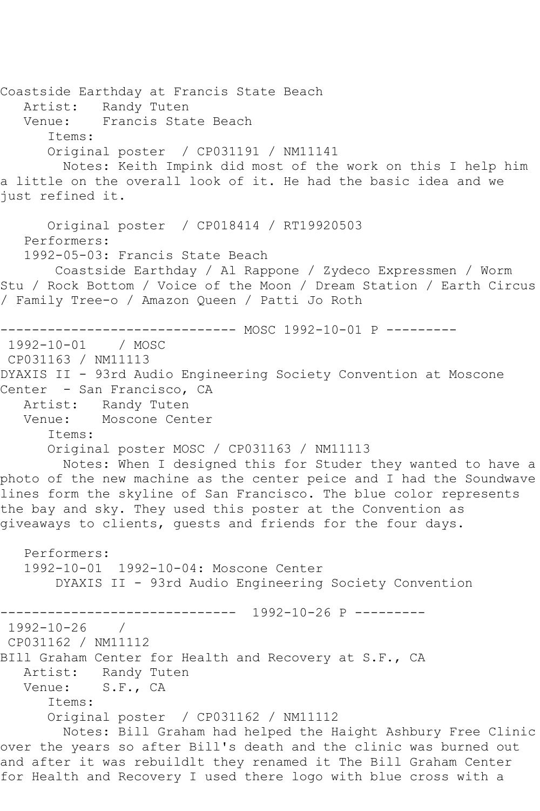Coastside Earthday at Francis State Beach Artist: Randy Tuten Venue: Francis State Beach Items: Original poster / CP031191 / NM11141 Notes: Keith Impink did most of the work on this I help him a little on the overall look of it. He had the basic idea and we just refined it. Original poster / CP018414 / RT19920503 Performers: 1992-05-03: Francis State Beach Coastside Earthday / Al Rappone / Zydeco Expressmen / Worm Stu / Rock Bottom / Voice of the Moon / Dream Station / Earth Circus / Family Tree-o / Amazon Queen / Patti Jo Roth ------------------------------ MOSC 1992-10-01 P --------- 1992-10-01 / MOSC CP031163 / NM11113 DYAXIS II - 93rd Audio Engineering Society Convention at Moscone Center - San Francisco, CA Artist: Randy Tuten Venue: Moscone Center Items: Original poster MOSC / CP031163 / NM11113 Notes: When I designed this for Studer they wanted to have a photo of the new machine as the center peice and I had the Soundwave lines form the skyline of San Francisco. The blue color represents the bay and sky. They used this poster at the Convention as giveaways to clients, guests and friends for the four days. Performers: 1992-10-01 1992-10-04: Moscone Center DYAXIS II - 93rd Audio Engineering Society Convention ------------------------------ 1992-10-26 P --------- 1992-10-26 / CP031162 / NM11112 BIll Graham Center for Health and Recovery at S.F., CA Artist: Randy Tuten Venue: S.F., CA Items: Original poster / CP031162 / NM11112 Notes: Bill Graham had helped the Haight Ashbury Free Clinic over the years so after Bill's death and the clinic was burned out and after it was rebuildlt they renamed it The Bill Graham Center for Health and Recovery I used there logo with blue cross with a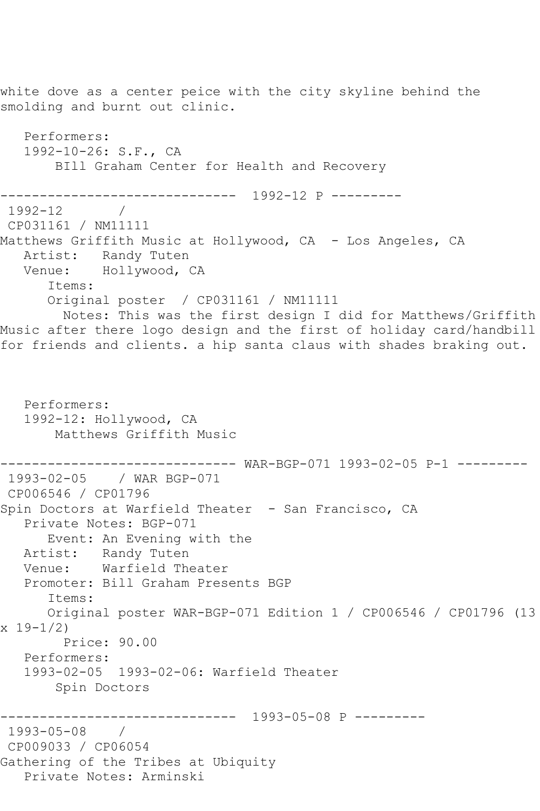white dove as a center peice with the city skyline behind the smolding and burnt out clinic. Performers: 1992-10-26: S.F., CA BIll Graham Center for Health and Recovery ------------------------------ 1992-12 P --------- 1992-12 / CP031161 / NM11111 Matthews Griffith Music at Hollywood, CA - Los Angeles, CA Artist: Randy Tuten Venue: Hollywood, CA Items: Original poster / CP031161 / NM11111 Notes: This was the first design I did for Matthews/Griffith Music after there logo design and the first of holiday card/handbill for friends and clients. a hip santa claus with shades braking out. Performers: 1992-12: Hollywood, CA Matthews Griffith Music ------------------------------ WAR-BGP-071 1993-02-05 P-1 --------- 1993-02-05 / WAR BGP-071 CP006546 / CP01796 Spin Doctors at Warfield Theater - San Francisco, CA Private Notes: BGP-071 Event: An Evening with the Artist: Randy Tuten Venue: Warfield Theater Promoter: Bill Graham Presents BGP Items: Original poster WAR-BGP-071 Edition 1 / CP006546 / CP01796 (13 x 19-1/2) Price: 90.00 Performers: 1993-02-05 1993-02-06: Warfield Theater Spin Doctors ------------------------------ 1993-05-08 P --------- 1993-05-08 / CP009033 / CP06054 Gathering of the Tribes at Ubiquity Private Notes: Arminski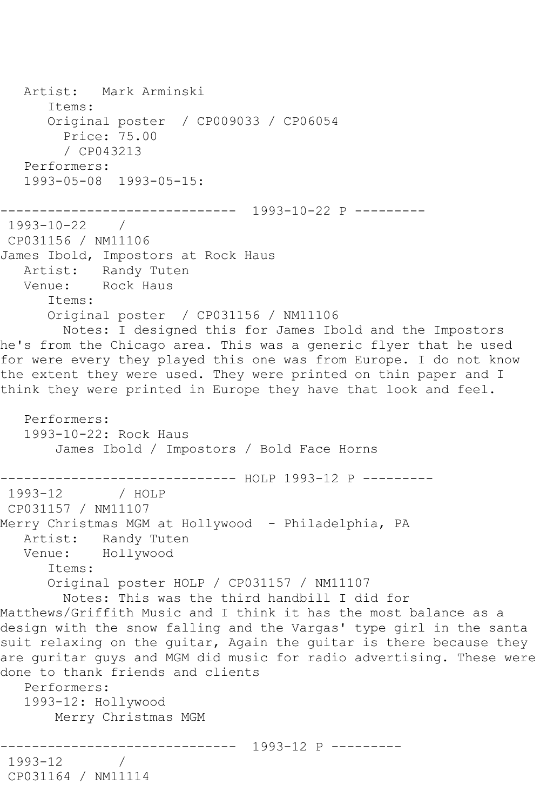Artist: Mark Arminski Items: Original poster / CP009033 / CP06054 Price: 75.00 / CP043213 Performers: 1993-05-08 1993-05-15: ------------------------------ 1993-10-22 P --------- 1993-10-22 / CP031156 / NM11106 James Ibold, Impostors at Rock Haus Artist: Randy Tuten Venue: Rock Haus Items: Original poster / CP031156 / NM11106 Notes: I designed this for James Ibold and the Impostors he's from the Chicago area. This was a generic flyer that he used for were every they played this one was from Europe. I do not know the extent they were used. They were printed on thin paper and I think they were printed in Europe they have that look and feel. Performers: 1993-10-22: Rock Haus James Ibold / Impostors / Bold Face Horns ------------------------------ HOLP 1993-12 P --------- 1993-12 / HOLP CP031157 / NM11107 Merry Christmas MGM at Hollywood - Philadelphia, PA Artist: Randy Tuten Venue: Hollywood Items: Original poster HOLP / CP031157 / NM11107 Notes: This was the third handbill I did for Matthews/Griffith Music and I think it has the most balance as a design with the snow falling and the Vargas' type girl in the santa suit relaxing on the guitar, Again the guitar is there because they are guritar guys and MGM did music for radio advertising. These were done to thank friends and clients Performers: 1993-12: Hollywood Merry Christmas MGM ------------------------------ 1993-12 P --------- 1993-12 / CP031164 / NM11114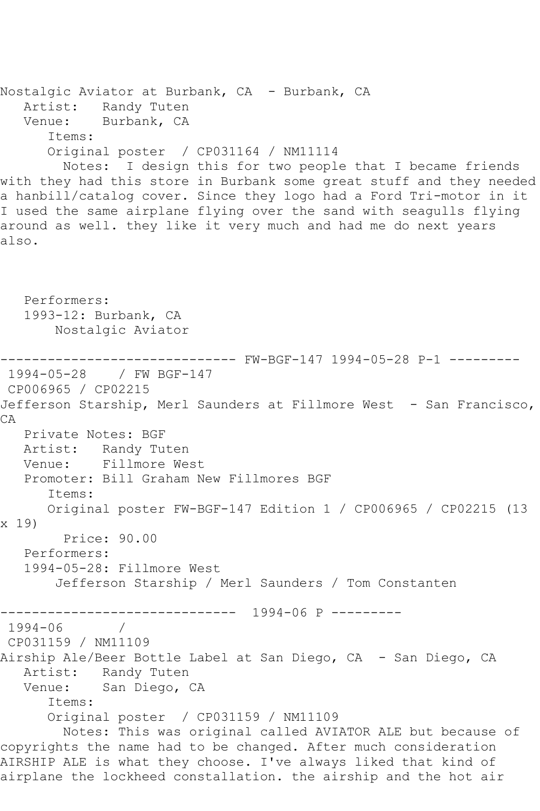Nostalgic Aviator at Burbank, CA - Burbank, CA Artist: Randy Tuten Venue: Burbank, CA Items: Original poster / CP031164 / NM11114 Notes: I design this for two people that I became friends with they had this store in Burbank some great stuff and they needed a hanbill/catalog cover. Since they logo had a Ford Tri-motor in it I used the same airplane flying over the sand with seagulls flying around as well. they like it very much and had me do next years also. Performers: 1993-12: Burbank, CA Nostalgic Aviator ------------------------------ FW-BGF-147 1994-05-28 P-1 --------- 1994-05-28 / FW BGF-147 CP006965 / CP02215 Jefferson Starship, Merl Saunders at Fillmore West - San Francisco,  $CA$ Private Notes: BGF<br>Artist: Randy Tut Artist: Randy Tuten<br>Venue: Fillmore We Fillmore West Promoter: Bill Graham New Fillmores BGF Items: Original poster FW-BGF-147 Edition 1 / CP006965 / CP02215 (13 x 19) Price: 90.00 Performers: 1994-05-28: Fillmore West Jefferson Starship / Merl Saunders / Tom Constanten ------------------------------ 1994-06 P --------- 1994-06 / CP031159 / NM11109 Airship Ale/Beer Bottle Label at San Diego, CA - San Diego, CA Artist: Randy Tuten<br>Venue: San Diego, O San Diego, CA Items: Original poster / CP031159 / NM11109 Notes: This was original called AVIATOR ALE but because of copyrights the name had to be changed. After much consideration AIRSHIP ALE is what they choose. I've always liked that kind of airplane the lockheed constallation. the airship and the hot air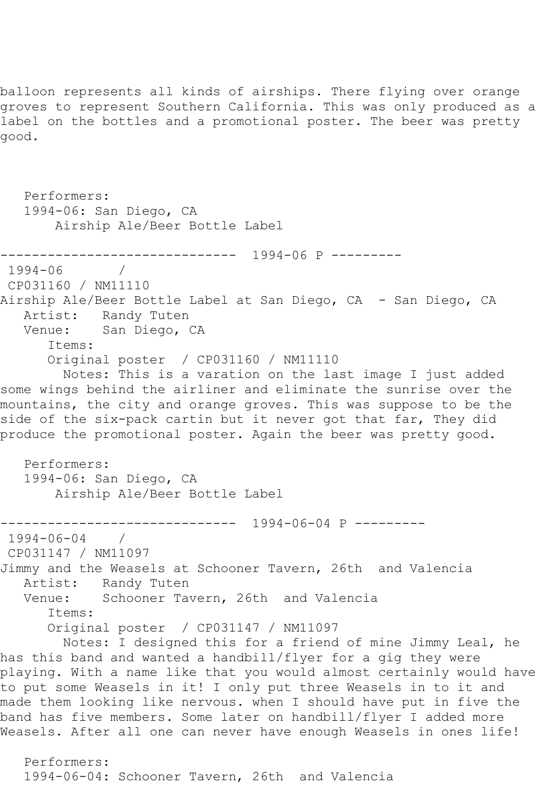balloon represents all kinds of airships. There flying over orange groves to represent Southern California. This was only produced as a label on the bottles and a promotional poster. The beer was pretty good.

 Performers: 1994-06: San Diego, CA Airship Ale/Beer Bottle Label ------------------------------ 1994-06 P ---------  $1994 - 06$ CP031160 / NM11110 Airship Ale/Beer Bottle Label at San Diego, CA - San Diego, CA Artist: Randy Tuten Venue: San Diego, CA Items: Original poster / CP031160 / NM11110 Notes: This is a varation on the last image I just added some wings behind the airliner and eliminate the sunrise over the mountains, the city and orange groves. This was suppose to be the side of the six-pack cartin but it never got that far, They did produce the promotional poster. Again the beer was pretty good. Performers: 1994-06: San Diego, CA Airship Ale/Beer Bottle Label ------------------------------ 1994-06-04 P --------- 1994-06-04 / CP031147 / NM11097 Jimmy and the Weasels at Schooner Tavern, 26th and Valencia Artist: Randy Tuten Venue: Schooner Tavern, 26th and Valencia Items: Original poster / CP031147 / NM11097 Notes: I designed this for a friend of mine Jimmy Leal, he has this band and wanted a handbill/flyer for a gig they were playing. With a name like that you would almost certainly would have to put some Weasels in it! I only put three Weasels in to it and made them looking like nervous. when I should have put in five the band has five members. Some later on handbill/flyer I added more Weasels. After all one can never have enough Weasels in ones life! Performers: 1994-06-04: Schooner Tavern, 26th and Valencia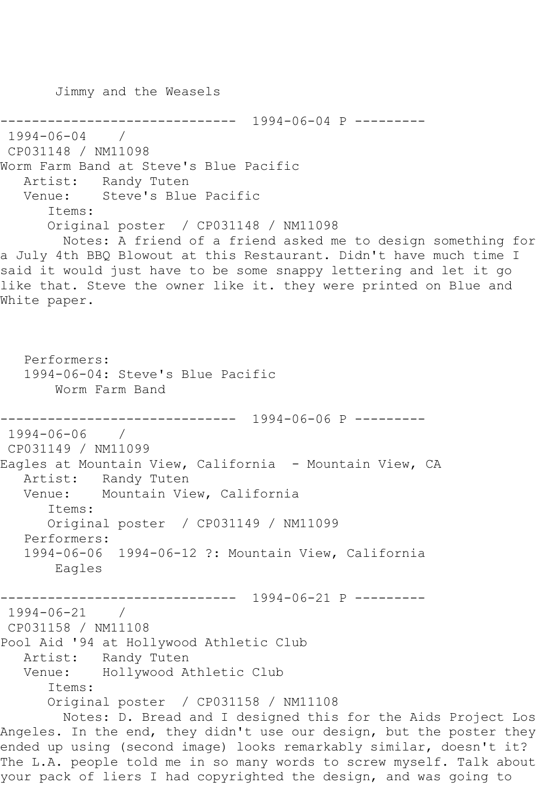Jimmy and the Weasels

------------------------------ 1994-06-04 P --------- 1994-06-04 / CP031148 / NM11098 Worm Farm Band at Steve's Blue Pacific Artist: Randy Tuten<br>Venue: Steve's Blue Steve's Blue Pacific Items: Original poster / CP031148 / NM11098 Notes: A friend of a friend asked me to design something for a July 4th BBQ Blowout at this Restaurant. Didn't have much time I said it would just have to be some snappy lettering and let it go like that. Steve the owner like it. they were printed on Blue and White paper. Performers: 1994-06-04: Steve's Blue Pacific Worm Farm Band ------------------------------ 1994-06-06 P --------- 1994-06-06 / CP031149 / NM11099 Eagles at Mountain View, California - Mountain View, CA Artist: Randy Tuten Venue: Mountain View, California Items: Original poster / CP031149 / NM11099 Performers: 1994-06-06 1994-06-12 ?: Mountain View, California Eagles ------------------------------ 1994-06-21 P --------- 1994-06-21 / CP031158 / NM11108 Pool Aid '94 at Hollywood Athletic Club Artist: Randy Tuten Venue: Hollywood Athletic Club Items: Original poster / CP031158 / NM11108 Notes: D. Bread and I designed this for the Aids Project Los Angeles. In the end, they didn't use our design, but the poster they ended up using (second image) looks remarkably similar, doesn't it? The L.A. people told me in so many words to screw myself. Talk about

your pack of liers I had copyrighted the design, and was going to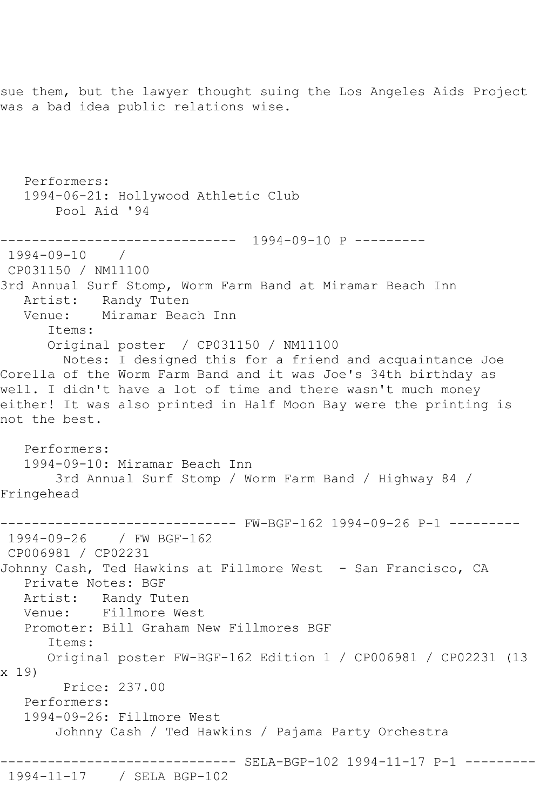sue them, but the lawyer thought suing the Los Angeles Aids Project was a bad idea public relations wise.

 Performers: 1994-06-21: Hollywood Athletic Club Pool Aid '94 ------------------------------ 1994-09-10 P --------- 1994-09-10 / CP031150 / NM11100 3rd Annual Surf Stomp, Worm Farm Band at Miramar Beach Inn Artist: Randy Tuten Venue: Miramar Beach Inn Items: Original poster / CP031150 / NM11100 Notes: I designed this for a friend and acquaintance Joe Corella of the Worm Farm Band and it was Joe's 34th birthday as well. I didn't have a lot of time and there wasn't much money either! It was also printed in Half Moon Bay were the printing is not the best. Performers: 1994-09-10: Miramar Beach Inn 3rd Annual Surf Stomp / Worm Farm Band / Highway 84 / Fringehead ------------------------------ FW-BGF-162 1994-09-26 P-1 --------- 1994-09-26 / FW BGF-162 CP006981 / CP02231 Johnny Cash, Ted Hawkins at Fillmore West - San Francisco, CA Private Notes: BGF Artist: Randy Tuten Venue: Fillmore West Promoter: Bill Graham New Fillmores BGF Items: Original poster FW-BGF-162 Edition 1 / CP006981 / CP02231 (13 x 19) Price: 237.00 Performers: 1994-09-26: Fillmore West Johnny Cash / Ted Hawkins / Pajama Party Orchestra ------------------------------ SELA-BGP-102 1994-11-17 P-1 --------- 1994-11-17 / SELA BGP-102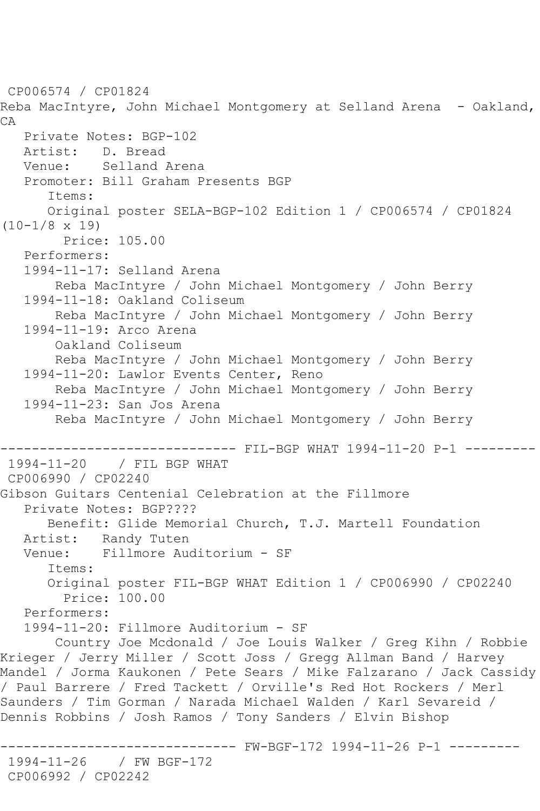```
CP006574 / CP01824
Reba MacIntyre, John Michael Montgomery at Selland Arena - Oakland,
CA
   Private Notes: BGP-102
   Artist: D. Bread
   Venue: Selland Arena
    Promoter: Bill Graham Presents BGP
       Items:
       Original poster SELA-BGP-102 Edition 1 / CP006574 / CP01824 
(10-1/8 x 19)
         Price: 105.00
    Performers:
    1994-11-17: Selland Arena
        Reba MacIntyre / John Michael Montgomery / John Berry
    1994-11-18: Oakland Coliseum
        Reba MacIntyre / John Michael Montgomery / John Berry
    1994-11-19: Arco Arena
        Oakland Coliseum
        Reba MacIntyre / John Michael Montgomery / John Berry
    1994-11-20: Lawlor Events Center, Reno
        Reba MacIntyre / John Michael Montgomery / John Berry
    1994-11-23: San Jos Arena
        Reba MacIntyre / John Michael Montgomery / John Berry
               ------------------------------ FIL-BGP WHAT 1994-11-20 P-1 ---------
1994-11-20 / FIL BGP WHAT
CP006990 / CP02240
Gibson Guitars Centenial Celebration at the Fillmore
    Private Notes: BGP????
       Benefit: Glide Memorial Church, T.J. Martell Foundation
  Artist: Randy Tuten<br>Venue: Fillmore Aud
            Venue: Fillmore Auditorium - SF
       Items:
       Original poster FIL-BGP WHAT Edition 1 / CP006990 / CP02240
         Price: 100.00
   Performers:
    1994-11-20: Fillmore Auditorium - SF
        Country Joe Mcdonald / Joe Louis Walker / Greg Kihn / Robbie 
Krieger / Jerry Miller / Scott Joss / Gregg Allman Band / Harvey 
Mandel / Jorma Kaukonen / Pete Sears / Mike Falzarano / Jack Cassidy 
/ Paul Barrere / Fred Tackett / Orville's Red Hot Rockers / Merl 
Saunders / Tim Gorman / Narada Michael Walden / Karl Sevareid / 
Dennis Robbins / Josh Ramos / Tony Sanders / Elvin Bishop
                     ------------------------------ FW-BGF-172 1994-11-26 P-1 ---------
1994-11-26 / FW BGF-172
CP006992 / CP02242
```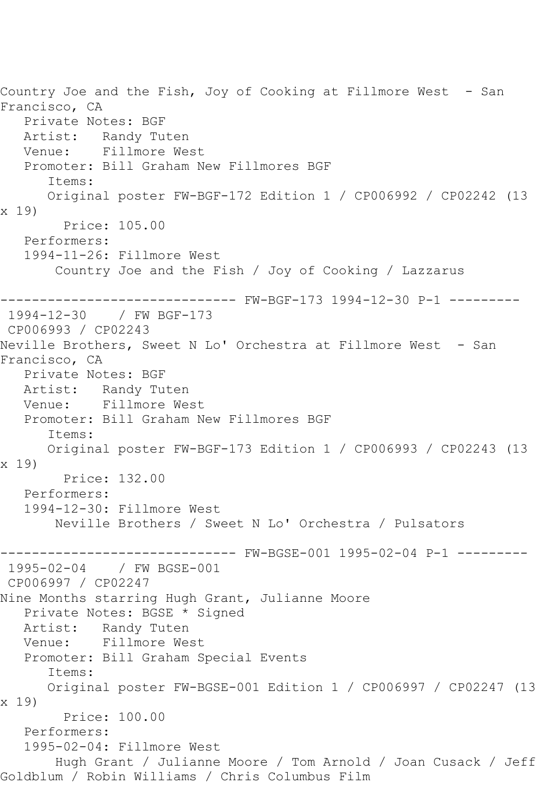Country Joe and the Fish, Joy of Cooking at Fillmore West - San Francisco, CA Private Notes: BGF Artist: Randy Tuten<br>Venue: Fillmore We Fillmore West Promoter: Bill Graham New Fillmores BGF Items: Original poster FW-BGF-172 Edition 1 / CP006992 / CP02242 (13 x 19) Price: 105.00 Performers: 1994-11-26: Fillmore West Country Joe and the Fish / Joy of Cooking / Lazzarus ------------------------------ FW-BGF-173 1994-12-30 P-1 --------- 1994-12-30 / FW BGF-173 CP006993 / CP02243 Neville Brothers, Sweet N Lo' Orchestra at Fillmore West - San Francisco, CA Private Notes: BGF Artist: Randy Tuten Venue: Fillmore West Promoter: Bill Graham New Fillmores BGF Items: Original poster FW-BGF-173 Edition 1 / CP006993 / CP02243 (13 x 19) Price: 132.00 Performers: 1994-12-30: Fillmore West Neville Brothers / Sweet N Lo' Orchestra / Pulsators ------------------------------ FW-BGSE-001 1995-02-04 P-1 --------- 1995-02-04 / FW BGSE-001 CP006997 / CP02247 Nine Months starring Hugh Grant, Julianne Moore Private Notes: BGSE \* Signed Artist: Randy Tuten Venue: Fillmore West Promoter: Bill Graham Special Events Items: Original poster FW-BGSE-001 Edition 1 / CP006997 / CP02247 (13 x 19) Price: 100.00 Performers: 1995-02-04: Fillmore West Hugh Grant / Julianne Moore / Tom Arnold / Joan Cusack / Jeff Goldblum / Robin Williams / Chris Columbus Film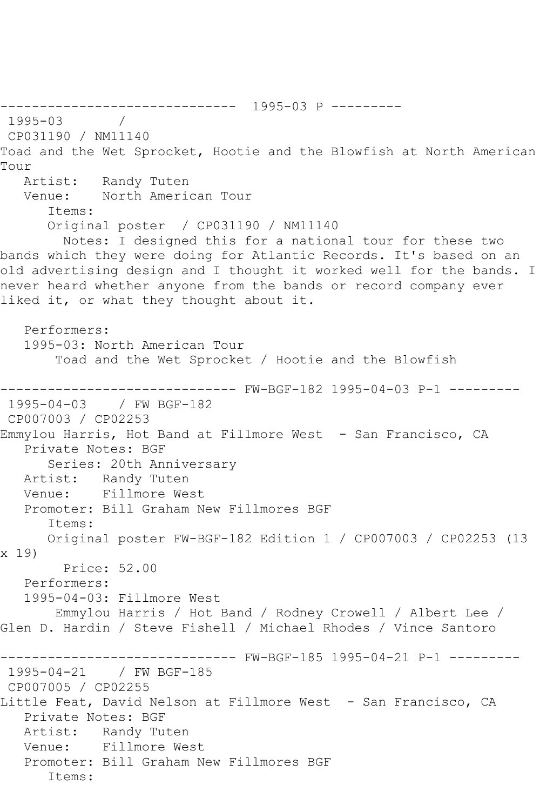------------------------------ 1995-03 P --------- 1995-03 / CP031190 / NM11140 Toad and the Wet Sprocket, Hootie and the Blowfish at North American Tour Artist: Randy Tuten Venue: North American Tour Items: Original poster / CP031190 / NM11140 Notes: I designed this for a national tour for these two bands which they were doing for Atlantic Records. It's based on an old advertising design and I thought it worked well for the bands. I never heard whether anyone from the bands or record company ever liked it, or what they thought about it. Performers: 1995-03: North American Tour Toad and the Wet Sprocket / Hootie and the Blowfish ------------------------------ FW-BGF-182 1995-04-03 P-1 --------- 1995-04-03 / FW BGF-182 CP007003 / CP02253 Emmylou Harris, Hot Band at Fillmore West - San Francisco, CA Private Notes: BGF Series: 20th Anniversary Artist: Randy Tuten Venue: Fillmore West Promoter: Bill Graham New Fillmores BGF Items: Original poster FW-BGF-182 Edition 1 / CP007003 / CP02253 (13 x 19) Price: 52.00 Performers: 1995-04-03: Fillmore West Emmylou Harris / Hot Band / Rodney Crowell / Albert Lee / Glen D. Hardin / Steve Fishell / Michael Rhodes / Vince Santoro ------------------------------ FW-BGF-185 1995-04-21 P-1 --------- 1995-04-21 / FW BGF-185 CP007005 / CP02255 Little Feat, David Nelson at Fillmore West - San Francisco, CA Private Notes: BGF Artist: Randy Tuten Venue: Fillmore West Promoter: Bill Graham New Fillmores BGF Items: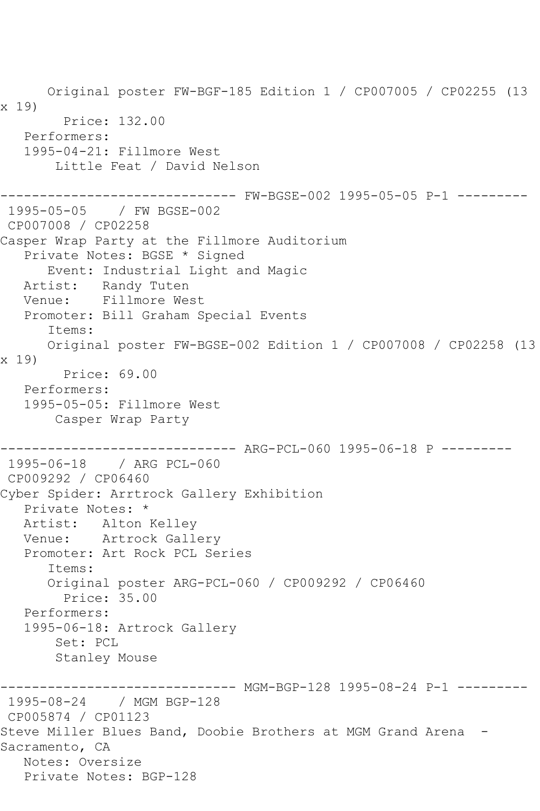Original poster FW-BGF-185 Edition 1 / CP007005 / CP02255 (13 x 19) Price: 132.00 Performers: 1995-04-21: Fillmore West Little Feat / David Nelson ------------------------------ FW-BGSE-002 1995-05-05 P-1 --------- 1995-05-05 / FW BGSE-002 CP007008 / CP02258 Casper Wrap Party at the Fillmore Auditorium Private Notes: BGSE \* Signed Event: Industrial Light and Magic Artist: Randy Tuten Venue: Fillmore West Promoter: Bill Graham Special Events Items: Original poster FW-BGSE-002 Edition 1 / CP007008 / CP02258 (13 x 19) Price: 69.00 Performers: 1995-05-05: Fillmore West Casper Wrap Party ------------------------------ ARG-PCL-060 1995-06-18 P --------- 1995-06-18 / ARG PCL-060 CP009292 / CP06460 Cyber Spider: Arrtrock Gallery Exhibition Private Notes: \* Artist: Alton Kelley Venue: Artrock Gallery Promoter: Art Rock PCL Series Items: Original poster ARG-PCL-060 / CP009292 / CP06460 Price: 35.00 Performers: 1995-06-18: Artrock Gallery Set: PCL Stanley Mouse ------------------------------ MGM-BGP-128 1995-08-24 P-1 --------- 1995-08-24 / MGM BGP-128 CP005874 / CP01123 Steve Miller Blues Band, Doobie Brothers at MGM Grand Arena - Sacramento, CA Notes: Oversize Private Notes: BGP-128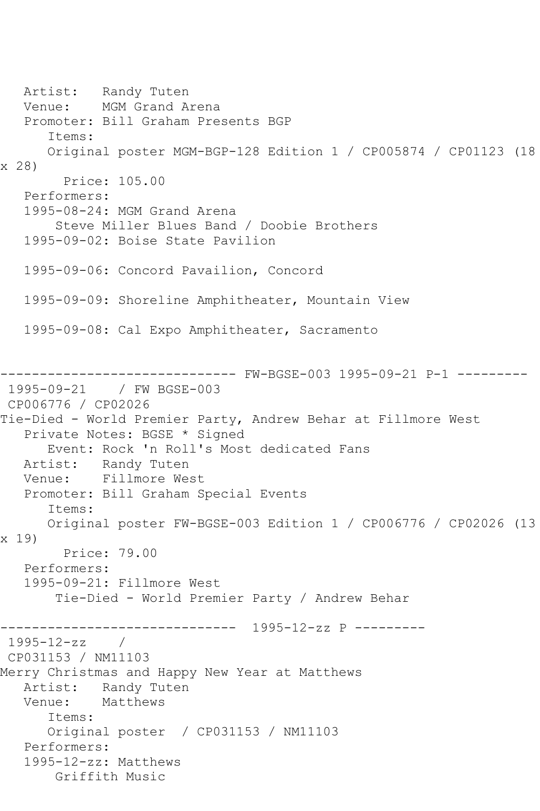Artist: Randy Tuten Venue: MGM Grand Arena Promoter: Bill Graham Presents BGP Items: Original poster MGM-BGP-128 Edition 1 / CP005874 / CP01123 (18 x 28) Price: 105.00 Performers: 1995-08-24: MGM Grand Arena Steve Miller Blues Band / Doobie Brothers 1995-09-02: Boise State Pavilion 1995-09-06: Concord Pavailion, Concord 1995-09-09: Shoreline Amphitheater, Mountain View 1995-09-08: Cal Expo Amphitheater, Sacramento ------------------------------ FW-BGSE-003 1995-09-21 P-1 --------- 1995-09-21 / FW BGSE-003 CP006776 / CP02026 Tie-Died - World Premier Party, Andrew Behar at Fillmore West Private Notes: BGSE \* Signed Event: Rock 'n Roll's Most dedicated Fans Artist: Randy Tuten Venue: Fillmore West Promoter: Bill Graham Special Events Items: Original poster FW-BGSE-003 Edition 1 / CP006776 / CP02026 (13 x 19) Price: 79.00 Performers: 1995-09-21: Fillmore West Tie-Died - World Premier Party / Andrew Behar ------------------------------ 1995-12-zz P --------- 1995-12-zz / CP031153 / NM11103 Merry Christmas and Happy New Year at Matthews Artist: Randy Tuten<br>Venue: Matthews Venue: Items: Original poster / CP031153 / NM11103 Performers: 1995-12-zz: Matthews Griffith Music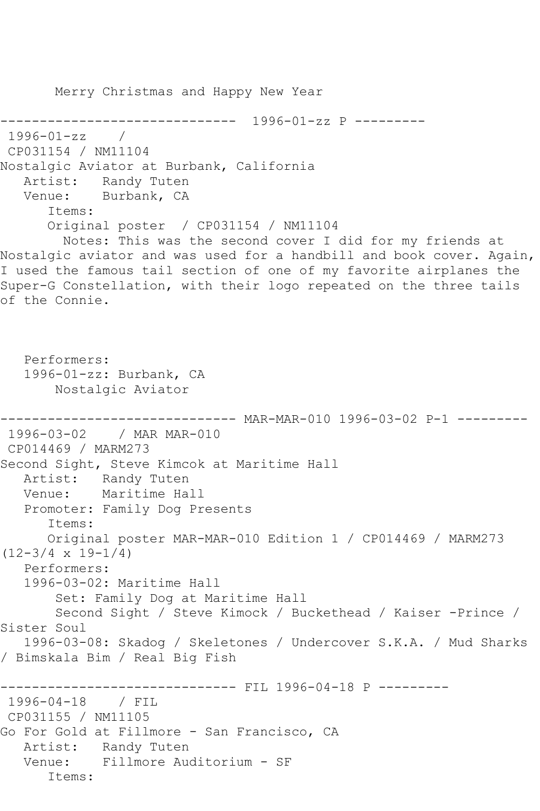Merry Christmas and Happy New Year ------------------------------ 1996-01-zz P --------- 1996-01-zz / CP031154 / NM11104 Nostalgic Aviator at Burbank, California Artist: Randy Tuten Venue: Burbank, CA Items: Original poster / CP031154 / NM11104 Notes: This was the second cover I did for my friends at Nostalgic aviator and was used for a handbill and book cover. Again, I used the famous tail section of one of my favorite airplanes the Super-G Constellation, with their logo repeated on the three tails of the Connie. Performers: 1996-01-zz: Burbank, CA Nostalgic Aviator ------------------------------ MAR-MAR-010 1996-03-02 P-1 --------- 1996-03-02 / MAR MAR-010 CP014469 / MARM273 Second Sight, Steve Kimcok at Maritime Hall Artist: Randy Tuten Venue: Maritime Hall Promoter: Family Dog Presents Items: Original poster MAR-MAR-010 Edition 1 / CP014469 / MARM273  $(12-3/4 \times 19-1/4)$  Performers: 1996-03-02: Maritime Hall Set: Family Dog at Maritime Hall Second Sight / Steve Kimock / Buckethead / Kaiser -Prince / Sister Soul 1996-03-08: Skadog / Skeletones / Undercover S.K.A. / Mud Sharks / Bimskala Bim / Real Big Fish ------------ FIL 1996-04-18 P ---------1996-04-18 / FIL CP031155 / NM11105 Go For Gold at Fillmore - San Francisco, CA Artist: Randy Tuten Venue: Fillmore Auditorium - SF Items: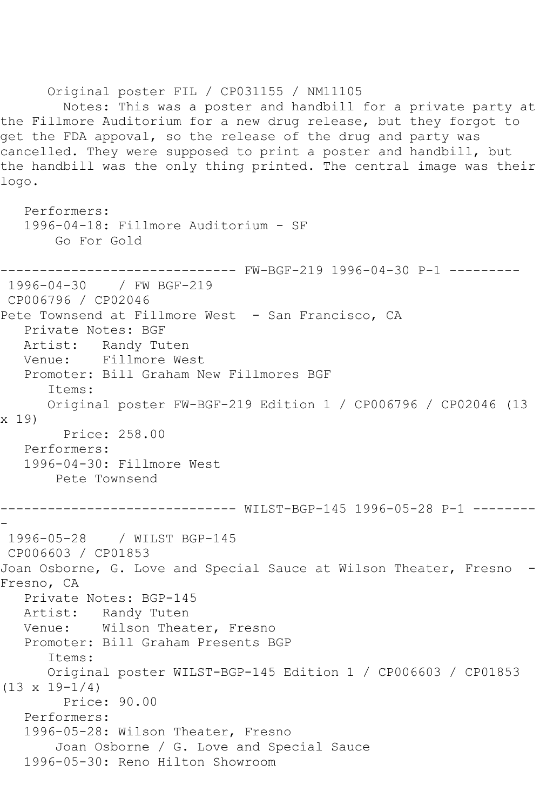Original poster FIL / CP031155 / NM11105 Notes: This was a poster and handbill for a private party at the Fillmore Auditorium for a new drug release, but they forgot to get the FDA appoval, so the release of the drug and party was cancelled. They were supposed to print a poster and handbill, but the handbill was the only thing printed. The central image was their logo. Performers: 1996-04-18: Fillmore Auditorium - SF Go For Gold ------------------------------ FW-BGF-219 1996-04-30 P-1 --------- 1996-04-30 / FW BGF-219 CP006796 / CP02046 Pete Townsend at Fillmore West - San Francisco, CA Private Notes: BGF Artist: Randy Tuten<br>Venue: Fillmore We Fillmore West Promoter: Bill Graham New Fillmores BGF Items: Original poster FW-BGF-219 Edition 1 / CP006796 / CP02046 (13 x 19) Price: 258.00 Performers: 1996-04-30: Fillmore West Pete Townsend ------------------------------ WILST-BGP-145 1996-05-28 P-1 -------- - 1996-05-28 / WILST BGP-145 CP006603 / CP01853 Joan Osborne, G. Love and Special Sauce at Wilson Theater, Fresno - Fresno, CA Private Notes: BGP-145 Artist: Randy Tuten Venue: Wilson Theater, Fresno Promoter: Bill Graham Presents BGP Items: Original poster WILST-BGP-145 Edition 1 / CP006603 / CP01853 (13 x 19-1/4) Price: 90.00 Performers: 1996-05-28: Wilson Theater, Fresno Joan Osborne / G. Love and Special Sauce 1996-05-30: Reno Hilton Showroom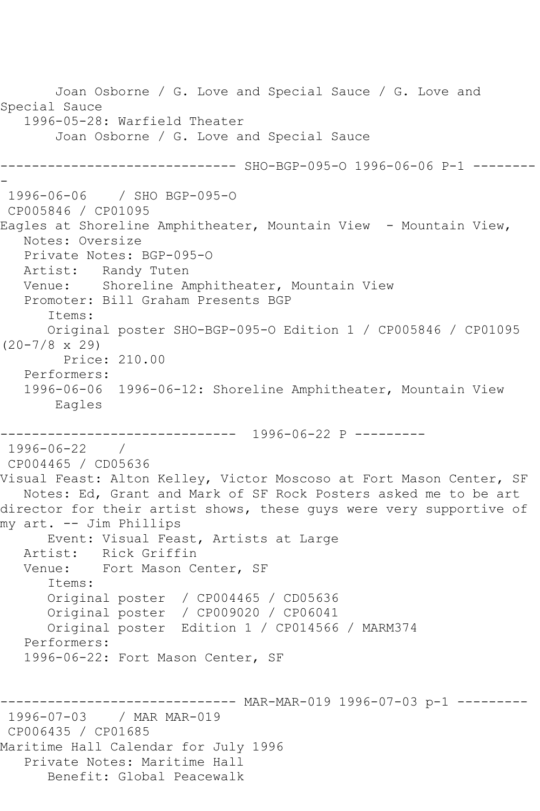Joan Osborne / G. Love and Special Sauce / G. Love and Special Sauce 1996-05-28: Warfield Theater Joan Osborne / G. Love and Special Sauce ------------------------------ SHO-BGP-095-O 1996-06-06 P-1 -------- - 1996-06-06 / SHO BGP-095-O CP005846 / CP01095 Eagles at Shoreline Amphitheater, Mountain View - Mountain View, Notes: Oversize Private Notes: BGP-095-O Artist: Randy Tuten Venue: Shoreline Amphitheater, Mountain View Promoter: Bill Graham Presents BGP Items: Original poster SHO-BGP-095-O Edition 1 / CP005846 / CP01095 (20-7/8 x 29) Price: 210.00 Performers: 1996-06-06 1996-06-12: Shoreline Amphitheater, Mountain View Eagles ------------------------------ 1996-06-22 P --------- 1996-06-22 / CP004465 / CD05636 Visual Feast: Alton Kelley, Victor Moscoso at Fort Mason Center, SF Notes: Ed, Grant and Mark of SF Rock Posters asked me to be art director for their artist shows, these guys were very supportive of my art. -- Jim Phillips Event: Visual Feast, Artists at Large Artist: Rick Griffin Venue: Fort Mason Center, SF Items: Original poster / CP004465 / CD05636 Original poster / CP009020 / CP06041 Original poster Edition 1 / CP014566 / MARM374 Performers: 1996-06-22: Fort Mason Center, SF ------------------------------ MAR-MAR-019 1996-07-03 p-1 --------- 1996-07-03 / MAR MAR-019 CP006435 / CP01685 Maritime Hall Calendar for July 1996 Private Notes: Maritime Hall Benefit: Global Peacewalk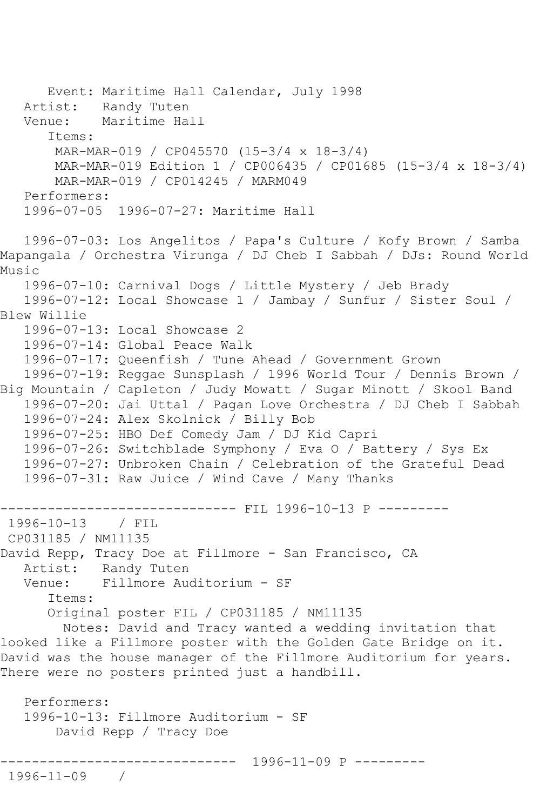Event: Maritime Hall Calendar, July 1998 Artist: Randy Tuten Venue: Maritime Hall Items: MAR-MAR-019 / CP045570 (15-3/4 x 18-3/4) MAR-MAR-019 Edition 1 / CP006435 / CP01685 (15-3/4 x 18-3/4) MAR-MAR-019 / CP014245 / MARM049 Performers: 1996-07-05 1996-07-27: Maritime Hall 1996-07-03: Los Angelitos / Papa's Culture / Kofy Brown / Samba Mapangala / Orchestra Virunga / DJ Cheb I Sabbah / DJs: Round World Music 1996-07-10: Carnival Dogs / Little Mystery / Jeb Brady 1996-07-12: Local Showcase 1 / Jambay / Sunfur / Sister Soul / Blew Willie 1996-07-13: Local Showcase 2 1996-07-14: Global Peace Walk 1996-07-17: Queenfish / Tune Ahead / Government Grown 1996-07-19: Reggae Sunsplash / 1996 World Tour / Dennis Brown / Big Mountain / Capleton / Judy Mowatt / Sugar Minott / Skool Band 1996-07-20: Jai Uttal / Pagan Love Orchestra / DJ Cheb I Sabbah 1996-07-24: Alex Skolnick / Billy Bob 1996-07-25: HBO Def Comedy Jam / DJ Kid Capri 1996-07-26: Switchblade Symphony / Eva O / Battery / Sys Ex 1996-07-27: Unbroken Chain / Celebration of the Grateful Dead 1996-07-31: Raw Juice / Wind Cave / Many Thanks ------------ FIL 1996-10-13 P ----------1996-10-13 / FIL CP031185 / NM11135 David Repp, Tracy Doe at Fillmore - San Francisco, CA Artist: Randy Tuten<br>Venue: Fillmore Aud Fillmore Auditorium - SF Items: Original poster FIL / CP031185 / NM11135 Notes: David and Tracy wanted a wedding invitation that looked like a Fillmore poster with the Golden Gate Bridge on it. David was the house manager of the Fillmore Auditorium for years. There were no posters printed just a handbill. Performers: 1996-10-13: Fillmore Auditorium - SF David Repp / Tracy Doe ------------------------------ 1996-11-09 P --------- 1996-11-09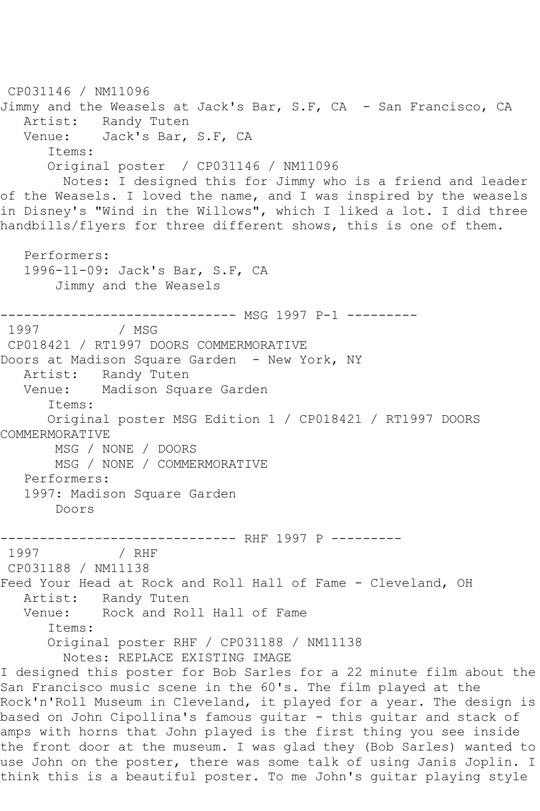CP031146 / NM11096 Jimmy and the Weasels at Jack's Bar, S.F, CA - San Francisco, CA Artist: Randy Tuten Venue: Jack's Bar, S.F, CA Items: Original poster / CP031146 / NM11096 Notes: I designed this for Jimmy who is a friend and leader of the Weasels. I loved the name, and I was inspired by the weasels in Disney's "Wind in the Willows", which I liked a lot. I did three handbills/flyers for three different shows, this is one of them. Performers: 1996-11-09: Jack's Bar, S.F, CA Jimmy and the Weasels ------------------------------- MSG 1997 P-1 ---------<br>1997 / MSG / MSG CP018421 / RT1997 DOORS COMMERMORATIVE Doors at Madison Square Garden - New York, NY Artist: Randy Tuten Venue: Madison Square Garden Items: Original poster MSG Edition 1 / CP018421 / RT1997 DOORS COMMERMORATIVE MSG / NONE / DOORS MSG / NONE / COMMERMORATIVE Performers: 1997: Madison Square Garden Doors -------------------------------- RHF 1997 P ---------<br>1997 / RHF 1997 / RHF CP031188 / NM11138 Feed Your Head at Rock and Roll Hall of Fame - Cleveland, OH Artist: Randy Tuten Venue: Rock and Roll Hall of Fame Items: Original poster RHF / CP031188 / NM11138 Notes: REPLACE EXISTING IMAGE I designed this poster for Bob Sarles for a 22 minute film about the San Francisco music scene in the 60's. The film played at the Rock'n'Roll Museum in Cleveland, it played for a year. The design is based on John Cipollina's famous guitar - this guitar and stack of amps with horns that John played is the first thing you see inside the front door at the museum. I was glad they (Bob Sarles) wanted to use John on the poster, there was some talk of using Janis Joplin. I think this is a beautiful poster. To me John's guitar playing style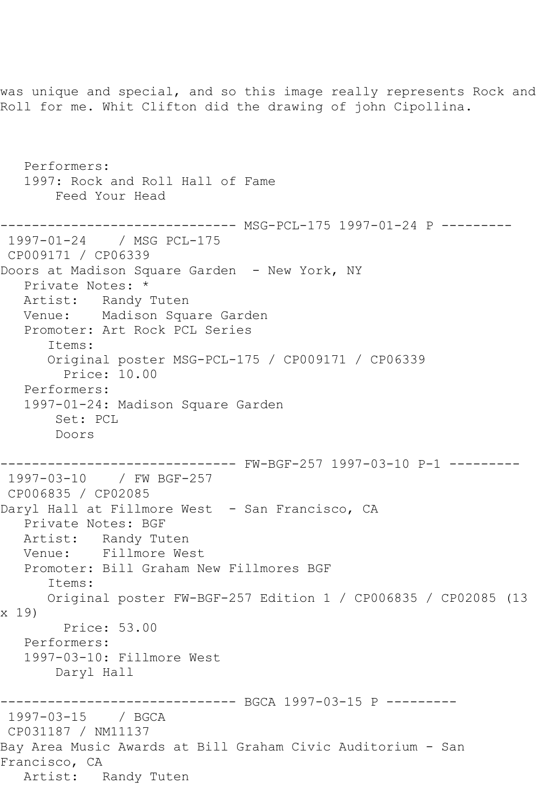Roll for me. Whit Clifton did the drawing of john Cipollina. Performers: 1997: Rock and Roll Hall of Fame Feed Your Head ------------------------------ MSG-PCL-175 1997-01-24 P --------- 1997-01-24 / MSG PCL-175 CP009171 / CP06339 Doors at Madison Square Garden - New York, NY Private Notes: \* Artist: Randy Tuten Venue: Madison Square Garden Promoter: Art Rock PCL Series Items: Original poster MSG-PCL-175 / CP009171 / CP06339 Price: 10.00 Performers: 1997-01-24: Madison Square Garden Set: PCL Doors ------------------------------ FW-BGF-257 1997-03-10 P-1 --------- 1997-03-10 / FW BGF-257 CP006835 / CP02085 Daryl Hall at Fillmore West - San Francisco, CA Private Notes: BGF Artist: Randy Tuten Venue: Fillmore West Promoter: Bill Graham New Fillmores BGF Items: Original poster FW-BGF-257 Edition 1 / CP006835 / CP02085 (13 x 19) Price: 53.00 Performers: 1997-03-10: Fillmore West Daryl Hall ---------- BGCA 1997-03-15 P ---------1997-03-15 / BGCA CP031187 / NM11137 Bay Area Music Awards at Bill Graham Civic Auditorium - San Francisco, CA Artist: Randy Tuten

was unique and special, and so this image really represents Rock and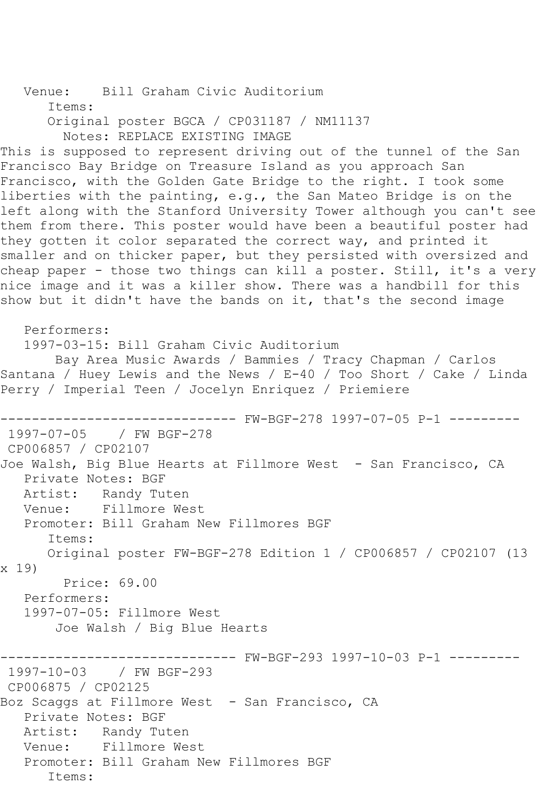Venue: Bill Graham Civic Auditorium Items: Original poster BGCA / CP031187 / NM11137 Notes: REPLACE EXISTING IMAGE This is supposed to represent driving out of the tunnel of the San Francisco Bay Bridge on Treasure Island as you approach San Francisco, with the Golden Gate Bridge to the right. I took some liberties with the painting, e.g., the San Mateo Bridge is on the left along with the Stanford University Tower although you can't see them from there. This poster would have been a beautiful poster had they gotten it color separated the correct way, and printed it smaller and on thicker paper, but they persisted with oversized and cheap paper - those two things can kill a poster. Still, it's a very nice image and it was a killer show. There was a handbill for this show but it didn't have the bands on it, that's the second image Performers: 1997-03-15: Bill Graham Civic Auditorium Bay Area Music Awards / Bammies / Tracy Chapman / Carlos Santana / Huey Lewis and the News / E-40 / Too Short / Cake / Linda Perry / Imperial Teen / Jocelyn Enriquez / Priemiere ------------------------------ FW-BGF-278 1997-07-05 P-1 --------- 1997-07-05 / FW BGF-278 CP006857 / CP02107 Joe Walsh, Big Blue Hearts at Fillmore West - San Francisco, CA Private Notes: BGF Artist: Randy Tuten Venue: Fillmore West Promoter: Bill Graham New Fillmores BGF Items: Original poster FW-BGF-278 Edition 1 / CP006857 / CP02107 (13 x 19) Price: 69.00 Performers: 1997-07-05: Fillmore West Joe Walsh / Big Blue Hearts ------------------------------ FW-BGF-293 1997-10-03 P-1 --------- 1997-10-03 / FW BGF-293 CP006875 / CP02125 Boz Scaggs at Fillmore West - San Francisco, CA Private Notes: BGF Artist: Randy Tuten Venue: Fillmore West Promoter: Bill Graham New Fillmores BGF Items: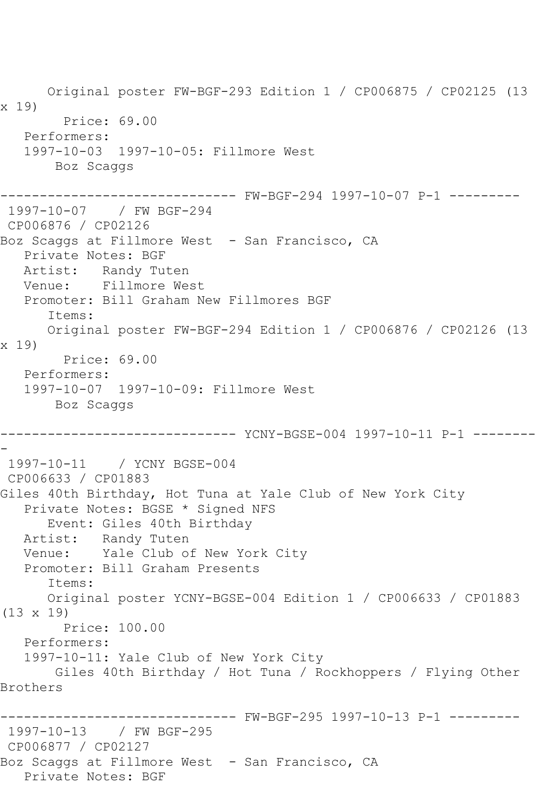Original poster FW-BGF-293 Edition 1 / CP006875 / CP02125 (13 x 19) Price: 69.00 Performers: 1997-10-03 1997-10-05: Fillmore West Boz Scaggs ------------------------------ FW-BGF-294 1997-10-07 P-1 --------- 1997-10-07 / FW BGF-294 CP006876 / CP02126 Boz Scaggs at Fillmore West - San Francisco, CA Private Notes: BGF Artist: Randy Tuten Venue: Fillmore West Promoter: Bill Graham New Fillmores BGF Items: Original poster FW-BGF-294 Edition 1 / CP006876 / CP02126 (13 x 19) Price: 69.00 Performers: 1997-10-07 1997-10-09: Fillmore West Boz Scaggs ------------------------------ YCNY-BGSE-004 1997-10-11 P-1 -------- - 1997-10-11 / YCNY BGSE-004 CP006633 / CP01883 Giles 40th Birthday, Hot Tuna at Yale Club of New York City Private Notes: BGSE \* Signed NFS Event: Giles 40th Birthday Artist: Randy Tuten Venue: Yale Club of New York City Promoter: Bill Graham Presents Items: Original poster YCNY-BGSE-004 Edition 1 / CP006633 / CP01883 (13 x 19) Price: 100.00 Performers: 1997-10-11: Yale Club of New York City Giles 40th Birthday / Hot Tuna / Rockhoppers / Flying Other Brothers ------------------------------ FW-BGF-295 1997-10-13 P-1 --------- 1997-10-13 / FW BGF-295 CP006877 / CP02127 Boz Scaggs at Fillmore West - San Francisco, CA Private Notes: BGF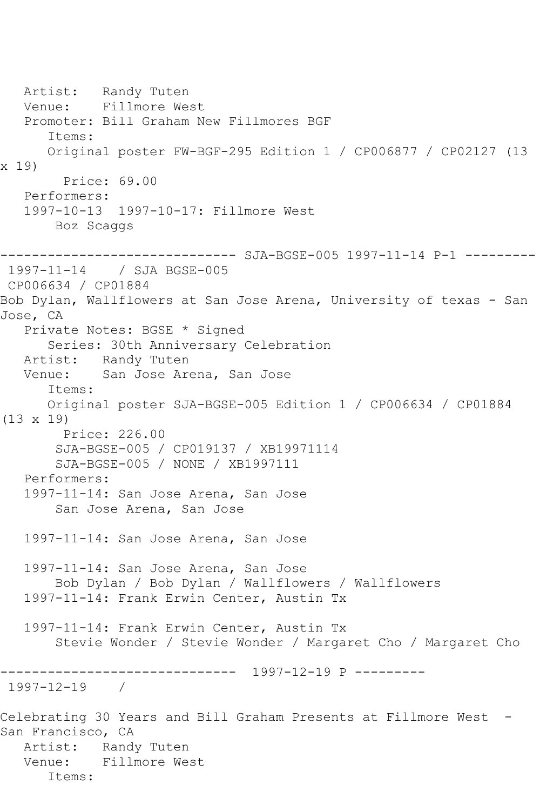Artist: Randy Tuten Venue: Fillmore West Promoter: Bill Graham New Fillmores BGF Items: Original poster FW-BGF-295 Edition 1 / CP006877 / CP02127 (13 x 19) Price: 69.00 Performers: 1997-10-13 1997-10-17: Fillmore West Boz Scaggs ------------------------------ SJA-BGSE-005 1997-11-14 P-1 --------- 1997-11-14 / SJA BGSE-005 CP006634 / CP01884 Bob Dylan, Wallflowers at San Jose Arena, University of texas - San Jose, CA Private Notes: BGSE \* Signed Series: 30th Anniversary Celebration Artist: Randy Tuten Venue: San Jose Arena, San Jose Items: Original poster SJA-BGSE-005 Edition 1 / CP006634 / CP01884 (13 x 19) Price: 226.00 SJA-BGSE-005 / CP019137 / XB19971114 SJA-BGSE-005 / NONE / XB1997111 Performers: 1997-11-14: San Jose Arena, San Jose San Jose Arena, San Jose 1997-11-14: San Jose Arena, San Jose 1997-11-14: San Jose Arena, San Jose Bob Dylan / Bob Dylan / Wallflowers / Wallflowers 1997-11-14: Frank Erwin Center, Austin Tx 1997-11-14: Frank Erwin Center, Austin Tx Stevie Wonder / Stevie Wonder / Margaret Cho / Margaret Cho ------------------------------ 1997-12-19 P --------- 1997-12-19 / Celebrating 30 Years and Bill Graham Presents at Fillmore West - San Francisco, CA Artist: Randy Tuten Venue: Fillmore West Items: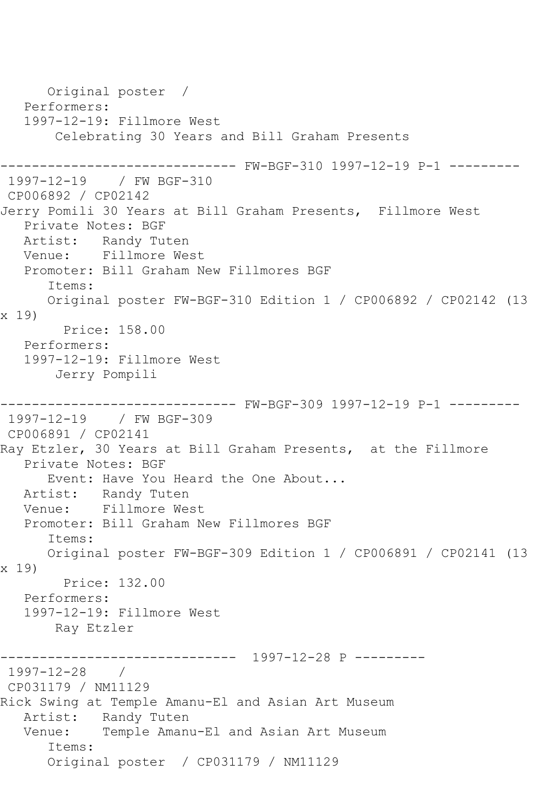Original poster / Performers: 1997-12-19: Fillmore West Celebrating 30 Years and Bill Graham Presents ------------------------------ FW-BGF-310 1997-12-19 P-1 --------- 1997-12-19 / FW BGF-310 CP006892 / CP02142 Jerry Pomili 30 Years at Bill Graham Presents, Fillmore West Private Notes: BGF Artist: Randy Tuten Venue: Fillmore West Promoter: Bill Graham New Fillmores BGF Items: Original poster FW-BGF-310 Edition 1 / CP006892 / CP02142 (13 x 19) Price: 158.00 Performers: 1997-12-19: Fillmore West Jerry Pompili ------ FW-BGF-309 1997-12-19 P-1 ---------1997-12-19 / FW BGF-309 CP006891 / CP02141 Ray Etzler, 30 Years at Bill Graham Presents, at the Fillmore Private Notes: BGF Event: Have You Heard the One About... Artist: Randy Tuten Venue: Fillmore West Promoter: Bill Graham New Fillmores BGF Items: Original poster FW-BGF-309 Edition 1 / CP006891 / CP02141 (13 x 19) Price: 132.00 Performers: 1997-12-19: Fillmore West Ray Etzler ------------------------------ 1997-12-28 P --------- 1997-12-28 / CP031179 / NM11129 Rick Swing at Temple Amanu-El and Asian Art Museum Artist: Randy Tuten Venue: Temple Amanu-El and Asian Art Museum Items: Original poster / CP031179 / NM11129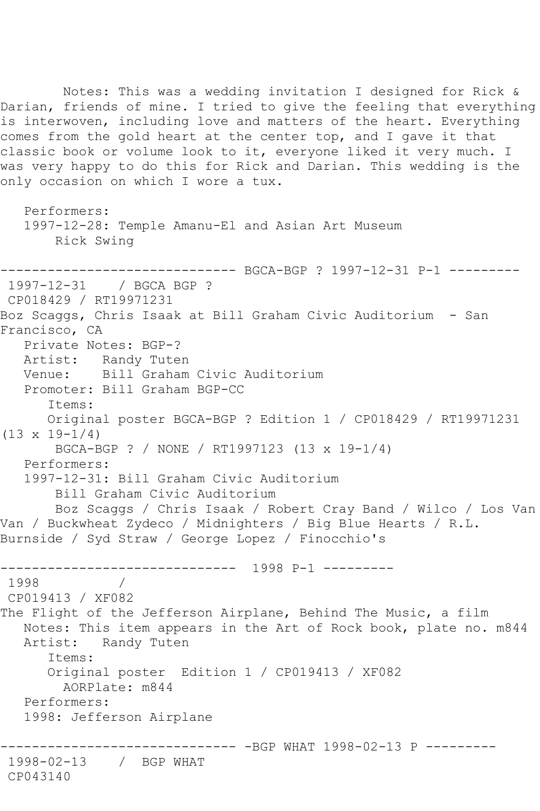Notes: This was a wedding invitation I designed for Rick & Darian, friends of mine. I tried to give the feeling that everything is interwoven, including love and matters of the heart. Everything comes from the gold heart at the center top, and I gave it that classic book or volume look to it, everyone liked it very much. I was very happy to do this for Rick and Darian. This wedding is the only occasion on which I wore a tux. Performers: 1997-12-28: Temple Amanu-El and Asian Art Museum Rick Swing ------------------------------ BGCA-BGP ? 1997-12-31 P-1 --------- 1997-12-31 / BGCA BGP ? CP018429 / RT19971231 Boz Scaggs, Chris Isaak at Bill Graham Civic Auditorium - San Francisco, CA Private Notes: BGP-? Artist: Randy Tuten Venue: Bill Graham Civic Auditorium Promoter: Bill Graham BGP-CC Items: Original poster BGCA-BGP ? Edition 1 / CP018429 / RT19971231  $(13 \times 19 - 1/4)$  BGCA-BGP ? / NONE / RT1997123 (13 x 19-1/4) Performers: 1997-12-31: Bill Graham Civic Auditorium Bill Graham Civic Auditorium Boz Scaggs / Chris Isaak / Robert Cray Band / Wilco / Los Van Van / Buckwheat Zydeco / Midnighters / Big Blue Hearts / R.L. Burnside / Syd Straw / George Lopez / Finocchio's ------------------------------ 1998 P-1 --------- 1998 / CP019413 / XF082 The Flight of the Jefferson Airplane, Behind The Music, a film

 Notes: This item appears in the Art of Rock book, plate no. m844 Artist: Randy Tuten Items: Original poster Edition 1 / CP019413 / XF082

AORPlate: m844

Performers:

1998: Jefferson Airplane

------------------------------ -BGP WHAT 1998-02-13 P --------- 1998-02-13 / BGP WHAT

CP043140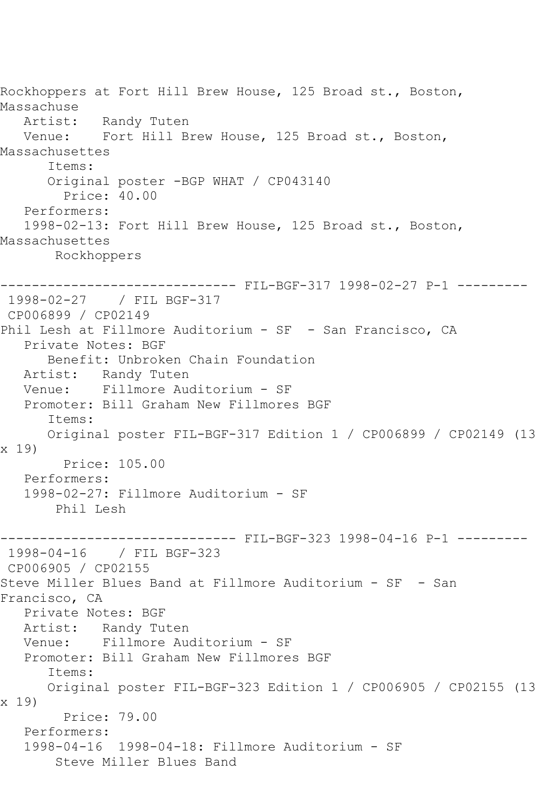Rockhoppers at Fort Hill Brew House, 125 Broad st., Boston, Massachuse Artist: Randy Tuten Venue: Fort Hill Brew House, 125 Broad st., Boston, Massachusettes Items: Original poster -BGP WHAT / CP043140 Price: 40.00 Performers: 1998-02-13: Fort Hill Brew House, 125 Broad st., Boston, Massachusettes Rockhoppers ------------------------------ FIL-BGF-317 1998-02-27 P-1 --------- 1998-02-27 / FIL BGF-317 CP006899 / CP02149 Phil Lesh at Fillmore Auditorium - SF - San Francisco, CA Private Notes: BGF Benefit: Unbroken Chain Foundation Artist: Randy Tuten Venue: Fillmore Auditorium - SF Promoter: Bill Graham New Fillmores BGF Items: Original poster FIL-BGF-317 Edition 1 / CP006899 / CP02149 (13 x 19) Price: 105.00 Performers: 1998-02-27: Fillmore Auditorium - SF Phil Lesh ------------------------------ FIL-BGF-323 1998-04-16 P-1 --------- 1998-04-16 / FIL BGF-323 CP006905 / CP02155 Steve Miller Blues Band at Fillmore Auditorium - SF - San Francisco, CA Private Notes: BGF Artist: Randy Tuten Venue: Fillmore Auditorium - SF Promoter: Bill Graham New Fillmores BGF Items: Original poster FIL-BGF-323 Edition 1 / CP006905 / CP02155 (13 x 19) Price: 79.00 Performers: 1998-04-16 1998-04-18: Fillmore Auditorium - SF Steve Miller Blues Band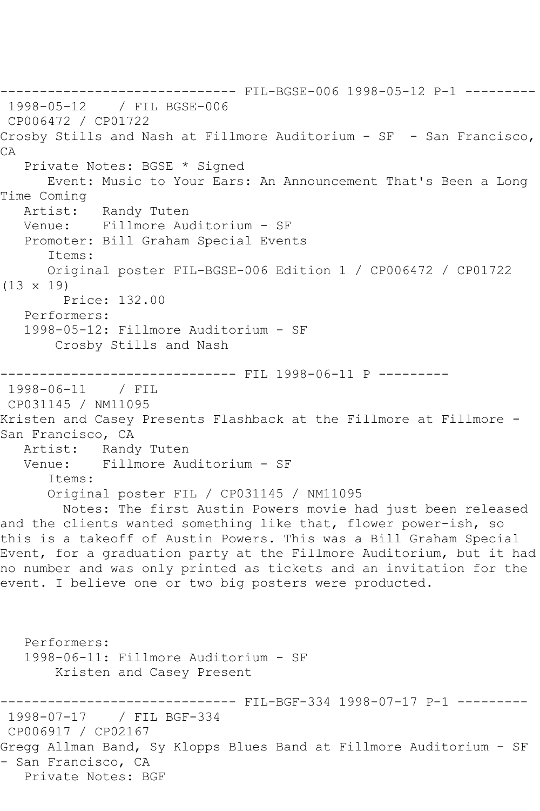------------------------------ FIL-BGSE-006 1998-05-12 P-1 --------- 1998-05-12 / FIL BGSE-006 CP006472 / CP01722 Crosby Stills and Nash at Fillmore Auditorium - SF - San Francisco, CA Private Notes: BGSE \* Signed Event: Music to Your Ears: An Announcement That's Been a Long Time Coming Artist: Randy Tuten Venue: Fillmore Auditorium - SF Promoter: Bill Graham Special Events Items: Original poster FIL-BGSE-006 Edition 1 / CP006472 / CP01722 (13 x 19) Price: 132.00 Performers: 1998-05-12: Fillmore Auditorium - SF Crosby Stills and Nash ------------------------------ FIL 1998-06-11 P --------- 1998-06-11 / FIL CP031145 / NM11095 Kristen and Casey Presents Flashback at the Fillmore at Fillmore - San Francisco, CA<br>Artist: Randy Artist: Randy Tuten<br>Venue: Fillmore Aud Fillmore Auditorium - SF Items: Original poster FIL / CP031145 / NM11095 Notes: The first Austin Powers movie had just been released and the clients wanted something like that, flower power-ish, so this is a takeoff of Austin Powers. This was a Bill Graham Special Event, for a graduation party at the Fillmore Auditorium, but it had no number and was only printed as tickets and an invitation for the event. I believe one or two big posters were producted. Performers: 1998-06-11: Fillmore Auditorium - SF Kristen and Casey Present ------------------------------ FIL-BGF-334 1998-07-17 P-1 --------- 1998-07-17 / FIL BGF-334 CP006917 / CP02167 Gregg Allman Band, Sy Klopps Blues Band at Fillmore Auditorium - SF - San Francisco, CA Private Notes: BGF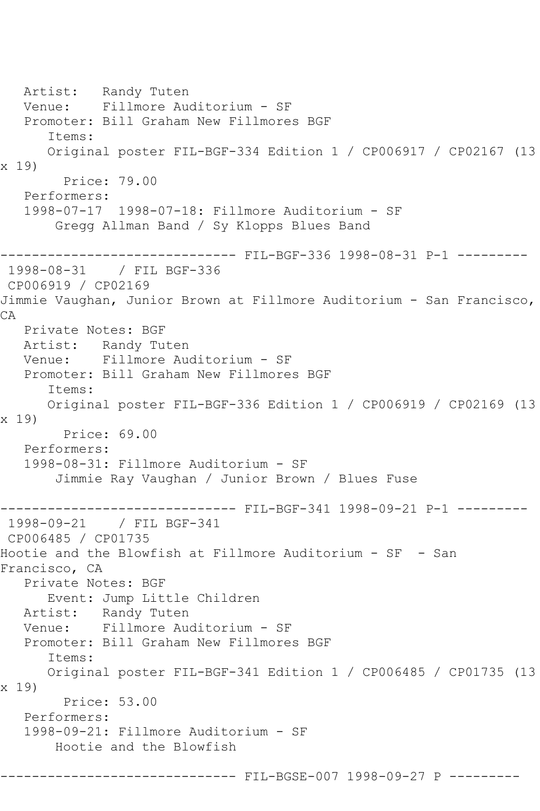```
 Artist: Randy Tuten
   Venue: Fillmore Auditorium - SF
   Promoter: Bill Graham New Fillmores BGF
       Items:
      Original poster FIL-BGF-334 Edition 1 / CP006917 / CP02167 (13 
x 19)
        Price: 79.00
   Performers:
   1998-07-17 1998-07-18: Fillmore Auditorium - SF
        Gregg Allman Band / Sy Klopps Blues Band
   ------------------------------ FIL-BGF-336 1998-08-31 P-1 ---------
1998-08-31 / FIL BGF-336
CP006919 / CP02169
Jimmie Vaughan, Junior Brown at Fillmore Auditorium - San Francisco, 
CA
   Private Notes: BGF
   Artist: Randy Tuten
   Venue: Fillmore Auditorium - SF
   Promoter: Bill Graham New Fillmores BGF
       Items:
      Original poster FIL-BGF-336 Edition 1 / CP006919 / CP02169 (13 
x 19)
         Price: 69.00
   Performers:
   1998-08-31: Fillmore Auditorium - SF
        Jimmie Ray Vaughan / Junior Brown / Blues Fuse
   ------------------------------ FIL-BGF-341 1998-09-21 P-1 ---------
1998-09-21 / FIL BGF-341
CP006485 / CP01735
Hootie and the Blowfish at Fillmore Auditorium - SF - San 
Francisco, CA
   Private Notes: BGF
      Event: Jump Little Children
   Artist: Randy Tuten
   Venue: Fillmore Auditorium - SF
   Promoter: Bill Graham New Fillmores BGF
       Items:
      Original poster FIL-BGF-341 Edition 1 / CP006485 / CP01735 (13 
x 19)
        Price: 53.00
   Performers:
   1998-09-21: Fillmore Auditorium - SF
        Hootie and the Blowfish
------------------------------ FIL-BGSE-007 1998-09-27 P ---------
```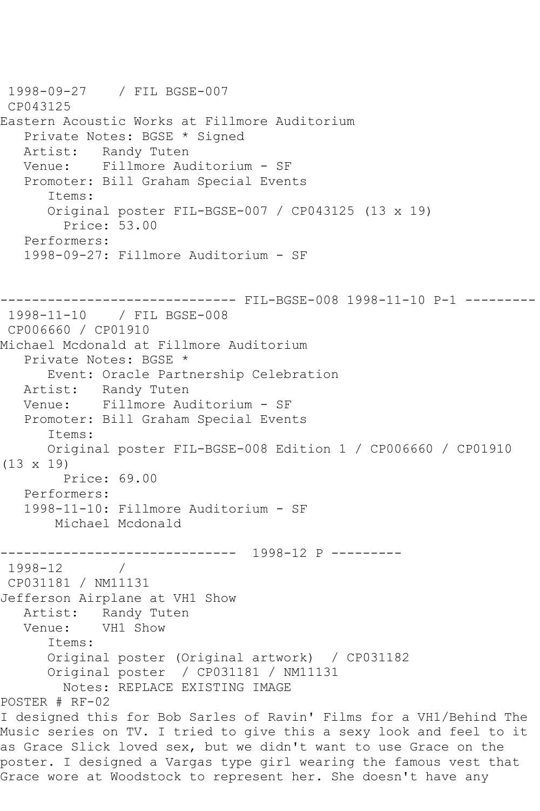1998-09-27 / FIL BGSE-007 CP043125 Eastern Acoustic Works at Fillmore Auditorium Private Notes: BGSE \* Signed Artist: Randy Tuten Venue: Fillmore Auditorium - SF Promoter: Bill Graham Special Events Items: Original poster FIL-BGSE-007 / CP043125 (13 x 19) Price: 53.00 Performers: 1998-09-27: Fillmore Auditorium - SF ------------------------------ FIL-BGSE-008 1998-11-10 P-1 --------- 1998-11-10 / FIL BGSE-008 CP006660 / CP01910 Michael Mcdonald at Fillmore Auditorium Private Notes: BGSE \* Event: Oracle Partnership Celebration Artist: Randy Tuten Venue: Fillmore Auditorium - SF Promoter: Bill Graham Special Events Items: Original poster FIL-BGSE-008 Edition 1 / CP006660 / CP01910  $(13 \times 19)$  Price: 69.00 Performers: 1998-11-10: Fillmore Auditorium - SF Michael Mcdonald ------------------------------ 1998-12 P --------- 1998-12 / CP031181 / NM11131 Jefferson Airplane at VH1 Show Artist: Randy Tuten<br>Venue: VH1 Show VH1 Show Items: Original poster (Original artwork) / CP031182 Original poster / CP031181 / NM11131 Notes: REPLACE EXISTING IMAGE POSTER # RF-02 I designed this for Bob Sarles of Ravin' Films for a VH1/Behind The Music series on TV. I tried to give this a sexy look and feel to it as Grace Slick loved sex, but we didn't want to use Grace on the poster. I designed a Vargas type girl wearing the famous vest that Grace wore at Woodstock to represent her. She doesn't have any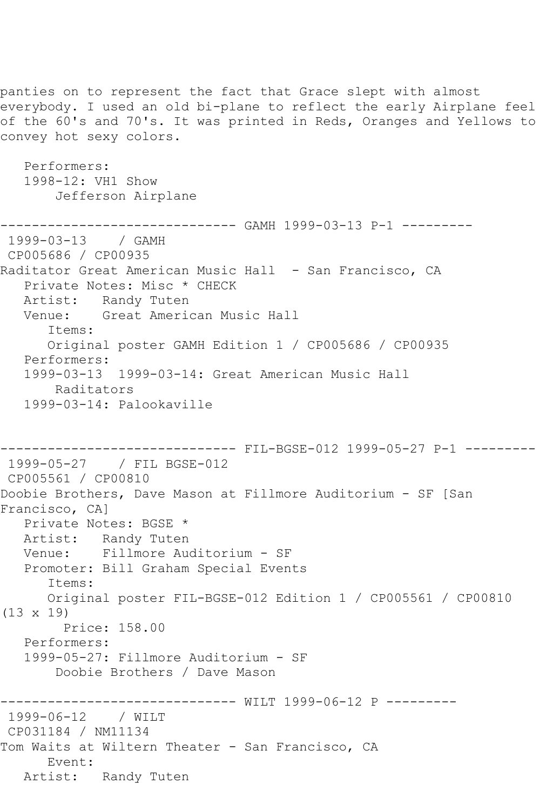panties on to represent the fact that Grace slept with almost everybody. I used an old bi-plane to reflect the early Airplane feel of the 60's and 70's. It was printed in Reds, Oranges and Yellows to convey hot sexy colors. Performers: 1998-12: VH1 Show Jefferson Airplane ------------------------------ GAMH 1999-03-13 P-1 --------- 1999-03-13 / GAMH CP005686 / CP00935 Raditator Great American Music Hall - San Francisco, CA Private Notes: Misc \* CHECK Artist: Randy Tuten Venue: Great American Music Hall Items: Original poster GAMH Edition 1 / CP005686 / CP00935 Performers: 1999-03-13 1999-03-14: Great American Music Hall Raditators 1999-03-14: Palookaville ------------------------------ FIL-BGSE-012 1999-05-27 P-1 --------- 1999-05-27 / FIL BGSE-012 CP005561 / CP00810 Doobie Brothers, Dave Mason at Fillmore Auditorium - SF [San Francisco, CA] Private Notes: BGSE \* Artist: Randy Tuten Venue: Fillmore Auditorium - SF Promoter: Bill Graham Special Events Items: Original poster FIL-BGSE-012 Edition 1 / CP005561 / CP00810 (13 x 19) Price: 158.00 Performers: 1999-05-27: Fillmore Auditorium - SF Doobie Brothers / Dave Mason -------------- WILT 1999-06-12 P ---------1999-06-12 / WILT CP031184 / NM11134 Tom Waits at Wiltern Theater - San Francisco, CA Event: Artist: Randy Tuten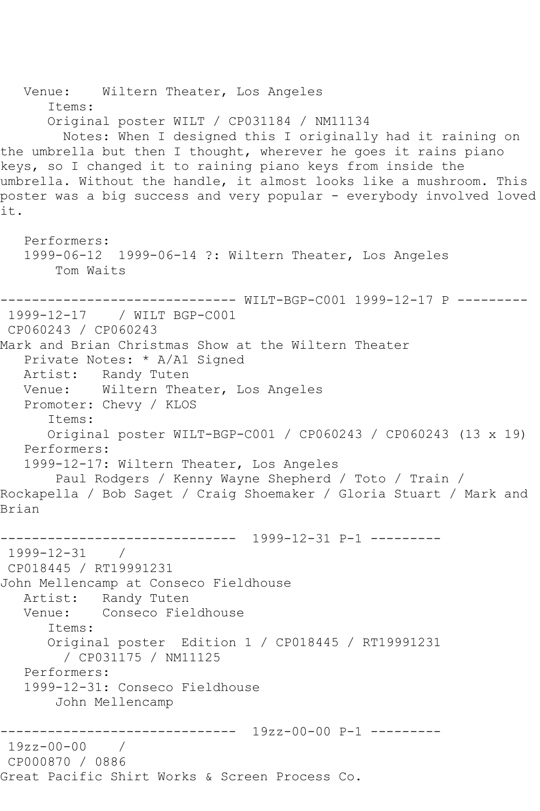Venue: Wiltern Theater, Los Angeles Items: Original poster WILT / CP031184 / NM11134 Notes: When I designed this I originally had it raining on the umbrella but then I thought, wherever he goes it rains piano keys, so I changed it to raining piano keys from inside the umbrella. Without the handle, it almost looks like a mushroom. This poster was a big success and very popular - everybody involved loved it. Performers: 1999-06-12 1999-06-14 ?: Wiltern Theater, Los Angeles Tom Waits ------------------------------ WILT-BGP-C001 1999-12-17 P --------- 1999-12-17 / WILT BGP-C001 CP060243 / CP060243 Mark and Brian Christmas Show at the Wiltern Theater Private Notes: \* A/A1 Signed Artist: Randy Tuten Venue: Wiltern Theater, Los Angeles Promoter: Chevy / KLOS Items: Original poster WILT-BGP-C001 / CP060243 / CP060243 (13 x 19) Performers: 1999-12-17: Wiltern Theater, Los Angeles Paul Rodgers / Kenny Wayne Shepherd / Toto / Train / Rockapella / Bob Saget / Craig Shoemaker / Gloria Stuart / Mark and Brian ------------------------------ 1999-12-31 P-1 --------- 1999-12-31 / CP018445 / RT19991231 John Mellencamp at Conseco Fieldhouse Artist: Randy Tuten Venue: Conseco Fieldhouse Items: Original poster Edition 1 / CP018445 / RT19991231 / CP031175 / NM11125 Performers: 1999-12-31: Conseco Fieldhouse John Mellencamp ------------------------------ 19zz-00-00 P-1 --------- 19zz-00-00 / CP000870 / 0886 Great Pacific Shirt Works & Screen Process Co.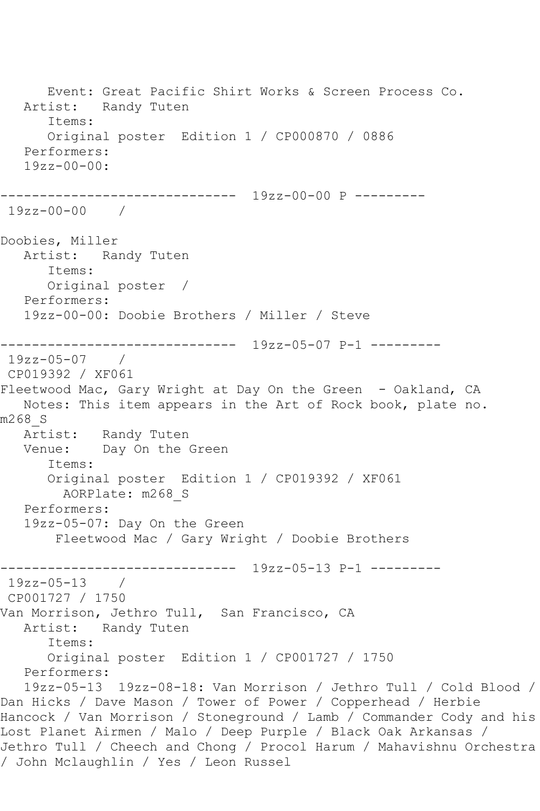Event: Great Pacific Shirt Works & Screen Process Co. Artist: Randy Tuten Items: Original poster Edition 1 / CP000870 / 0886 Performers:  $19zz - 00 - 00$ ------------------------------ 19zz-00-00 P --------- 19zz-00-00 / Doobies, Miller Artist: Randy Tuten Items: Original poster / Performers: 19zz-00-00: Doobie Brothers / Miller / Steve ------------------------------ 19zz-05-07 P-1 --------- 19zz-05-07 / CP019392 / XF061 Fleetwood Mac, Gary Wright at Day On the Green - Oakland, CA Notes: This item appears in the Art of Rock book, plate no. m268\_S Artist: Randy Tuten Venue: Day On the Green Items: Original poster Edition 1 / CP019392 / XF061 AORPlate: m268\_S Performers: 19zz-05-07: Day On the Green Fleetwood Mac / Gary Wright / Doobie Brothers ------------------------------ 19zz-05-13 P-1 --------- 19zz-05-13 / CP001727 / 1750 Van Morrison, Jethro Tull, San Francisco, CA Artist: Randy Tuten Items: Original poster Edition 1 / CP001727 / 1750 Performers: 19zz-05-13 19zz-08-18: Van Morrison / Jethro Tull / Cold Blood / Dan Hicks / Dave Mason / Tower of Power / Copperhead / Herbie Hancock / Van Morrison / Stoneground / Lamb / Commander Cody and his Lost Planet Airmen / Malo / Deep Purple / Black Oak Arkansas / Jethro Tull / Cheech and Chong / Procol Harum / Mahavishnu Orchestra / John Mclaughlin / Yes / Leon Russel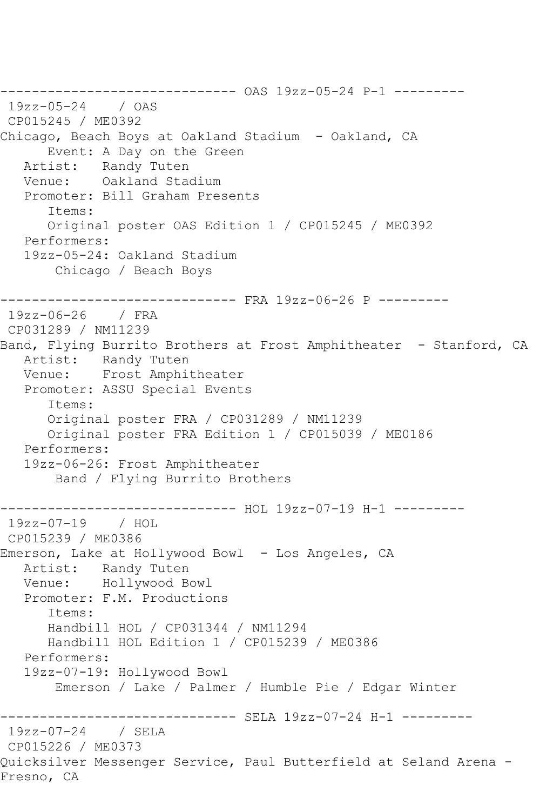------------------------------ OAS 19zz-05-24 P-1 --------- 19zz-05-24 / OAS CP015245 / ME0392 Chicago, Beach Boys at Oakland Stadium - Oakland, CA Event: A Day on the Green Artist: Randy Tuten Venue: Oakland Stadium Promoter: Bill Graham Presents Items: Original poster OAS Edition 1 / CP015245 / ME0392 Performers: 19zz-05-24: Oakland Stadium Chicago / Beach Boys ------------------------------ FRA 19zz-06-26 P --------- 19zz-06-26 / FRA CP031289 / NM11239 Band, Flying Burrito Brothers at Frost Amphitheater - Stanford, CA Artist: Randy Tuten Venue: Frost Amphitheater Promoter: ASSU Special Events Items: Original poster FRA / CP031289 / NM11239 Original poster FRA Edition 1 / CP015039 / ME0186 Performers: 19zz-06-26: Frost Amphitheater Band / Flying Burrito Brothers ------------------------------ HOL 19zz-07-19 H-1 --------- 19zz-07-19 / HOL CP015239 / ME0386 Emerson, Lake at Hollywood Bowl - Los Angeles, CA Artist: Randy Tuten<br>Venue: Hollywood B Hollywood Bowl Promoter: F.M. Productions Items: Handbill HOL / CP031344 / NM11294 Handbill HOL Edition 1 / CP015239 / ME0386 Performers: 19zz-07-19: Hollywood Bowl Emerson / Lake / Palmer / Humble Pie / Edgar Winter ------------- SELA 19zz-07-24 H-1 ---------19zz-07-24 / SELA CP015226 / ME0373 Quicksilver Messenger Service, Paul Butterfield at Seland Arena - Fresno, CA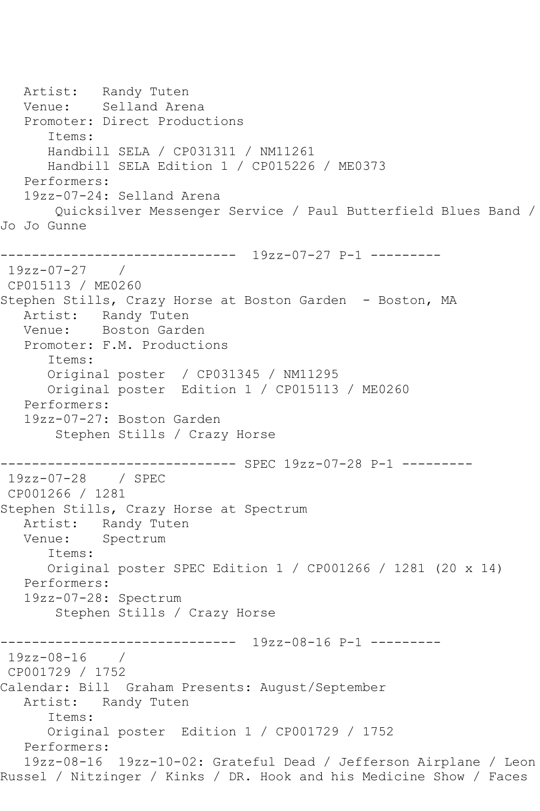Artist: Randy Tuten Venue: Selland Arena Promoter: Direct Productions Items: Handbill SELA / CP031311 / NM11261 Handbill SELA Edition 1 / CP015226 / ME0373 Performers: 19zz-07-24: Selland Arena Quicksilver Messenger Service / Paul Butterfield Blues Band / Jo Jo Gunne ------------------------------ 19zz-07-27 P-1 --------- 19zz-07-27 / CP015113 / ME0260 Stephen Stills, Crazy Horse at Boston Garden - Boston, MA Artist: Randy Tuten Venue: Boston Garden Promoter: F.M. Productions Items: Original poster / CP031345 / NM11295 Original poster Edition 1 / CP015113 / ME0260 Performers: 19zz-07-27: Boston Garden Stephen Stills / Crazy Horse ------------------------------ SPEC 19zz-07-28 P-1 --------- 19zz-07-28 / SPEC CP001266 / 1281 Stephen Stills, Crazy Horse at Spectrum Artist: Randy Tuten Venue: Spectrum Items: Original poster SPEC Edition 1 / CP001266 / 1281 (20 x 14) Performers: 19zz-07-28: Spectrum Stephen Stills / Crazy Horse ------------------------------ 19zz-08-16 P-1 --------- 19zz-08-16 / CP001729 / 1752 Calendar: Bill Graham Presents: August/September Artist: Randy Tuten Items: Original poster Edition 1 / CP001729 / 1752 Performers: 19zz-08-16 19zz-10-02: Grateful Dead / Jefferson Airplane / Leon Russel / Nitzinger / Kinks / DR. Hook and his Medicine Show / Faces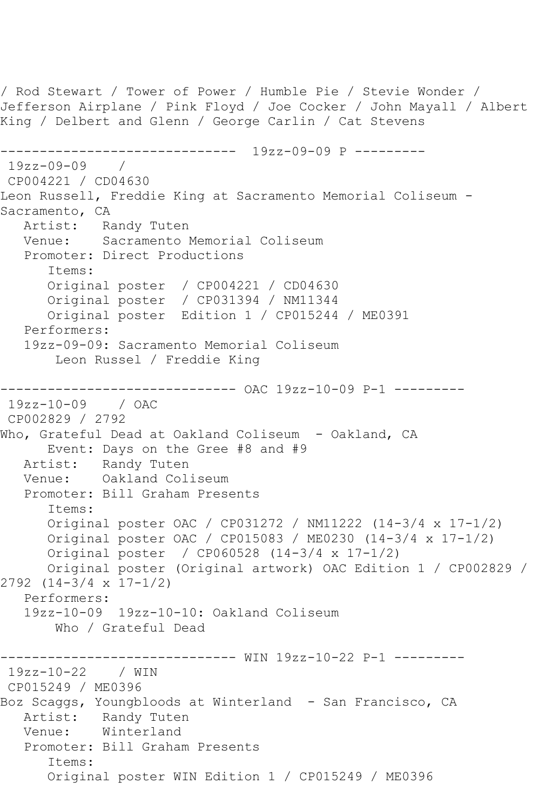```
/ Rod Stewart / Tower of Power / Humble Pie / Stevie Wonder / 
Jefferson Airplane / Pink Floyd / Joe Cocker / John Mayall / Albert 
King / Delbert and Glenn / George Carlin / Cat Stevens
------------------------------ 19zz-09-09 P ---------
19zz-09-09 / 
CP004221 / CD04630
Leon Russell, Freddie King at Sacramento Memorial Coliseum -
Sacramento, CA
  Artist: Randy Tuten<br>Venue: Sacramento I
            Sacramento Memorial Coliseum
   Promoter: Direct Productions
       Items:
       Original poster / CP004221 / CD04630
       Original poster / CP031394 / NM11344
       Original poster Edition 1 / CP015244 / ME0391
   Performers:
   19zz-09-09: Sacramento Memorial Coliseum
        Leon Russel / Freddie King
------------------------------ OAC 19zz-10-09 P-1 ---------
19zz-10-09 / OAC 
CP002829 / 2792
Who, Grateful Dead at Oakland Coliseum - Oakland, CA
       Event: Days on the Gree #8 and #9
   Artist: Randy Tuten
   Venue: Oakland Coliseum
    Promoter: Bill Graham Presents
       Items:
       Original poster OAC / CP031272 / NM11222 (14-3/4 x 17-1/2)
       Original poster OAC / CP015083 / ME0230 (14-3/4 x 17-1/2)
       Original poster / CP060528 (14-3/4 x 17-1/2)
       Original poster (Original artwork) OAC Edition 1 / CP002829 / 
2792 (14-3/4 x 17-1/2)
   Performers:
    19zz-10-09 19zz-10-10: Oakland Coliseum
        Who / Grateful Dead
                ------------------------------ WIN 19zz-10-22 P-1 ---------
19zz-10-22 / WIN 
CP015249 / ME0396
Boz Scaggs, Youngbloods at Winterland - San Francisco, CA
  Artist: Randy Tuten<br>Venue: Winterland
            Winterland
   Promoter: Bill Graham Presents
       Items:
       Original poster WIN Edition 1 / CP015249 / ME0396
```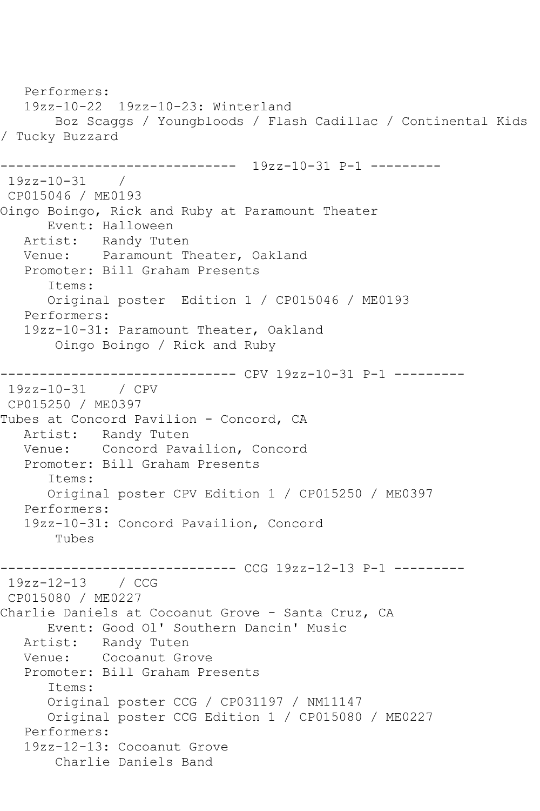Performers: 19zz-10-22 19zz-10-23: Winterland Boz Scaggs / Youngbloods / Flash Cadillac / Continental Kids / Tucky Buzzard ------------------------------ 19zz-10-31 P-1 --------- 19zz-10-31 / CP015046 / ME0193 Oingo Boingo, Rick and Ruby at Paramount Theater Event: Halloween Artist: Randy Tuten Venue: Paramount Theater, Oakland Promoter: Bill Graham Presents Items: Original poster Edition 1 / CP015046 / ME0193 Performers: 19zz-10-31: Paramount Theater, Oakland Oingo Boingo / Rick and Ruby ------------------------------ CPV 19zz-10-31 P-1 --------- 19zz-10-31 / CPV CP015250 / ME0397 Tubes at Concord Pavilion - Concord, CA Artist: Randy Tuten Venue: Concord Pavailion, Concord Promoter: Bill Graham Presents Items: Original poster CPV Edition 1 / CP015250 / ME0397 Performers: 19zz-10-31: Concord Pavailion, Concord Tubes ------------------------------ CCG 19zz-12-13 P-1 --------- 19zz-12-13 / CCG CP015080 / ME0227 Charlie Daniels at Cocoanut Grove - Santa Cruz, CA Event: Good Ol' Southern Dancin' Music Artist: Randy Tuten Venue: Cocoanut Grove Promoter: Bill Graham Presents Items: Original poster CCG / CP031197 / NM11147 Original poster CCG Edition 1 / CP015080 / ME0227 Performers: 19zz-12-13: Cocoanut Grove Charlie Daniels Band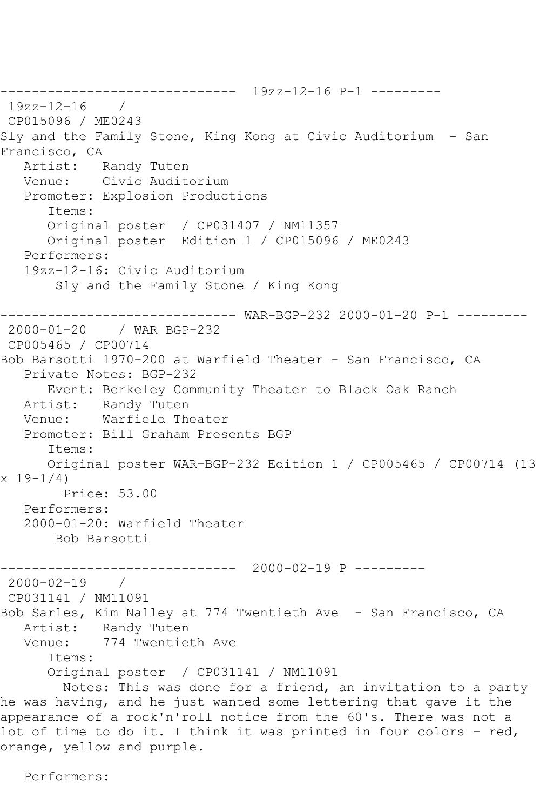------------------------------ 19zz-12-16 P-1 --------- 19zz-12-16 / CP015096 / ME0243 Sly and the Family Stone, King Kong at Civic Auditorium - San Francisco, CA<br>Artist: I Randy Tuten Venue: Civic Auditorium Promoter: Explosion Productions Items: Original poster / CP031407 / NM11357 Original poster Edition 1 / CP015096 / ME0243 Performers: 19zz-12-16: Civic Auditorium Sly and the Family Stone / King Kong ------------------------------ WAR-BGP-232 2000-01-20 P-1 --------- 2000-01-20 / WAR BGP-232 CP005465 / CP00714 Bob Barsotti 1970-200 at Warfield Theater - San Francisco, CA Private Notes: BGP-232 Event: Berkeley Community Theater to Black Oak Ranch Artist: Randy Tuten Venue: Warfield Theater Promoter: Bill Graham Presents BGP Items: Original poster WAR-BGP-232 Edition 1 / CP005465 / CP00714 (13  $x 19 - 1/4$  Price: 53.00 Performers: 2000-01-20: Warfield Theater Bob Barsotti ------------------------------ 2000-02-19 P ---------  $2000 - 02 - 19$ CP031141 / NM11091 Bob Sarles, Kim Nalley at 774 Twentieth Ave - San Francisco, CA Artist: Randy Tuten Venue: 774 Twentieth Ave Items: Original poster / CP031141 / NM11091 Notes: This was done for a friend, an invitation to a party he was having, and he just wanted some lettering that gave it the appearance of a rock'n'roll notice from the 60's. There was not a lot of time to do it. I think it was printed in four colors - red, orange, yellow and purple.

Performers: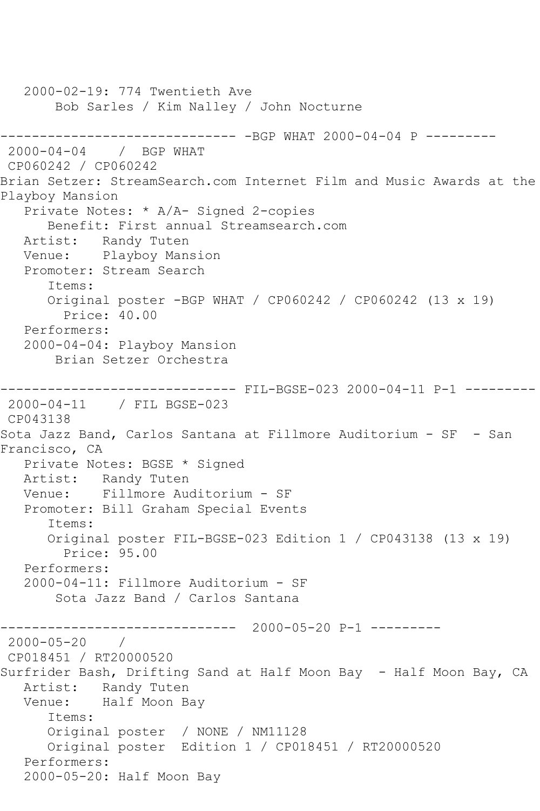2000-02-19: 774 Twentieth Ave Bob Sarles / Kim Nalley / John Nocturne ------------------------------ -BGP WHAT 2000-04-04 P --------- 2000-04-04 / BGP WHAT CP060242 / CP060242 Brian Setzer: StreamSearch.com Internet Film and Music Awards at the Playboy Mansion Private Notes: \* A/A- Signed 2-copies Benefit: First annual Streamsearch.com Artist: Randy Tuten Venue: Playboy Mansion Promoter: Stream Search Items: Original poster -BGP WHAT / CP060242 / CP060242 (13 x 19) Price: 40.00 Performers: 2000-04-04: Playboy Mansion Brian Setzer Orchestra ------------------------------ FIL-BGSE-023 2000-04-11 P-1 --------- 2000-04-11 / FIL BGSE-023 CP043138 Sota Jazz Band, Carlos Santana at Fillmore Auditorium - SF - San Francisco, CA Private Notes: BGSE \* Signed Artist: Randy Tuten Venue: Fillmore Auditorium - SF Promoter: Bill Graham Special Events Items: Original poster FIL-BGSE-023 Edition 1 / CP043138 (13 x 19) Price: 95.00 Performers: 2000-04-11: Fillmore Auditorium - SF Sota Jazz Band / Carlos Santana ------------------------------ 2000-05-20 P-1 --------- 2000-05-20 / CP018451 / RT20000520 Surfrider Bash, Drifting Sand at Half Moon Bay - Half Moon Bay, CA Artist: Randy Tuten Venue: Half Moon Bay Items: Original poster / NONE / NM11128 Original poster Edition 1 / CP018451 / RT20000520 Performers: 2000-05-20: Half Moon Bay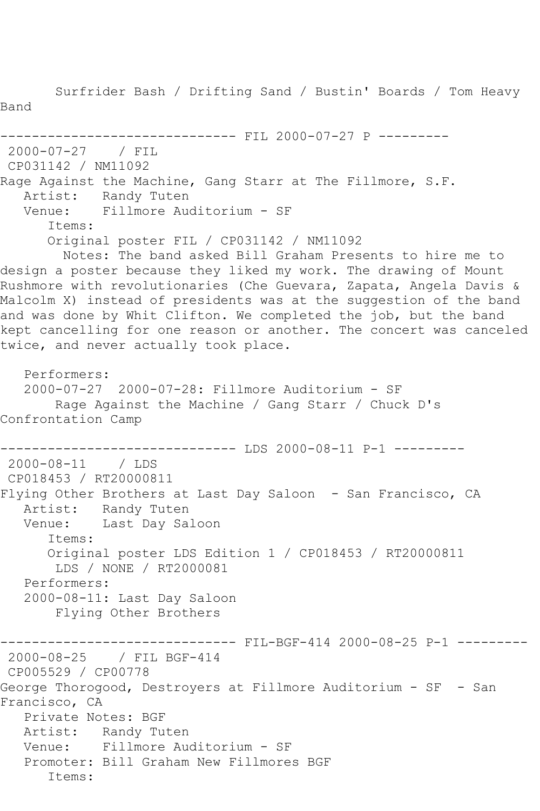Surfrider Bash / Drifting Sand / Bustin' Boards / Tom Heavy Band ------------------------------ FIL 2000-07-27 P --------- 2000-07-27 / FIL CP031142 / NM11092 Rage Against the Machine, Gang Starr at The Fillmore, S.F. Artist: Randy Tuten Venue: Fillmore Auditorium - SF Items: Original poster FIL / CP031142 / NM11092 Notes: The band asked Bill Graham Presents to hire me to design a poster because they liked my work. The drawing of Mount Rushmore with revolutionaries (Che Guevara, Zapata, Angela Davis & Malcolm X) instead of presidents was at the suggestion of the band and was done by Whit Clifton. We completed the job, but the band kept cancelling for one reason or another. The concert was canceled twice, and never actually took place. Performers: 2000-07-27 2000-07-28: Fillmore Auditorium - SF Rage Against the Machine / Gang Starr / Chuck D's Confrontation Camp ------------------------------ LDS 2000-08-11 P-1 --------- 2000-08-11 / LDS CP018453 / RT20000811 Flying Other Brothers at Last Day Saloon - San Francisco, CA Artist: Randy Tuten Venue: Last Day Saloon Items: Original poster LDS Edition 1 / CP018453 / RT20000811 LDS / NONE / RT2000081 Performers: 2000-08-11: Last Day Saloon Flying Other Brothers ----------- FIL-BGF-414 2000-08-25 P-1 ---------2000-08-25 / FIL BGF-414 CP005529 / CP00778 George Thorogood, Destroyers at Fillmore Auditorium - SF - San Francisco, CA Private Notes: BGF Artist: Randy Tuten Venue: Fillmore Auditorium - SF Promoter: Bill Graham New Fillmores BGF Items: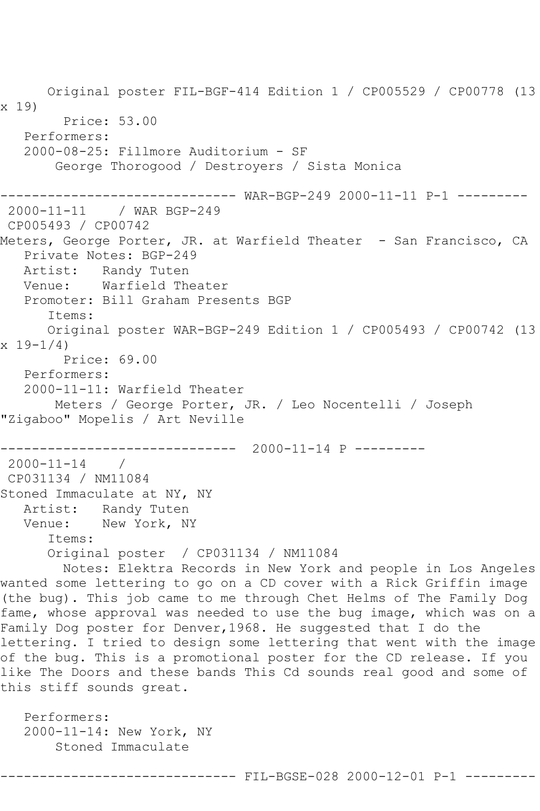Original poster FIL-BGF-414 Edition 1 / CP005529 / CP00778 (13 x 19) Price: 53.00 Performers: 2000-08-25: Fillmore Auditorium - SF George Thorogood / Destroyers / Sista Monica ------------------------------ WAR-BGP-249 2000-11-11 P-1 --------- 2000-11-11 / WAR BGP-249 CP005493 / CP00742 Meters, George Porter, JR. at Warfield Theater - San Francisco, CA Private Notes: BGP-249 Artist: Randy Tuten Venue: Warfield Theater Promoter: Bill Graham Presents BGP Items: Original poster WAR-BGP-249 Edition 1 / CP005493 / CP00742 (13 x 19-1/4) Price: 69.00 Performers: 2000-11-11: Warfield Theater Meters / George Porter, JR. / Leo Nocentelli / Joseph "Zigaboo" Mopelis / Art Neville ------------------------------ 2000-11-14 P ---------  $2000 - 11 - 14$ CP031134 / NM11084 Stoned Immaculate at NY, NY Artist: Randy Tuten Venue: New York, NY Items: Original poster / CP031134 / NM11084 Notes: Elektra Records in New York and people in Los Angeles wanted some lettering to go on a CD cover with a Rick Griffin image (the bug). This job came to me through Chet Helms of The Family Dog fame, whose approval was needed to use the bug image, which was on a Family Dog poster for Denver, 1968. He suggested that I do the lettering. I tried to design some lettering that went with the image of the bug. This is a promotional poster for the CD release. If you like The Doors and these bands This Cd sounds real good and some of this stiff sounds great. Performers: 2000-11-14: New York, NY

------------------ FIL-BGSE-028 2000-12-01 P-1 ---------

Stoned Immaculate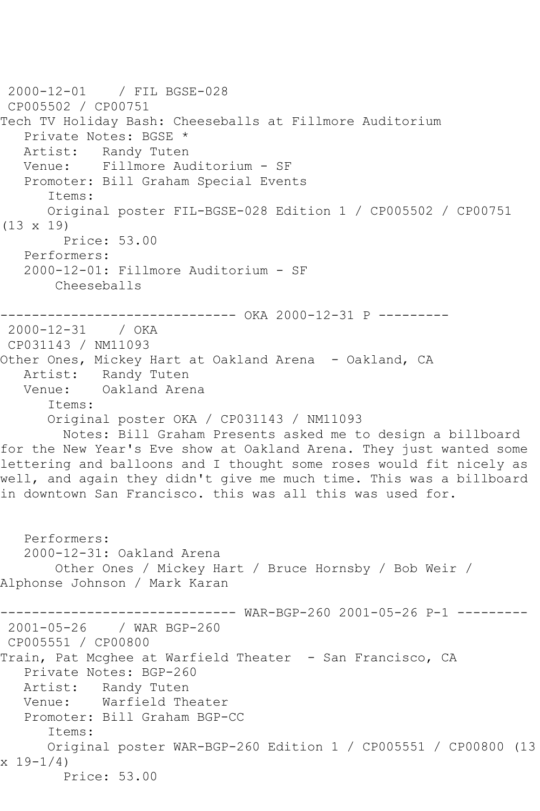```
2000-12-01 / FIL BGSE-028
CP005502 / CP00751
Tech TV Holiday Bash: Cheeseballs at Fillmore Auditorium
   Private Notes: BGSE *
   Artist: Randy Tuten
   Venue: Fillmore Auditorium - SF
   Promoter: Bill Graham Special Events
       Items:
      Original poster FIL-BGSE-028 Edition 1 / CP005502 / CP00751 
(13 x 19)
        Price: 53.00
   Performers:
   2000-12-01: Fillmore Auditorium - SF
       Cheeseballs
------------------------------ OKA 2000-12-31 P ---------
2000-12-31 / OKA 
CP031143 / NM11093
Other Ones, Mickey Hart at Oakland Arena - Oakland, CA
  Artist: Randy Tuten<br>Venue: Oakland Arer
           Oakland Arena
       Items:
      Original poster OKA / CP031143 / NM11093
        Notes: Bill Graham Presents asked me to design a billboard 
for the New Year's Eve show at Oakland Arena. They just wanted some 
lettering and balloons and I thought some roses would fit nicely as 
well, and again they didn't give me much time. This was a billboard 
in downtown San Francisco. this was all this was used for.
   Performers:
   2000-12-31: Oakland Arena
       Other Ones / Mickey Hart / Bruce Hornsby / Bob Weir / 
Alphonse Johnson / Mark Karan
------------------------------ WAR-BGP-260 2001-05-26 P-1 ---------
2001-05-26 / WAR BGP-260
CP005551 / CP00800
Train, Pat Mcghee at Warfield Theater - San Francisco, CA
   Private Notes: BGP-260
   Artist: Randy Tuten
   Venue: Warfield Theater
   Promoter: Bill Graham BGP-CC
       Items:
      Original poster WAR-BGP-260 Edition 1 / CP005551 / CP00800 (13 
x 19-1/4)
        Price: 53.00
```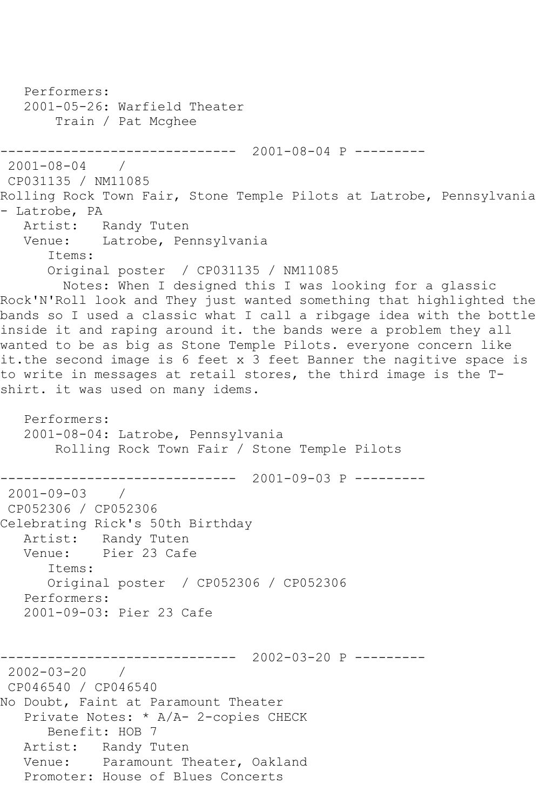Performers: 2001-05-26: Warfield Theater Train / Pat Mcghee ------------------------------ 2001-08-04 P --------- 2001-08-04 / CP031135 / NM11085 Rolling Rock Town Fair, Stone Temple Pilots at Latrobe, Pennsylvania - Latrobe, PA Artist: Randy Tuten Venue: Latrobe, Pennsylvania Items: Original poster / CP031135 / NM11085 Notes: When I designed this I was looking for a glassic Rock'N'Roll look and They just wanted something that highlighted the bands so I used a classic what I call a ribgage idea with the bottle inside it and raping around it. the bands were a problem they all wanted to be as big as Stone Temple Pilots. everyone concern like it.the second image is 6 feet x 3 feet Banner the nagitive space is to write in messages at retail stores, the third image is the Tshirt. it was used on many idems. Performers: 2001-08-04: Latrobe, Pennsylvania Rolling Rock Town Fair / Stone Temple Pilots ------------------------------ 2001-09-03 P --------- 2001-09-03 / CP052306 / CP052306 Celebrating Rick's 50th Birthday Artist: Randy Tuten Venue: Pier 23 Cafe Items: Original poster / CP052306 / CP052306 Performers: 2001-09-03: Pier 23 Cafe ------------------------------ 2002-03-20 P --------- 2002-03-20 / CP046540 / CP046540 No Doubt, Faint at Paramount Theater Private Notes: \* A/A- 2-copies CHECK Benefit: HOB 7 Artist: Randy Tuten Venue: Paramount Theater, Oakland Promoter: House of Blues Concerts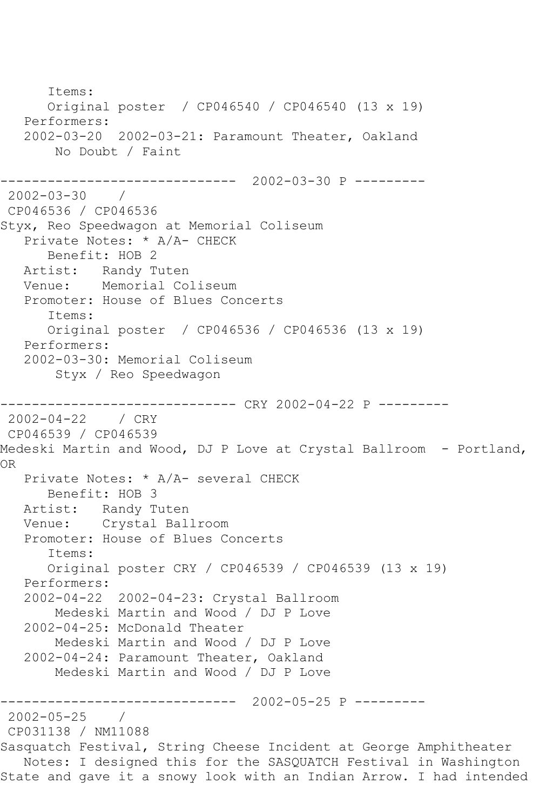Items: Original poster / CP046540 / CP046540 (13 x 19) Performers: 2002-03-20 2002-03-21: Paramount Theater, Oakland No Doubt / Faint ------------------------------ 2002-03-30 P --------- 2002-03-30 / CP046536 / CP046536 Styx, Reo Speedwagon at Memorial Coliseum Private Notes: \* A/A- CHECK Benefit: HOB 2 Artist: Randy Tuten Venue: Memorial Coliseum Promoter: House of Blues Concerts Items: Original poster / CP046536 / CP046536 (13 x 19) Performers: 2002-03-30: Memorial Coliseum Styx / Reo Speedwagon ----------- CRY 2002-04-22 P ----------2002-04-22 / CRY CP046539 / CP046539 Medeski Martin and Wood, DJ P Love at Crystal Ballroom - Portland, OR Private Notes: \* A/A- several CHECK Benefit: HOB 3 Artist: Randy Tuten Venue: Crystal Ballroom Promoter: House of Blues Concerts Items: Original poster CRY / CP046539 / CP046539 (13 x 19) Performers: 2002-04-22 2002-04-23: Crystal Ballroom Medeski Martin and Wood / DJ P Love 2002-04-25: McDonald Theater Medeski Martin and Wood / DJ P Love 2002-04-24: Paramount Theater, Oakland Medeski Martin and Wood / DJ P Love ------------------------------ 2002-05-25 P --------- 2002-05-25 / CP031138 / NM11088 Sasquatch Festival, String Cheese Incident at George Amphitheater Notes: I designed this for the SASQUATCH Festival in Washington State and gave it a snowy look with an Indian Arrow. I had intended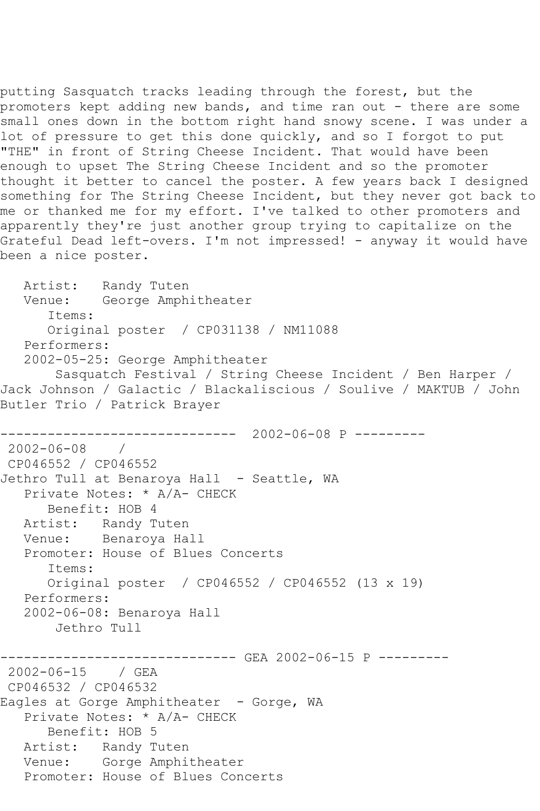putting Sasquatch tracks leading through the forest, but the promoters kept adding new bands, and time ran out - there are some small ones down in the bottom right hand snowy scene. I was under a lot of pressure to get this done quickly, and so I forgot to put "THE" in front of String Cheese Incident. That would have been enough to upset The String Cheese Incident and so the promoter thought it better to cancel the poster. A few years back I designed something for The String Cheese Incident, but they never got back to me or thanked me for my effort. I've talked to other promoters and apparently they're just another group trying to capitalize on the Grateful Dead left-overs. I'm not impressed! - anyway it would have been a nice poster.

 Artist: Randy Tuten Venue: George Amphitheater Items: Original poster / CP031138 / NM11088 Performers: 2002-05-25: George Amphitheater Sasquatch Festival / String Cheese Incident / Ben Harper / Jack Johnson / Galactic / Blackaliscious / Soulive / MAKTUB / John Butler Trio / Patrick Brayer ------------------------------ 2002-06-08 P --------- 2002-06-08 / CP046552 / CP046552 Jethro Tull at Benaroya Hall - Seattle, WA Private Notes: \* A/A- CHECK Benefit: HOB 4 Artist: Randy Tuten Venue: Benaroya Hall Promoter: House of Blues Concerts Items: Original poster / CP046552 / CP046552 (13 x 19) Performers: 2002-06-08: Benaroya Hall Jethro Tull ------------------------------ GEA 2002-06-15 P --------- 2002-06-15 / GEA CP046532 / CP046532 Eagles at Gorge Amphitheater - Gorge, WA Private Notes: \* A/A- CHECK Benefit: HOB 5 Artist: Randy Tuten Venue: Gorge Amphitheater Promoter: House of Blues Concerts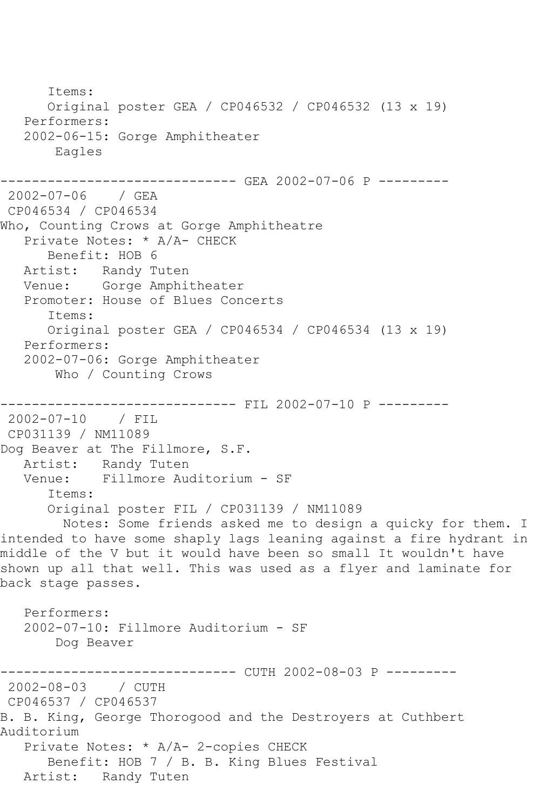Items: Original poster GEA / CP046532 / CP046532 (13 x 19) Performers: 2002-06-15: Gorge Amphitheater Eagles ------------------------------ GEA 2002-07-06 P --------- 2002-07-06 / GEA CP046534 / CP046534 Who, Counting Crows at Gorge Amphitheatre Private Notes: \* A/A- CHECK Benefit: HOB 6 Artist: Randy Tuten Venue: Gorge Amphitheater Promoter: House of Blues Concerts Items: Original poster GEA / CP046534 / CP046534 (13 x 19) Performers: 2002-07-06: Gorge Amphitheater Who / Counting Crows ------------------------------ FIL 2002-07-10 P --------- 2002-07-10 / FIL CP031139 / NM11089 Dog Beaver at The Fillmore, S.F. Artist: Randy Tuten<br>Venue: Fillmore Aud Venue: Fillmore Auditorium - SF Items: Original poster FIL / CP031139 / NM11089 Notes: Some friends asked me to design a quicky for them. I intended to have some shaply lags leaning against a fire hydrant in middle of the V but it would have been so small It wouldn't have shown up all that well. This was used as a flyer and laminate for back stage passes. Performers: 2002-07-10: Fillmore Auditorium - SF Dog Beaver ------------------------------ CUTH 2002-08-03 P --------- 2002-08-03 / CUTH CP046537 / CP046537 B. B. King, George Thorogood and the Destroyers at Cuthbert Auditorium Private Notes: \* A/A- 2-copies CHECK Benefit: HOB 7 / B. B. King Blues Festival Artist: Randy Tuten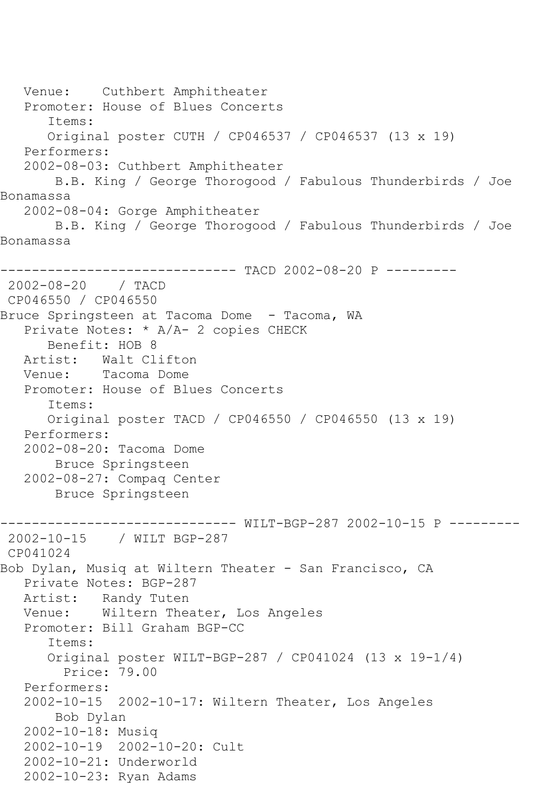Venue: Cuthbert Amphitheater Promoter: House of Blues Concerts Items: Original poster CUTH / CP046537 / CP046537 (13 x 19) Performers: 2002-08-03: Cuthbert Amphitheater B.B. King / George Thorogood / Fabulous Thunderbirds / Joe Bonamassa 2002-08-04: Gorge Amphitheater B.B. King / George Thorogood / Fabulous Thunderbirds / Joe Bonamassa ------------------------------ TACD 2002-08-20 P --------- 2002-08-20 / TACD CP046550 / CP046550 Bruce Springsteen at Tacoma Dome - Tacoma, WA Private Notes: \* A/A- 2 copies CHECK Benefit: HOB 8 Artist: Walt Clifton Venue: Tacoma Dome Promoter: House of Blues Concerts Items: Original poster TACD / CP046550 / CP046550 (13 x 19) Performers: 2002-08-20: Tacoma Dome Bruce Springsteen 2002-08-27: Compaq Center Bruce Springsteen ------------------------------ WILT-BGP-287 2002-10-15 P --------- 2002-10-15 / WILT BGP-287 CP041024 Bob Dylan, Musiq at Wiltern Theater - San Francisco, CA Private Notes: BGP-287 Artist: Randy Tuten Venue: Wiltern Theater, Los Angeles Promoter: Bill Graham BGP-CC Items: Original poster WILT-BGP-287 / CP041024 (13 x 19-1/4) Price: 79.00 Performers: 2002-10-15 2002-10-17: Wiltern Theater, Los Angeles Bob Dylan 2002-10-18: Musiq 2002-10-19 2002-10-20: Cult 2002-10-21: Underworld 2002-10-23: Ryan Adams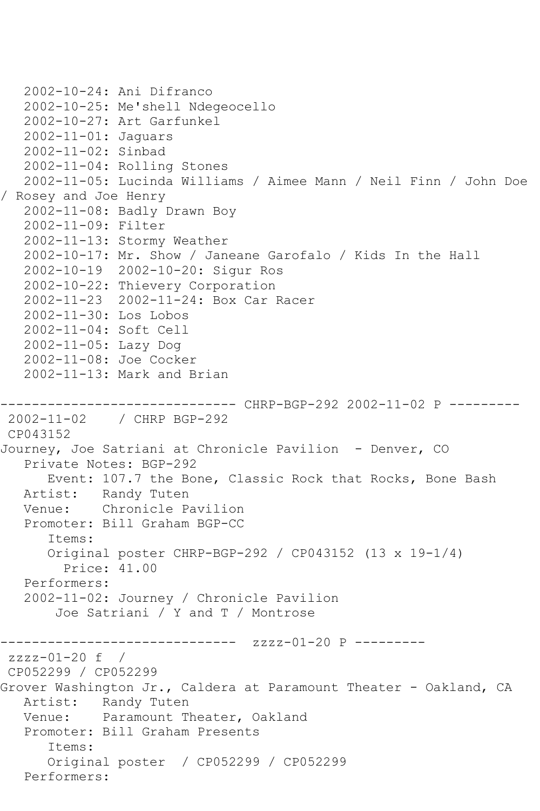```
 2002-10-24: Ani Difranco
   2002-10-25: Me'shell Ndegeocello
   2002-10-27: Art Garfunkel
   2002-11-01: Jaguars
   2002-11-02: Sinbad
   2002-11-04: Rolling Stones
   2002-11-05: Lucinda Williams / Aimee Mann / Neil Finn / John Doe 
/ Rosey and Joe Henry
   2002-11-08: Badly Drawn Boy
   2002-11-09: Filter
   2002-11-13: Stormy Weather
   2002-10-17: Mr. Show / Janeane Garofalo / Kids In the Hall
   2002-10-19 2002-10-20: Sigur Ros
   2002-10-22: Thievery Corporation
   2002-11-23 2002-11-24: Box Car Racer
   2002-11-30: Los Lobos
   2002-11-04: Soft Cell
   2002-11-05: Lazy Dog
   2002-11-08: Joe Cocker
   2002-11-13: Mark and Brian
        ------------------------------ CHRP-BGP-292 2002-11-02 P ---------
2002-11-02 / CHRP BGP-292
CP043152
Journey, Joe Satriani at Chronicle Pavilion - Denver, CO
   Private Notes: BGP-292
       Event: 107.7 the Bone, Classic Rock that Rocks, Bone Bash
   Artist: Randy Tuten
   Venue: Chronicle Pavilion
   Promoter: Bill Graham BGP-CC
       Items:
       Original poster CHRP-BGP-292 / CP043152 (13 x 19-1/4)
         Price: 41.00
   Performers:
   2002-11-02: Journey / Chronicle Pavilion
        Joe Satriani / Y and T / Montrose
                   ------------ zzzz-01-20 P ---------
zzzz-01-20 f / 
CP052299 / CP052299
Grover Washington Jr., Caldera at Paramount Theater - Oakland, CA
   Artist: Randy Tuten
   Venue: Paramount Theater, Oakland
   Promoter: Bill Graham Presents
       Items:
       Original poster / CP052299 / CP052299
   Performers:
```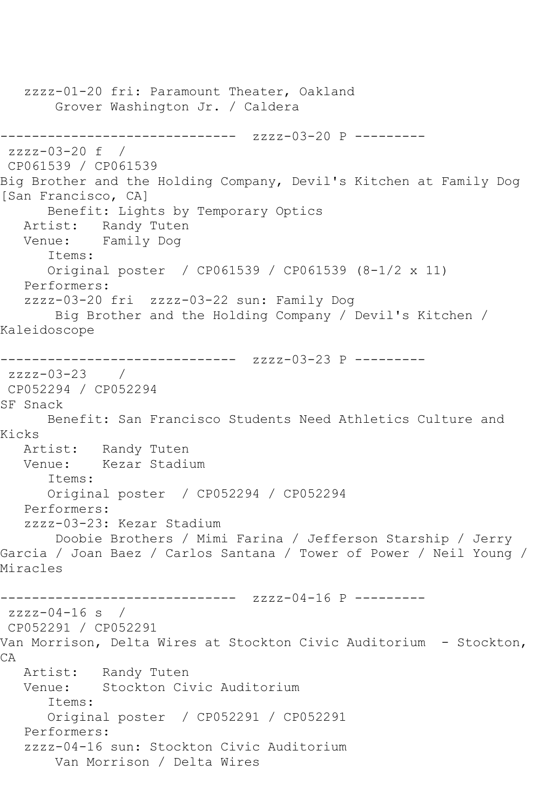zzzz-01-20 fri: Paramount Theater, Oakland Grover Washington Jr. / Caldera ------------------------------ zzzz-03-20 P -------- zzzz-03-20 f / CP061539 / CP061539 Big Brother and the Holding Company, Devil's Kitchen at Family Dog [San Francisco, CA] Benefit: Lights by Temporary Optics Artist: Randy Tuten<br>Venue: Family Dog Family Dog Items: Original poster / CP061539 / CP061539 (8-1/2 x 11) Performers: zzzz-03-20 fri zzzz-03-22 sun: Family Dog Big Brother and the Holding Company / Devil's Kitchen / Kaleidoscope ------------------------------ zzzz-03-23 P -------- zzzz-03-23 / CP052294 / CP052294 SF Snack Benefit: San Francisco Students Need Athletics Culture and Kicks Artist: Randy Tuten<br>Venue: Kezar Stadir Kezar Stadium Items: Original poster / CP052294 / CP052294 Performers: zzzz-03-23: Kezar Stadium Doobie Brothers / Mimi Farina / Jefferson Starship / Jerry Garcia / Joan Baez / Carlos Santana / Tower of Power / Neil Young / Miracles ------------------------------ zzzz-04-16 P -------- zzzz-04-16 s / CP052291 / CP052291 Van Morrison, Delta Wires at Stockton Civic Auditorium - Stockton, CA Artist: Randy Tuten<br>Venue: Stockton Cir Stockton Civic Auditorium Items: Original poster / CP052291 / CP052291 Performers: zzzz-04-16 sun: Stockton Civic Auditorium Van Morrison / Delta Wires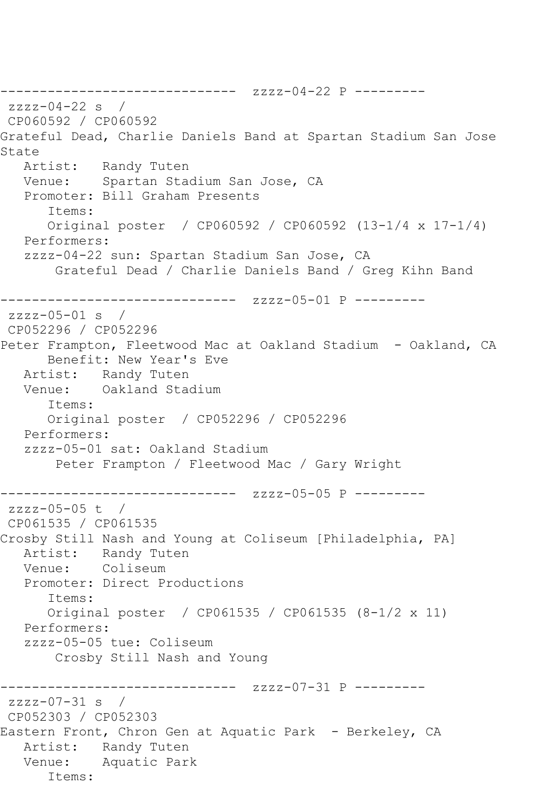------------------------------ zzzz-04-22 P -------- zzzz-04-22 s / CP060592 / CP060592 Grateful Dead, Charlie Daniels Band at Spartan Stadium San Jose State<br>Artist: Randy Tuten Venue: Spartan Stadium San Jose, CA Promoter: Bill Graham Presents Items: Original poster / CP060592 / CP060592 (13-1/4 x 17-1/4) Performers: zzzz-04-22 sun: Spartan Stadium San Jose, CA Grateful Dead / Charlie Daniels Band / Greg Kihn Band ------------------------------ zzzz-05-01 P --------  $zzzz-05-01$  s / CP052296 / CP052296 Peter Frampton, Fleetwood Mac at Oakland Stadium - Oakland, CA Benefit: New Year's Eve Artist: Randy Tuten Venue: Oakland Stadium Items: Original poster / CP052296 / CP052296 Performers: zzzz-05-01 sat: Oakland Stadium Peter Frampton / Fleetwood Mac / Gary Wright ------------------------------ zzzz-05-05 P -------- zzzz-05-05 t / CP061535 / CP061535 Crosby Still Nash and Young at Coliseum [Philadelphia, PA] Artist: Randy Tuten Venue: Coliseum Promoter: Direct Productions Items: Original poster / CP061535 / CP061535 (8-1/2 x 11) Performers: zzzz-05-05 tue: Coliseum Crosby Still Nash and Young ------------------------------ zzzz-07-31 P -------- zzzz-07-31 s / CP052303 / CP052303 Eastern Front, Chron Gen at Aquatic Park - Berkeley, CA Artist: Randy Tuten Venue: Aquatic Park Items: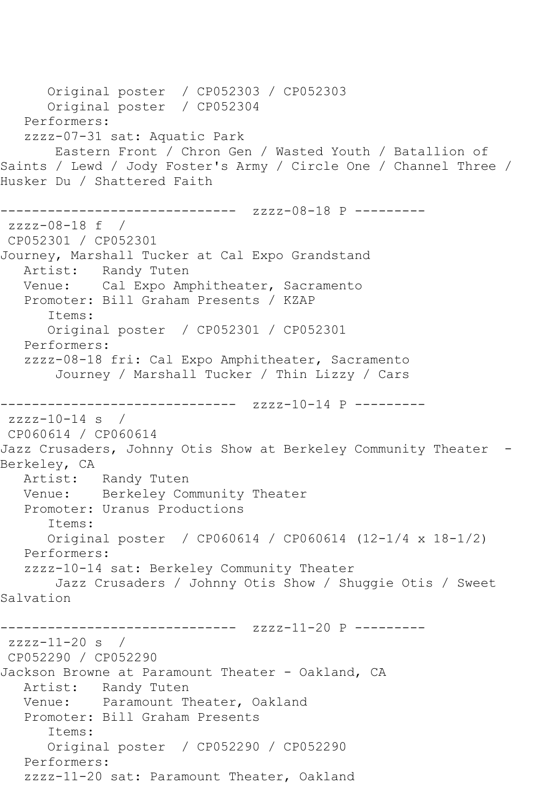Original poster / CP052303 / CP052303 Original poster / CP052304 Performers: zzzz-07-31 sat: Aquatic Park Eastern Front / Chron Gen / Wasted Youth / Batallion of Saints / Lewd / Jody Foster's Army / Circle One / Channel Three / Husker Du / Shattered Faith ------------------------------ zzzz-08-18 P -------- zzzz-08-18 f / CP052301 / CP052301 Journey, Marshall Tucker at Cal Expo Grandstand Artist: Randy Tuten Venue: Cal Expo Amphitheater, Sacramento Promoter: Bill Graham Presents / KZAP Items: Original poster / CP052301 / CP052301 Performers: zzzz-08-18 fri: Cal Expo Amphitheater, Sacramento Journey / Marshall Tucker / Thin Lizzy / Cars ------------------------------ zzzz-10-14 P -------- zzzz-10-14 s / CP060614 / CP060614 Jazz Crusaders, Johnny Otis Show at Berkeley Community Theater -Berkeley, CA Artist: Randy Tuten Venue: Berkeley Community Theater Promoter: Uranus Productions Items: Original poster / CP060614 / CP060614 (12-1/4 x 18-1/2) Performers: zzzz-10-14 sat: Berkeley Community Theater Jazz Crusaders / Johnny Otis Show / Shuggie Otis / Sweet Salvation ------------------------------ zzzz-11-20 P -------- zzzz-11-20 s / CP052290 / CP052290 Jackson Browne at Paramount Theater - Oakland, CA Artist: Randy Tuten Venue: Paramount Theater, Oakland Promoter: Bill Graham Presents Items: Original poster / CP052290 / CP052290 Performers: zzzz-11-20 sat: Paramount Theater, Oakland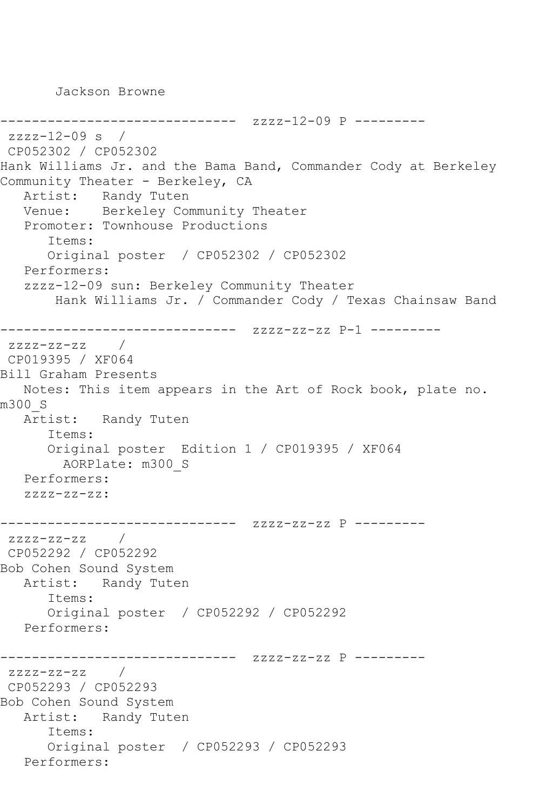Jackson Browne

------------------------------ zzzz-12-09 P -------- zzzz-12-09 s / CP052302 / CP052302 Hank Williams Jr. and the Bama Band, Commander Cody at Berkeley Community Theater - Berkeley, CA Artist: Randy Tuten Venue: Berkeley Community Theater Promoter: Townhouse Productions Items: Original poster / CP052302 / CP052302 Performers: zzzz-12-09 sun: Berkeley Community Theater Hank Williams Jr. / Commander Cody / Texas Chainsaw Band ------------------------------ zzzz-zz-zz P-1 --------  $zzzz-zz-zz$  / CP019395 / XF064 Bill Graham Presents Notes: This item appears in the Art of Rock book, plate no. m300\_S Artist: Randy Tuten Items: Original poster Edition 1 / CP019395 / XF064 AORPlate: m300\_S Performers: zzzz-zz-zz: ------------------------------ zzzz-zz-zz P -------- zzzz-zz-zz / CP052292 / CP052292 Bob Cohen Sound System Artist: Randy Tuten Items: Original poster / CP052292 / CP052292 Performers: ------------------------------ zzzz-zz-zz P --------  $zzzz-zz-zz$  / CP052293 / CP052293 Bob Cohen Sound System Artist: Randy Tuten Items: Original poster / CP052293 / CP052293 Performers: